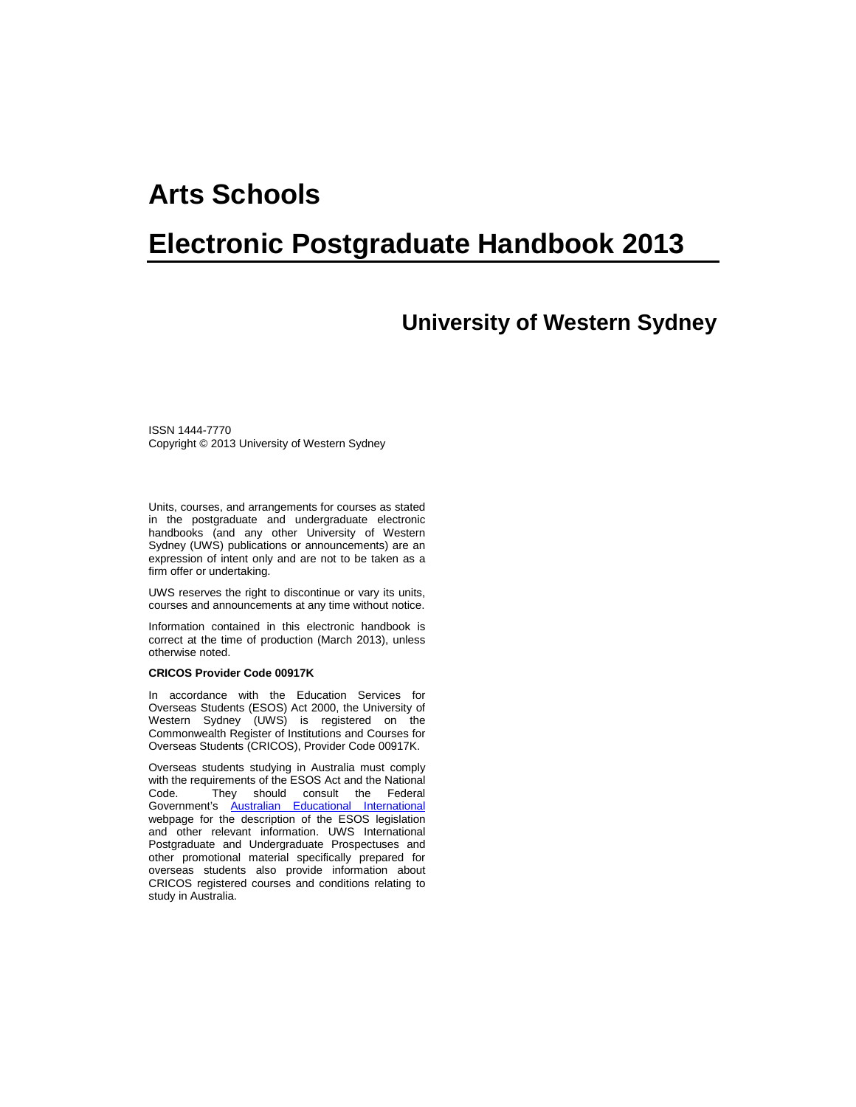# **Arts Schools**

# **Electronic Postgraduate Handbook 2013**

# **University of Western Sydney**

ISSN 1444-7770 Copyright © 2013 University of Western Sydney

Units, courses, and arrangements for courses as stated in the postgraduate and undergraduate electronic handbooks (and any other University of Western Sydney (UWS) publications or announcements) are an expression of intent only and are not to be taken as a firm offer or undertaking.

UWS reserves the right to discontinue or vary its units, courses and announcements at any time without notice.

Information contained in this electronic handbook is correct at the time of production (March 2013), unless otherwise noted.

#### **CRICOS Provider Code 00917K**

In accordance with the Education Services for Overseas Students (ESOS) Act 2000, the University of Western Sydney (UWS) is registered on the Commonwealth Register of Institutions and Courses for Overseas Students (CRICOS), Provider Code 00917K.

Overseas students studying in Australia must comply with the requirements of the ESOS Act and the National Code. They should consult the Federal Government's [Australian Educational International](https://aei.gov.au/Pages/default.aspx) webpage for the description of the ESOS legislation and other relevant information. UWS International Postgraduate and Undergraduate Prospectuses and other promotional material specifically prepared for overseas students also provide information about CRICOS registered courses and conditions relating to study in Australia.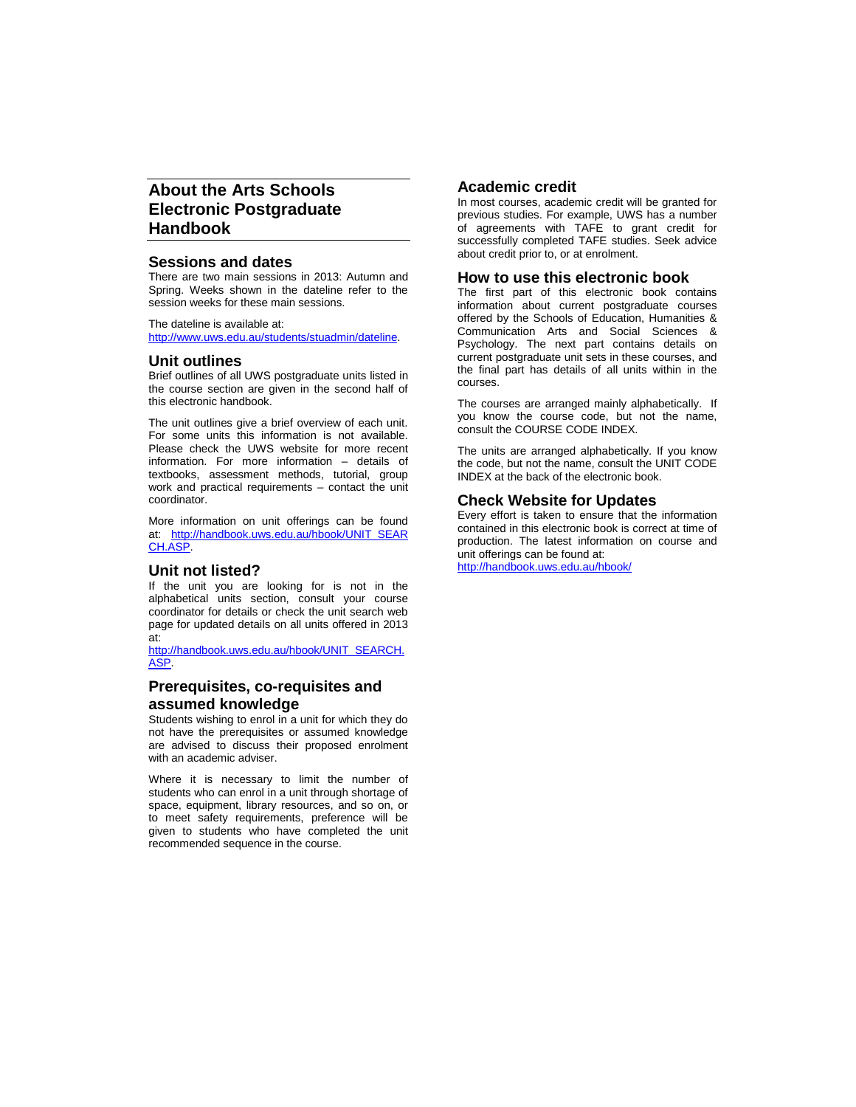# **About the Arts Schools Electronic Postgraduate Handbook**

#### **Sessions and dates**

There are two main sessions in 2013: Autumn and Spring. Weeks shown in the dateline refer to the session weeks for these main sessions.

The dateline is available at: [http://www.uws.edu.au/students/stuadmin/dateline.](http://www.uws.edu.au/students/stuadmin/dateline)

#### **Unit outlines**

Brief outlines of all UWS postgraduate units listed in the course section are given in the second half of this electronic handbook.

The unit outlines give a brief overview of each unit. For some units this information is not available. Please check the UWS website for more recent information. For more information – details of textbooks, assessment methods, tutorial, group work and practical requirements – contact the unit coordinator.

More information on unit offerings can be found at: [http://handbook.uws.edu.au/hbook/UNIT\\_SEAR](http://handbook.uws.edu.au/hbook/UNIT_SEARCH.ASP) [CH.ASP.](http://handbook.uws.edu.au/hbook/UNIT_SEARCH.ASP)

#### **Unit not listed?**

If the unit you are looking for is not in the alphabetical units section, consult your course coordinator for details or check the unit search web page for updated details on all units offered in 2013 at:

[http://handbook.uws.edu.au/hbook/UNIT\\_SEARCH.](http://handbook.uws.edu.au/hbook/UNIT_SEARCH.ASP) [ASP.](http://handbook.uws.edu.au/hbook/UNIT_SEARCH.ASP)

#### **Prerequisites, co-requisites and assumed knowledge**

Students wishing to enrol in a unit for which they do not have the prerequisites or assumed knowledge are advised to discuss their proposed enrolment with an academic adviser.

Where it is necessary to limit the number of students who can enrol in a unit through shortage of space, equipment, library resources, and so on, or to meet safety requirements, preference will be given to students who have completed the unit recommended sequence in the course.

#### **Academic credit**

In most courses, academic credit will be granted for previous studies. For example, UWS has a number of agreements with TAFE to grant credit for successfully completed TAFE studies. Seek advice about credit prior to, or at enrolment.

#### **How to use this electronic book**

The first part of this electronic book contains information about current postgraduate courses offered by the Schools of Education, Humanities & Communication Arts and Social Sciences & Psychology. The next part contains details on current postgraduate unit sets in these courses, and the final part has details of all units within in the courses.

The courses are arranged mainly alphabetically. If you know the course code, but not the name, consult the COURSE CODE INDEX.

The units are arranged alphabetically. If you know the code, but not the name, consult the UNIT CODE INDEX at the back of the electronic book.

#### **Check Website for Updates**

Every effort is taken to ensure that the information contained in this electronic book is correct at time of production. The latest information on course and unit offerings can be found at:

<http://handbook.uws.edu.au/hbook/>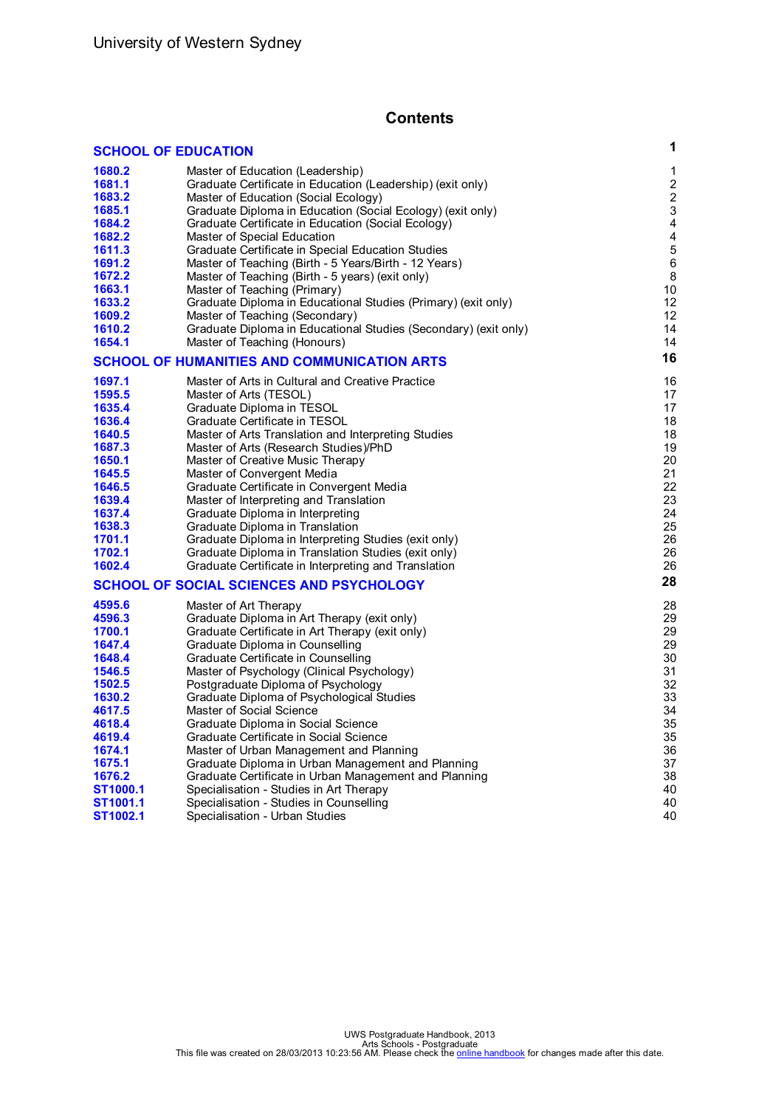# **Contents**

|          | <b>SCHOOL OF EDUCATION</b>                                      | 1                |
|----------|-----------------------------------------------------------------|------------------|
| 1680.2   | Master of Education (Leadership)                                | 1                |
| 1681.1   | Graduate Certificate in Education (Leadership) (exit only)      | $\boldsymbol{2}$ |
| 1683.2   | Master of Education (Social Ecology)                            | $\overline{c}$   |
| 1685.1   | Graduate Diploma in Education (Social Ecology) (exit only)      | $\mathsf 3$      |
| 1684.2   | Graduate Certificate in Education (Social Ecology)              | 4                |
| 1682.2   | Master of Special Education                                     | 4                |
| 1611.3   | Graduate Certificate in Special Education Studies               | 5                |
| 1691.2   | Master of Teaching (Birth - 5 Years/Birth - 12 Years)           | $\,6$            |
| 1672.2   | Master of Teaching (Birth - 5 years) (exit only)                | 8                |
| 1663.1   | Master of Teaching (Primary)                                    | 10               |
| 1633.2   | Graduate Diploma in Educational Studies (Primary) (exit only)   | 12               |
| 1609.2   | Master of Teaching (Secondary)                                  | 12               |
| 1610.2   | Graduate Diploma in Educational Studies (Secondary) (exit only) | 14               |
| 1654.1   | Master of Teaching (Honours)                                    | 14               |
|          | SCHOOL OF HUMANITIES AND COMMUNICATION ARTS                     | 16               |
| 1697.1   | Master of Arts in Cultural and Creative Practice                | 16               |
| 1595.5   | Master of Arts (TESOL)                                          | 17               |
| 1635.4   | Graduate Diploma in TESOL                                       | 17               |
| 1636.4   | Graduate Certificate in TESOL                                   | 18               |
| 1640.5   | Master of Arts Translation and Interpreting Studies             | 18               |
| 1687.3   | Master of Arts (Research Studies)/PhD                           | 19               |
| 1650.1   | Master of Creative Music Therapy                                | 20               |
| 1645.5   | Master of Convergent Media                                      | 21               |
| 1646.5   | Graduate Certificate in Convergent Media                        | 22               |
| 1639.4   | Master of Interpreting and Translation                          | 23               |
| 1637.4   | Graduate Diploma in Interpreting                                | 24               |
| 1638.3   | Graduate Diploma in Translation                                 | 25               |
| 1701.1   | Graduate Diploma in Interpreting Studies (exit only)            | 26               |
| 1702.1   | Graduate Diploma in Translation Studies (exit only)             | 26               |
| 1602.4   | Graduate Certificate in Interpreting and Translation            | 26               |
|          | <b>SCHOOL OF SOCIAL SCIENCES AND PSYCHOLOGY</b>                 | 28               |
| 4595.6   | Master of Art Therapy                                           | 28               |
| 4596.3   | Graduate Diploma in Art Therapy (exit only)                     | 29               |
| 1700.1   | Graduate Certificate in Art Therapy (exit only)                 | 29               |
| 1647.4   | Graduate Diploma in Counselling                                 | 29               |
| 1648.4   | Graduate Certificate in Counselling                             | 30               |
| 1546.5   | Master of Psychology (Clinical Psychology)                      | 31               |
| 1502.5   | Postgraduate Diploma of Psychology                              | 32               |
| 1630.2   | Graduate Diploma of Psychological Studies                       | 33               |
| 4617.5   | Master of Social Science                                        | 34               |
| 4618.4   | Graduate Diploma in Social Science                              | 35               |
| 4619.4   | Graduate Certificate in Social Science                          | 35               |
| 1674.1   | Master of Urban Management and Planning                         | 36               |
| 1675.1   | Graduate Diploma in Urban Management and Planning               | 37               |
| 1676.2   | Graduate Certificate in Urban Management and Planning           | 38               |
| ST1000.1 | Specialisation - Studies in Art Therapy                         | 40               |
| ST1001.1 | Specialisation - Studies in Counselling                         | 40               |
| ST1002.1 | Specialisation - Urban Studies                                  | 40               |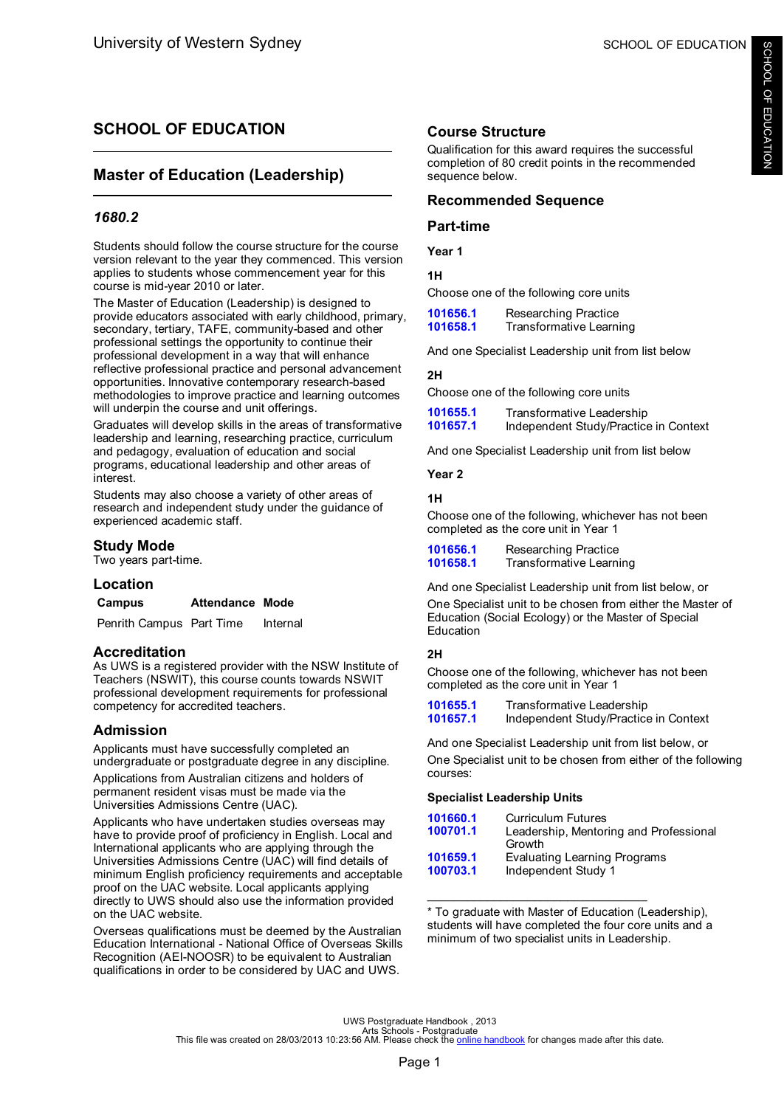# <span id="page-3-0"></span>**SCHOOL OF EDUCATION**

# **Master of Education (Leadership)**

# *1680.2*

Students should follow the course structure for the course version relevant to the year they commenced. This version applies to students whose commencement year for this course is mid-year 2010 or later.

The Master of Education (Leadership) is designed to provide educators associated with early childhood, primary, secondary, tertiary, TAFE, community-based and other professional settings the opportunity to continue their professional development in a way that will enhance reflective professional practice and personal advancement opportunities. Innovative contemporary research-based methodologies to improve practice and learning outcomes will underpin the course and unit offerings.

Graduates will develop skills in the areas of transformative leadership and learning, researching practice, curriculum and pedagogy, evaluation of education and social programs, educational leadership and other areas of interest.

Students may also choose a variety of other areas of research and independent study under the guidance of experienced academic staff.

# **Study Mode**

Two years part-time.

# **Location**

# **Campus Attendance Mode**

Penrith Campus Part Time Internal

# **Accreditation**

As UWS is a registered provider with the NSW Institute of Teachers (NSWIT), this course counts towards NSWIT professional development requirements for professional competency for accredited teachers.

# **Admission**

Applicants must have successfully completed an undergraduate or postgraduate degree in any discipline.

Applications from Australian citizens and holders of permanent resident visas must be made via the Universities Admissions Centre (UAC).

Applicants who have undertaken studies overseas may have to provide proof of proficiency in English. Local and International applicants who are applying through the Universities Admissions Centre (UAC) will find details of minimum English proficiency requirements and acceptable proof on the UAC website. Local applicants applying directly to UWS should also use the information provided on the UAC website.

Overseas qualifications must be deemed by the Australian Education International - National Office of Overseas Skills Recognition (AEI-NOOSR) to be equivalent to Australian qualifications in order to be considered by UAC and UWS.

# **Course Structure**

Qualification for this award requires the successful completion of 80 credit points in the recommended sequence below.

# **Recommended Sequence**

# **Part-time**

**Year 1**

**1H**

Choose one of the following core units

| 101656.1 | Researching Practice    |
|----------|-------------------------|
| 101658.1 | Transformative Learning |

And one Specialist Leadership unit from list below

### **2H**

Choose one of the following core units

| 101655.1 | Transformative Leadership             |
|----------|---------------------------------------|
| 101657.1 | Independent Study/Practice in Context |

And one Specialist Leadership unit from list below

#### **Year 2**

### **1H**

Choose one of the following, whichever has not been completed as the core unit in Year 1

| 101656.1 | Researching Practice    |
|----------|-------------------------|
| 101658.1 | Transformative Learning |

And one Specialist Leadership unit from list below, or One Specialist unit to be chosen from either the Master of Education (Social Ecology) or the Master of Special Education

# **2H**

Choose one of the following, whichever has not been completed as the core unit in Year 1

| 101655.1 | Transformative Leadership             |
|----------|---------------------------------------|
| 101657.1 | Independent Study/Practice in Context |

And one Specialist Leadership unit from list below, or

One Specialist unit to be chosen from either of the following courses:

# **Specialist Leadership Units**

| 101660.1 | Curriculum Futures                     |
|----------|----------------------------------------|
| 100701.1 | Leadership, Mentoring and Professional |
|          | Growth                                 |
| 101659.1 | <b>Evaluating Learning Programs</b>    |
| 100703.1 | Independent Study 1                    |
|          |                                        |

\* To graduate with Master of Education (Leadership), students will have completed the four core units and a minimum of two specialist units in Leadership.

\_\_\_\_\_\_\_\_\_\_\_\_\_\_\_\_\_\_\_\_\_\_\_\_\_\_\_\_\_\_\_\_\_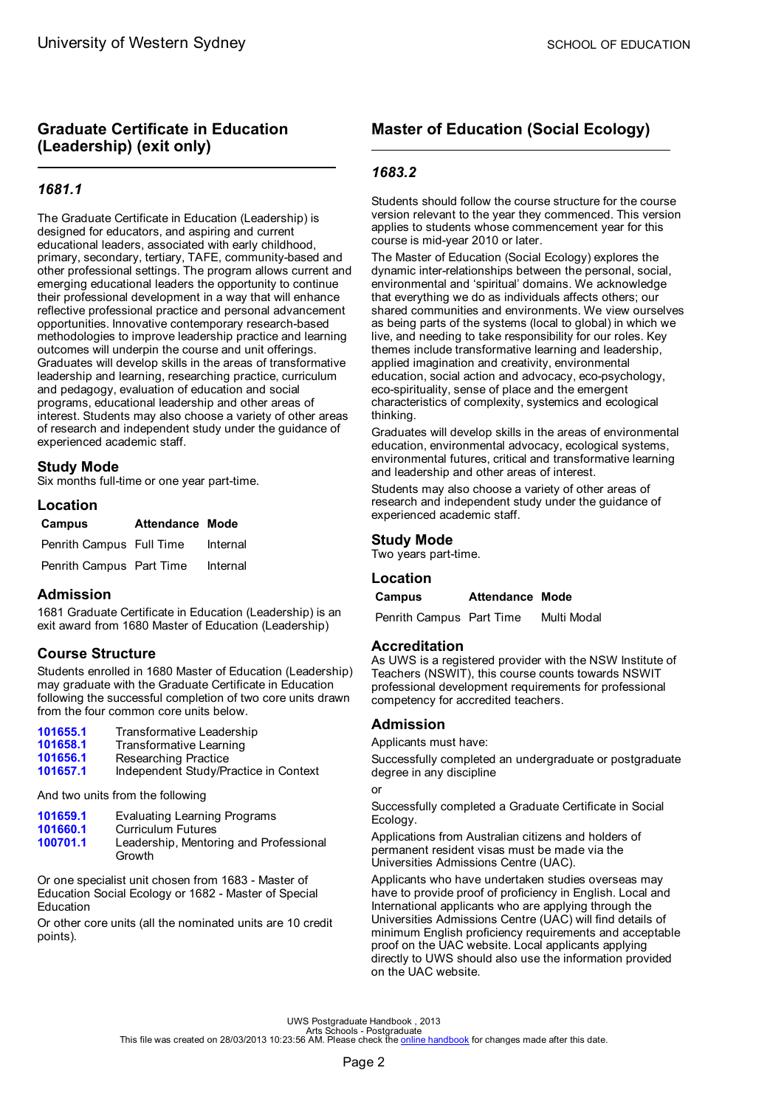# <span id="page-4-0"></span>**Graduate Certificate in Education (Leadership) (exit only)**

# *1681.1*

The Graduate Certificate in Education (Leadership) is designed for educators, and aspiring and current educational leaders, associated with early childhood, primary, secondary, tertiary, TAFE, community-based and other professional settings. The program allows current and emerging educational leaders the opportunity to continue their professional development in a way that will enhance reflective professional practice and personal advancement opportunities. Innovative contemporary research-based methodologies to improve leadership practice and learning outcomes will underpin the course and unit offerings. Graduates will develop skills in the areas of transformative leadership and learning, researching practice, curriculum and pedagogy, evaluation of education and social programs, educational leadership and other areas of interest. Students may also choose a variety of other areas of research and independent study under the guidance of experienced academic staff.

# **Study Mode**

Six months full-time or one year part-time.

### **Location**

| Campus                   | <b>Attendance Mode</b> |          |
|--------------------------|------------------------|----------|
| Penrith Campus Full Time |                        | Internal |
| Penrith Campus Part Time |                        | Internal |

#### **Admission**

1681 Graduate Certificate in Education (Leadership) is an exit award from 1680 Master of Education (Leadership)

# **Course Structure**

Students enrolled in 1680 Master of Education (Leadership) may graduate with the Graduate Certificate in Education following the successful completion of two core units drawn from the four common core units below.

| 101655.1 | Transformative Leadership |
|----------|---------------------------|
| 101658.1 | Transformative Learning   |
| 101656.1 | Researching Practice      |
| $\cdots$ | .                         |

**[101657.1](#page-56-0)** Independent Study/Practice in Context

And two units from the following

| 101659.1 | Evaluating Learning Programs                     |
|----------|--------------------------------------------------|
| 101660.1 | <b>Curriculum Futures</b>                        |
| 100701.1 | Leadership, Mentoring and Professional<br>Growth |

Or one specialist unit chosen from 1683 - Master of Education Social Ecology or 1682 - Master of Special **Education** 

Or other core units (all the nominated units are 10 credit points).

# **Master of Education (Social Ecology)**

# *1683.2*

Students should follow the course structure for the course version relevant to the year they commenced. This version applies to students whose commencement year for this course is mid-year 2010 or later.

The Master of Education (Social Ecology) explores the dynamic inter-relationships between the personal, social, environmental and 'spiritual' domains. We acknowledge that everything we do as individuals affects others; our shared communities and environments. We view ourselves as being parts of the systems (local to global) in which we live, and needing to take responsibility for our roles. Key themes include transformative learning and leadership, applied imagination and creativity, environmental education, social action and advocacy, eco-psychology, eco-spirituality, sense of place and the emergent characteristics of complexity, systemics and ecological thinking.

Graduates will develop skills in the areas of environmental education, environmental advocacy, ecological systems, environmental futures, critical and transformative learning and leadership and other areas of interest.

Students may also choose a variety of other areas of research and independent study under the guidance of experienced academic staff.

# **Study Mode**

Two years part-time.

# **Location**

#### **Campus Attendance Mode**

Penrith Campus Part Time Multi Modal

# **Accreditation**

As UWS is a registered provider with the NSW Institute of Teachers (NSWIT), this course counts towards NSWIT professional development requirements for professional competency for accredited teachers.

# **Admission**

Applicants must have:

Successfully completed an undergraduate or postgraduate degree in any discipline

or

Successfully completed a Graduate Certificate in Social Ecology.

Applications from Australian citizens and holders of permanent resident visas must be made via the Universities Admissions Centre (UAC).

Applicants who have undertaken studies overseas may have to provide proof of proficiency in English. Local and International applicants who are applying through the Universities Admissions Centre (UAC) will find details of minimum English proficiency requirements and acceptable proof on the UAC website. Local applicants applying directly to UWS should also use the information provided on the UAC website.

UWS Postgraduate Handbook , 2013<br>Arts file was created on 28/03/2013 10:23:56 AM. Please check the <u>online [handbook](http://handbook.uws.edu.au/hbook/)</u> for changes made after this date.<br>This file was created on 28/03/2013 10:23:56 AM. Please check the <u>onl</u>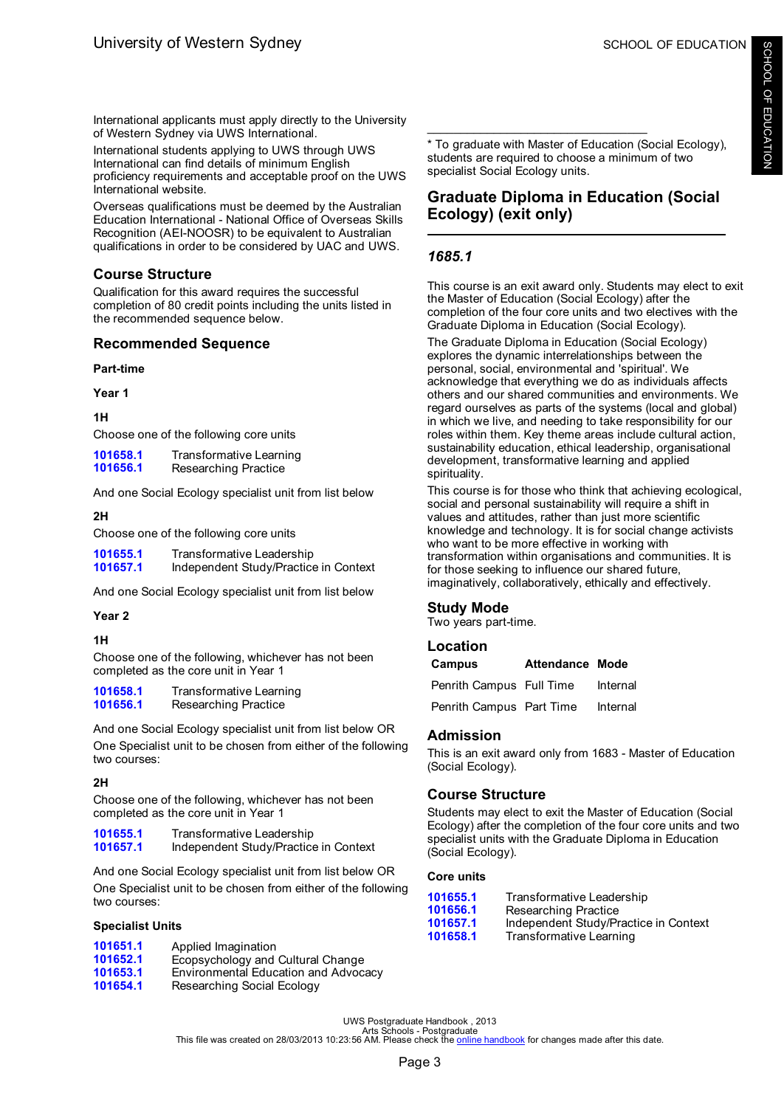<span id="page-5-0"></span>International applicants must apply directly to the University of Western Sydney via UWS International.

International students applying to UWS through UWS International can find details of minimum English proficiency requirements and acceptable proof on the UWS International website.

Overseas qualifications must be deemed by the Australian Education International - National Office of Overseas Skills Recognition (AEI-NOOSR) to be equivalent to Australian qualifications in order to be considered by UAC and UWS.

# **Course Structure**

Qualification for this award requires the successful completion of 80 credit points including the units listed in the recommended sequence below.

# **Recommended Sequence**

# **Part-time**

**Year 1**

### **1H**

Choose one of the following core units

| 101658.1 | Transformative Learning |
|----------|-------------------------|
| 101656.1 | Researching Practice    |

And one Social Ecology specialist unit from list below

# **2H**

Choose one of the following core units

| 101655.1 | Transformative Leadership             |
|----------|---------------------------------------|
| 101657.1 | Independent Study/Practice in Context |

And one Social Ecology specialist unit from list below

#### **Year 2**

#### **1H**

Choose one of the following, whichever has not been completed as the core unit in Year 1

[101658.1](#page-73-0) Transformative Learning<br>101656.1 Researching Practice **[101656.1](#page-69-0)** Researching Practice

And one Social Ecology specialist unit from list below OR One Specialist unit to be chosen from either of the following two courses:

# **2H**

Choose one of the following, whichever has not been completed as the core unit in Year 1

| 101655.1 | Transformative Leadership             |
|----------|---------------------------------------|
| 101657.1 | Independent Study/Practice in Context |

And one Social Ecology specialist unit from list below OR One Specialist unit to be chosen from either of the following two courses:

#### **Specialist Units**

| Applied Imagination                  |
|--------------------------------------|
| Ecopsychology and Cultural Change    |
| Environmental Education and Advocacy |
| Researching Social Ecology           |
|                                      |

\* To graduate with Master of Education (Social Ecology), students are required to choose a minimum of two specialist Social Ecology units.

\_\_\_\_\_\_\_\_\_\_\_\_\_\_\_\_\_\_\_\_\_\_\_\_\_\_\_\_\_\_\_\_\_

# **Graduate Diploma in Education (Social Ecology) (exit only)**

# *1685.1*

This course is an exit award only. Students may elect to exit the Master of Education (Social Ecology) after the completion of the four core units and two electives with the Graduate Diploma in Education (Social Ecology).

The Graduate Diploma in Education (Social Ecology) explores the dynamic interrelationships between the personal, social, environmental and 'spiritual'. We acknowledge that everything we do as individuals affects others and our shared communities and environments. We regard ourselves as parts of the systems (local and global) in which we live, and needing to take responsibility for our roles within them. Key theme areas include cultural action, sustainability education, ethical leadership, organisational development, transformative learning and applied spirituality.

This course is for those who think that achieving ecological, social and personal sustainability will require a shift in values and attitudes, rather than just more scientific knowledge and technology. It is for social change activists who want to be more effective in working with transformation within organisations and communities. It is for those seeking to influence our shared future, imaginatively, collaboratively, ethically and effectively.

# **Study Mode**

Two years part-time.

# **Location**

| Campus                   | <b>Attendance Mode</b> |          |
|--------------------------|------------------------|----------|
| Penrith Campus Full Time |                        | Internal |
| Penrith Campus Part Time |                        | Internal |

# **Admission**

This is an exit award only from 1683 - Master of Education (Social Ecology).

# **Course Structure**

Students may elect to exit the Master of Education (Social Ecology) after the completion of the four core units and two specialist units with the Graduate Diploma in Education (Social Ecology).

### **Core units**

| 101655.1 | Transformative Leadership             |
|----------|---------------------------------------|
| 101656.1 | Researching Practice                  |
| 101657.1 | Independent Study/Practice in Context |
| 101658.1 | Transformative Learning               |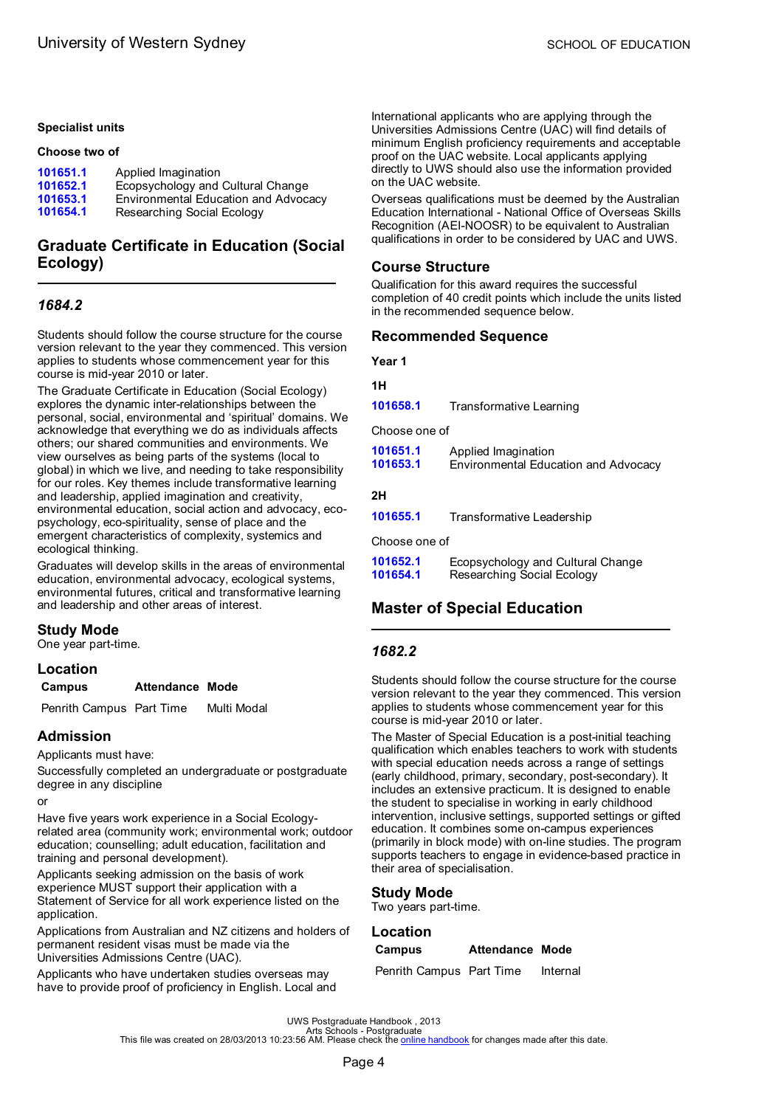#### <span id="page-6-0"></span>**Specialist units**

#### **Choose two of**

| 101651.1 | Applied Imagination                  |
|----------|--------------------------------------|
| 101652.1 | Ecopsychology and Cultural Change    |
| 101653.1 | Environmental Education and Advocacy |
| 101654.1 | Researching Social Ecology           |

# **Graduate Certificate in Education (Social Ecology)**

### *1684.2*

Students should follow the course structure for the course version relevant to the year they commenced. This version applies to students whose commencement year for this course is mid-year 2010 or later.

The Graduate Certificate in Education (Social Ecology) explores the dynamic inter-relationships between the personal, social, environmental and 'spiritual' domains. We acknowledge that everything we do as individuals affects others; our shared communities and environments. We view ourselves as being parts of the systems (local to global) in which we live, and needing to take responsibility for our roles. Key themes include transformative learning and leadership, applied imagination and creativity, environmental education, social action and advocacy, ecopsychology, eco-spirituality, sense of place and the emergent characteristics of complexity, systemics and ecological thinking.

Graduates will develop skills in the areas of environmental education, environmental advocacy, ecological systems, environmental futures, critical and transformative learning and leadership and other areas of interest.

# **Study Mode**

One year part-time.

#### **Location**

#### **Campus Attendance Mode**

Penrith Campus Part Time Multi Modal

# **Admission**

#### Applicants must have:

Successfully completed an undergraduate or postgraduate degree in any discipline

or

Have five years work experience in a Social Ecologyrelated area (community work; environmental work; outdoor education; counselling; adult education, facilitation and training and personal development).

Applicants seeking admission on the basis of work experience MUST support their application with a Statement of Service for all work experience listed on the application.

Applications from Australian and NZ citizens and holders of permanent resident visas must be made via the Universities Admissions Centre (UAC).

Applicants who have undertaken studies overseas may have to provide proof of proficiency in English. Local and International applicants who are applying through the Universities Admissions Centre (UAC) will find details of minimum English proficiency requirements and acceptable proof on the UAC website. Local applicants applying directly to UWS should also use the information provided on the UAC website.

Overseas qualifications must be deemed by the Australian Education International - National Office of Overseas Skills Recognition (AEI-NOOSR) to be equivalent to Australian qualifications in order to be considered by UAC and UWS.

#### **Course Structure**

Qualification for this award requires the successful completion of 40 credit points which include the units listed in the recommended sequence below.

### **Recommended Sequence**

**Year 1**

#### **1H**

**[101658.1](#page-73-0)** Transformative Learning

Choose one of

| 101651.1 | Applied Imagination                  |
|----------|--------------------------------------|
| 101653.1 | Environmental Education and Advocacy |

#### **2H**

**[101655.1](#page-73-0)** Transformative Leadership

Choose one of

| 101652.1 | Ecopsychology and Cultural Change |
|----------|-----------------------------------|
| 101654.1 | Researching Social Ecology        |

# **Master of Special Education**

#### *1682.2*

Students should follow the course structure for the course version relevant to the year they commenced. This version applies to students whose commencement year for this course is mid-year 2010 or later.

The Master of Special Education is a post-initial teaching qualification which enables teachers to work with students with special education needs across a range of settings (early childhood, primary, secondary, post-secondary). It includes an extensive practicum. It is designed to enable the student to specialise in working in early childhood intervention, inclusive settings, supported settings or gifted education. It combines some on-campus experiences (primarily in block mode) with on-line studies. The program supports teachers to engage in evidence-based practice in their area of specialisation.

# **Study Mode**

Two years part-time.

#### **Location**

| Campus                   | <b>Attendance Mode</b> |          |
|--------------------------|------------------------|----------|
| Penrith Campus Part Time |                        | Internal |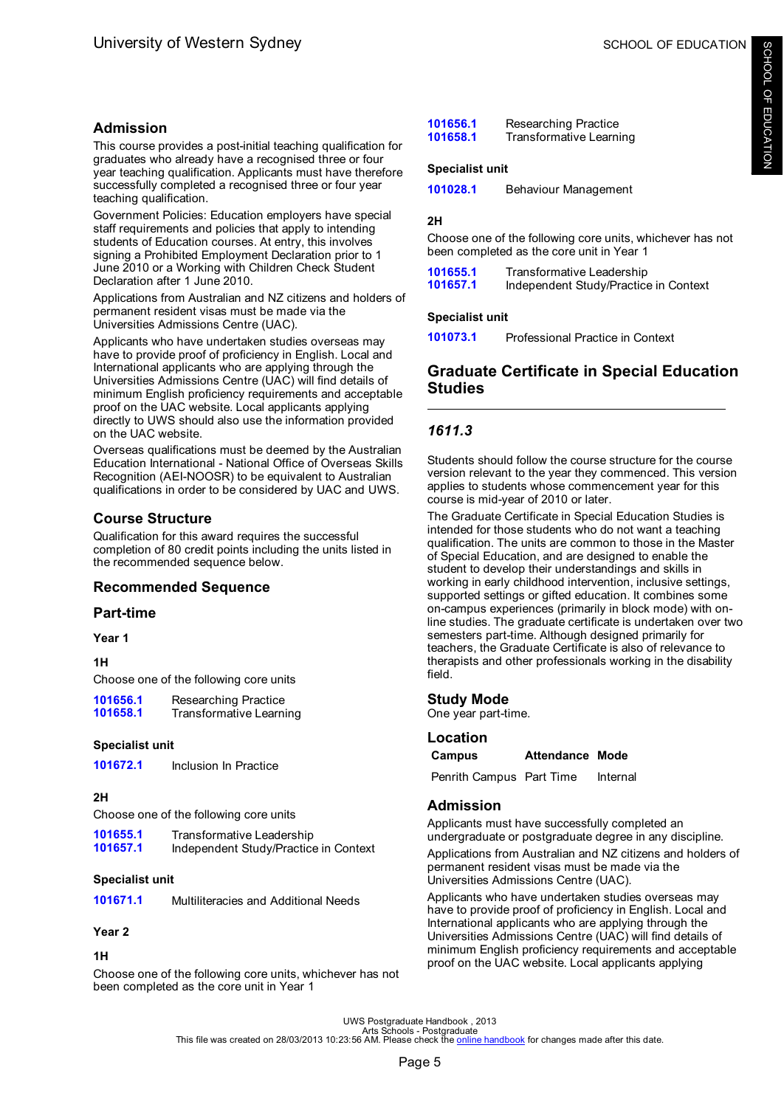# <span id="page-7-0"></span>**Admission**

This course provides a post-initial teaching qualification for graduates who already have a recognised three or four year teaching qualification. Applicants must have therefore successfully completed a recognised three or four year teaching qualification.

Government Policies: Education employers have special staff requirements and policies that apply to intending students of Education courses. At entry, this involves signing a Prohibited Employment Declaration prior to 1 June 2010 or a Working with Children Check Student Declaration after 1 June 2010.

Applications from Australian and NZ citizens and holders of permanent resident visas must be made via the Universities Admissions Centre (UAC).

Applicants who have undertaken studies overseas may have to provide proof of proficiency in English. Local and International applicants who are applying through the Universities Admissions Centre (UAC) will find details of minimum English proficiency requirements and acceptable proof on the UAC website. Local applicants applying directly to UWS should also use the information provided on the UAC website.

Overseas qualifications must be deemed by the Australian Education International - National Office of Overseas Skills Recognition (AEI-NOOSR) to be equivalent to Australian qualifications in order to be considered by UAC and UWS.

# **Course Structure**

Qualification for this award requires the successful completion of 80 credit points including the units listed in the recommended sequence below.

# **Recommended Sequence**

# **Part-time**

**Year 1**

#### **1H**

Choose one of the following core units

| 101656.1 | Researching Practice    |
|----------|-------------------------|
| 101658.1 | Transformative Learning |

#### **Specialist unit**

**[101672.1](#page-55-0)** Inclusion In Practice

# **2H**

Choose one of the following core units

**[101655.1](#page-73-0)** Transformative Leadership **[101657.1](#page-56-0)** Independent Study/Practice in Context

#### **Specialist unit**

**[101671.1](#page-61-0)** Multiliteracies and Additional Needs

#### **Year 2**

### **1H**

Choose one of the following core units, whichever has not been completed as the core unit in Year 1

| 101656.1 | Researching Practice    |
|----------|-------------------------|
| 101658.1 | Transformative Learning |

#### **Specialist unit**

| 101028.1<br>Behaviour Management |  |
|----------------------------------|--|
|----------------------------------|--|

#### **2H**

Choose one of the following core units, whichever has not been completed as the core unit in Year 1

| 101655.1 | Transformative Leadership             |
|----------|---------------------------------------|
| 101657.1 | Independent Study/Practice in Context |

#### **Specialist unit**

**[101073.1](#page-67-0)** Professional Practice in Context

# **Graduate Certificate in Special Education Studies**

# *1611.3*

Students should follow the course structure for the course version relevant to the year they commenced. This version applies to students whose commencement year for this course is mid-year of 2010 or later.

The Graduate Certificate in Special Education Studies is intended for those students who do not want a teaching qualification. The units are common to those in the Master of Special Education, and are designed to enable the student to develop their understandings and skills in working in early childhood intervention, inclusive settings, supported settings or gifted education. It combines some on-campus experiences (primarily in block mode) with online studies. The graduate certificate is undertaken over two semesters part-time. Although designed primarily for teachers, the Graduate Certificate is also of relevance to therapists and other professionals working in the disability field.

# **Study Mode**

One year part-time.

| Location |                        |  |
|----------|------------------------|--|
| Campus   | <b>Attendance Mode</b> |  |

Penrith Campus Part Time Internal

#### **Admission**

Applicants must have successfully completed an undergraduate or postgraduate degree in any discipline.

Applications from Australian and NZ citizens and holders of permanent resident visas must be made via the Universities Admissions Centre (UAC).

Applicants who have undertaken studies overseas may have to provide proof of proficiency in English. Local and International applicants who are applying through the Universities Admissions Centre (UAC) will find details of minimum English proficiency requirements and acceptable proof on the UAC website. Local applicants applying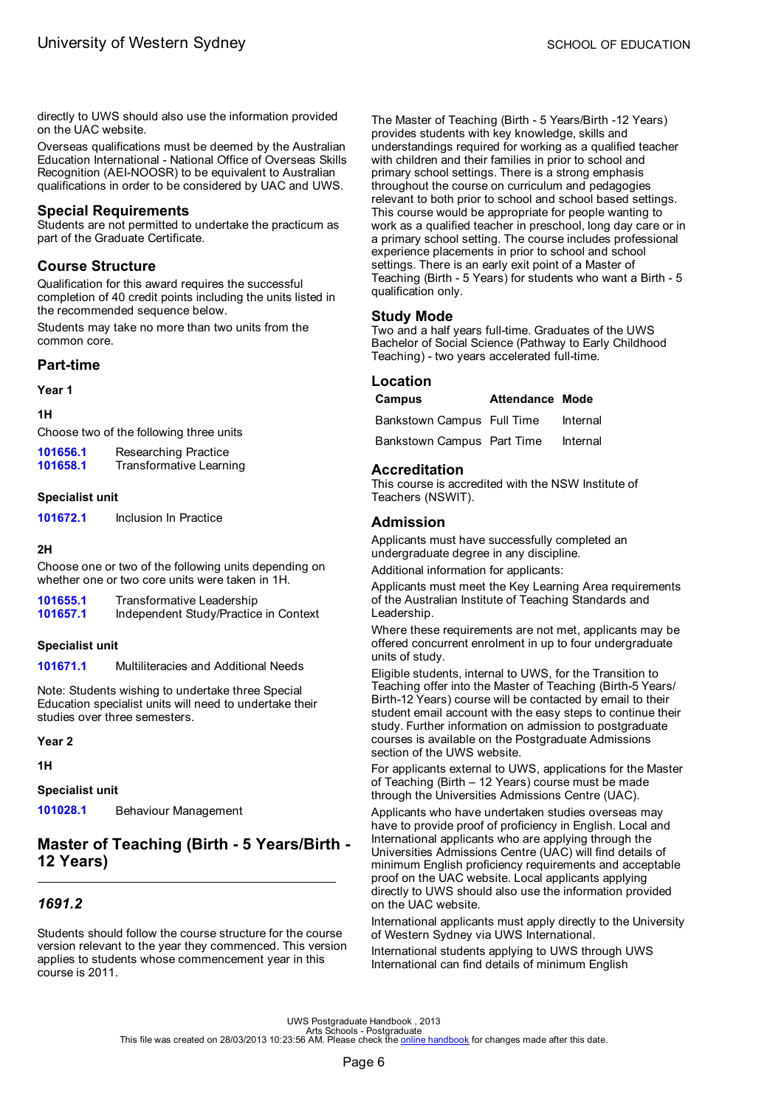<span id="page-8-0"></span>directly to UWS should also use the information provided on the UAC website.

Overseas qualifications must be deemed by the Australian Education International - National Office of Overseas Skills Recognition (AEI-NOOSR) to be equivalent to Australian qualifications in order to be considered by UAC and UWS.

### **Special Requirements**

Students are not permitted to undertake the practicum as part of the Graduate Certificate.

# **Course Structure**

Qualification for this award requires the successful completion of 40 credit points including the units listed in the recommended sequence below.

Students may take no more than two units from the common core.

# **Part-time**

**Year 1**

#### **1H**

Choose two of the following three units

| 101656.1 | Researching Practice    |
|----------|-------------------------|
| 101658.1 | Transformative Learning |

#### **Specialist unit**

**[101672.1](#page-55-0)** Inclusion In Practice

#### **2H**

Choose one or two of the following units depending on whether one or two core units were taken in 1H.

| 101655.1 | Transformative Leadership             |
|----------|---------------------------------------|
| 101657.1 | Independent Study/Practice in Context |

#### **Specialist unit**

**[101671.1](#page-61-0)** Multiliteracies and Additional Needs

Note: Students wishing to undertake three Special Education specialist units will need to undertake their studies over three semesters.

**Year 2**

**1H**

**Specialist unit**

**[101028.1](#page-44-0)** Behaviour Management

# **Master of Teaching (Birth - 5 Years/Birth - 12 Years)**

# *1691.2*

Students should follow the course structure for the course version relevant to the year they commenced. This version applies to students whose commencement year in this course is 2011.

The Master of Teaching (Birth - 5 Years/Birth -12 Years) provides students with key knowledge, skills and understandings required for working as a qualified teacher with children and their families in prior to school and primary school settings. There is a strong emphasis throughout the course on curriculum and pedagogies relevant to both prior to school and school based settings. This course would be appropriate for people wanting to work as a qualified teacher in preschool, long day care or in a primary school setting. The course includes professional experience placements in prior to school and school settings. There is an early exit point of a Master of Teaching (Birth - 5 Years) for students who want a Birth - 5 qualification only.

### **Study Mode**

Two and a half years full-time. Graduates of the UWS Bachelor of Social Science (Pathway to Early Childhood Teaching) - two years accelerated full-time.

#### **Location**

| Campus                     | <b>Attendance Mode</b> |          |
|----------------------------|------------------------|----------|
| Bankstown Campus Full Time |                        | Internal |
| Bankstown Campus Part Time |                        | Internal |

### **Accreditation**

This course is accredited with the NSW Institute of Teachers (NSWIT).

# **Admission**

Applicants must have successfully completed an undergraduate degree in any discipline.

Additional information for applicants:

Applicants must meet the Key Learning Area requirements of the Australian Institute of Teaching Standards and Leadership.

Where these requirements are not met, applicants may be offered concurrent enrolment in up to four undergraduate units of study.

Eligible students, internal to UWS, for the Transition to Teaching offer into the Master of Teaching (Birth-5 Years/ Birth-12 Years) course will be contacted by email to their student email account with the easy steps to continue their study. Further information on admission to postgraduate courses is available on the Postgraduate Admissions section of the UWS website.

For applicants external to UWS, applications for the Master of Teaching (Birth – 12 Years) course must be made through the Universities Admissions Centre (UAC).

Applicants who have undertaken studies overseas may have to provide proof of proficiency in English. Local and International applicants who are applying through the Universities Admissions Centre (UAC) will find details of minimum English proficiency requirements and acceptable proof on the UAC website. Local applicants applying directly to UWS should also use the information provided on the UAC website.

International applicants must apply directly to the University of Western Sydney via UWS International.

International students applying to UWS through UWS International can find details of minimum English

UWS Postgraduate Handbook , 2013<br>Arts file was created on 28/03/2013 10:23:56 AM. Please check the <u>online [handbook](http://handbook.uws.edu.au/hbook/)</u> for changes made after this date.<br>This file was created on 28/03/2013 10:23:56 AM. Please check the <u>onl</u>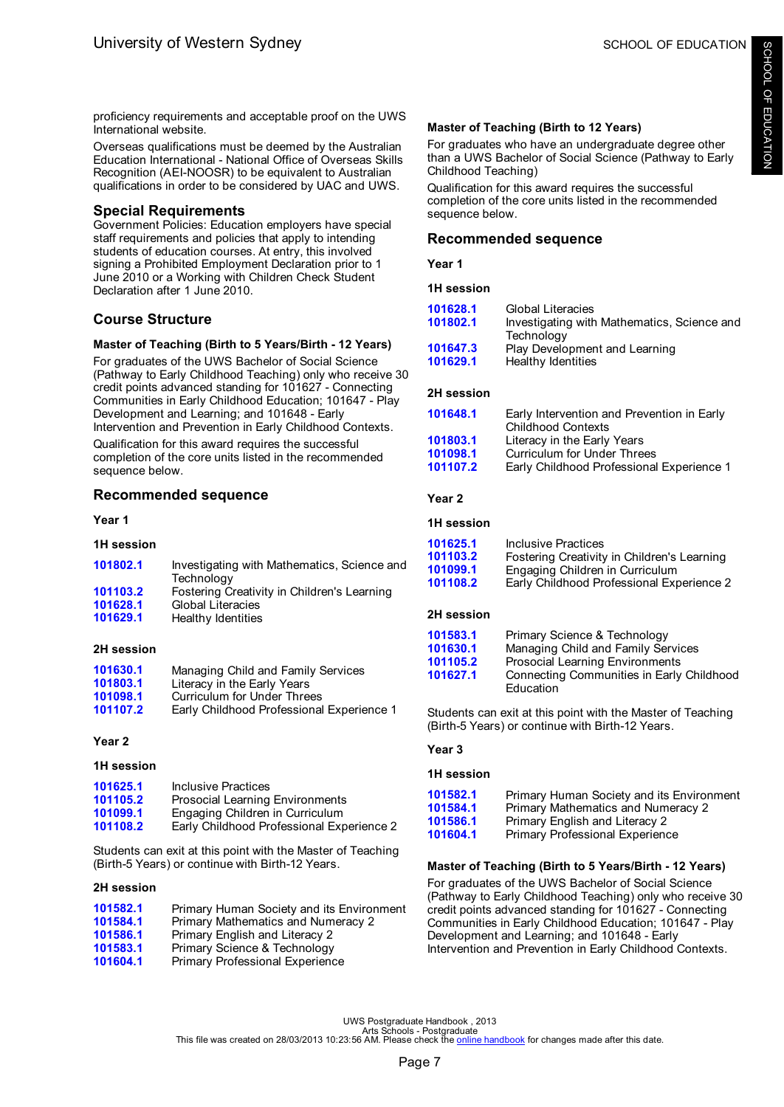proficiency requirements and acceptable proof on the UWS International website.

Overseas qualifications must be deemed by the Australian Education International - National Office of Overseas Skills Recognition (AEI-NOOSR) to be equivalent to Australian qualifications in order to be considered by UAC and UWS.

# **Special Requirements**

Government Policies: Education employers have special staff requirements and policies that apply to intending students of education courses. At entry, this involved signing a Prohibited Employment Declaration prior to 1 June 2010 or a Working with Children Check Student Declaration after 1 June 2010.

# **Course Structure**

### **Master of Teaching (Birth to 5 Years/Birth - 12 Years)**

For graduates of the UWS Bachelor of Social Science (Pathway to Early Childhood Teaching) only who receive 30 credit points advanced standing for 101627 - Connecting Communities in Early Childhood Education; 101647 - Play Development and Learning; and 101648 - Early Intervention and Prevention in Early Childhood Contexts.

Qualification for this award requires the successful completion of the core units listed in the recommended sequence below.

# **Recommended sequence**

#### **Year 1**

#### **1H session**

| 101802.1 | Investigating with Mathematics, Science and |
|----------|---------------------------------------------|
|          | Technology                                  |
| 101103.2 | Fostering Creativity in Children's Learning |
| 101628.1 | <b>Global Literacies</b>                    |
| 101629.1 | Healthy Identities                          |

#### **2H session**

| Managing Child and Family Services        |
|-------------------------------------------|
| Literacy in the Early Years               |
| Curriculum for Under Threes               |
| Early Childhood Professional Experience 1 |
|                                           |

#### **Year 2**

#### **1H session**

| 101625.1 | Inclusive Practices                       |
|----------|-------------------------------------------|
| 101105.2 | <b>Prosocial Learning Environments</b>    |
| 101099.1 | Engaging Children in Curriculum           |
| 101108.2 | Early Childhood Professional Experience 2 |

Students can exit at this point with the Master of Teaching (Birth-5 Years) or continue with Birth-12 Years.

#### **2H session**

| 101582.1 | Primary Human Society and its Environment |
|----------|-------------------------------------------|
| 101584.1 | Primary Mathematics and Numeracy 2        |
| 101586.1 | Primary English and Literacy 2            |
| 101583.1 | Primary Science & Technology              |
| 101604.1 | Primary Professional Experience           |

### **Master of Teaching (Birth to 12 Years)**

For graduates who have an undergraduate degree other than a UWS Bachelor of Social Science (Pathway to Early Childhood Teaching)

Qualification for this award requires the successful completion of the core units listed in the recommended sequence below.

### **Recommended sequence**

**Year 1**

**1H session**

| 101628.1 | <b>Global Literacies</b>                    |
|----------|---------------------------------------------|
| 101802.1 | Investigating with Mathematics, Science and |
|          | Technology                                  |
| 101647.3 | Play Development and Learning               |
| 101629.1 | Healthy Identities                          |
|          |                                             |

#### **2H session**

| 101648.1 | Early Intervention and Prevention in Early<br><b>Childhood Contexts</b> |
|----------|-------------------------------------------------------------------------|
| 101803.1 | Literacy in the Early Years                                             |
| 101098.1 | <b>Curriculum for Under Threes</b>                                      |
| 101107.2 | Early Childhood Professional Experience 1                               |
|          |                                                                         |

#### **Year 2**

#### **1H session**

| 101625.1 | Inclusive Practices                         |
|----------|---------------------------------------------|
| 101103.2 | Fostering Creativity in Children's Learning |
| 101099.1 | Engaging Children in Curriculum             |
| 101108.2 | Early Childhood Professional Experience 2   |

#### **2H session**

| 101583.1 | Primary Science & Technology              |
|----------|-------------------------------------------|
| 101630.1 | Managing Child and Family Services        |
| 101105.2 | <b>Prosocial Learning Environments</b>    |
| 101627.1 | Connecting Communities in Early Childhood |
|          | Education                                 |

Students can exit at this point with the Master of Teaching (Birth-5 Years) or continue with Birth-12 Years.

#### **Year 3**

#### **1H session**

| 101582.1 | Primary Human Society and its Environment |
|----------|-------------------------------------------|
| 101584.1 | Primary Mathematics and Numeracy 2        |
| 101586.1 | Primary English and Literacy 2            |
| 101604.1 | Primary Professional Experience           |
|          |                                           |

#### **Master of Teaching (Birth to 5 Years/Birth - 12 Years)**

For graduates of the UWS Bachelor of Social Science (Pathway to Early Childhood Teaching) only who receive 30 credit points advanced standing for 101627 - Connecting Communities in Early Childhood Education; 101647 - Play Development and Learning; and 101648 - Early Intervention and Prevention in Early Childhood Contexts.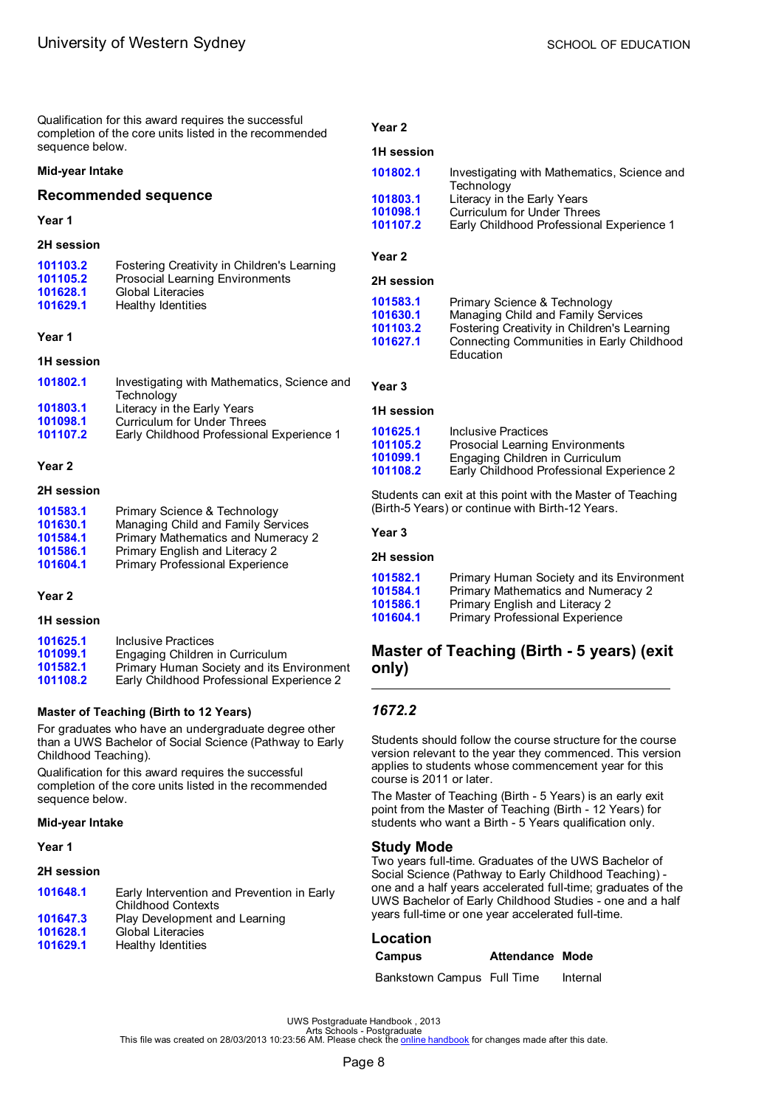<span id="page-10-0"></span>Qualification for this award requires the successful completion of the core units listed in the recommended sequence below.

#### **Mid-year Intake**

#### **Recommended sequence**

#### **Year 1**

#### **2H session**

| 101103.2 | Fostering Creativity in Children's Learning |
|----------|---------------------------------------------|
| 101105.2 | Prosocial Learning Environments             |
| 101628.1 | <b>Global Literacies</b>                    |
| 101629.1 | Healthy Identities                          |

#### **Year 1**

#### **1H session**

| 101802.1 | Investigating with Mathematics, Science and |
|----------|---------------------------------------------|
|          | Technology                                  |
| 101803.1 | Literacy in the Early Years                 |
| 101098.1 | Curriculum for Under Threes                 |
| 101107.2 | Early Childhood Professional Experience 1   |
|          |                                             |

#### **Year 2**

#### **2H session**

| 101583.1 | Primary Science & Technology       |
|----------|------------------------------------|
| 101630.1 | Managing Child and Family Services |
| 101584.1 | Primary Mathematics and Numeracy 2 |
| 101586.1 | Primary English and Literacy 2     |
| 101604.1 | Primary Professional Experience    |

#### **Year 2**

#### **1H session**

| 101625.1 | Inclusive Practices                       |
|----------|-------------------------------------------|
| 101099.1 | Engaging Children in Curriculum           |
| 101582.1 | Primary Human Society and its Environment |
| 101108.2 | Early Childhood Professional Experience 2 |
|          |                                           |

#### **Master of Teaching (Birth to 12 Years)**

For graduates who have an undergraduate degree other than a UWS Bachelor of Social Science (Pathway to Early Childhood Teaching).

Qualification for this award requires the successful completion of the core units listed in the recommended sequence below.

#### **Mid-year Intake**

**Year 1**

#### **2H session**

| 101648.1 | Early Intervention and Prevention in Early |
|----------|--------------------------------------------|
|          | Childhood Contexts                         |
| 101647.3 | Play Development and Learning              |
| 101628.1 | <b>Global Literacies</b>                   |
| 101629.1 | Healthy Identities                         |
|          |                                            |

# **Year 2**

# **1H session**

| 101802.1   | Investigating with Mathematics, Science and<br>Technology     |
|------------|---------------------------------------------------------------|
| 101803.1   | Literacy in the Early Years                                   |
| 101098.1   | Curriculum for Under Threes                                   |
| 101107.2   | Early Childhood Professional Experience 1                     |
| Year 2     |                                                               |
| 2H session |                                                               |
| 101583.1   | Primary Science & Technology                                  |
| 101630.1   | Managing Child and Family Services                            |
| 101103.2   | Fostering Creativity in Children's Learning                   |
| 101627.1   | Connecting Communities in Early Childhood<br><b>Education</b> |
|            |                                                               |
| Year 3     |                                                               |

# **1H session**

| 101625.1 | Inclusive Practices                       |
|----------|-------------------------------------------|
| 101105.2 | <b>Prosocial Learning Environments</b>    |
| 101099.1 | Engaging Children in Curriculum           |
| 101108.2 | Early Childhood Professional Experience 2 |

Students can exit at this point with the Master of Teaching (Birth-5 Years) or continue with Birth-12 Years.

#### **Year 3**

#### **2H session**

| 101582.1 | Primary Human Society and its Environment |
|----------|-------------------------------------------|
| 101584.1 | Primary Mathematics and Numeracy 2        |
| 101586.1 | Primary English and Literacy 2            |
| 101604.1 | <b>Primary Professional Experience</b>    |
|          |                                           |

# **Master of Teaching (Birth - 5 years) (exit only)**

# *1672.2*

Students should follow the course structure for the course version relevant to the year they commenced. This version applies to students whose commencement year for this course is 2011 or later.

The Master of Teaching (Birth - 5 Years) is an early exit point from the Master of Teaching (Birth - 12 Years) for students who want a Birth - 5 Years qualification only.

#### **Study Mode**

Two years full-time. Graduates of the UWS Bachelor of Social Science (Pathway to Early Childhood Teaching) one and a half years accelerated full-time; graduates of the UWS Bachelor of Early Childhood Studies - one and a half years full-time or one year accelerated full-time.

#### **Location**

| Campus                     | <b>Attendance Mode</b> |          |
|----------------------------|------------------------|----------|
| Bankstown Campus Full Time |                        | Internal |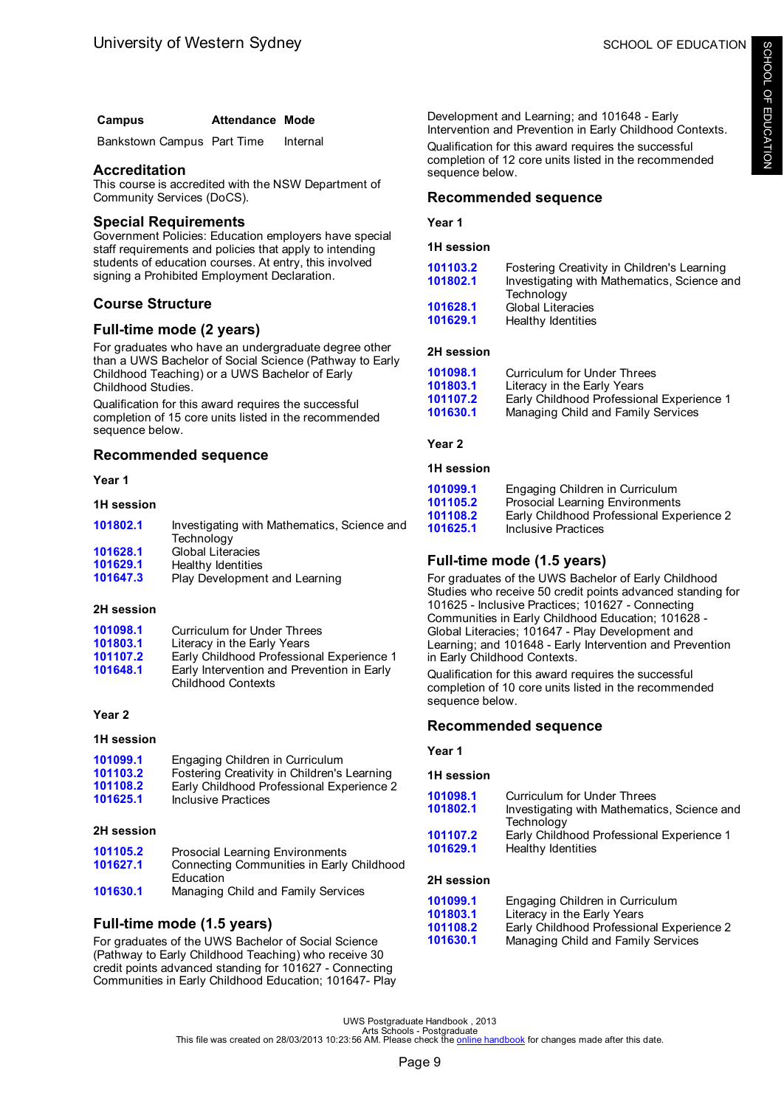| Campus | <b>Attendance Mode</b> |  |
|--------|------------------------|--|
|        |                        |  |

Bankstown Campus Part Time Internal

### **Accreditation**

This course is accredited with the NSW Department of Community Services (DoCS).

# **Special Requirements**

Government Policies: Education employers have special staff requirements and policies that apply to intending students of education courses. At entry, this involved signing a Prohibited Employment Declaration.

# **Course Structure**

# **Full-time mode (2 years)**

For graduates who have an undergraduate degree other than a UWS Bachelor of Social Science (Pathway to Early Childhood Teaching) or a UWS Bachelor of Early Childhood Studies.

Qualification for this award requires the successful completion of 15 core units listed in the recommended sequence below.

# **Recommended sequence**

#### **Year 1**

#### **1H session**

| 101802.1 | Investigating with Mathematics, Science and |
|----------|---------------------------------------------|
|          | Technology                                  |
| 101628.1 | <b>Global Literacies</b>                    |
| 101629.1 | Healthy Identities                          |
| 101647.3 | Play Development and Learning               |
|          |                                             |

#### **2H session**

| 101098.1 | Curriculum for Under Threes                |
|----------|--------------------------------------------|
| 101803.1 | Literacy in the Early Years                |
| 101107.2 | Early Childhood Professional Experience 1  |
| 101648.1 | Early Intervention and Prevention in Early |
|          | <b>Childhood Contexts</b>                  |

### **Year 2**

#### **1H session**

| 101099.1 | Engaging Children in Curriculum             |
|----------|---------------------------------------------|
| 101103.2 | Fostering Creativity in Children's Learning |
| 101108.2 | Early Childhood Professional Experience 2   |
| 101625.1 | Inclusive Practices                         |

#### **2H session**

| 101105.2 | <b>Prosocial Learning Environments</b>    |
|----------|-------------------------------------------|
| 101627.1 | Connecting Communities in Early Childhood |
|          | Education                                 |
| 101630.1 | Managing Child and Family Services        |

# **Full-time mode (1.5 years)**

For graduates of the UWS Bachelor of Social Science (Pathway to Early Childhood Teaching) who receive 30 credit points advanced standing for 101627 - Connecting Communities in Early Childhood Education; 101647- Play

Development and Learning; and 101648 - Early Intervention and Prevention in Early Childhood Contexts. Qualification for this award requires the successful completion of 12 core units listed in the recommended sequence below.

# **Recommended sequence**

#### **Year 1**

**1H session**

| 101103.2 | Fostering Creativity in Children's Learning |
|----------|---------------------------------------------|
| 101802.1 | Investigating with Mathematics, Science and |
|          | Technology                                  |
| 101628.1 | <b>Global Literacies</b>                    |
| 101629.1 | Healthy Identities                          |
|          |                                             |

#### **2H session**

| 101098.1 | <b>Curriculum for Under Threes</b>        |
|----------|-------------------------------------------|
| 101803.1 | Literacy in the Early Years               |
| 101107.2 | Early Childhood Professional Experience 1 |
| 101630.1 | Managing Child and Family Services        |

**Year 2**

#### **1H session**

| 101099.1 | Engaging Children in Curriculum           |
|----------|-------------------------------------------|
| 101105.2 | Prosocial Learning Environments           |
| 101108.2 | Early Childhood Professional Experience 2 |
| 101625.1 | Inclusive Practices                       |

# **Full-time mode (1.5 years)**

For graduates of the UWS Bachelor of Early Childhood Studies who receive 50 credit points advanced standing for 101625 - Inclusive Practices; 101627 - Connecting Communities in Early Childhood Education; 101628 - Global Literacies; 101647 - Play Development and Learning; and 101648 - Early Intervention and Prevention in Early Childhood Contexts.

Qualification for this award requires the successful completion of 10 core units listed in the recommended sequence below.

# **Recommended sequence**

#### **Year 1**

#### **1H session**

| 101098.1 | Curriculum for Under Threes                 |
|----------|---------------------------------------------|
| 101802.1 | Investigating with Mathematics, Science and |
|          | Technology                                  |
| 101107.2 | Early Childhood Professional Experience 1   |
| 101629.1 | Healthy Identities                          |
|          |                                             |

# **2H session**

| 101099.1 | Engaging Children in Curriculum           |
|----------|-------------------------------------------|
| 101803.1 | Literacy in the Early Years               |
| 101108.2 | Early Childhood Professional Experience 2 |
| 101630.1 | Managing Child and Family Services        |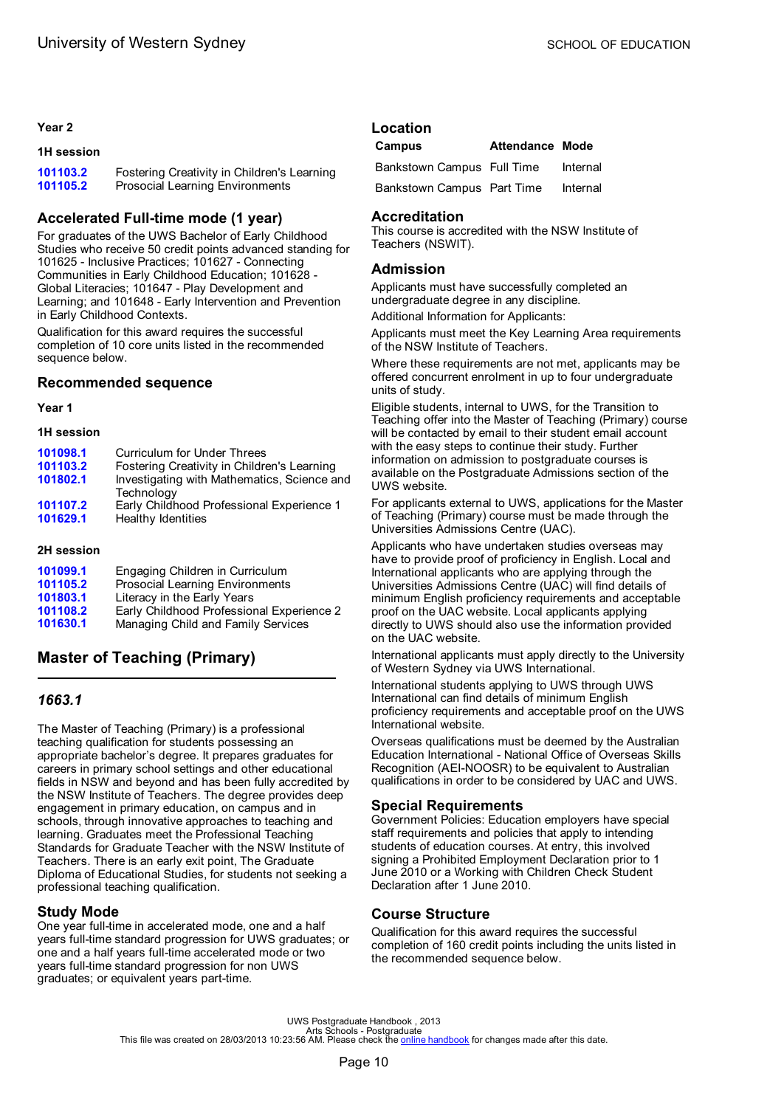#### <span id="page-12-0"></span>**Year 2**

#### **1H session**

| 101103.2 | Fostering Creativity in Children's Learning |
|----------|---------------------------------------------|
| 101105.2 | <b>Prosocial Learning Environments</b>      |

# **Accelerated Full-time mode (1 year)**

For graduates of the UWS Bachelor of Early Childhood Studies who receive 50 credit points advanced standing for 101625 - Inclusive Practices; 101627 - Connecting Communities in Early Childhood Education; 101628 - Global Literacies; 101647 - Play Development and Learning; and 101648 - Early Intervention and Prevention in Early Childhood Contexts.

Qualification for this award requires the successful completion of 10 core units listed in the recommended sequence below.

### **Recommended sequence**

**Year 1**

**1H session**

| 101098.1 | <b>Curriculum for Under Threes</b>                        |
|----------|-----------------------------------------------------------|
| 101103.2 | Fostering Creativity in Children's Learning               |
| 101802.1 | Investigating with Mathematics, Science and<br>Technology |
| 101107.2 | Early Childhood Professional Experience 1                 |
| 101629.1 | Healthy Identities                                        |

#### **2H session**

| 101099.1 | Engaging Children in Curriculum           |
|----------|-------------------------------------------|
| 101105.2 | Prosocial Learning Environments           |
| 101803.1 | Literacy in the Early Years               |
| 101108.2 | Early Childhood Professional Experience 2 |
| 101630.1 | Managing Child and Family Services        |
|          |                                           |

# **Master of Teaching (Primary)**

# *1663.1*

The Master of Teaching (Primary) is a professional teaching qualification for students possessing an appropriate bachelor's degree. It prepares graduates for careers in primary school settings and other educational fields in NSW and beyond and has been fully accredited by the NSW Institute of Teachers. The degree provides deep engagement in primary education, on campus and in schools, through innovative approaches to teaching and learning. Graduates meet the Professional Teaching Standards for Graduate Teacher with the NSW Institute of Teachers. There is an early exit point, The Graduate Diploma of Educational Studies, for students not seeking a professional teaching qualification.

# **Study Mode**

One year full-time in accelerated mode, one and a half years full-time standard progression for UWS graduates; or one and a half years full-time accelerated mode or two years full-time standard progression for non UWS graduates; or equivalent years part-time.

#### **Location Campus Attendance Mode**

| <b>Callipus</b>            | Allendance Mode |          |
|----------------------------|-----------------|----------|
| Bankstown Campus Full Time |                 | Internal |
| Bankstown Campus Part Time |                 | Internal |

# **Accreditation**

This course is accredited with the NSW Institute of Teachers (NSWIT).

### **Admission**

Applicants must have successfully completed an undergraduate degree in any discipline.

Additional Information for Applicants:

Applicants must meet the Key Learning Area requirements of the NSW Institute of Teachers.

Where these requirements are not met, applicants may be offered concurrent enrolment in up to four undergraduate units of study.

Eligible students, internal to UWS, for the Transition to Teaching offer into the Master of Teaching (Primary) course will be contacted by email to their student email account with the easy steps to continue their study. Further information on admission to postgraduate courses is available on the Postgraduate Admissions section of the UWS website.

For applicants external to UWS, applications for the Master of Teaching (Primary) course must be made through the Universities Admissions Centre (UAC).

Applicants who have undertaken studies overseas may have to provide proof of proficiency in English. Local and International applicants who are applying through the Universities Admissions Centre (UAC) will find details of minimum English proficiency requirements and acceptable proof on the UAC website. Local applicants applying directly to UWS should also use the information provided on the UAC website.

International applicants must apply directly to the University of Western Sydney via UWS International.

International students applying to UWS through UWS International can find details of minimum English proficiency requirements and acceptable proof on the UWS International website.

Overseas qualifications must be deemed by the Australian Education International - National Office of Overseas Skills Recognition (AEI-NOOSR) to be equivalent to Australian qualifications in order to be considered by UAC and UWS.

# **Special Requirements**

Government Policies: Education employers have special staff requirements and policies that apply to intending students of education courses. At entry, this involved signing a Prohibited Employment Declaration prior to 1 June 2010 or a Working with Children Check Student Declaration after 1 June 2010.

# **Course Structure**

Qualification for this award requires the successful completion of 160 credit points including the units listed in the recommended sequence below.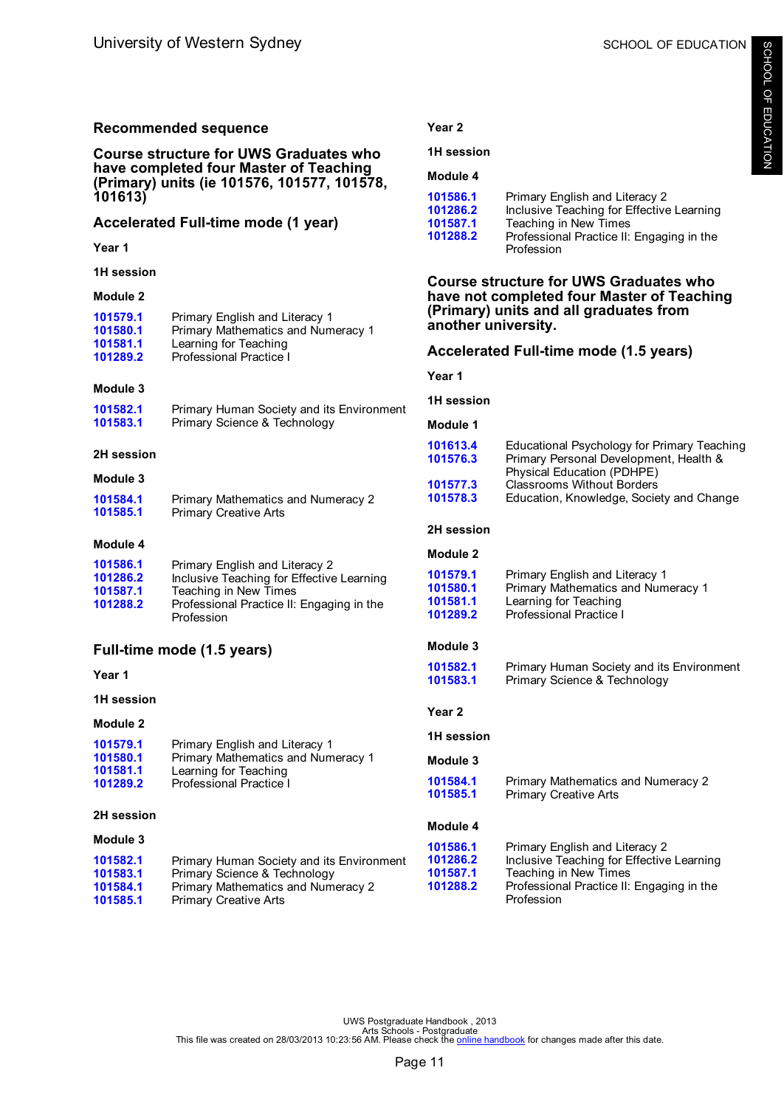| <b>Recommended sequence</b>                                                                                                                                                                        |                                                                           | Year <sub>2</sub>                                                    |                                                                                      |
|----------------------------------------------------------------------------------------------------------------------------------------------------------------------------------------------------|---------------------------------------------------------------------------|----------------------------------------------------------------------|--------------------------------------------------------------------------------------|
| <b>Course structure for UWS Graduates who</b><br>have completed four Master of Teaching<br>(Primary) units (ie 101576, 101577, 101578,<br>101613)<br>Accelerated Full-time mode (1 year)<br>Year 1 |                                                                           | 1H session                                                           |                                                                                      |
|                                                                                                                                                                                                    |                                                                           | Module 4                                                             |                                                                                      |
|                                                                                                                                                                                                    |                                                                           | 101586.1<br>101286.2                                                 | Primary English and Literacy 2<br>Inclusive Teaching for Effective Learning          |
|                                                                                                                                                                                                    |                                                                           | 101587.1<br>101288.2                                                 | Teaching in New Times<br>Professional Practice II: Engaging in the                   |
|                                                                                                                                                                                                    |                                                                           |                                                                      | Profession                                                                           |
| 1H session                                                                                                                                                                                         |                                                                           |                                                                      | <b>Course structure for UWS Graduates who</b>                                        |
| Module 2                                                                                                                                                                                           |                                                                           |                                                                      | have not completed four Master of Teaching<br>(Primary) units and all graduates from |
| 101579.1<br>101580.1                                                                                                                                                                               | Primary English and Literacy 1<br>Primary Mathematics and Numeracy 1      | another university.                                                  |                                                                                      |
| 101581.1<br>101289.2                                                                                                                                                                               | Learning for Teaching<br>Professional Practice I                          |                                                                      | Accelerated Full-time mode (1.5 years)                                               |
|                                                                                                                                                                                                    |                                                                           | Year 1                                                               |                                                                                      |
| Module 3                                                                                                                                                                                           |                                                                           |                                                                      |                                                                                      |
| 101582.1<br>101583.1                                                                                                                                                                               | Primary Human Society and its Environment<br>Primary Science & Technology | 1H session<br>Module 1                                               |                                                                                      |
| 2H session                                                                                                                                                                                         |                                                                           | 101613.4                                                             | Educational Psychology for Primary Teaching                                          |
| 101576.3                                                                                                                                                                                           |                                                                           | Primary Personal Development, Health &<br>Physical Education (PDHPE) |                                                                                      |
| Module 3<br>101584.1                                                                                                                                                                               | Primary Mathematics and Numeracy 2                                        | 101577.3<br>101578.3                                                 | <b>Classrooms Without Borders</b><br>Education, Knowledge, Society and Change        |
| 101585.1                                                                                                                                                                                           | <b>Primary Creative Arts</b>                                              |                                                                      |                                                                                      |
| Module 4                                                                                                                                                                                           |                                                                           | 2H session                                                           |                                                                                      |
| 101586.1                                                                                                                                                                                           | Primary English and Literacy 2                                            | Module 2                                                             |                                                                                      |
| 101286.2<br>101587.1                                                                                                                                                                               | Inclusive Teaching for Effective Learning<br>Teaching in New Times        | 101579.1<br>101580.1                                                 | Primary English and Literacy 1<br>Primary Mathematics and Numeracy 1                 |
| 101288.2                                                                                                                                                                                           | Professional Practice II: Engaging in the                                 | 101581.1<br>101289.2                                                 | Learning for Teaching<br><b>Professional Practice I</b>                              |
|                                                                                                                                                                                                    | Profession                                                                |                                                                      |                                                                                      |
|                                                                                                                                                                                                    | Full-time mode (1.5 years)                                                | Module 3                                                             |                                                                                      |
| Year 1                                                                                                                                                                                             |                                                                           | 101582.1<br>101583.1                                                 | Primary Human Society and its Environment<br>Primary Science & Technology            |
| 1H session                                                                                                                                                                                         |                                                                           |                                                                      |                                                                                      |
| Module 2                                                                                                                                                                                           |                                                                           | Year 2                                                               |                                                                                      |
| 101579.1                                                                                                                                                                                           | Primary English and Literacy 1                                            | 1H session                                                           |                                                                                      |
| 101580.1<br>101581.1                                                                                                                                                                               | Primary Mathematics and Numeracy 1<br>Learning for Teaching               | Module 3                                                             |                                                                                      |
| 101289.2                                                                                                                                                                                           | Professional Practice I                                                   | 101584.1<br>101585.1                                                 | Primary Mathematics and Numeracy 2<br><b>Primary Creative Arts</b>                   |
| 2H session                                                                                                                                                                                         |                                                                           |                                                                      |                                                                                      |
| Module 3                                                                                                                                                                                           |                                                                           | Module 4                                                             |                                                                                      |
| 101582.1                                                                                                                                                                                           | Primary Human Society and its Environment                                 | 101586.1<br>101286.2                                                 | Primary English and Literacy 2<br>Inclusive Teaching for Effective Learning          |
| 101583.1                                                                                                                                                                                           | Primary Science & Technology                                              | 101587.1                                                             | Teaching in New Times                                                                |
| 101584.1<br>101585.1                                                                                                                                                                               | Primary Mathematics and Numeracy 2<br><b>Primary Creative Arts</b>        | 101288.2                                                             | Professional Practice II: Engaging in the<br>Profession                              |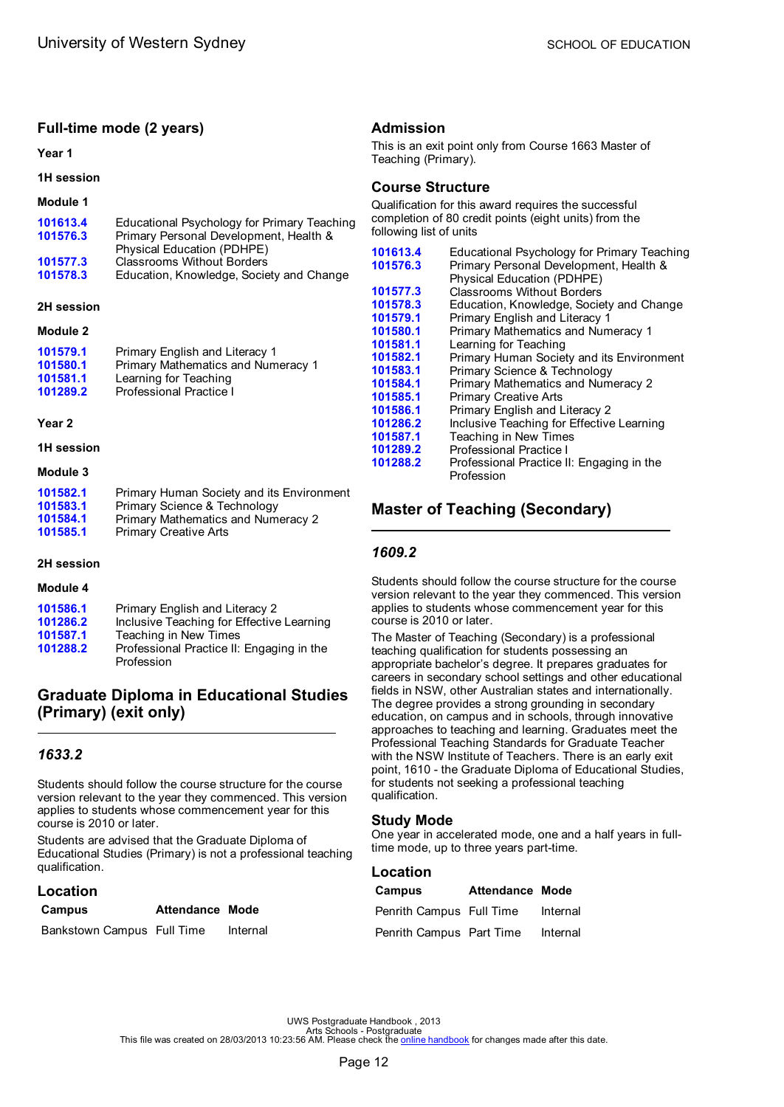# <span id="page-14-0"></span>**Full-time mode (2 years)**

#### **Year 1**

#### **1H session**

#### **Module 1**

| 101613.4 | Educational Psychology for Primary Teaching |
|----------|---------------------------------------------|
| 101576.3 | Primary Personal Development, Health &      |
|          | Physical Education (PDHPE)                  |
| 101577.3 | <b>Classrooms Without Borders</b>           |
| 101578.3 | Education, Knowledge, Society and Change    |
|          |                                             |

#### **2H session**

#### **Module 2**

| 101579.1<br>101580.1<br>101581.1 | Primary English and Literacy 1<br>Primary Mathematics and Numeracy 1 |
|----------------------------------|----------------------------------------------------------------------|
|                                  | Learning for Teaching                                                |
| 101289.2                         | Professional Practice I                                              |

#### **Year 2**

**1H session**

#### **Module 3**

| 101582.1 | Primary Human Society and its Environment |
|----------|-------------------------------------------|
| 101583.1 | Primary Science & Technology              |
| 101584.1 | Primary Mathematics and Numeracy 2        |
| 101585.1 | <b>Primary Creative Arts</b>              |
|          |                                           |

#### **2H session**

#### **Module 4**

| 101586.1 | Primary English and Literacy 2                          |
|----------|---------------------------------------------------------|
| 101286.2 | Inclusive Teaching for Effective Learning               |
| 101587.1 | Teaching in New Times                                   |
| 101288.2 | Professional Practice II: Engaging in the<br>Profession |

# **Graduate Diploma in Educational Studies (Primary) (exit only)**

# *1633.2*

Students should follow the course structure for the course version relevant to the year they commenced. This version applies to students whose commencement year for this course is 2010 or later.

Students are advised that the Graduate Diploma of Educational Studies (Primary) is not a professional teaching qualification.

# **Location**

| Campus                     | <b>Attendance Mode</b> |          |
|----------------------------|------------------------|----------|
| Bankstown Campus Full Time |                        | Internal |

### **Admission**

This is an exit point only from Course 1663 Master of Teaching (Primary).

# **Course Structure**

Qualification for this award requires the successful completion of 80 credit points (eight units) from the following list of units

| 101613.4<br>101576.3 | Educational Psychology for Primary Teaching<br>Primary Personal Development, Health &<br>Physical Education (PDHPE) |
|----------------------|---------------------------------------------------------------------------------------------------------------------|
| 101577.3             | <b>Classrooms Without Borders</b>                                                                                   |
| 101578.3             | Education, Knowledge, Society and Change                                                                            |
| 101579.1             | Primary English and Literacy 1                                                                                      |
| 101580.1             | <b>Primary Mathematics and Numeracy 1</b>                                                                           |
| 101581.1             | Learning for Teaching                                                                                               |
| 101582.1             | Primary Human Society and its Environment                                                                           |
| 101583.1             | Primary Science & Technology                                                                                        |
| 101584.1             | Primary Mathematics and Numeracy 2                                                                                  |
| 101585.1             | <b>Primary Creative Arts</b>                                                                                        |
| 101586.1             | Primary English and Literacy 2                                                                                      |
| 101286.2             | Inclusive Teaching for Effective Learning                                                                           |
| 101587.1             | Teaching in New Times                                                                                               |
| 101289.2             | <b>Professional Practice I</b>                                                                                      |
| 101288.2             | Professional Practice II: Engaging in the<br>Profession                                                             |

# **Master of Teaching (Secondary)**

# *1609.2*

Students should follow the course structure for the course version relevant to the year they commenced. This version applies to students whose commencement year for this course is 2010 or later.

The Master of Teaching (Secondary) is a professional teaching qualification for students possessing an appropriate bachelor's degree. It prepares graduates for careers in secondary school settings and other educational fields in NSW, other Australian states and internationally. The degree provides a strong grounding in secondary education, on campus and in schools, through innovative approaches to teaching and learning. Graduates meet the Professional Teaching Standards for Graduate Teacher with the NSW Institute of Teachers. There is an early exit point, 1610 - the Graduate Diploma of Educational Studies, for students not seeking a professional teaching qualification.

# **Study Mode**

One year in accelerated mode, one and a half years in fulltime mode, up to three years part-time.

#### **Location**

| Campus                   | <b>Attendance Mode</b> |          |
|--------------------------|------------------------|----------|
| Penrith Campus Full Time |                        | Internal |
| Penrith Campus Part Time |                        | Internal |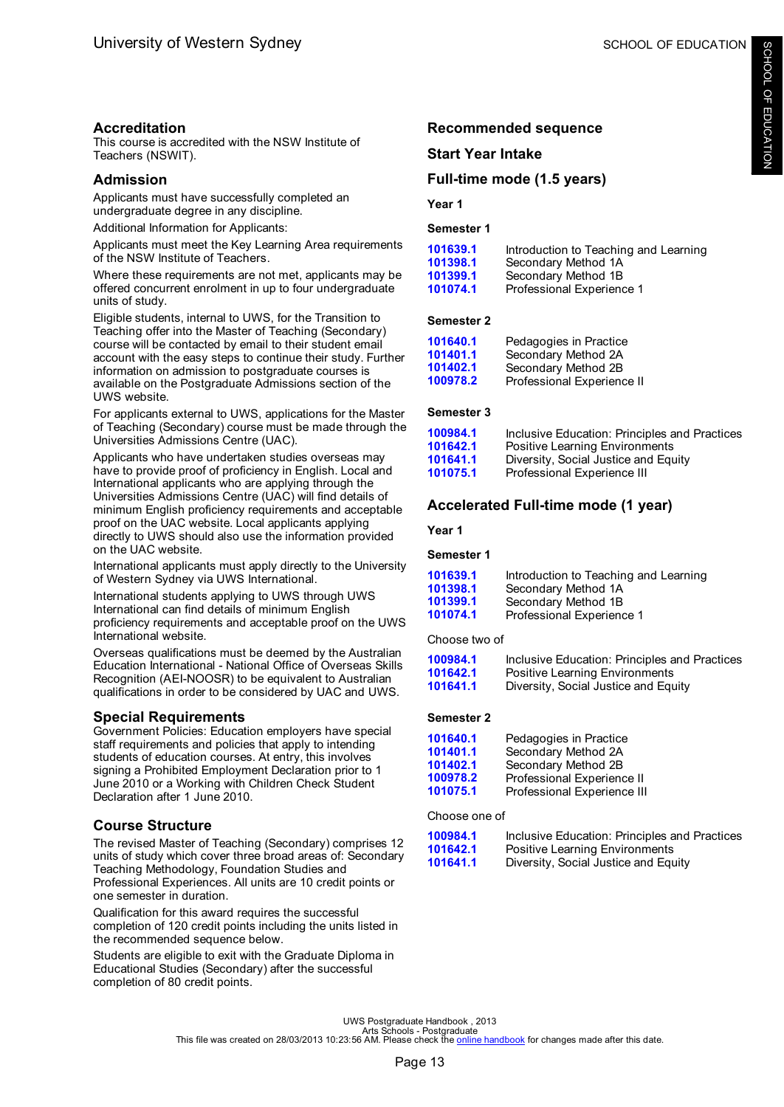# **Accreditation**

This course is accredited with the NSW Institute of Teachers (NSWIT).

# **Admission**

Applicants must have successfully completed an undergraduate degree in any discipline.

Additional Information for Applicants:

Applicants must meet the Key Learning Area requirements of the NSW Institute of Teachers.

Where these requirements are not met, applicants may be offered concurrent enrolment in up to four undergraduate units of study.

Eligible students, internal to UWS, for the Transition to Teaching offer into the Master of Teaching (Secondary) course will be contacted by email to their student email account with the easy steps to continue their study. Further information on admission to postgraduate courses is available on the Postgraduate Admissions section of the UWS website.

For applicants external to UWS, applications for the Master of Teaching (Secondary) course must be made through the Universities Admissions Centre (UAC).

Applicants who have undertaken studies overseas may have to provide proof of proficiency in English. Local and International applicants who are applying through the Universities Admissions Centre (UAC) will find details of minimum English proficiency requirements and acceptable proof on the UAC website. Local applicants applying directly to UWS should also use the information provided on the UAC website.

International applicants must apply directly to the University of Western Sydney via UWS International.

International students applying to UWS through UWS International can find details of minimum English proficiency requirements and acceptable proof on the UWS International website.

Overseas qualifications must be deemed by the Australian Education International - National Office of Overseas Skills Recognition (AEI-NOOSR) to be equivalent to Australian qualifications in order to be considered by UAC and UWS.

# **Special Requirements**

Government Policies: Education employers have special staff requirements and policies that apply to intending students of education courses. At entry, this involves signing a Prohibited Employment Declaration prior to 1 June 2010 or a Working with Children Check Student Declaration after 1 June 2010.

# **Course Structure**

The revised Master of Teaching (Secondary) comprises 12 units of study which cover three broad areas of: Secondary Teaching Methodology, Foundation Studies and Professional Experiences. All units are 10 credit points or one semester in duration.

Qualification for this award requires the successful completion of 120 credit points including the units listed in the recommended sequence below.

Students are eligible to exit with the Graduate Diploma in Educational Studies (Secondary) after the successful completion of 80 credit points.

# **Recommended sequence**

# **Start Year Intake**

# **Full-time mode (1.5 years)**

**Year 1**

### **Semester 1**

| Introduction to Teaching and Learning |
|---------------------------------------|
|                                       |
|                                       |
|                                       |
|                                       |

### **Semester 2**

| 101640.1 | Pedagogies in Practice     |
|----------|----------------------------|
| 101401.1 | Secondary Method 2A        |
| 101402.1 | Secondary Method 2B        |
| 100978.2 | Professional Experience II |

# **Semester 3**

| 100984.1 | Inclusive Education: Principles and Practices |
|----------|-----------------------------------------------|
| 101642.1 | Positive Learning Environments                |
| 101641.1 | Diversity, Social Justice and Equity          |
| 101075.1 | Professional Experience III                   |

# **Accelerated Full-time mode (1 year)**

**Year 1**

#### **Semester 1**

| 101639.1 | Introduction to Teaching and Learning |
|----------|---------------------------------------|
| 101398.1 | Secondary Method 1A                   |
| 101399.1 | Secondary Method 1B                   |
| 101074.1 | Professional Experience 1             |

Choose two of

| 100984.1 | Inclusive Education: Principles and Practices |
|----------|-----------------------------------------------|
| 101642.1 | Positive Learning Environments                |
| 101641.1 | Diversity, Social Justice and Equity          |

# **Semester 2**

| 101640.1 | Pedagogies in Practice      |
|----------|-----------------------------|
| 101401.1 | Secondary Method 2A         |
| 101402.1 | Secondary Method 2B         |
| 100978.2 | Professional Experience II  |
| 101075.1 | Professional Experience III |

#### Choose one of

| 100984.1 | Inclusive Education: Principles and Practices |
|----------|-----------------------------------------------|
| 101642.1 | Positive Learning Environments                |
| 101641.1 | Diversity, Social Justice and Equity          |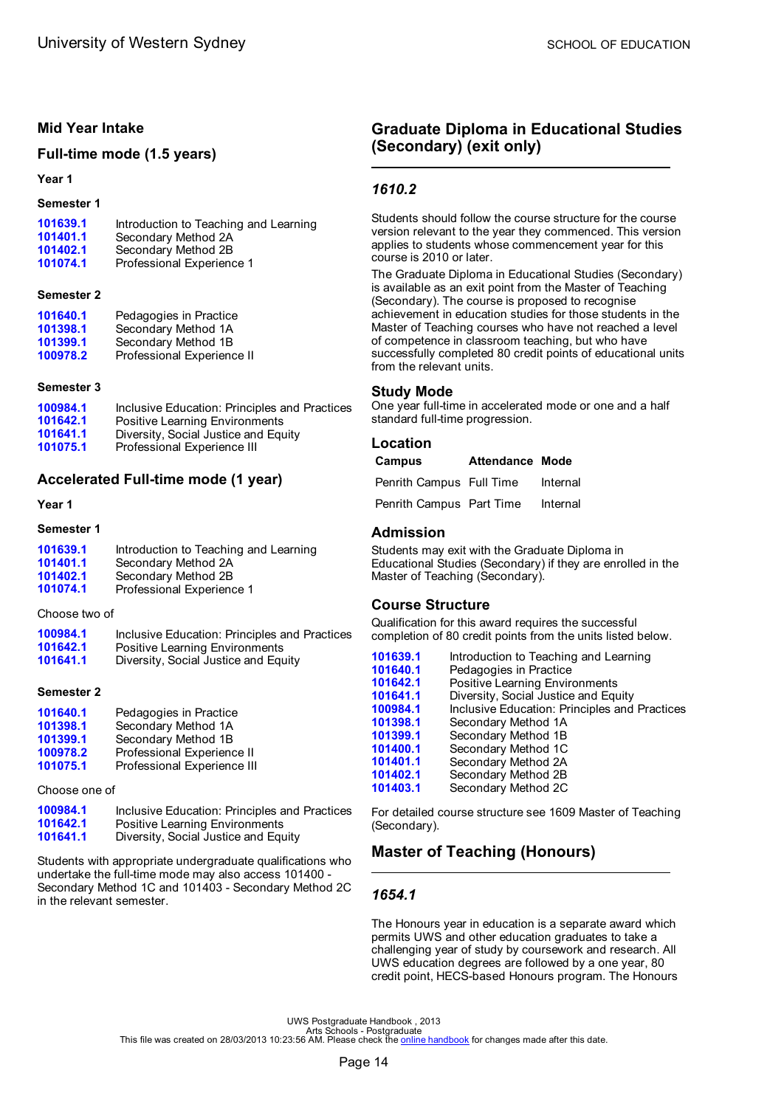# <span id="page-16-0"></span>**Mid Year Intake**

### **Full-time mode (1.5 years)**

#### **Year 1**

#### **Semester 1**

| 101402.1<br>Secondary Method 2B<br>Professional Experience 1<br>101074.1 | 101639.1<br>101401.1 | Introduction to Teaching and Learning<br>Secondary Method 2A |
|--------------------------------------------------------------------------|----------------------|--------------------------------------------------------------|
|--------------------------------------------------------------------------|----------------------|--------------------------------------------------------------|

#### **Semester 2**

| 101640.1 | Pedagogies in Practice     |
|----------|----------------------------|
| 101398.1 | Secondary Method 1A        |
| 101399.1 | Secondary Method 1B        |
| 100978.2 | Professional Experience II |

#### **Semester 3**

| 100984.1 | Inclusive Education: Principles and Practices |
|----------|-----------------------------------------------|
| 101642.1 | Positive Learning Environments                |
| 101641.1 | Diversity, Social Justice and Equity          |
| 101075.1 | Professional Experience III                   |

# **Accelerated Full-time mode (1 year)**

#### **Year 1**

#### **Semester 1**

| 101639.1 | Introduction to Teaching and Learning |
|----------|---------------------------------------|
| 101401.1 | Secondary Method 2A                   |
| 101402.1 | Secondary Method 2B                   |
| 101074.1 | Professional Experience 1             |

Choose two of

| 100984.1 | Inclusive Education: Principles and Practices |
|----------|-----------------------------------------------|
| 101642.1 | Positive Learning Environments                |
| 101641.1 | Diversity, Social Justice and Equity          |

#### **Semester 2**

| 101640.1 | Pedagogies in Practice      |
|----------|-----------------------------|
| 101398.1 | Secondary Method 1A         |
| 101399.1 | Secondary Method 1B         |
| 100978.2 | Professional Experience II  |
| 101075.1 | Professional Experience III |
|          |                             |

Choose one of

| 100984.1 | Inclusive Education: Principles and Practices |
|----------|-----------------------------------------------|
| 101642.1 | Positive Learning Environments                |
| 101641.1 | Diversity, Social Justice and Equity          |

Students with appropriate undergraduate qualifications who undertake the full-time mode may also access 101400 - Secondary Method 1C and 101403 - Secondary Method 2C in the relevant semester.

# **Graduate Diploma in Educational Studies (Secondary) (exit only)**

# *1610.2*

Students should follow the course structure for the course version relevant to the year they commenced. This version applies to students whose commencement year for this course is 2010 or later.

The Graduate Diploma in Educational Studies (Secondary) is available as an exit point from the Master of Teaching (Secondary). The course is proposed to recognise achievement in education studies for those students in the Master of Teaching courses who have not reached a level of competence in classroom teaching, but who have successfully completed 80 credit points of educational units from the relevant units.

#### **Study Mode**

One year full-time in accelerated mode or one and a half standard full-time progression.

#### **Location**

| Campus                   | <b>Attendance Mode</b> |          |
|--------------------------|------------------------|----------|
| Penrith Campus Full Time |                        | Internal |
| Penrith Campus Part Time |                        | Internal |

# **Admission**

Students may exit with the Graduate Diploma in Educational Studies (Secondary) if they are enrolled in the Master of Teaching (Secondary).

### **Course Structure**

Qualification for this award requires the successful completion of 80 credit points from the units listed below.

| 101639.1 | Introduction to Teaching and Learning         |
|----------|-----------------------------------------------|
| 101640.1 | Pedagogies in Practice                        |
| 101642.1 | <b>Positive Learning Environments</b>         |
| 101641.1 | Diversity, Social Justice and Equity          |
| 100984.1 | Inclusive Education: Principles and Practices |
| 101398.1 | Secondary Method 1A                           |
| 101399.1 | Secondary Method 1B                           |
| 101400.1 | Secondary Method 1C                           |
| 101401.1 | Secondary Method 2A                           |
| 101402.1 | Secondary Method 2B                           |
| 101403.1 | Secondary Method 2C                           |
|          |                                               |

For detailed course structure see 1609 Master of Teaching (Secondary).

# **Master of Teaching (Honours)**

# *1654.1*

The Honours year in education is a separate award which permits UWS and other education graduates to take a challenging year of study by coursework and research. All UWS education degrees are followed by a one year, 80 credit point, HECS-based Honours program. The Honours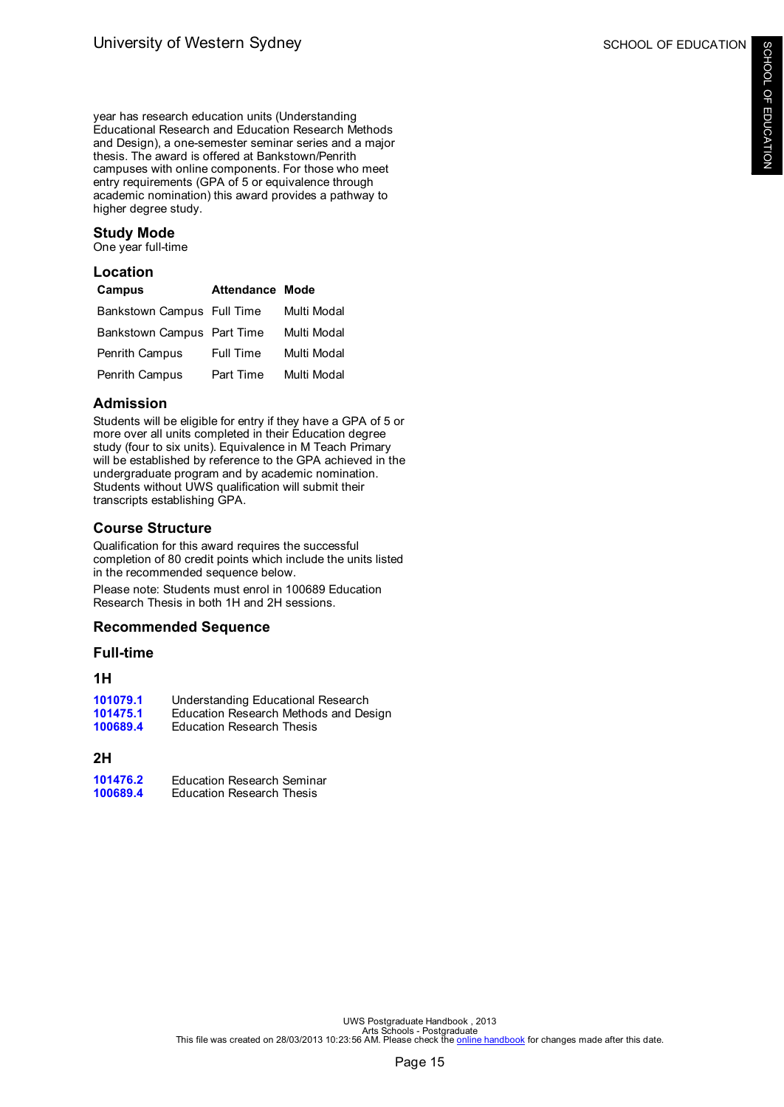year has research education units (Understanding Educational Research and Education Research Methods and Design), a one-semester seminar series and a major thesis. The award is offered at Bankstown/Penrith campuses with online components. For those who meet entry requirements (GPA of 5 or equivalence through academic nomination) this award provides a pathway to higher degree study.

# **Study Mode**

One year full-time

| Location<br>Campus         | Attendance Mode |             |
|----------------------------|-----------------|-------------|
| Bankstown Campus Full Time |                 | Multi Modal |
| Bankstown Campus Part Time |                 | Multi Modal |
| <b>Penrith Campus</b>      | Full Time       | Multi Modal |
| Penrith Campus             | Part Time       | Multi Modal |

# **Admission**

Students will be eligible for entry if they have a GPA of 5 or more over all units completed in their Education degree study (four to six units). Equivalence in M Teach Primary will be established by reference to the GPA achieved in the undergraduate program and by academic nomination. Students without UWS qualification will submit their transcripts establishing GPA.

# **Course Structure**

Qualification for this award requires the successful completion of 80 credit points which include the units listed in the recommended sequence below. Please note: Students must enrol in 100689 Education

Research Thesis in both 1H and 2H sessions.

# **Recommended Sequence**

#### **Full-time**

# **1H**

| 101079.1 | Understanding Educational Research    |
|----------|---------------------------------------|
| 101475.1 | Education Research Methods and Design |
| 100689.4 | <b>Education Research Thesis</b>      |
|          |                                       |

# **2H**

| 101476.2 | <b>Education Research Seminar</b> |
|----------|-----------------------------------|
| 100689.4 | <b>Education Research Thesis</b>  |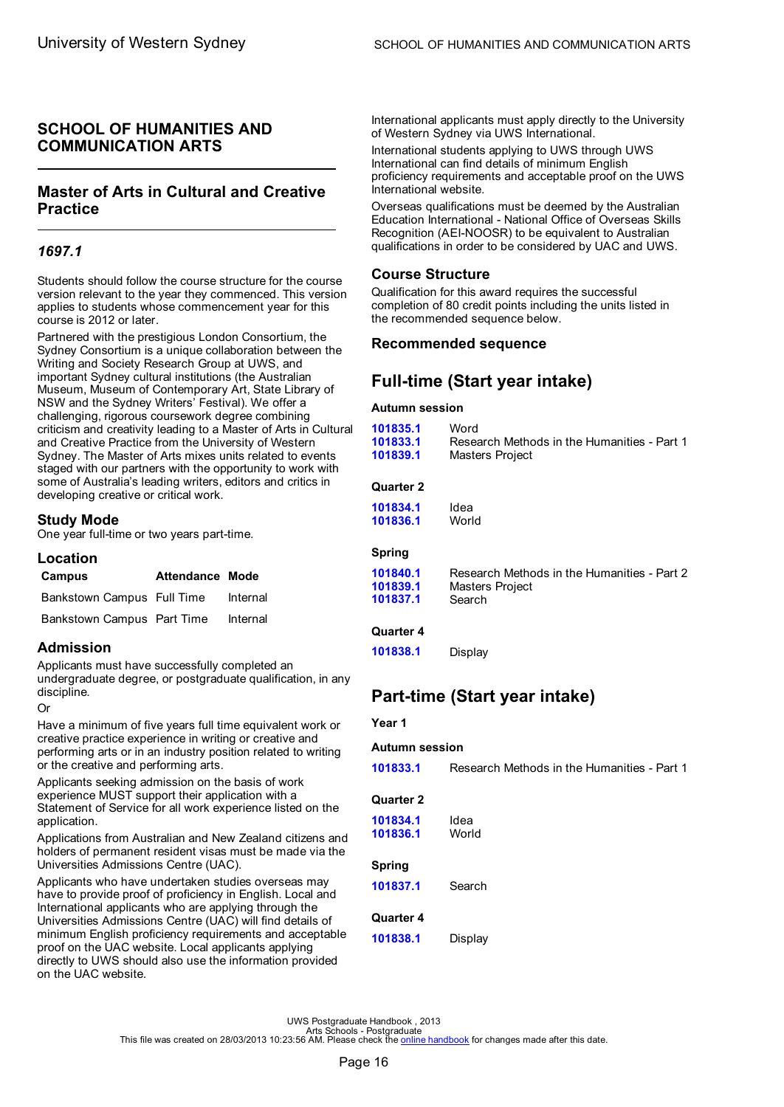# <span id="page-18-0"></span>**SCHOOL OF HUMANITIES AND COMMUNICATION ARTS**

# **Master of Arts in Cultural and Creative Practice**

# *1697.1*

Students should follow the course structure for the course version relevant to the year they commenced. This version applies to students whose commencement year for this course is 2012 or later.

Partnered with the prestigious London Consortium, the Sydney Consortium is a unique collaboration between the Writing and Society Research Group at UWS, and important Sydney cultural institutions (the Australian Museum, Museum of Contemporary Art, State Library of NSW and the Sydney Writers' Festival). We offer a challenging, rigorous coursework degree combining criticism and creativity leading to a Master of Arts in Cultural and Creative Practice from the University of Western Sydney. The Master of Arts mixes units related to events staged with our partners with the opportunity to work with some of Australia's leading writers, editors and critics in developing creative or critical work.

# **Study Mode**

One year full-time or two years part-time.

# **Location**

| Campus                     | <b>Attendance Mode</b> |          |
|----------------------------|------------------------|----------|
| Bankstown Campus Full Time |                        | Internal |
| Bankstown Campus Part Time |                        | Internal |

# **Admission**

Applicants must have successfully completed an undergraduate degree, or postgraduate qualification, in any discipline.

#### Or

Have a minimum of five years full time equivalent work or creative practice experience in writing or creative and performing arts or in an industry position related to writing or the creative and performing arts.

Applicants seeking admission on the basis of work experience MUST support their application with a Statement of Service for all work experience listed on the application.

Applications from Australian and New Zealand citizens and holders of permanent resident visas must be made via the Universities Admissions Centre (UAC).

Applicants who have undertaken studies overseas may have to provide proof of proficiency in English. Local and International applicants who are applying through the Universities Admissions Centre (UAC) will find details of minimum English proficiency requirements and acceptable proof on the UAC website. Local applicants applying directly to UWS should also use the information provided on the UAC website.

International applicants must apply directly to the University of Western Sydney via UWS International.

International students applying to UWS through UWS International can find details of minimum English proficiency requirements and acceptable proof on the UWS International website.

Overseas qualifications must be deemed by the Australian Education International - National Office of Overseas Skills Recognition (AEI-NOOSR) to be equivalent to Australian qualifications in order to be considered by UAC and UWS.

# **Course Structure**

Qualification for this award requires the successful completion of 80 credit points including the units listed in the recommended sequence below.

# **Recommended sequence**

# **Full-time (Start year intake)**

#### **Autumn session**

| 101835.1<br>101833.1<br>101839.1 | Word<br>Research Methods in the Humanities - Part 1<br>Masters Project |
|----------------------------------|------------------------------------------------------------------------|
| <b>Quarter 2</b>                 |                                                                        |
| 101834.1                         | Idea                                                                   |
| 101836.1                         | World                                                                  |
| <b>Spring</b>                    |                                                                        |
| 101840.1                         | Research Methods in the Humanities - Part 2                            |
| 101839.1                         | Masters Project                                                        |
| 101837.1                         | Search                                                                 |
| <b>Quarter 4</b>                 |                                                                        |
| 101838.1                         | Display                                                                |

# **Part-time (Start year intake)**

#### **Year 1**

#### **Autumn session**

**[101833.1](#page-69-0)** Research Methods in the Humanities - Part 1

#### **Quarter 2**

| 101834.1<br>101836.1  | Idea<br>World |
|-----------------------|---------------|
| Spring<br>101837.1    | Search        |
| Quarter 4<br>101838.1 | Display       |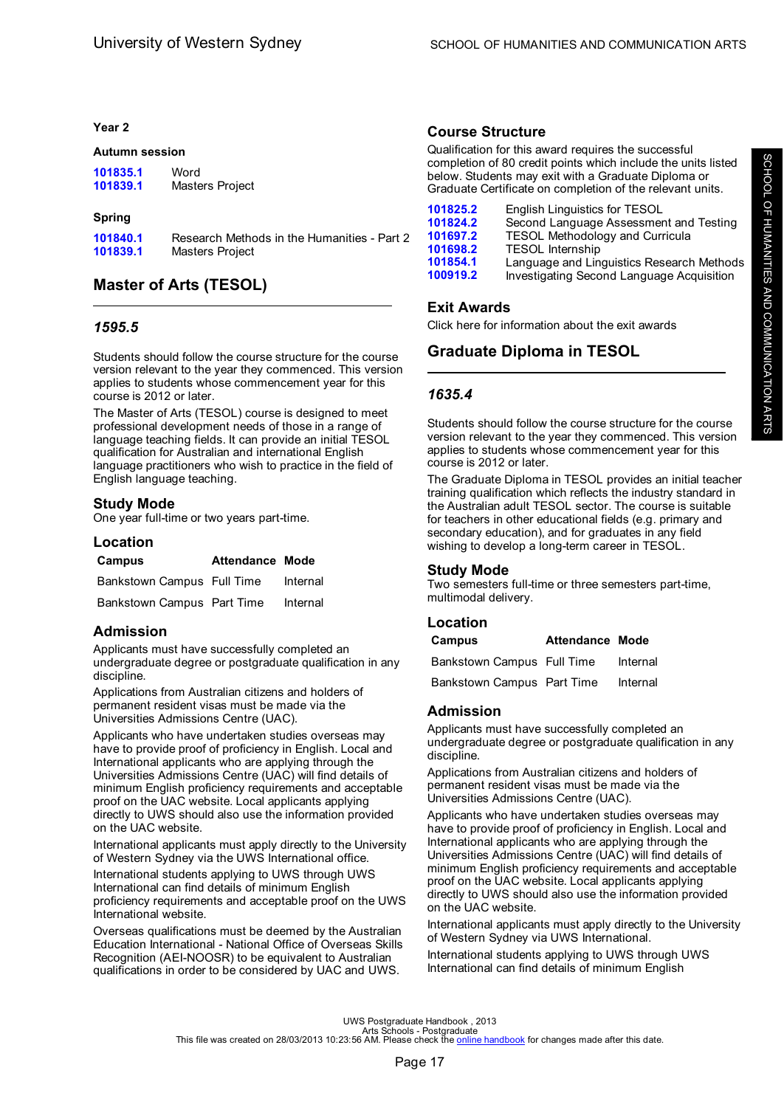#### <span id="page-19-0"></span>**Year 2**

#### **Autumn session**

| 101835.1 | Word            |
|----------|-----------------|
| 101839.1 | Masters Project |

#### **Spring**

| 101840.1 | Research Methods in the Humanities - Part 2 |
|----------|---------------------------------------------|
| 101839.1 | Masters Project                             |

# **Master of Arts (TESOL)**

### *1595.5*

Students should follow the course structure for the course version relevant to the year they commenced. This version applies to students whose commencement year for this course is 2012 or later.

The Master of Arts (TESOL) course is designed to meet professional development needs of those in a range of language teaching fields. It can provide an initial TESOL qualification for Australian and international English language practitioners who wish to practice in the field of English language teaching.

# **Study Mode**

One year full-time or two years part-time.

#### **Location**

| Campus                     | <b>Attendance Mode</b> |          |
|----------------------------|------------------------|----------|
| Bankstown Campus Full Time |                        | Internal |
| Bankstown Campus Part Time |                        | Internal |

# **Admission**

Applicants must have successfully completed an undergraduate degree or postgraduate qualification in any discipline.

Applications from Australian citizens and holders of permanent resident visas must be made via the Universities Admissions Centre (UAC).

Applicants who have undertaken studies overseas may have to provide proof of proficiency in English. Local and International applicants who are applying through the Universities Admissions Centre (UAC) will find details of minimum English proficiency requirements and acceptable proof on the UAC website. Local applicants applying directly to UWS should also use the information provided on the UAC website.

International applicants must apply directly to the University of Western Sydney via the UWS International office.

International students applying to UWS through UWS International can find details of minimum English proficiency requirements and acceptable proof on the UWS International website.

Overseas qualifications must be deemed by the Australian Education International - National Office of Overseas Skills Recognition (AEI-NOOSR) to be equivalent to Australian qualifications in order to be considered by UAC and UWS.

# **Course Structure**

Qualification for this award requires the successful completion of 80 credit points which include the units listed below. Students may exit with a Graduate Diploma or Graduate Certificate on completion of the relevant units.

| 101825.2 | English Linguistics for TESOL             |
|----------|-------------------------------------------|
| 101824.2 | Second Language Assessment and Testing    |
| 101697.2 | <b>TESOL Methodology and Curricula</b>    |
| 101698.2 | <b>TESOL Internship</b>                   |
| 101854.1 | Language and Linguistics Research Methods |
| 100919.2 | Investigating Second Language Acquisition |

# **Exit Awards**

Click here for information about the exit awards

# **Graduate Diploma in TESOL**

# *1635.4*

Students should follow the course structure for the course version relevant to the year they commenced. This version applies to students whose commencement year for this course is 2012 or later.

The Graduate Diploma in TESOL provides an initial teacher training qualification which reflects the industry standard in the Australian adult TESOL sector. The course is suitable for teachers in other educational fields (e.g. primary and secondary education), and for graduates in any field wishing to develop a long-term career in TESOL.

# **Study Mode**

Two semesters full-time or three semesters part-time, multimodal delivery.

# **Location**

| Campus                     | <b>Attendance Mode</b> |          |
|----------------------------|------------------------|----------|
| Bankstown Campus Full Time |                        | Internal |
| Bankstown Campus Part Time |                        | Internal |

# **Admission**

Applicants must have successfully completed an undergraduate degree or postgraduate qualification in any discipline.

Applications from Australian citizens and holders of permanent resident visas must be made via the Universities Admissions Centre (UAC).

Applicants who have undertaken studies overseas may have to provide proof of proficiency in English. Local and International applicants who are applying through the Universities Admissions Centre (UAC) will find details of minimum English proficiency requirements and acceptable proof on the UAC website. Local applicants applying directly to UWS should also use the information provided on the UAC website.

International applicants must apply directly to the University of Western Sydney via UWS International.

International students applying to UWS through UWS International can find details of minimum English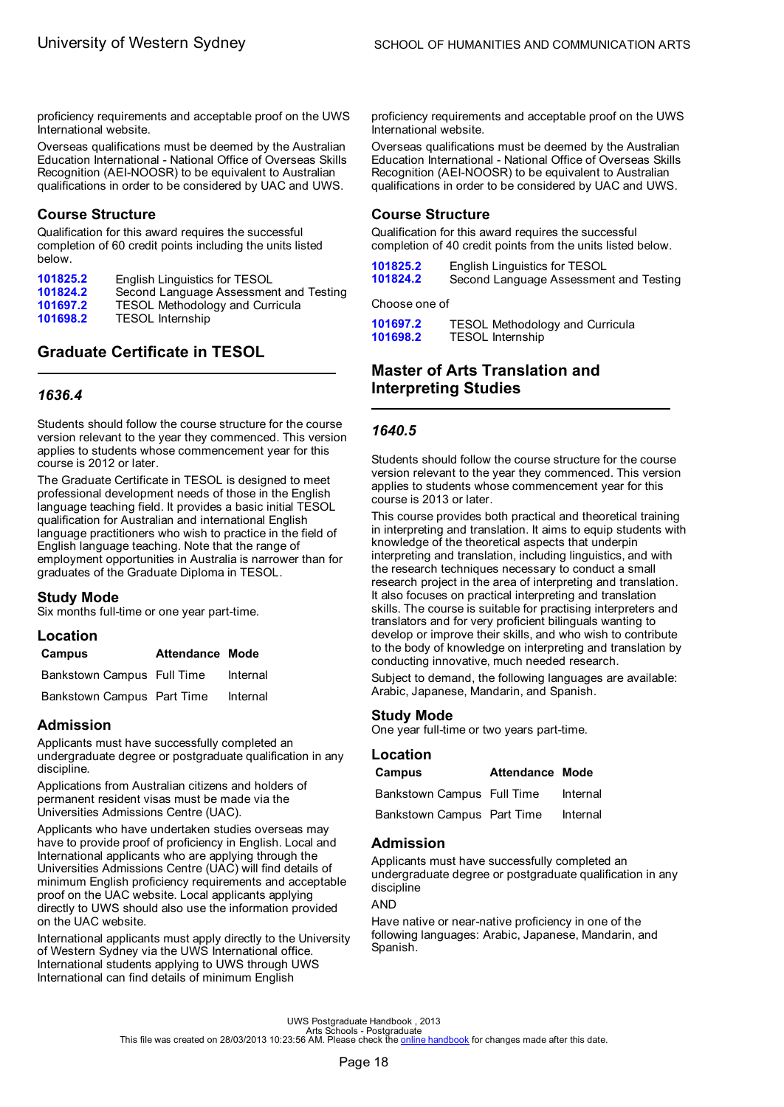<span id="page-20-0"></span>proficiency requirements and acceptable proof on the UWS International website.

Overseas qualifications must be deemed by the Australian Education International - National Office of Overseas Skills Recognition (AEI-NOOSR) to be equivalent to Australian qualifications in order to be considered by UAC and UWS.

### **Course Structure**

Qualification for this award requires the successful completion of 60 credit points including the units listed below.

| 101825.2 | English Linguistics for TESOL          |
|----------|----------------------------------------|
| 101824.2 | Second Language Assessment and Testing |
| 101697.2 | <b>TESOL Methodology and Curricula</b> |
| 101698.2 | <b>TESOL Internship</b>                |

# **Graduate Certificate in TESOL**

# *1636.4*

Students should follow the course structure for the course version relevant to the year they commenced. This version applies to students whose commencement year for this course is 2012 or later.

The Graduate Certificate in TESOL is designed to meet professional development needs of those in the English language teaching field. It provides a basic initial TESOL qualification for Australian and international English language practitioners who wish to practice in the field of English language teaching. Note that the range of employment opportunities in Australia is narrower than for graduates of the Graduate Diploma in TESOL.

#### **Study Mode**

Six months full-time or one year part-time.

# **Location**

| Campus                     | <b>Attendance Mode</b> |          |
|----------------------------|------------------------|----------|
| Bankstown Campus Full Time |                        | Internal |
| Bankstown Campus Part Time |                        | Internal |

# **Admission**

Applicants must have successfully completed an undergraduate degree or postgraduate qualification in any discipline.

Applications from Australian citizens and holders of permanent resident visas must be made via the Universities Admissions Centre (UAC).

Applicants who have undertaken studies overseas may have to provide proof of proficiency in English. Local and International applicants who are applying through the Universities Admissions Centre (UAC) will find details of minimum English proficiency requirements and acceptable proof on the UAC website. Local applicants applying directly to UWS should also use the information provided on the UAC website.

International applicants must apply directly to the University of Western Sydney via the UWS International office. International students applying to UWS through UWS International can find details of minimum English

proficiency requirements and acceptable proof on the UWS International website.

Overseas qualifications must be deemed by the Australian Education International - National Office of Overseas Skills Recognition (AEI-NOOSR) to be equivalent to Australian qualifications in order to be considered by UAC and UWS.

### **Course Structure**

Qualification for this award requires the successful completion of 40 credit points from the units listed below.

| 101825.2 | English Linguistics for TESOL          |
|----------|----------------------------------------|
| 101824.2 | Second Language Assessment and Testing |

Choose one of

**[101697.2](#page-72-0)** TESOL Methodology and Curricula **[101698.2](#page-72-0)** TESOL Internship

# **Master of Arts Translation and Interpreting Studies**

# *1640.5*

Students should follow the course structure for the course version relevant to the year they commenced. This version applies to students whose commencement year for this course is 2013 or later.

This course provides both practical and theoretical training in interpreting and translation. It aims to equip students with knowledge of the theoretical aspects that underpin interpreting and translation, including linguistics, and with the research techniques necessary to conduct a small research project in the area of interpreting and translation. It also focuses on practical interpreting and translation skills. The course is suitable for practising interpreters and translators and for very proficient bilinguals wanting to develop or improve their skills, and who wish to contribute to the body of knowledge on interpreting and translation by conducting innovative, much needed research.

Subject to demand, the following languages are available: Arabic, Japanese, Mandarin, and Spanish.

# **Study Mode**

One year full-time or two years part-time.

#### **Location**

| Campus                     | <b>Attendance Mode</b> |          |
|----------------------------|------------------------|----------|
| Bankstown Campus Full Time |                        | Internal |
| Bankstown Campus Part Time |                        | Internal |

### **Admission**

Applicants must have successfully completed an undergraduate degree or postgraduate qualification in any discipline

AND

Have native or near-native proficiency in one of the following languages: Arabic, Japanese, Mandarin, and Spanish.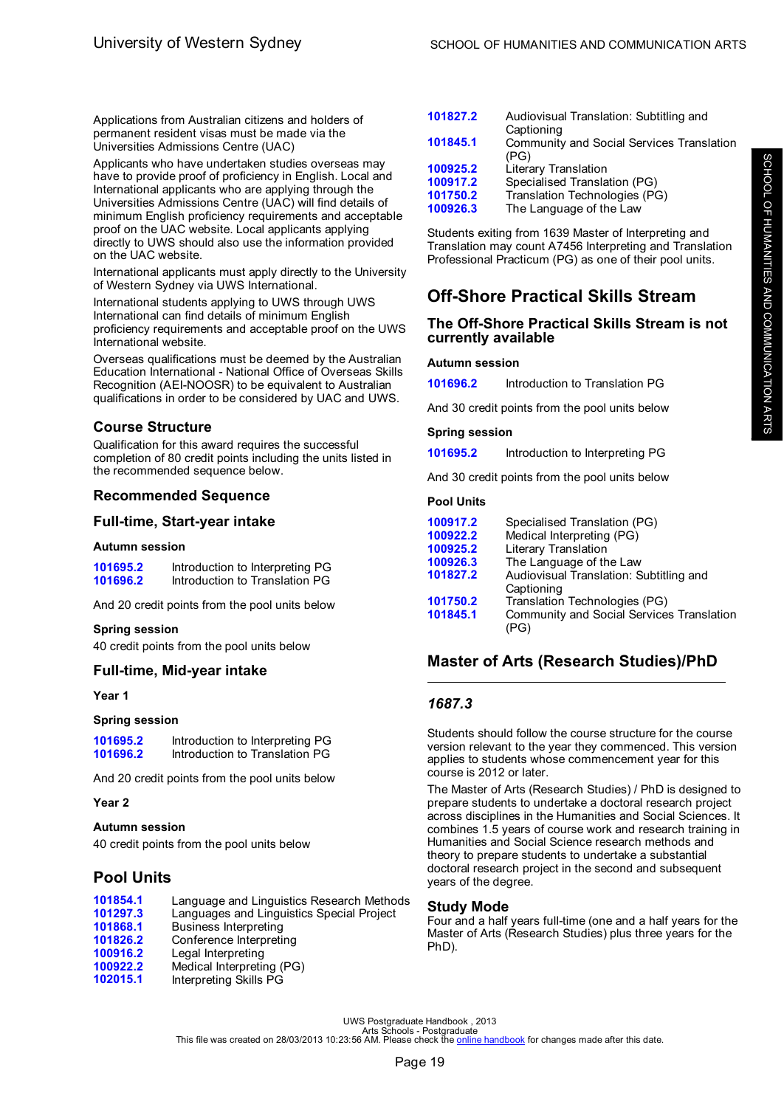<span id="page-21-0"></span>Applications from Australian citizens and holders of permanent resident visas must be made via the Universities Admissions Centre (UAC)

Applicants who have undertaken studies overseas may have to provide proof of proficiency in English. Local and International applicants who are applying through the Universities Admissions Centre (UAC) will find details of minimum English proficiency requirements and acceptable proof on the UAC website. Local applicants applying directly to UWS should also use the information provided on the UAC website.

International applicants must apply directly to the University of Western Sydney via UWS International.

International students applying to UWS through UWS International can find details of minimum English proficiency requirements and acceptable proof on the UWS International website.

Overseas qualifications must be deemed by the Australian Education International - National Office of Overseas Skills Recognition (AEI-NOOSR) to be equivalent to Australian qualifications in order to be considered by UAC and UWS.

# **Course Structure**

Qualification for this award requires the successful completion of 80 credit points including the units listed in the recommended sequence below.

# **Recommended Sequence**

# **Full-time, Start-year intake**

#### **Autumn session**

| 101695.2 | Introduction to Interpreting PG |
|----------|---------------------------------|
| 101696.2 | Introduction to Translation PG  |

And 20 credit points from the pool units below

#### **Spring session**

40 credit points from the pool units below

#### **Full-time, Mid-year intake**

**Year 1**

#### **Spring session**

**[101695.2](#page-57-0)** Introduction to Interpreting PG **[101696.2](#page-57-0)** Introduction to Translation PG

And 20 credit points from the pool units below

#### **Year 2**

#### **Autumn session**

40 credit points from the pool units below

# **Pool Units**

| 101854.1 | Language and Linguistics Research Methods |
|----------|-------------------------------------------|
| 101297.3 | Languages and Linguistics Special Project |
| 101868.1 | Business Interpreting                     |
| 101826.2 | Conference Interpreting                   |
| 100916.2 | Legal Interpreting                        |
| 100922.2 | Medical Interpreting (PG)                 |
| 102015.1 | Interpreting Skills PG                    |
|          |                                           |

| 101827.2 | Audiovisual Translation: Subtitling and   |
|----------|-------------------------------------------|
|          | Captioning                                |
| 101845.1 | Community and Social Services Translation |
|          | (PG)                                      |
| 100925.2 | Literary Translation                      |
| 100917.2 | Specialised Translation (PG)              |
| 101750.2 | Translation Technologies (PG)             |
| 100926.3 | The Language of the Law                   |
|          |                                           |

Students exiting from 1639 Master of Interpreting and Translation may count A7456 Interpreting and Translation Professional Practicum (PG) as one of their pool units.

# **Off-Shore Practical Skills Stream**

#### **The Off-Shore Practical Skills Stream is not currently available**

#### **Autumn session**

**[101696.2](#page-57-0)** Introduction to Translation PG

And 30 credit points from the pool units below

#### **Spring session**

**[101695.2](#page-57-0)** Introduction to Interpreting PG

And 30 credit points from the pool units below

#### **Pool Units**

| 100917.2 | Specialised Translation (PG)                          |
|----------|-------------------------------------------------------|
| 100922.2 | Medical Interpreting (PG)                             |
| 100925.2 | Literary Translation                                  |
| 100926.3 | The Language of the Law                               |
| 101827.2 | Audiovisual Translation: Subtitling and<br>Captioning |
| 101750.2 | Translation Technologies (PG)                         |
| 101845.1 | Community and Social Services Translation<br>(PG)     |

# **Master of Arts (Research Studies)/PhD**

# *1687.3*

Students should follow the course structure for the course version relevant to the year they commenced. This version applies to students whose commencement year for this course is 2012 or later.

The Master of Arts (Research Studies) / PhD is designed to prepare students to undertake a doctoral research project across disciplines in the Humanities and Social Sciences. It combines 1.5 years of course work and research training in Humanities and Social Science research methods and theory to prepare students to undertake a substantial doctoral research project in the second and subsequent years of the degree.

#### **Study Mode**

Four and a half years full-time (one and a half years for the Master of Arts (Research Studies) plus three years for the PhD).

UWS Postgraduate Handbook , 2013<br>Arts Schools - Postgraduate<br>This file was created on 28/03/2013 10:23:56 AM. Please check the <u>online [handbook](http://handbook.uws.edu.au/hbook/)</u> for changes made after this date.

ARTS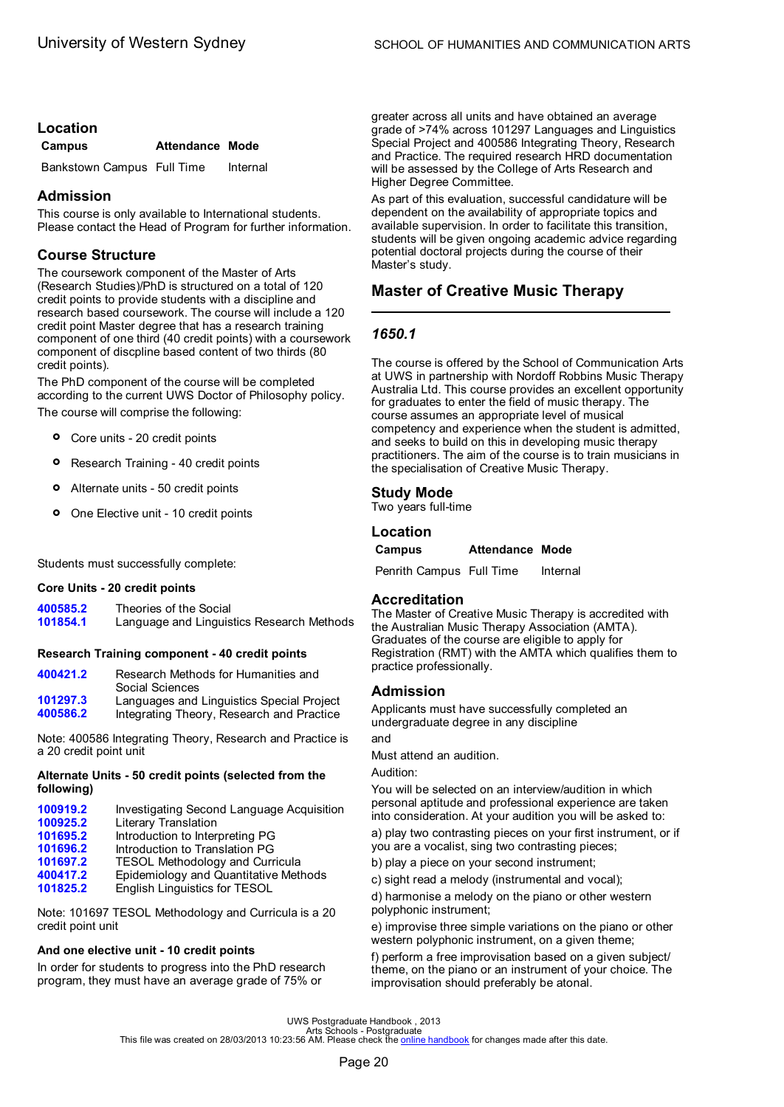# <span id="page-22-0"></span>**Location**

| Campus                     | <b>Attendance Mode</b> |          |
|----------------------------|------------------------|----------|
| Bankstown Campus Full Time |                        | Internal |

# **Admission**

This course is only available to International students. Please contact the Head of Program for further information.

# **Course Structure**

The coursework component of the Master of Arts (Research Studies)/PhD is structured on a total of 120 credit points to provide students with a discipline and research based coursework. The course will include a 120 credit point Master degree that has a research training component of one third (40 credit points) with a coursework component of discpline based content of two thirds (80 credit points).

The PhD component of the course will be completed according to the current UWS Doctor of Philosophy policy. The course will comprise the following:

- **°** Core units 20 credit points
- **°** Research Training 40 credit points
- **°** Alternate units 50 credit points
- **°** One Elective unit 10 credit points

Students must successfully complete:

#### **Core Units - 20 credit points**

**[400585.2](#page-73-0)** Theories of the Social Language and Linguistics Research Methods

#### **Research Training component - 40 credit points**

| 400421.2 | Research Methods for Humanities and       |
|----------|-------------------------------------------|
|          | Social Sciences                           |
| 101297.3 | Languages and Linguistics Special Project |
| 400586.2 | Integrating Theory, Research and Practice |

Note: 400586 Integrating Theory, Research and Practice is a 20 credit point unit

# **Alternate Units - 50 credit points (selected from the following)**

| 100919.2 | Investigating Second Language Acquisition |
|----------|-------------------------------------------|
| 100925.2 | Literary Translation                      |
| 101695.2 | Introduction to Interpreting PG           |
| 101696.2 | Introduction to Translation PG            |
| 101697.2 | <b>TESOL Methodology and Curricula</b>    |
| 400417.2 | Epidemiology and Quantitative Methods     |
| 101825.2 | English Linguistics for TESOL             |
|          |                                           |

Note: 101697 TESOL Methodology and Curricula is a 20 credit point unit

# **And one elective unit - 10 credit points**

In order for students to progress into the PhD research program, they must have an average grade of 75% or

greater across all units and have obtained an average grade of >74% across 101297 Languages and Linguistics Special Project and 400586 Integrating Theory, Research and Practice. The required research HRD documentation will be assessed by the College of Arts Research and Higher Degree Committee.

As part of this evaluation, successful candidature will be dependent on the availability of appropriate topics and available supervision. In order to facilitate this transition, students will be given ongoing academic advice regarding potential doctoral projects during the course of their Master's study.

# **Master of Creative Music Therapy**

# *1650.1*

The course is offered by the School of Communication Arts at UWS in partnership with Nordoff Robbins Music Therapy Australia Ltd. This course provides an excellent opportunity for graduates to enter the field of music therapy. The course assumes an appropriate level of musical competency and experience when the student is admitted, and seeks to build on this in developing music therapy practitioners. The aim of the course is to train musicians in the specialisation of Creative Music Therapy.

# **Study Mode**

Two years full-time

# **Location**

**Campus Attendance Mode**

Penrith Campus Full Time Internal

# **Accreditation**

The Master of Creative Music Therapy is accredited with the Australian Music Therapy Association (AMTA). Graduates of the course are eligible to apply for Registration (RMT) with the AMTA which qualifies them to practice professionally.

# **Admission**

Applicants must have successfully completed an undergraduate degree in any discipline

and

Must attend an audition.

Audition:

You will be selected on an interview/audition in which personal aptitude and professional experience are taken into consideration. At your audition you will be asked to: a) play two contrasting pieces on your first instrument, or if

you are a vocalist, sing two contrasting pieces;

b) play a piece on your second instrument;

c) sight read a melody (instrumental and vocal);

d) harmonise a melody on the piano or other western polyphonic instrument;

e) improvise three simple variations on the piano or other western polyphonic instrument, on a given theme;

f) perform a free improvisation based on a given subject/ theme, on the piano or an instrument of your choice. The improvisation should preferably be atonal.

UWS Postgraduate Handbook , 2013<br>Arts file was created on 28/03/2013 10:23:56 AM. Please check the <u>online [handbook](http://handbook.uws.edu.au/hbook/)</u> for changes made after this date.<br>This file was created on 28/03/2013 10:23:56 AM. Please check the <u>onl</u>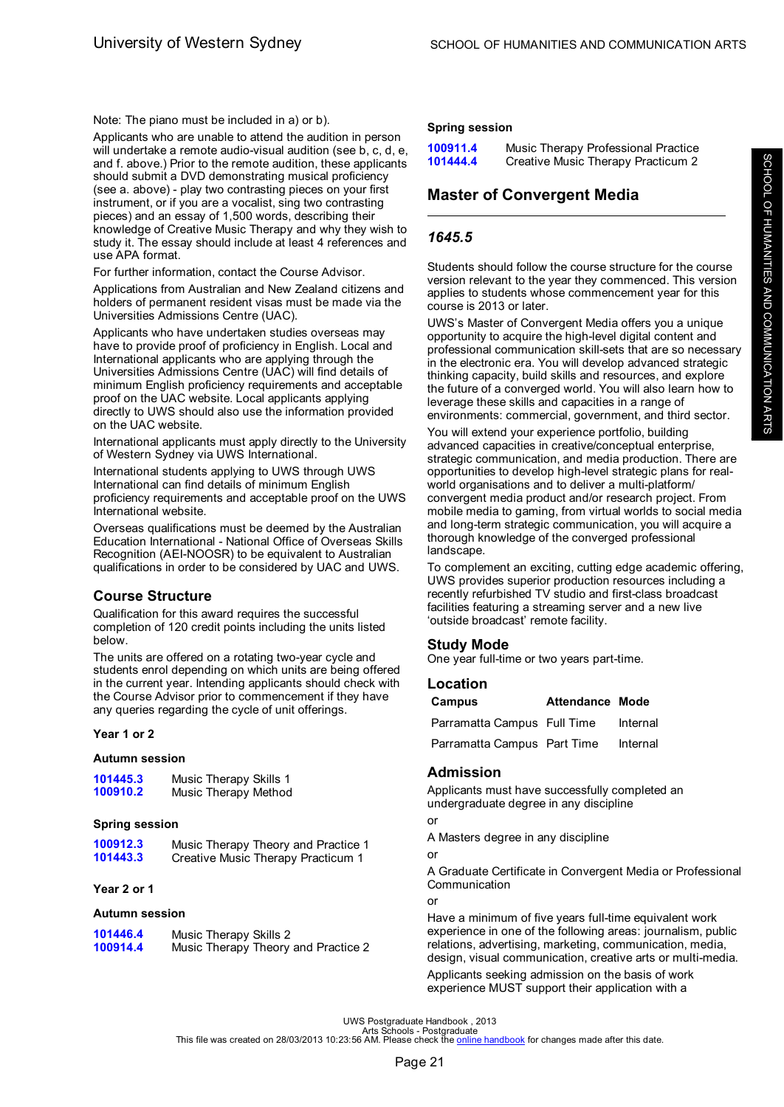<span id="page-23-0"></span>Note: The piano must be included in a) or b).

Applicants who are unable to attend the audition in person will undertake a remote audio-visual audition (see b, c, d, e, and f. above.) Prior to the remote audition, these applicants should submit a DVD demonstrating musical proficiency (see a. above) - play two contrasting pieces on your first instrument, or if you are a vocalist, sing two contrasting pieces) and an essay of 1,500 words, describing their knowledge of Creative Music Therapy and why they wish to study it. The essay should include at least 4 references and use APA format.

For further information, contact the Course Advisor.

Applications from Australian and New Zealand citizens and holders of permanent resident visas must be made via the Universities Admissions Centre (UAC).

Applicants who have undertaken studies overseas may have to provide proof of proficiency in English. Local and International applicants who are applying through the Universities Admissions Centre (UAC) will find details of minimum English proficiency requirements and acceptable proof on the UAC website. Local applicants applying directly to UWS should also use the information provided on the UAC website.

International applicants must apply directly to the University of Western Sydney via UWS International.

International students applying to UWS through UWS International can find details of minimum English proficiency requirements and acceptable proof on the UWS International website.

Overseas qualifications must be deemed by the Australian Education International - National Office of Overseas Skills Recognition (AEI-NOOSR) to be equivalent to Australian qualifications in order to be considered by UAC and UWS.

# **Course Structure**

Qualification for this award requires the successful completion of 120 credit points including the units listed below.

The units are offered on a rotating two-year cycle and students enrol depending on which units are being offered in the current year. Intending applicants should check with the Course Advisor prior to commencement if they have any queries regarding the cycle of unit offerings.

#### **Year 1 or 2**

#### **Autumn session**

| 101445.3 | Music Therapy Skills 1 |
|----------|------------------------|
| 100910.2 | Music Therapy Method   |

#### **Spring session**

| 100912.3 | Music Therapy Theory and Practice 1 |
|----------|-------------------------------------|
| 101443.3 | Creative Music Therapy Practicum 1  |

#### **Year 2 or 1**

#### **Autumn session**

| 101446.4 | Music Therapy Skills 2              |
|----------|-------------------------------------|
| 100914.4 | Music Therapy Theory and Practice 2 |

#### **Spring session**

| 100911.4 | Music Therapy Professional Practice |
|----------|-------------------------------------|
| 101444.4 | Creative Music Therapy Practicum 2  |

# **Master of Convergent Media**

# *1645.5*

Students should follow the course structure for the course version relevant to the year they commenced. This version applies to students whose commencement year for this course is 2013 or later.

UWS's Master of Convergent Media offers you a unique opportunity to acquire the high-level digital content and professional communication skill-sets that are so necessary in the electronic era. You will develop advanced strategic thinking capacity, build skills and resources, and explore the future of a converged world. You will also learn how to leverage these skills and capacities in a range of environments: commercial, government, and third sector.

You will extend your experience portfolio, building advanced capacities in creative/conceptual enterprise, strategic communication, and media production. There are opportunities to develop high-level strategic plans for realworld organisations and to deliver a multi-platform/ convergent media product and/or research project. From mobile media to gaming, from virtual worlds to social media and long-term strategic communication, you will acquire a thorough knowledge of the converged professional **landscape** 

To complement an exciting, cutting edge academic offering, UWS provides superior production resources including a recently refurbished TV studio and first-class broadcast facilities featuring a streaming server and a new live 'outside broadcast' remote facility.

#### **Study Mode**

One year full-time or two years part-time.

#### **Location**

| Campus                      | <b>Attendance Mode</b> |          |
|-----------------------------|------------------------|----------|
| Parramatta Campus Full Time |                        | Internal |
| Parramatta Campus Part Time |                        | Internal |

# **Admission**

Applicants must have successfully completed an undergraduate degree in any discipline

or

A Masters degree in any discipline

#### or

A Graduate Certificate in Convergent Media or Professional Communication

or

Have a minimum of five years full-time equivalent work experience in one of the following areas: journalism, public relations, advertising, marketing, communication, media, design, visual communication, creative arts or multi-media. Applicants seeking admission on the basis of work experience MUST support their application with a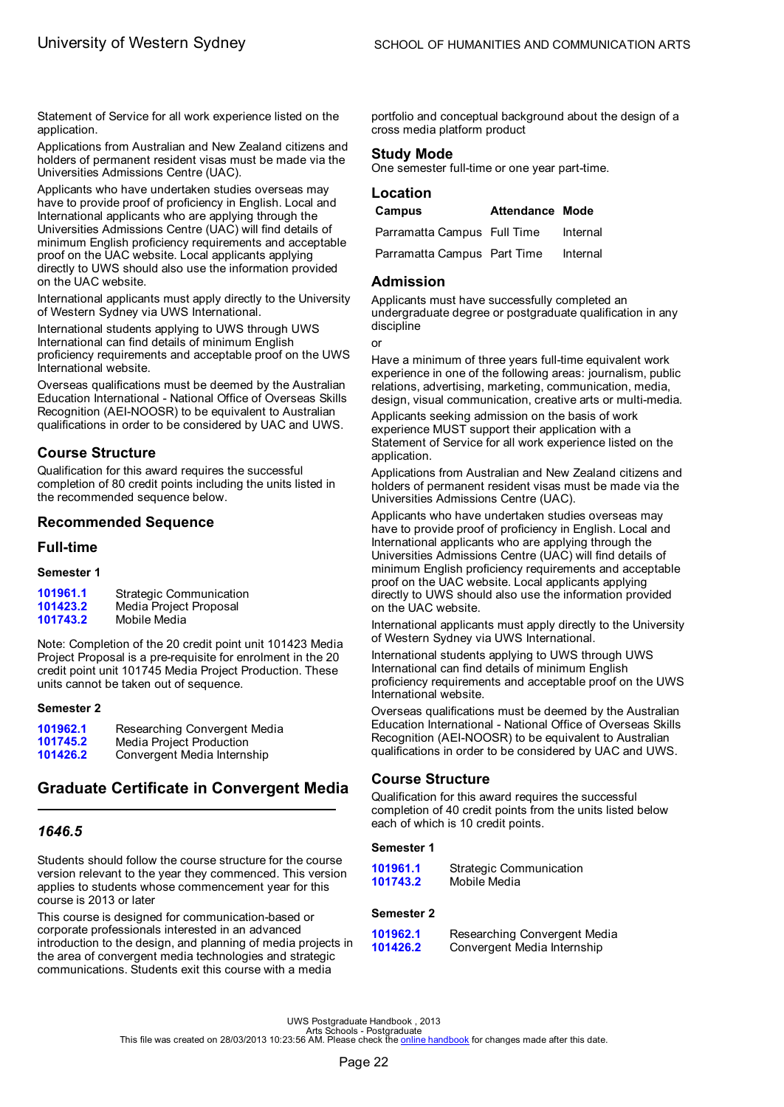<span id="page-24-0"></span>Statement of Service for all work experience listed on the application.

Applications from Australian and New Zealand citizens and holders of permanent resident visas must be made via the Universities Admissions Centre (UAC).

Applicants who have undertaken studies overseas may have to provide proof of proficiency in English. Local and International applicants who are applying through the Universities Admissions Centre (UAC) will find details of minimum English proficiency requirements and acceptable proof on the UAC website. Local applicants applying directly to UWS should also use the information provided on the UAC website.

International applicants must apply directly to the University of Western Sydney via UWS International.

International students applying to UWS through UWS International can find details of minimum English proficiency requirements and acceptable proof on the UWS International website.

Overseas qualifications must be deemed by the Australian Education International - National Office of Overseas Skills Recognition (AEI-NOOSR) to be equivalent to Australian qualifications in order to be considered by UAC and UWS.

# **Course Structure**

Qualification for this award requires the successful completion of 80 credit points including the units listed in the recommended sequence below.

# **Recommended Sequence**

#### **Full-time**

#### **Semester 1**

| 101961.1 | <b>Strategic Communication</b> |
|----------|--------------------------------|
| 101423.2 | Media Project Proposal         |
| 101743.2 | Mobile Media                   |

Note: Completion of the 20 credit point unit 101423 Media Project Proposal is a pre-requisite for enrolment in the 20 credit point unit 101745 Media Project Production. These units cannot be taken out of sequence.

#### **Semester 2**

| 101962.1 | Researching Convergent Media |
|----------|------------------------------|
| 101745.2 | Media Project Production     |
| 101426.2 | Convergent Media Internship  |

# **Graduate Certificate in Convergent Media**

# *1646.5*

Students should follow the course structure for the course version relevant to the year they commenced. This version applies to students whose commencement year for this course is 2013 or later

This course is designed for communication-based or corporate professionals interested in an advanced introduction to the design, and planning of media projects in the area of convergent media technologies and strategic communications. Students exit this course with a media

portfolio and conceptual background about the design of a cross media platform product

#### **Study Mode**

One semester full-time or one year part-time.

# **Location Campus Attendance Mode** Parramatta Campus Full Time Internal

| <u>i ailalliatta Callipus Tull Tillie</u> | 1111011101 |
|-------------------------------------------|------------|
| Parramatta Campus Part Time               | Internal   |

#### **Admission**

Applicants must have successfully completed an undergraduate degree or postgraduate qualification in any discipline

or

Have a minimum of three years full-time equivalent work experience in one of the following areas: journalism, public relations, advertising, marketing, communication, media, design, visual communication, creative arts or multi-media.

Applicants seeking admission on the basis of work experience MUST support their application with a Statement of Service for all work experience listed on the application.

Applications from Australian and New Zealand citizens and holders of permanent resident visas must be made via the Universities Admissions Centre (UAC).

Applicants who have undertaken studies overseas may have to provide proof of proficiency in English. Local and International applicants who are applying through the Universities Admissions Centre (UAC) will find details of minimum English proficiency requirements and acceptable proof on the UAC website. Local applicants applying directly to UWS should also use the information provided on the UAC website.

International applicants must apply directly to the University of Western Sydney via UWS International.

International students applying to UWS through UWS International can find details of minimum English proficiency requirements and acceptable proof on the UWS International website.

Overseas qualifications must be deemed by the Australian Education International - National Office of Overseas Skills Recognition (AEI-NOOSR) to be equivalent to Australian qualifications in order to be considered by UAC and UWS.

# **Course Structure**

Qualification for this award requires the successful completion of 40 credit points from the units listed below each of which is 10 credit points.

#### **Semester 1**

| 101961.1 | <b>Strategic Communication</b> |
|----------|--------------------------------|
| 101743.2 | Mobile Media                   |

#### **Semester 2**

| 101962.1 | Researching Convergent Media |
|----------|------------------------------|
| 101426.2 | Convergent Media Internship  |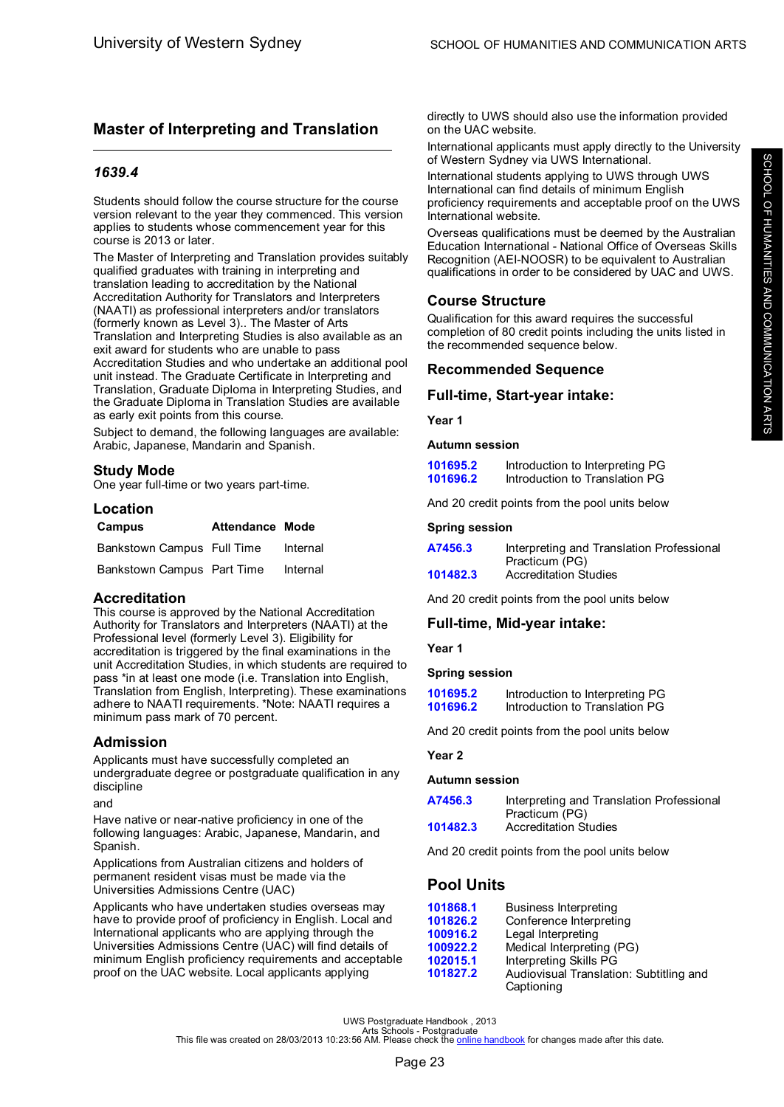# <span id="page-25-0"></span>**Master of Interpreting and Translation**

### *1639.4*

Students should follow the course structure for the course version relevant to the year they commenced. This version applies to students whose commencement year for this course is 2013 or later.

The Master of Interpreting and Translation provides suitably qualified graduates with training in interpreting and translation leading to accreditation by the National Accreditation Authority for Translators and Interpreters (NAATI) as professional interpreters and/or translators (formerly known as Level 3).. The Master of Arts Translation and Interpreting Studies is also available as an exit award for students who are unable to pass Accreditation Studies and who undertake an additional pool unit instead. The Graduate Certificate in Interpreting and Translation, Graduate Diploma in Interpreting Studies, and the Graduate Diploma in Translation Studies are available as early exit points from this course.

Subject to demand, the following languages are available: Arabic, Japanese, Mandarin and Spanish.

# **Study Mode**

One year full-time or two years part-time.

# **Location**

| Campus                     | <b>Attendance Mode</b> |          |
|----------------------------|------------------------|----------|
| Bankstown Campus Full Time |                        | Internal |
| Bankstown Campus Part Time |                        | Internal |

#### **Accreditation**

This course is approved by the National Accreditation Authority for Translators and Interpreters (NAATI) at the Professional level (formerly Level 3). Eligibility for accreditation is triggered by the final examinations in the unit Accreditation Studies, in which students are required to pass \*in at least one mode (i.e. Translation into English, Translation from English, Interpreting). These examinations adhere to NAATI requirements. \*Note: NAATI requires a minimum pass mark of 70 percent.

# **Admission**

Applicants must have successfully completed an undergraduate degree or postgraduate qualification in any discipline

and

Have native or near-native proficiency in one of the following languages: Arabic, Japanese, Mandarin, and Spanish.

Applications from Australian citizens and holders of permanent resident visas must be made via the Universities Admissions Centre (UAC)

Applicants who have undertaken studies overseas may have to provide proof of proficiency in English. Local and International applicants who are applying through the Universities Admissions Centre (UAC) will find details of minimum English proficiency requirements and acceptable proof on the UAC website. Local applicants applying

directly to UWS should also use the information provided on the UAC website.

International applicants must apply directly to the University of Western Sydney via UWS International.

International students applying to UWS through UWS International can find details of minimum English proficiency requirements and acceptable proof on the UWS International website.

Overseas qualifications must be deemed by the Australian Education International - National Office of Overseas Skills Recognition (AEI-NOOSR) to be equivalent to Australian qualifications in order to be considered by UAC and UWS.

# **Course Structure**

Qualification for this award requires the successful completion of 80 credit points including the units listed in the recommended sequence below.

### **Recommended Sequence**

### **Full-time, Start-year intake:**

**Year 1**

#### **Autumn session**

| 101695.2 | Introduction to Interpreting PG |  |
|----------|---------------------------------|--|
| 101696.2 | Introduction to Translation PG  |  |

And 20 credit points from the pool units below

#### **Spring session**

| A7456.3  | Interpreting and Translation Professional |
|----------|-------------------------------------------|
|          | Practicum (PG)                            |
| 101482.3 | <b>Accreditation Studies</b>              |

And 20 credit points from the pool units below

# **Full-time, Mid-year intake:**

**Year 1**

#### **Spring session**

| 101695.2 | Introduction to Interpreting PG |
|----------|---------------------------------|
| 101696.2 | Introduction to Translation PG  |

And 20 credit points from the pool units below

#### **Year 2**

#### **Autumn session**

| A7456.3  | Interpreting and Translation Professional |
|----------|-------------------------------------------|
|          | Practicum (PG)                            |
| 101482.3 | <b>Accreditation Studies</b>              |

And 20 credit points from the pool units below

# **Pool Units**

| 101868.1 | Business Interpreting                   |
|----------|-----------------------------------------|
| 101826.2 | Conference Interpreting                 |
| 100916.2 | Legal Interpreting                      |
| 100922.2 | Medical Interpreting (PG)               |
| 102015.1 | Interpreting Skills PG                  |
| 101827.2 | Audiovisual Translation: Subtitling and |
|          | Captioning                              |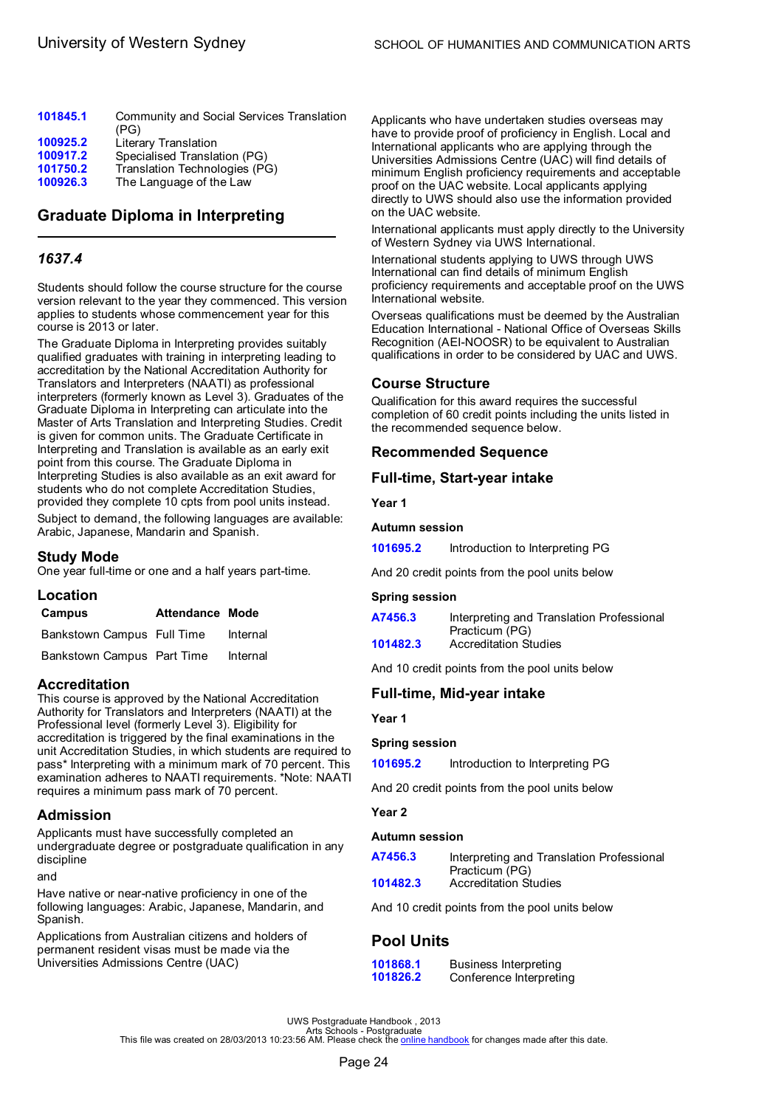<span id="page-26-0"></span>

| 101845.1 | Community and Social Services Translation<br>(PG) |
|----------|---------------------------------------------------|
| 100925.2 | Literary Translation                              |
| 100917.2 | Specialised Translation (PG)                      |
| 101750.2 | Translation Technologies (PG)                     |
| 100926.3 | The Language of the Law                           |
|          |                                                   |

# **Graduate Diploma in Interpreting**

# *1637.4*

Students should follow the course structure for the course version relevant to the year they commenced. This version applies to students whose commencement year for this course is 2013 or later.

The Graduate Diploma in Interpreting provides suitably qualified graduates with training in interpreting leading to accreditation by the National Accreditation Authority for Translators and Interpreters (NAATI) as professional interpreters (formerly known as Level 3). Graduates of the Graduate Diploma in Interpreting can articulate into the Master of Arts Translation and Interpreting Studies. Credit is given for common units. The Graduate Certificate in Interpreting and Translation is available as an early exit point from this course. The Graduate Diploma in Interpreting Studies is also available as an exit award for students who do not complete Accreditation Studies, provided they complete 10 cpts from pool units instead.

Subject to demand, the following languages are available: Arabic, Japanese, Mandarin and Spanish.

# **Study Mode**

One year full-time or one and a half years part-time.

| Location                   |                 |          |
|----------------------------|-----------------|----------|
| Campus                     | Attendance Mode |          |
| Bankstown Campus Full Time |                 | Internal |
| Bankstown Campus Part Time |                 | Internal |

# **Accreditation**

This course is approved by the National Accreditation Authority for Translators and Interpreters (NAATI) at the Professional level (formerly Level 3). Eligibility for accreditation is triggered by the final examinations in the unit Accreditation Studies, in which students are required to pass\* Interpreting with a minimum mark of 70 percent. This examination adheres to NAATI requirements. \*Note: NAATI requires a minimum pass mark of 70 percent.

# **Admission**

Applicants must have successfully completed an undergraduate degree or postgraduate qualification in any discipline

### and

Have native or near-native proficiency in one of the following languages: Arabic, Japanese, Mandarin, and Spanish.

Applications from Australian citizens and holders of permanent resident visas must be made via the Universities Admissions Centre (UAC)

Applicants who have undertaken studies overseas may have to provide proof of proficiency in English. Local and International applicants who are applying through the Universities Admissions Centre (UAC) will find details of minimum English proficiency requirements and acceptable proof on the UAC website. Local applicants applying directly to UWS should also use the information provided on the UAC website.

International applicants must apply directly to the University of Western Sydney via UWS International.

International students applying to UWS through UWS International can find details of minimum English proficiency requirements and acceptable proof on the UWS International website.

Overseas qualifications must be deemed by the Australian Education International - National Office of Overseas Skills Recognition (AEI-NOOSR) to be equivalent to Australian qualifications in order to be considered by UAC and UWS.

# **Course Structure**

Qualification for this award requires the successful completion of 60 credit points including the units listed in the recommended sequence below.

# **Recommended Sequence**

# **Full-time, Start-year intake**

**Year 1**

### **Autumn session**

**[101695.2](#page-57-0)** Introduction to Interpreting PG

And 20 credit points from the pool units below

#### **Spring session**

| A7456.3  | Interpreting and Translation Professional |
|----------|-------------------------------------------|
|          | Practicum (PG)                            |
| 101482.3 | <b>Accreditation Studies</b>              |

And 10 credit points from the pool units below

# **Full-time, Mid-year intake**

#### **Year 1**

#### **Spring session**

**[101695.2](#page-57-0)** Introduction to Interpreting PG

And 20 credit points from the pool units below

#### **Year 2**

#### **Autumn session**

| A7456.3  | Interpreting and Translation Professional |
|----------|-------------------------------------------|
|          | Practicum (PG)                            |
| 101482.3 | <b>Accreditation Studies</b>              |

And 10 credit points from the pool units below

# **Pool Units**

| 101868.1 | Business Interpreting   |
|----------|-------------------------|
| 101826.2 | Conference Interpreting |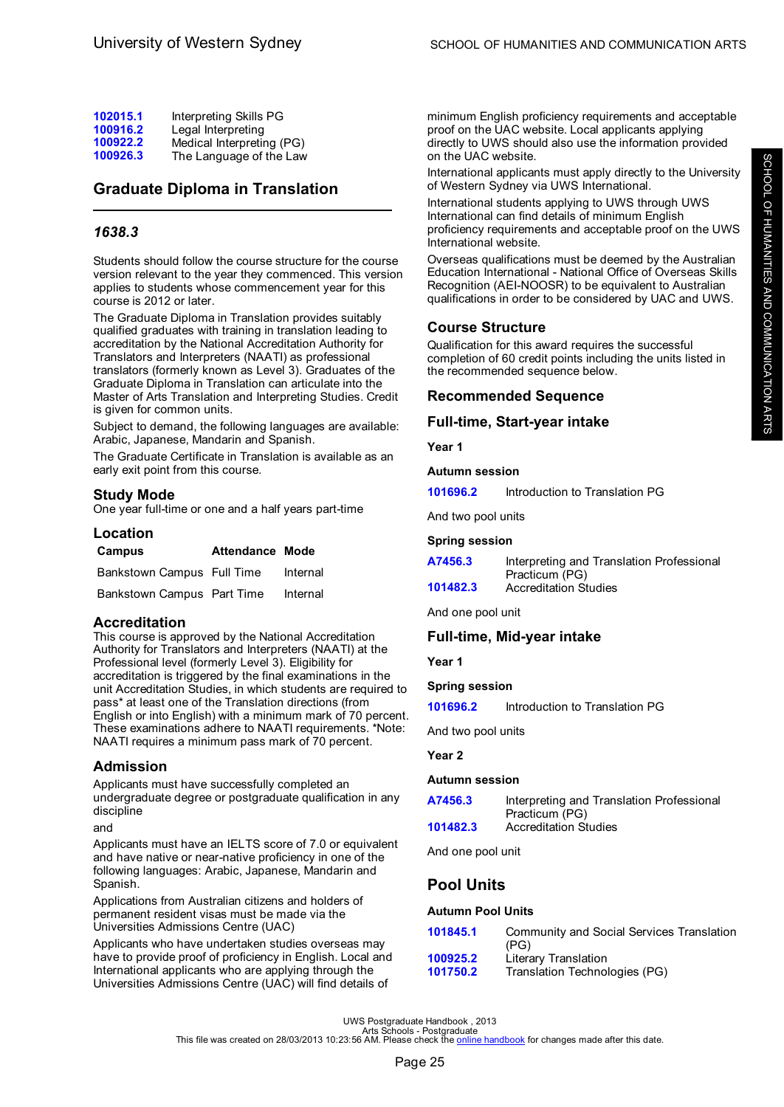<span id="page-27-0"></span>

| 102015.1 | Interpreting Skills PG    |
|----------|---------------------------|
| 100916.2 | Legal Interpreting        |
| 100922.2 | Medical Interpreting (PG) |
| 100926.3 | The Language of the Law   |

# **Graduate Diploma in Translation**

# *1638.3*

Students should follow the course structure for the course version relevant to the year they commenced. This version applies to students whose commencement year for this course is 2012 or later.

The Graduate Diploma in Translation provides suitably qualified graduates with training in translation leading to accreditation by the National Accreditation Authority for Translators and Interpreters (NAATI) as professional translators (formerly known as Level 3). Graduates of the Graduate Diploma in Translation can articulate into the Master of Arts Translation and Interpreting Studies. Credit is given for common units.

Subject to demand, the following languages are available: Arabic, Japanese, Mandarin and Spanish.

The Graduate Certificate in Translation is available as an early exit point from this course.

# **Study Mode**

One year full-time or one and a half years part-time

# **Location**

| Campus                     | Attendance Mode |          |
|----------------------------|-----------------|----------|
| Bankstown Campus Full Time |                 | Internal |
| Bankstown Campus Part Time |                 | Internal |

# **Accreditation**

This course is approved by the National Accreditation Authority for Translators and Interpreters (NAATI) at the Professional level (formerly Level 3). Eligibility for accreditation is triggered by the final examinations in the unit Accreditation Studies, in which students are required to pass\* at least one of the Translation directions (from English or into English) with a minimum mark of 70 percent. These examinations adhere to NAATI requirements. \*Note: NAATI requires a minimum pass mark of 70 percent.

# **Admission**

Applicants must have successfully completed an undergraduate degree or postgraduate qualification in any discipline

and

Applicants must have an IELTS score of 7.0 or equivalent and have native or near-native proficiency in one of the following languages: Arabic, Japanese, Mandarin and Spanish.

Applications from Australian citizens and holders of permanent resident visas must be made via the Universities Admissions Centre (UAC)

Applicants who have undertaken studies overseas may have to provide proof of proficiency in English. Local and International applicants who are applying through the Universities Admissions Centre (UAC) will find details of

minimum English proficiency requirements and acceptable proof on the UAC website. Local applicants applying directly to UWS should also use the information provided on the UAC website.

International applicants must apply directly to the University of Western Sydney via UWS International.

International students applying to UWS through UWS International can find details of minimum English proficiency requirements and acceptable proof on the UWS International website.

Overseas qualifications must be deemed by the Australian Education International - National Office of Overseas Skills Recognition (AEI-NOOSR) to be equivalent to Australian qualifications in order to be considered by UAC and UWS.

# **Course Structure**

Qualification for this award requires the successful completion of 60 credit points including the units listed in the recommended sequence below.

# **Recommended Sequence**

### **Full-time, Start-year intake**

**Year 1**

#### **Autumn session**

| 101696.2 | Introduction to Translation PG |  |
|----------|--------------------------------|--|
|          |                                |  |

And two pool units

#### **Spring session**

| A7456.3  | Interpreting and Translation Professional |
|----------|-------------------------------------------|
|          | Practicum (PG)                            |
| 101482.3 | <b>Accreditation Studies</b>              |

And one pool unit

# **Full-time, Mid-year intake**

**Year 1**

#### **Spring session**

**[101696.2](#page-57-0)** Introduction to Translation PG

And two pool units

**Year 2**

#### **Autumn session**

| A7456.3  | Interpreting and Translation Professional |
|----------|-------------------------------------------|
|          | Practicum (PG)                            |
| 101482.3 | <b>Accreditation Studies</b>              |

And one pool unit

# **Pool Units**

#### **Autumn Pool Units**

| 101845.1             | Community and Social Services Translation<br>(PG)     |
|----------------------|-------------------------------------------------------|
| 100925.2<br>101750.2 | Literary Translation<br>Translation Technologies (PG) |
|                      |                                                       |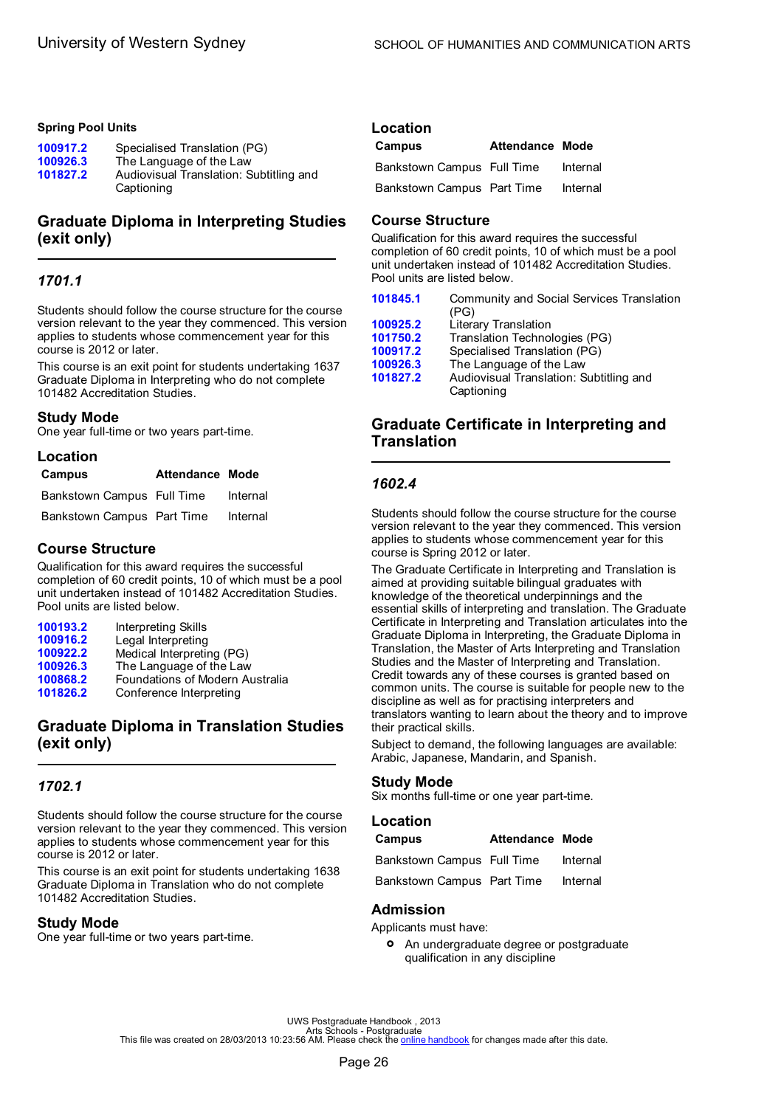#### <span id="page-28-0"></span>**Spring Pool Units**

| 100917.2 | Specialised Translation (PG)            |
|----------|-----------------------------------------|
| 100926.3 | The Language of the Law                 |
| 101827.2 | Audiovisual Translation: Subtitling and |
|          | Captioning                              |

# **Graduate Diploma in Interpreting Studies (exit only)**

# *1701.1*

Students should follow the course structure for the course version relevant to the year they commenced. This version applies to students whose commencement year for this course is 2012 or later.

This course is an exit point for students undertaking 1637 Graduate Diploma in Interpreting who do not complete 101482 Accreditation Studies.

### **Study Mode**

One year full-time or two years part-time.

| Location                   |                        |          |
|----------------------------|------------------------|----------|
| Campus                     | <b>Attendance Mode</b> |          |
| Bankstown Campus Full Time |                        | Internal |
| Bankstown Campus Part Time |                        | Internal |

# **Course Structure**

Qualification for this award requires the successful completion of 60 credit points, 10 of which must be a pool unit undertaken instead of 101482 Accreditation Studies. Pool units are listed below.

| 100193.2 | Interpreting Skills             |
|----------|---------------------------------|
| 100916.2 | Legal Interpreting              |
| 100922.2 | Medical Interpreting (PG)       |
| 100926.3 | The Language of the Law         |
| 100868.2 | Foundations of Modern Australia |
| 101826.2 | Conference Interpreting         |

# **Graduate Diploma in Translation Studies (exit only)**

# *1702.1*

Students should follow the course structure for the course version relevant to the year they commenced. This version applies to students whose commencement year for this course is 2012 or later.

This course is an exit point for students undertaking 1638 Graduate Diploma in Translation who do not complete 101482 Accreditation Studies.

# **Study Mode**

One year full-time or two years part-time.

# **Location**

| Campus                     | <b>Attendance Mode</b> |          |
|----------------------------|------------------------|----------|
| Bankstown Campus Full Time |                        | Internal |
| Bankstown Campus Part Time |                        | Internal |

# **Course Structure**

Qualification for this award requires the successful completion of 60 credit points, 10 of which must be a pool unit undertaken instead of 101482 Accreditation Studies. Pool units are listed below.

| 101845.1 | Community and Social Services Translation<br>(PG)     |
|----------|-------------------------------------------------------|
| 100925.2 | Literary Translation                                  |
| 101750.2 | Translation Technologies (PG)                         |
| 100917.2 | Specialised Translation (PG)                          |
| 100926.3 | The Language of the Law                               |
| 101827.2 | Audiovisual Translation: Subtitling and<br>Captioning |
|          |                                                       |

# **Graduate Certificate in Interpreting and Translation**

# *1602.4*

Students should follow the course structure for the course version relevant to the year they commenced. This version applies to students whose commencement year for this course is Spring 2012 or later.

The Graduate Certificate in Interpreting and Translation is aimed at providing suitable bilingual graduates with knowledge of the theoretical underpinnings and the essential skills of interpreting and translation. The Graduate Certificate in Interpreting and Translation articulates into the Graduate Diploma in Interpreting, the Graduate Diploma in Translation, the Master of Arts Interpreting and Translation Studies and the Master of Interpreting and Translation. Credit towards any of these courses is granted based on common units. The course is suitable for people new to the discipline as well as for practising interpreters and translators wanting to learn about the theory and to improve their practical skills.

Subject to demand, the following languages are available: Arabic, Japanese, Mandarin, and Spanish.

# **Study Mode**

Six months full-time or one year part-time.

#### **Location**

| Campus                     | Attendance Mode |          |
|----------------------------|-----------------|----------|
| Bankstown Campus Full Time |                 | Internal |
| Bankstown Campus Part Time |                 | Internal |

# **Admission**

Applicants must have:

**•** An undergraduate degree or postgraduate<br>
qualification in any discipline qualification in any discipline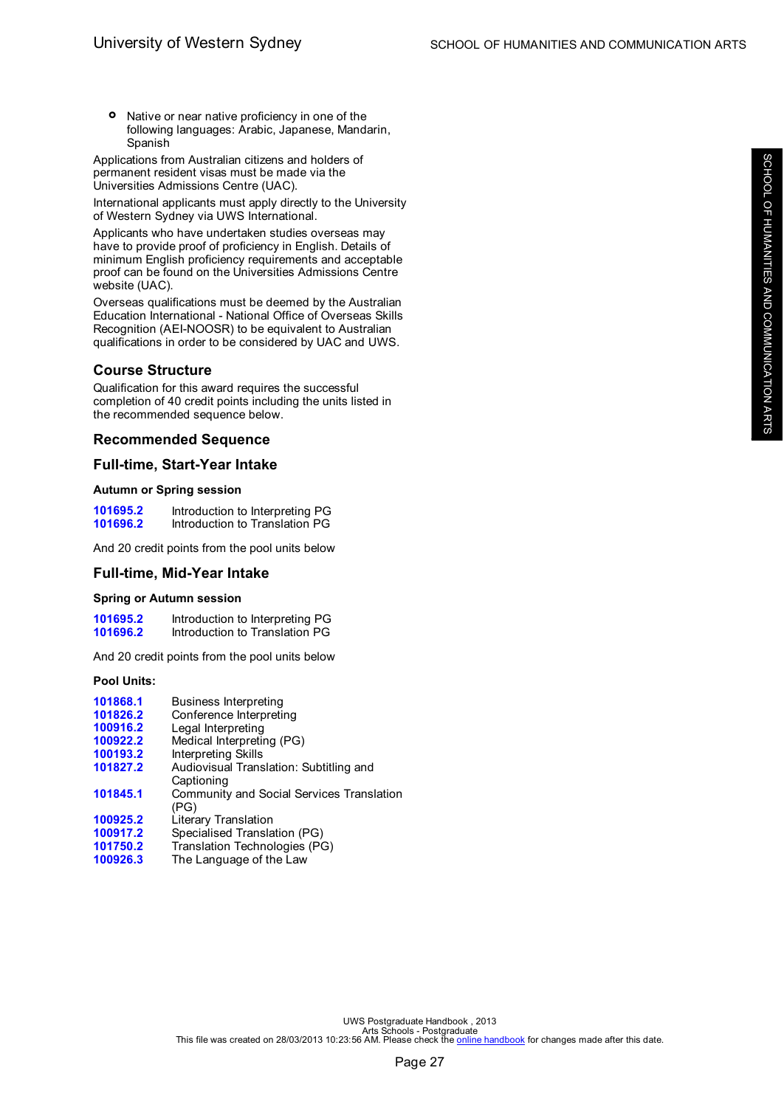**°** Native or near native proficiency in one of the following languages: Arabic, Japanese, Mandarin, Spanish

Applications from Australian citizens and holders of permanent resident visas must be made via the Universities Admissions Centre (UAC).

International applicants must apply directly to the University of Western Sydney via UWS International.

Applicants who have undertaken studies overseas may have to provide proof of proficiency in English. Details of minimum English proficiency requirements and acceptable proof can be found on the Universities Admissions Centre website (UAC).

Overseas qualifications must be deemed by the Australian Education International - National Office of Overseas Skills Recognition (AEI-NOOSR) to be equivalent to Australian qualifications in order to be considered by UAC and UWS.

### **Course Structure**

Qualification for this award requires the successful completion of 40 credit points including the units listed in the recommended sequence below.

### **Recommended Sequence**

### **Full-time, Start-Year Intake**

#### **Autumn or Spring session**

**[101695.2](#page-57-0)** Introduction to Interpreting PG<br>**101696.2** Introduction to Translation PG **[101696.2](#page-57-0)** Introduction to Translation PG

And 20 credit points from the pool units below

#### **Full-time, Mid-Year Intake**

#### **Spring or Autumn session**

| 101695.2 | Introduction to Interpreting PG |  |
|----------|---------------------------------|--|
| 101696.2 | Introduction to Translation PG  |  |

And 20 credit points from the pool units below

#### **Pool Units:**

| 101868.1 | <b>Business Interpreting</b>              |
|----------|-------------------------------------------|
| 101826.2 | Conference Interpreting                   |
| 100916.2 | Legal Interpreting                        |
| 100922.2 | Medical Interpreting (PG)                 |
| 100193.2 | Interpreting Skills                       |
| 101827.2 | Audiovisual Translation: Subtitling and   |
|          | Captioning                                |
| 101845.1 | Community and Social Services Translation |
|          | (PG)                                      |
| 100925.2 | Literary Translation                      |
| 100917.2 | Specialised Translation (PG)              |
| 101750.2 | Translation Technologies (PG)             |
| 100926.3 | The Language of the Law                   |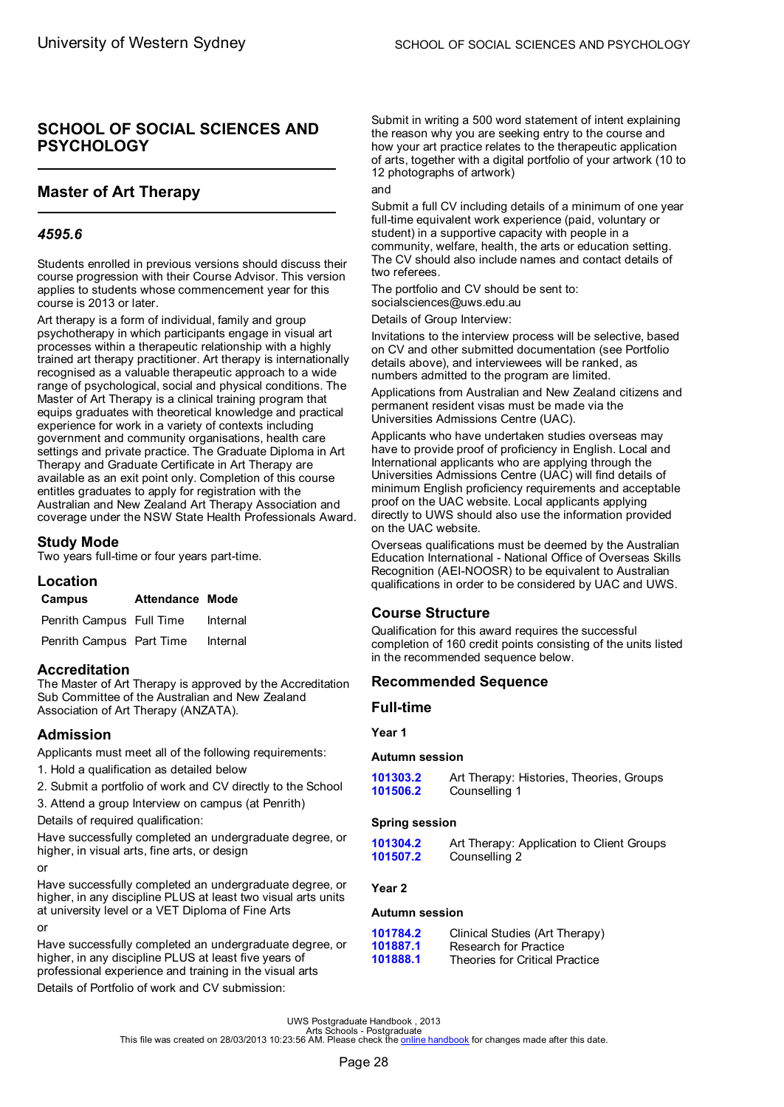# <span id="page-30-0"></span>**SCHOOL OF SOCIAL SCIENCES AND PSYCHOLOGY**

# **Master of Art Therapy**

# *4595.6*

Students enrolled in previous versions should discuss their course progression with their Course Advisor. This version applies to students whose commencement year for this course is 2013 or later.

Art therapy is a form of individual, family and group psychotherapy in which participants engage in visual art processes within a therapeutic relationship with a highly trained art therapy practitioner. Art therapy is internationally recognised as a valuable therapeutic approach to a wide range of psychological, social and physical conditions. The Master of Art Therapy is a clinical training program that equips graduates with theoretical knowledge and practical experience for work in a variety of contexts including government and community organisations, health care settings and private practice. The Graduate Diploma in Art Therapy and Graduate Certificate in Art Therapy are available as an exit point only. Completion of this course entitles graduates to apply for registration with the Australian and New Zealand Art Therapy Association and coverage under the NSW State Health Professionals Award.

# **Study Mode**

Two years full-time or four years part-time.

# **Location**

| Campus                   | <b>Attendance Mode</b> |          |
|--------------------------|------------------------|----------|
| Penrith Campus Full Time |                        | Internal |

Penrith Campus Part Time Internal

# **Accreditation**

The Master of Art Therapy is approved by the Accreditation Sub Committee of the Australian and New Zealand Association of Art Therapy (ANZATA).

# **Admission**

Applicants must meet all of the following requirements:

1. Hold a qualification as detailed below

2. Submit a portfolio of work and CV directly to the School

3. Attend a group Interview on campus (at Penrith)

Details of required qualification:

Have successfully completed an undergraduate degree, or higher, in visual arts, fine arts, or design

```
or
```
Have successfully completed an undergraduate degree, or higher, in any discipline PLUS at least two visual arts units at university level or a VET Diploma of Fine Arts or

Have successfully completed an undergraduate degree, or higher, in any discipline PLUS at least five years of professional experience and training in the visual arts

Details of Portfolio of work and CV submission:

Submit in writing a 500 word statement of intent explaining the reason why you are seeking entry to the course and how your art practice relates to the therapeutic application of arts, together with a digital portfolio of your artwork (10 to 12 photographs of artwork)

#### and

Submit a full CV including details of a minimum of one year full-time equivalent work experience (paid, voluntary or student) in a supportive capacity with people in a community, welfare, health, the arts or education setting. The CV should also include names and contact details of two referees.

The portfolio and CV should be sent to: socialsciences@uws.edu.au

Details of Group Interview:

Invitations to the interview process will be selective, based on CV and other submitted documentation (see Portfolio details above), and interviewees will be ranked, as numbers admitted to the program are limited.

Applications from Australian and New Zealand citizens and permanent resident visas must be made via the Universities Admissions Centre (UAC).

Applicants who have undertaken studies overseas may have to provide proof of proficiency in English. Local and International applicants who are applying through the Universities Admissions Centre (UAC) will find details of minimum English proficiency requirements and acceptable proof on the UAC website. Local applicants applying directly to UWS should also use the information provided on the UAC website.

Overseas qualifications must be deemed by the Australian Education International - National Office of Overseas Skills Recognition (AEI-NOOSR) to be equivalent to Australian qualifications in order to be considered by UAC and UWS.

# **Course Structure**

Qualification for this award requires the successful completion of 160 credit points consisting of the units listed in the recommended sequence below.

# **Recommended Sequence**

#### **Full-time**

**Year 1**

#### **Autumn session**

**[101303.2](#page-44-0)** Art Therapy: Histories, Theories, Groups Counselling 1

#### **Spring session**

**[101304.2](#page-44-0)** Art Therapy: Application to Client Groups **[101507.2](#page-49-0)** Counselling 2

# **Year 2**

### **Autumn session**

| 101784.2 | Clinical Studies (Art Therapy) |
|----------|--------------------------------|
| 101887.1 | Research for Practice          |
| 101888.1 | Theories for Critical Practice |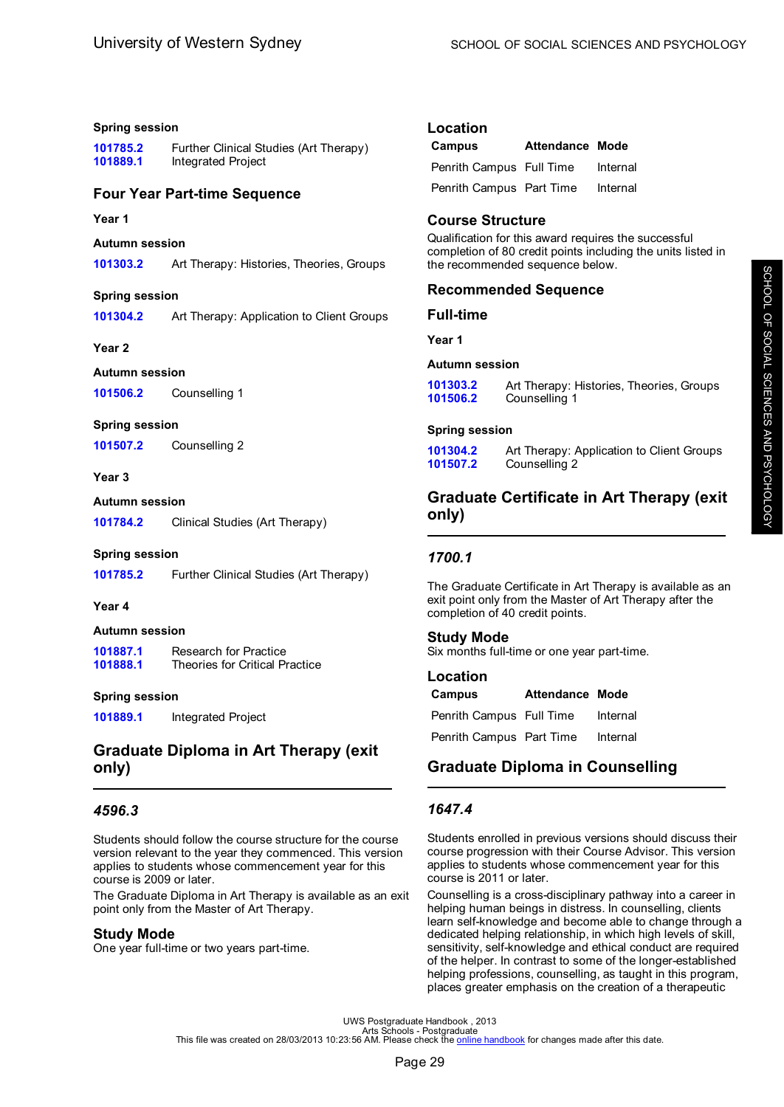#### <span id="page-31-0"></span>**Spring session**

**[101785.2](#page-54-0)** Further Clinical Studies (Art Therapy) **[101889.1](#page-56-0)** Integrated Project

### **Four Year Part-time Sequence**

#### **Year 1**

#### **Autumn session**

**[101303.2](#page-44-0)** Art Therapy: Histories, Theories, Groups

#### **Spring session**

**[101304.2](#page-44-0)** Art Therapy: Application to Client Groups

#### **Year 2**

#### **Autumn session**

**[101506.2](#page-48-0)** Counselling 1

#### **Spring session**

**[101507.2](#page-49-0)** Counselling 2

#### **Year 3**

#### **Autumn session**

**[101784.2](#page-47-0)** Clinical Studies (Art Therapy)

#### **Spring session**

**[101785.2](#page-54-0)** Further Clinical Studies (Art Therapy)

#### **Year 4**

#### **Autumn session**

[101887.1](#page-69-0) Research for Practice<br>**101888.1** Theories for Critical Pi **Theories for Critical Practice** 

#### **Spring session**

**[101889.1](#page-56-0)** Integrated Project

# **Graduate Diploma in Art Therapy (exit only)**

# *4596.3*

Students should follow the course structure for the course version relevant to the year they commenced. This version applies to students whose commencement year for this course is 2009 or later.

The Graduate Diploma in Art Therapy is available as an exit point only from the Master of Art Therapy.

#### **Study Mode**

One year full-time or two years part-time.

### **Location**

| Campus                   | <b>Attendance Mode</b> |          |
|--------------------------|------------------------|----------|
| Penrith Campus Full Time |                        | Internal |
| Penrith Campus Part Time |                        | Internal |

# **Course Structure**

Qualification for this award requires the successful completion of 80 credit points including the units listed in the recommended sequence below.

### **Recommended Sequence**

#### **Full-time**

**Year 1**

#### **Autumn session**

| 101303.2 | Art Therapy: Histories, Theories, Groups |
|----------|------------------------------------------|
| 101506.2 | Counselling 1                            |

#### **Spring session**

| 101304.2 | Art Therapy: Application to Client Groups |
|----------|-------------------------------------------|
| 101507.2 | Counselling 2                             |

# **Graduate Certificate in Art Therapy (exit only)**

#### *1700.1*

The Graduate Certificate in Art Therapy is available as an exit point only from the Master of Art Therapy after the completion of 40 credit points.

# **Study Mode**

Six months full-time or one year part-time.

#### **Location**

| Campus                   | <b>Attendance Mode</b> |          |
|--------------------------|------------------------|----------|
| Penrith Campus Full Time |                        | Internal |
| Penrith Campus Part Time |                        | Internal |

# **Graduate Diploma in Counselling**

# *1647.4*

Students enrolled in previous versions should discuss their course progression with their Course Advisor. This version applies to students whose commencement year for this course is 2011 or later.

Counselling is a cross-disciplinary pathway into a career in helping human beings in distress. In counselling, clients learn self-knowledge and become able to change through a dedicated helping relationship, in which high levels of skill, sensitivity, self-knowledge and ethical conduct are required of the helper. In contrast to some of the longer-established helping professions, counselling, as taught in this program, places greater emphasis on the creation of a therapeutic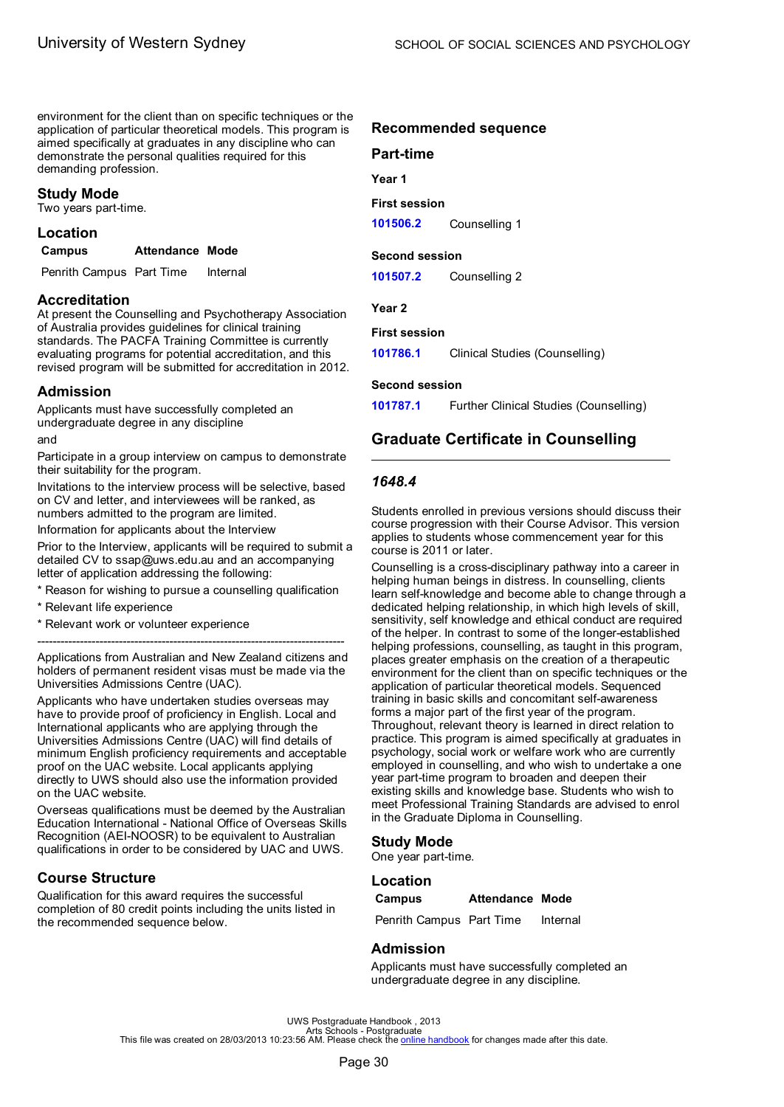<span id="page-32-0"></span>environment for the client than on specific techniques or the application of particular theoretical models. This program is aimed specifically at graduates in any discipline who can demonstrate the personal qualities required for this demanding profession.

#### **Study Mode**

Two years part-time.

# **Location**

| Campus | <b>Attendance Mode</b> |  |
|--------|------------------------|--|
|        |                        |  |

Penrith Campus Part Time Internal

#### **Accreditation**

At present the Counselling and Psychotherapy Association of Australia provides guidelines for clinical training standards. The PACFA Training Committee is currently evaluating programs for potential accreditation, and this revised program will be submitted for accreditation in 2012.

#### **Admission**

Applicants must have successfully completed an undergraduate degree in any discipline

#### and

Participate in a group interview on campus to demonstrate their suitability for the program.

Invitations to the interview process will be selective, based on CV and letter, and interviewees will be ranked, as numbers admitted to the program are limited.

Information for applicants about the Interview

Prior to the Interview, applicants will be required to submit a detailed CV to ssap@uws.edu.au and an accompanying letter of application addressing the following:

- Reason for wishing to pursue a counselling qualification
- \* Relevant life experience
- \* Relevant work or volunteer experience

Applications from Australian and New Zealand citizens and holders of permanent resident visas must be made via the Universities Admissions Centre (UAC).

-------------------------------------------------------------------------------

Applicants who have undertaken studies overseas may have to provide proof of proficiency in English. Local and International applicants who are applying through the Universities Admissions Centre (UAC) will find details of minimum English proficiency requirements and acceptable proof on the UAC website. Local applicants applying directly to UWS should also use the information provided on the UAC website.

Overseas qualifications must be deemed by the Australian Education International - National Office of Overseas Skills Recognition (AEI-NOOSR) to be equivalent to Australian qualifications in order to be considered by UAC and UWS.

# **Course Structure**

Qualification for this award requires the successful completion of 80 credit points including the units listed in the recommended sequence below.

#### **Recommended sequence**

# **Part-time**

**Year 1**

#### **First session**

**[101506.2](#page-48-0)** Counselling 1

#### **Second session**

**[101507.2](#page-49-0)** Counselling 2

#### **Year 2**

#### **First session**

**[101786.1](#page-47-0)** Clinical Studies (Counselling)

#### **Second session**

**[101787.1](#page-54-0)** Further Clinical Studies (Counselling)

# **Graduate Certificate in Counselling**

#### *1648.4*

Students enrolled in previous versions should discuss their course progression with their Course Advisor. This version applies to students whose commencement year for this course is 2011 or later.

Counselling is a cross-disciplinary pathway into a career in helping human beings in distress. In counselling, clients learn self-knowledge and become able to change through a dedicated helping relationship, in which high levels of skill, sensitivity, self knowledge and ethical conduct are required of the helper. In contrast to some of the longer-established helping professions, counselling, as taught in this program, places greater emphasis on the creation of a therapeutic environment for the client than on specific techniques or the application of particular theoretical models. Sequenced training in basic skills and concomitant self-awareness forms a major part of the first year of the program. Throughout, relevant theory is learned in direct relation to practice. This program is aimed specifically at graduates in psychology, social work or welfare work who are currently employed in counselling, and who wish to undertake a one year part-time program to broaden and deepen their existing skills and knowledge base. Students who wish to meet Professional Training Standards are advised to enrol in the Graduate Diploma in Counselling.

#### **Study Mode**

One year part-time.

#### **Location**

| Campus | <b>Attendance Mode</b> |  |
|--------|------------------------|--|
|--------|------------------------|--|

Penrith Campus Part Time Internal

#### **Admission**

Applicants must have successfully completed an undergraduate degree in any discipline.

UWS Postgraduate Handbook , 2013<br>Arts file was created on 28/03/2013 10:23:56 AM. Please check the <u>online [handbook](http://handbook.uws.edu.au/hbook/)</u> for changes made after this date.<br>This file was created on 28/03/2013 10:23:56 AM. Please check the <u>onl</u>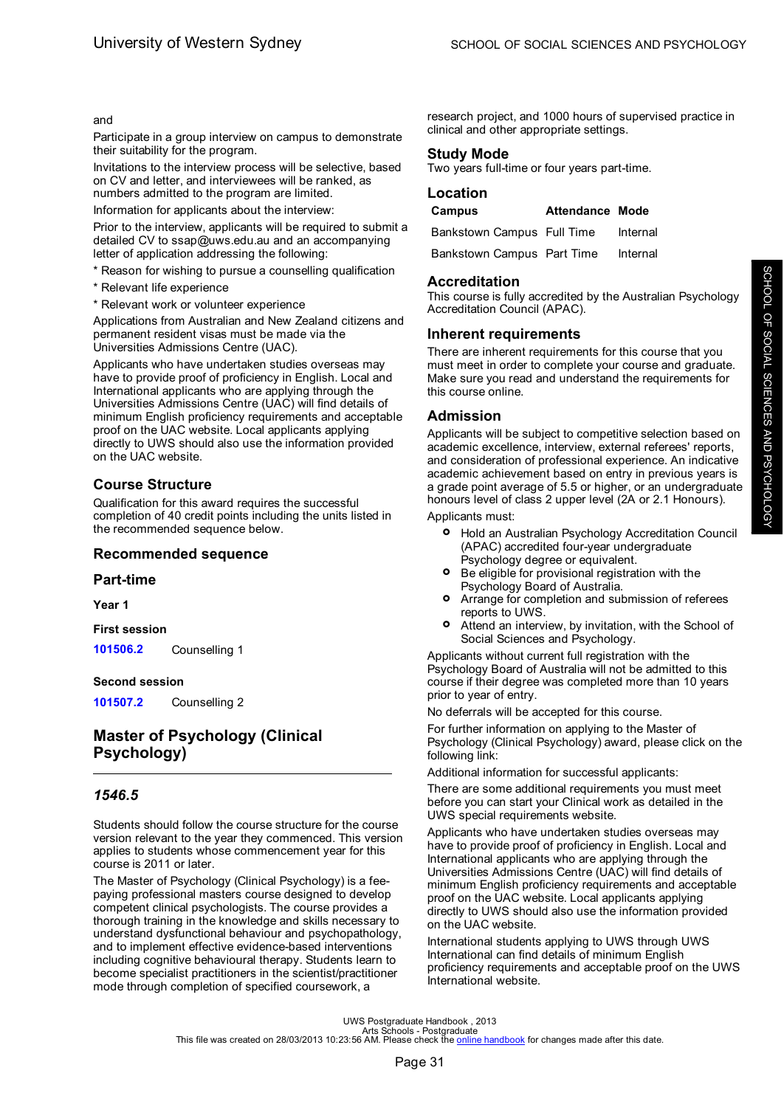#### <span id="page-33-0"></span>and

Participate in a group interview on campus to demonstrate their suitability for the program.

Invitations to the interview process will be selective, based on CV and letter, and interviewees will be ranked, as numbers admitted to the program are limited.

Information for applicants about the interview:

Prior to the interview, applicants will be required to submit a detailed CV to ssap@uws.edu.au and an accompanying letter of application addressing the following:

\* Reason for wishing to pursue a counselling qualification

- \* Relevant life experience
- \* Relevant work or volunteer experience

Applications from Australian and New Zealand citizens and permanent resident visas must be made via the Universities Admissions Centre (UAC).

Applicants who have undertaken studies overseas may have to provide proof of proficiency in English. Local and International applicants who are applying through the Universities Admissions Centre (UAC) will find details of minimum English proficiency requirements and acceptable proof on the UAC website. Local applicants applying directly to UWS should also use the information provided on the UAC website.

# **Course Structure**

Qualification for this award requires the successful completion of 40 credit points including the units listed in the recommended sequence below.

#### **Recommended sequence**

#### **Part-time**

**Year 1**

**First session**

**[101506.2](#page-48-0)** Counselling 1

#### **Second session**

**[101507.2](#page-49-0)** Counselling 2

# **Master of Psychology (Clinical Psychology)**

# *1546.5*

Students should follow the course structure for the course version relevant to the year they commenced. This version applies to students whose commencement year for this course is 2011 or later.

The Master of Psychology (Clinical Psychology) is a feepaying professional masters course designed to develop competent clinical psychologists. The course provides a thorough training in the knowledge and skills necessary to understand dysfunctional behaviour and psychopathology, and to implement effective evidence-based interventions including cognitive behavioural therapy. Students learn to become specialist practitioners in the scientist/practitioner mode through completion of specified coursework, a

research project, and 1000 hours of supervised practice in clinical and other appropriate settings.

### **Study Mode**

Two years full-time or four years part-time.

#### **Location**

| Campus                     | Attendance Mode |          |
|----------------------------|-----------------|----------|
| Bankstown Campus Full Time |                 | Internal |
| Bankstown Campus Part Time |                 | Internal |

#### **Accreditation**

This course is fully accredited by the Australian Psychology Accreditation Council (APAC).

### **Inherent requirements**

There are inherent requirements for this course that you must meet in order to complete your course and graduate. Make sure you read and understand the requirements for this course online.

### **Admission**

Applicants will be subject to competitive selection based on academic excellence, interview, external referees' reports, and consideration of professional experience. An indicative academic achievement based on entry in previous years is a grade point average of 5.5 or higher, or an undergraduate honours level of class 2 upper level (2A or 2.1 Honours).

Applicants must:

- **°** Hold an Australian Psychology Accreditation Council (APAC) accredited four-year undergraduate Psychology degree or equivalent.
- **°** Be eligible for provisional registration with the Psychology Board of Australia.
- **°** Arrange for completion and submission of referees reports to UWS.
- **°** Attend an interview, by invitation, with the School of Social Sciences and Psychology.

Applicants without current full registration with the Psychology Board of Australia will not be admitted to this course if their degree was completed more than 10 years prior to year of entry.

No deferrals will be accepted for this course.

For further information on applying to the Master of Psychology (Clinical Psychology) award, please click on the following link:

Additional information for successful applicants:

There are some additional requirements you must meet before you can start your Clinical work as detailed in the UWS special requirements website.

Applicants who have undertaken studies overseas may have to provide proof of proficiency in English. Local and International applicants who are applying through the Universities Admissions Centre (UAC) will find details of minimum English proficiency requirements and acceptable proof on the UAC website. Local applicants applying directly to UWS should also use the information provided on the UAC website.

International students applying to UWS through UWS International can find details of minimum English proficiency requirements and acceptable proof on the UWS International website.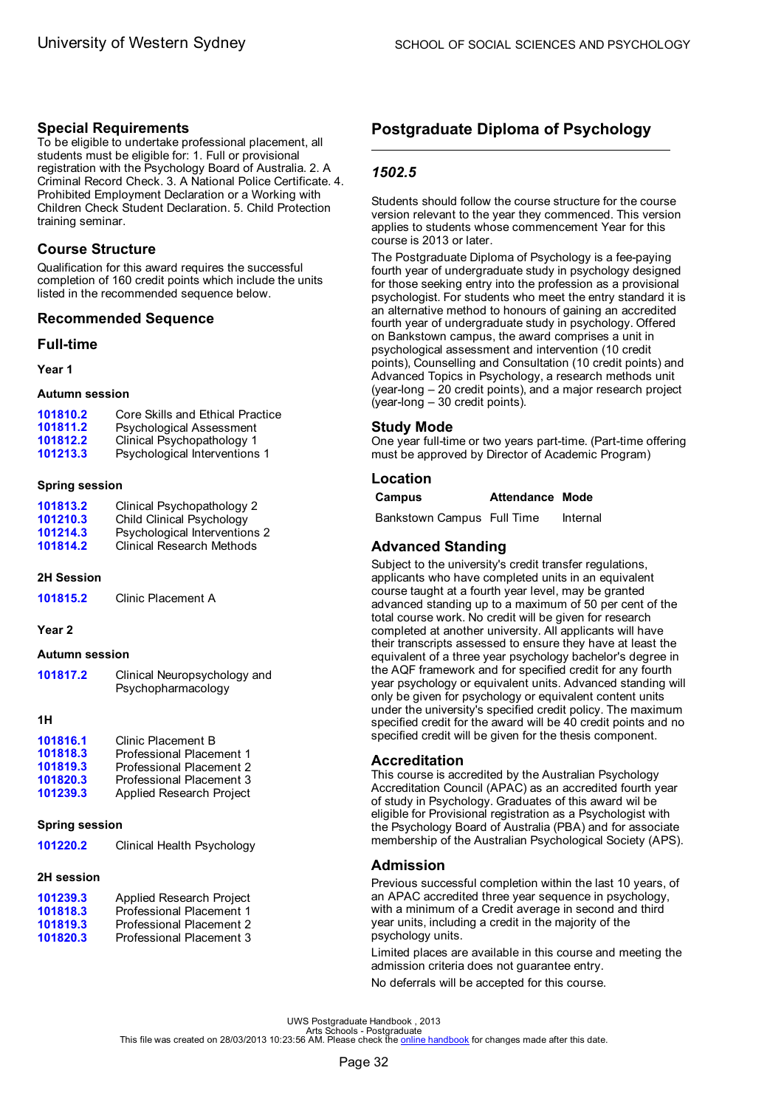# <span id="page-34-0"></span>**Special Requirements**

To be eligible to undertake professional placement, all students must be eligible for: 1. Full or provisional registration with the Psychology Board of Australia. 2. A Criminal Record Check. 3. A National Police Certificate. 4. Prohibited Employment Declaration or a Working with Children Check Student Declaration. 5. Child Protection training seminar.

# **Course Structure**

Qualification for this award requires the successful completion of 160 credit points which include the units listed in the recommended sequence below.

# **Recommended Sequence**

### **Full-time**

**Year 1**

#### **Autumn session**

| 101810.2 | Core Skills and Ethical Practice |
|----------|----------------------------------|
| 101811.2 | Psychological Assessment         |
| 101812.2 | Clinical Psychopathology 1       |
| 101213.3 | Psychological Interventions 1    |

#### **Spring session**

| 101813.2 | Clinical Psychopathology 2       |
|----------|----------------------------------|
| 101210.3 | Child Clinical Psychology        |
| 101214.3 | Psychological Interventions 2    |
| 101814.2 | <b>Clinical Research Methods</b> |

#### **2H Session**

**[101815.2](#page-45-0)** Clinic Placement A

#### **Year 2**

#### **Autumn session**

| 101817.2 | Clinical Neuropsychology and<br>Psychopharmacology |
|----------|----------------------------------------------------|
|          |                                                    |

### **1H**

| 101816.1 | Clinic Placement B              |
|----------|---------------------------------|
| 101818.3 | Professional Placement 1        |
| 101819.3 | Professional Placement 2        |
| 101820.3 | Professional Placement 3        |
| 101239.3 | <b>Applied Research Project</b> |

#### **Spring session**

| 101220.2 | Clinical Health Psychology |
|----------|----------------------------|
|----------|----------------------------|

#### **2H session**

| <b>Applied Research Project</b> |
|---------------------------------|
| Professional Placement 1        |
| Professional Placement 2        |
| Professional Placement 3        |
|                                 |

# **Postgraduate Diploma of Psychology**

# *1502.5*

Students should follow the course structure for the course version relevant to the year they commenced. This version applies to students whose commencement Year for this course is 2013 or later.

The Postgraduate Diploma of Psychology is a fee-paying fourth year of undergraduate study in psychology designed for those seeking entry into the profession as a provisional psychologist. For students who meet the entry standard it is an alternative method to honours of gaining an accredited fourth year of undergraduate study in psychology. Offered on Bankstown campus, the award comprises a unit in psychological assessment and intervention (10 credit points), Counselling and Consultation (10 credit points) and Advanced Topics in Psychology, a research methods unit (year-long – 20 credit points), and a major research project (year-long – 30 credit points).

# **Study Mode**

One year full-time or two years part-time. (Part-time offering must be approved by Director of Academic Program)

# **Location**

#### **Campus Attendance Mode**

Bankstown Campus Full Time Internal

# **Advanced Standing**

Subject to the university's credit transfer regulations. applicants who have completed units in an equivalent course taught at a fourth year level, may be granted advanced standing up to a maximum of 50 per cent of the total course work. No credit will be given for research completed at another university. All applicants will have their transcripts assessed to ensure they have at least the equivalent of a three year psychology bachelor's degree in the AQF framework and for specified credit for any fourth year psychology or equivalent units. Advanced standing will only be given for psychology or equivalent content units under the university's specified credit policy. The maximum specified credit for the award will be 40 credit points and no specified credit will be given for the thesis component.

#### **Accreditation**

This course is accredited by the Australian Psychology Accreditation Council (APAC) as an accredited fourth year of study in Psychology. Graduates of this award wil be eligible for Provisional registration as a Psychologist with the Psychology Board of Australia (PBA) and for associate membership of the Australian Psychological Society (APS).

# **Admission**

Previous successful completion within the last 10 years, of an APAC accredited three year sequence in psychology, with a minimum of a Credit average in second and third year units, including a credit in the majority of the psychology units.

Limited places are available in this course and meeting the admission criteria does not guarantee entry.

No deferrals will be accepted for this course.

UWS Postgraduate Handbook , 2013<br>Arts file was created on 28/03/2013 10:23:56 AM. Please check the <u>online [handbook](http://handbook.uws.edu.au/hbook/)</u> for changes made after this date.<br>This file was created on 28/03/2013 10:23:56 AM. Please check the <u>onl</u>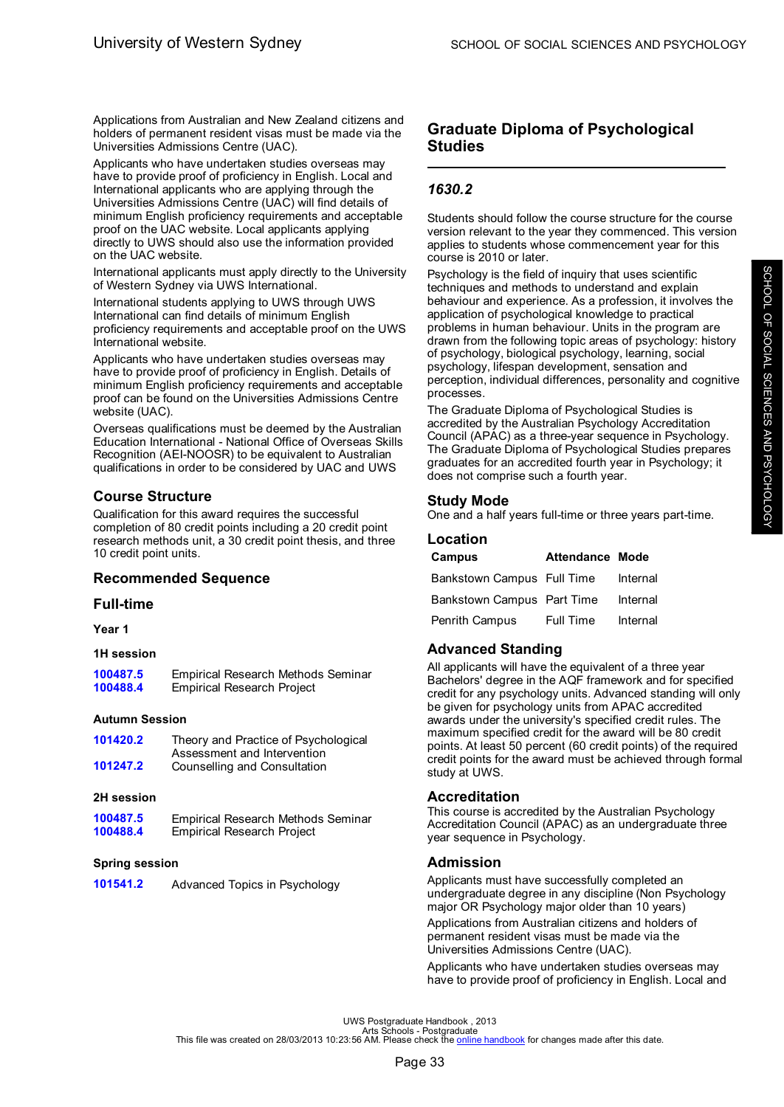<span id="page-35-0"></span>Applications from Australian and New Zealand citizens and holders of permanent resident visas must be made via the Universities Admissions Centre (UAC).

Applicants who have undertaken studies overseas may have to provide proof of proficiency in English. Local and International applicants who are applying through the Universities Admissions Centre (UAC) will find details of minimum English proficiency requirements and acceptable proof on the UAC website. Local applicants applying directly to UWS should also use the information provided on the UAC website.

International applicants must apply directly to the University of Western Sydney via UWS International.

International students applying to UWS through UWS International can find details of minimum English proficiency requirements and acceptable proof on the UWS International website.

Applicants who have undertaken studies overseas may have to provide proof of proficiency in English. Details of minimum English proficiency requirements and acceptable proof can be found on the Universities Admissions Centre website (UAC).

Overseas qualifications must be deemed by the Australian Education International - National Office of Overseas Skills Recognition (AEI-NOOSR) to be equivalent to Australian qualifications in order to be considered by UAC and UWS

# **Course Structure**

Qualification for this award requires the successful completion of 80 credit points including a 20 credit point research methods unit, a 30 credit point thesis, and three 10 credit point units.

#### **Recommended Sequence**

#### **Full-time**

**Year 1**

#### **1H session**

[100487.5](#page-52-0) Empirical Research Methods Seminar<br>**100488.4** Empirical Research Project **Empirical Research Project** 

#### **Autumn Session**

| 101420.2 | Theory and Practice of Psychological |
|----------|--------------------------------------|
|          | Assessment and Intervention          |
| 101247.2 | Counselling and Consultation         |

#### **2H session**

| 100487.5 | Empirical Research Methods Seminar |
|----------|------------------------------------|
| 100488.4 | <b>Empirical Research Project</b>  |

#### **Spring session**

| 101541.2 |  | Advanced Topics in Psychology |
|----------|--|-------------------------------|
|----------|--|-------------------------------|

# **Graduate Diploma of Psychological Studies**

# *1630.2*

Students should follow the course structure for the course version relevant to the year they commenced. This version applies to students whose commencement year for this course is 2010 or later.

Psychology is the field of inquiry that uses scientific techniques and methods to understand and explain behaviour and experience. As a profession, it involves the application of psychological knowledge to practical problems in human behaviour. Units in the program are drawn from the following topic areas of psychology: history of psychology, biological psychology, learning, social psychology, lifespan development, sensation and perception, individual differences, personality and cognitive processes.

The Graduate Diploma of Psychological Studies is accredited by the Australian Psychology Accreditation Council (APAC) as a three-year sequence in Psychology. The Graduate Diploma of Psychological Studies prepares graduates for an accredited fourth year in Psychology; it does not comprise such a fourth year.

# **Study Mode**

One and a half years full-time or three years part-time.

#### **Location**

| Campus                     | <b>Attendance Mode</b> |          |
|----------------------------|------------------------|----------|
| Bankstown Campus Full Time |                        | Internal |
| Bankstown Campus Part Time |                        | Internal |
| Penrith Campus             | Full Time              | Internal |

# **Advanced Standing**

All applicants will have the equivalent of a three year Bachelors' degree in the AQF framework and for specified credit for any psychology units. Advanced standing will only be given for psychology units from APAC accredited awards under the university's specified credit rules. The maximum specified credit for the award will be 80 credit points. At least 50 percent (60 credit points) of the required credit points for the award must be achieved through formal study at UWS.

# **Accreditation**

This course is accredited by the Australian Psychology Accreditation Council (APAC) as an undergraduate three year sequence in Psychology.

# **Admission**

Applicants must have successfully completed an undergraduate degree in any discipline (Non Psychology major OR Psychology major older than 10 years)

Applications from Australian citizens and holders of permanent resident visas must be made via the Universities Admissions Centre (UAC).

Applicants who have undertaken studies overseas may have to provide proof of proficiency in English. Local and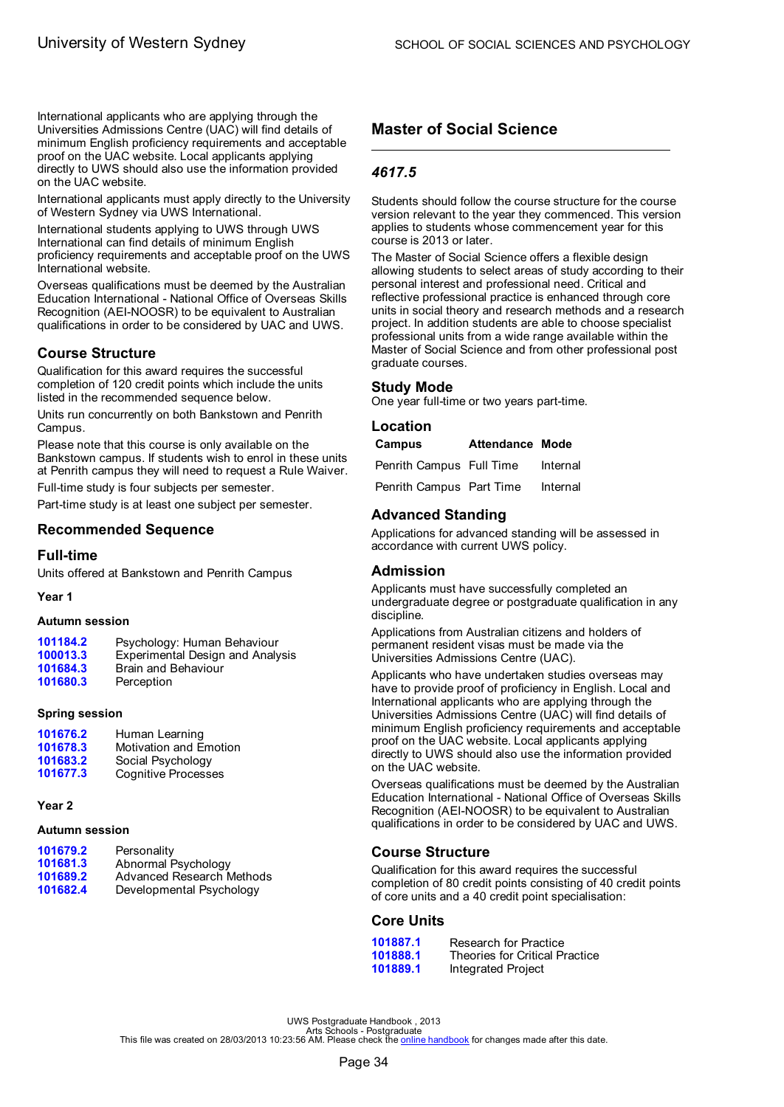International applicants who are applying through the Universities Admissions Centre (UAC) will find details of minimum English proficiency requirements and acceptable proof on the UAC website. Local applicants applying directly to UWS should also use the information provided on the UAC website.

International applicants must apply directly to the University of Western Sydney via UWS International.

International students applying to UWS through UWS International can find details of minimum English proficiency requirements and acceptable proof on the UWS International website.

Overseas qualifications must be deemed by the Australian Education International - National Office of Overseas Skills Recognition (AEI-NOOSR) to be equivalent to Australian qualifications in order to be considered by UAC and UWS.

# **Course Structure**

Qualification for this award requires the successful completion of 120 credit points which include the units listed in the recommended sequence below.

Units run concurrently on both Bankstown and Penrith Campus.

Please note that this course is only available on the Bankstown campus. If students wish to enrol in these units at Penrith campus they will need to request a Rule Waiver.

Full-time study is four subjects per semester.

Part-time study is at least one subject per semester.

# **Recommended Sequence**

### **Full-time**

Units offered at Bankstown and Penrith Campus

### **Year 1**

### **Autumn session**

| 101184.2<br>100013.3 | Psychology: Human Behaviour<br><b>Experimental Design and Analysis</b> |
|----------------------|------------------------------------------------------------------------|
| 101684.3             | Brain and Behaviour                                                    |
| 101680.3             | Perception                                                             |

### **Spring session**

| 101676.2 | Human Learning                |
|----------|-------------------------------|
| 101678.3 | <b>Motivation and Emotion</b> |
| 101683.2 | Social Psychology             |
| 101677.3 | <b>Cognitive Processes</b>    |

### **Year 2**

### **Autumn session**

| 101679.2 | Personality               |
|----------|---------------------------|
| 101681.3 | Abnormal Psychology       |
| 101689.2 | Advanced Research Methods |
| 101682.4 | Developmental Psychology  |

# **Master of Social Science**

# *4617.5*

Students should follow the course structure for the course version relevant to the year they commenced. This version applies to students whose commencement year for this course is 2013 or later.

The Master of Social Science offers a flexible design allowing students to select areas of study according to their personal interest and professional need. Critical and reflective professional practice is enhanced through core units in social theory and research methods and a research project. In addition students are able to choose specialist professional units from a wide range available within the Master of Social Science and from other professional post graduate courses.

### **Study Mode**

One year full-time or two years part-time.

### **Location**

| Campus                   | <b>Attendance Mode</b> |          |  |
|--------------------------|------------------------|----------|--|
| Penrith Campus Full Time |                        | Internal |  |
| Penrith Campus Part Time |                        | Internal |  |

# **Advanced Standing**

Applications for advanced standing will be assessed in accordance with current UWS policy.

### **Admission**

Applicants must have successfully completed an undergraduate degree or postgraduate qualification in any discipline.

Applications from Australian citizens and holders of permanent resident visas must be made via the Universities Admissions Centre (UAC).

Applicants who have undertaken studies overseas may have to provide proof of proficiency in English. Local and International applicants who are applying through the Universities Admissions Centre (UAC) will find details of minimum English proficiency requirements and acceptable proof on the UAC website. Local applicants applying directly to UWS should also use the information provided on the UAC website.

Overseas qualifications must be deemed by the Australian Education International - National Office of Overseas Skills Recognition (AEI-NOOSR) to be equivalent to Australian qualifications in order to be considered by UAC and UWS.

# **Course Structure**

Qualification for this award requires the successful completion of 80 credit points consisting of 40 credit points of core units and a 40 credit point specialisation:

### **Core Units**

| 101887.1 | Research for Practice                 |
|----------|---------------------------------------|
| 101888.1 | <b>Theories for Critical Practice</b> |
| 101889.1 | Integrated Project                    |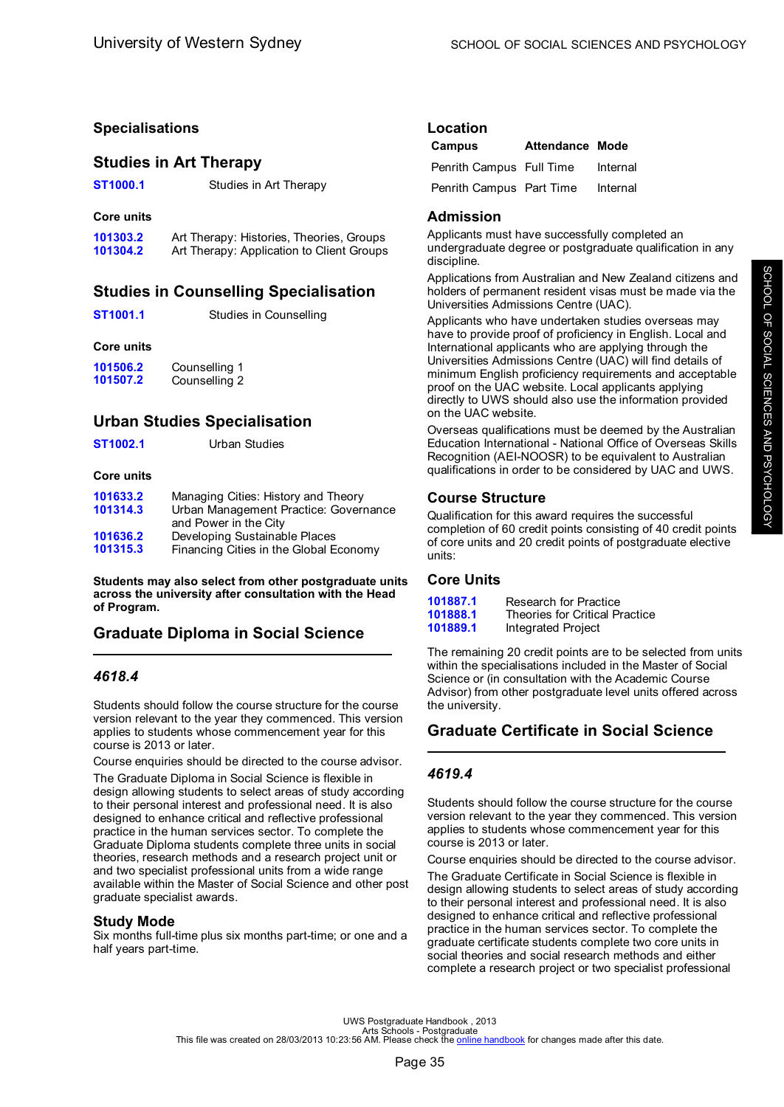# **Specialisations**

# **Studies in Art Therapy**

**[ST1000.1](#page-42-0)** Studies in Art Therapy

### **Core units**

| 101303.2 | Art Therapy: Histories, Theories, Groups  |
|----------|-------------------------------------------|
| 101304.2 | Art Therapy: Application to Client Groups |

# **Studies in Counselling Specialisation**

### **Core units**

| 101506.2 | Counselling 1 |
|----------|---------------|
| 101507.2 | Counselling 2 |

# **Urban Studies Specialisation**

| Urban Studies |
|---------------|
|               |

### **Core units**

| 101633.2 | Managing Cities: History and Theory    |
|----------|----------------------------------------|
| 101314.3 | Urban Management Practice: Governance  |
|          | and Power in the City                  |
| 101636.2 | Developing Sustainable Places          |
| 101315.3 | Financing Cities in the Global Economy |

**Students may also select from other postgraduate units across the university after consultation with the Head of Program.**

# **Graduate Diploma in Social Science**

# *4618.4*

Students should follow the course structure for the course version relevant to the year they commenced. This version applies to students whose commencement year for this course is 2013 or later.

Course enquiries should be directed to the course advisor.

The Graduate Diploma in Social Science is flexible in design allowing students to select areas of study according to their personal interest and professional need. It is also designed to enhance critical and reflective professional practice in the human services sector. To complete the Graduate Diploma students complete three units in social theories, research methods and a research project unit or and two specialist professional units from a wide range available within the Master of Social Science and other post graduate specialist awards.

### **Study Mode**

Six months full-time plus six months part-time; or one and a half years part-time.

| Location |  |
|----------|--|
|          |  |

| Campus                   | <b>Attendance Mode</b> |          |
|--------------------------|------------------------|----------|
| Penrith Campus Full Time |                        | Internal |
| Penrith Campus Part Time |                        | Internal |

# **Admission**

Applicants must have successfully completed an undergraduate degree or postgraduate qualification in any discipline.

Applications from Australian and New Zealand citizens and holders of permanent resident visas must be made via the Universities Admissions Centre (UAC).

Applicants who have undertaken studies overseas may have to provide proof of proficiency in English. Local and International applicants who are applying through the Universities Admissions Centre (UAC) will find details of minimum English proficiency requirements and acceptable proof on the UAC website. Local applicants applying directly to UWS should also use the information provided on the UAC website.

Overseas qualifications must be deemed by the Australian Education International - National Office of Overseas Skills Recognition (AEI-NOOSR) to be equivalent to Australian qualifications in order to be considered by UAC and UWS.

# **Course Structure**

Qualification for this award requires the successful completion of 60 credit points consisting of 40 credit points of core units and 20 credit points of postgraduate elective units:

# **Core Units**

| 101887.1 | Research for Practice                 |
|----------|---------------------------------------|
| 101888.1 | <b>Theories for Critical Practice</b> |
| 101889.1 | Integrated Project                    |

The remaining 20 credit points are to be selected from units within the specialisations included in the Master of Social Science or (in consultation with the Academic Course Advisor) from other postgraduate level units offered across the university.

# **Graduate Certificate in Social Science**

# *4619.4*

Students should follow the course structure for the course version relevant to the year they commenced. This version applies to students whose commencement year for this course is 2013 or later.

Course enquiries should be directed to the course advisor.

The Graduate Certificate in Social Science is flexible in design allowing students to select areas of study according to their personal interest and professional need. It is also designed to enhance critical and reflective professional practice in the human services sector. To complete the graduate certificate students complete two core units in social theories and social research methods and either complete a research project or two specialist professional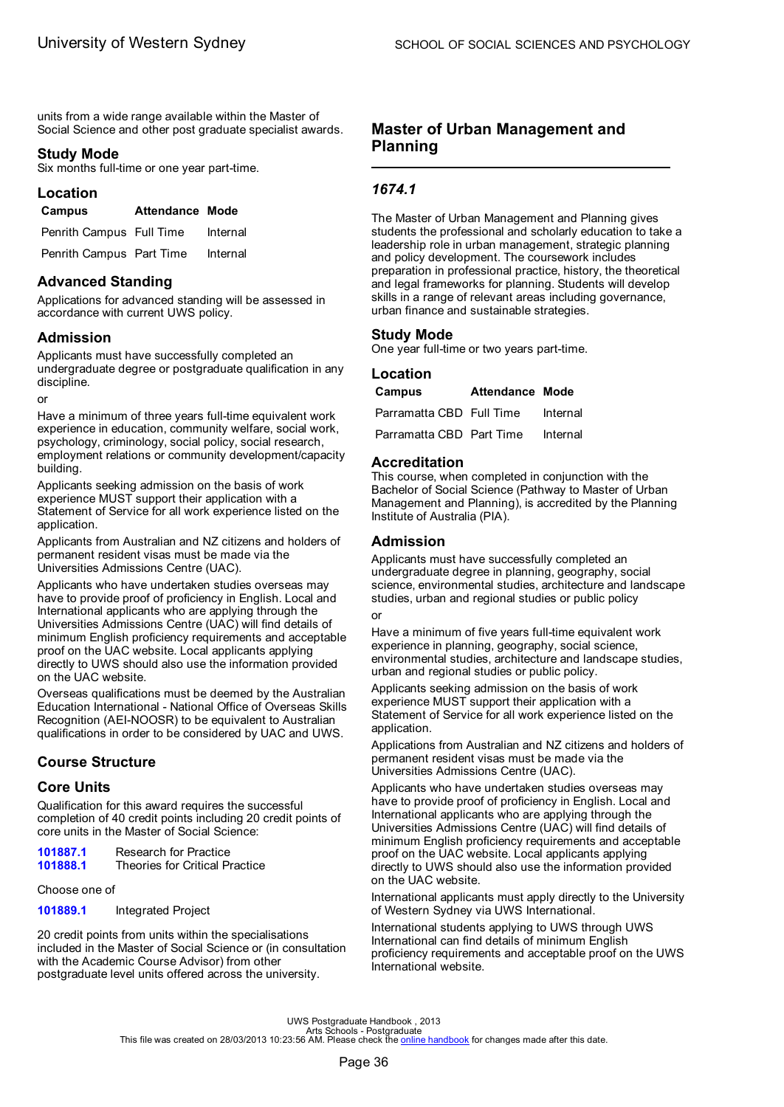units from a wide range available within the Master of Social Science and other post graduate specialist awards.

# **Study Mode**

Six months full-time or one year part-time.

### **Location**

| Campus                   | <b>Attendance Mode</b> |          |
|--------------------------|------------------------|----------|
| Penrith Campus Full Time |                        | Internal |

Penrith Campus Part Time Internal

# **Advanced Standing**

Applications for advanced standing will be assessed in accordance with current UWS policy.

# **Admission**

Applicants must have successfully completed an undergraduate degree or postgraduate qualification in any discipline.

or

Have a minimum of three years full-time equivalent work experience in education, community welfare, social work, psychology, criminology, social policy, social research, employment relations or community development/capacity building.

Applicants seeking admission on the basis of work experience MUST support their application with a Statement of Service for all work experience listed on the application.

Applicants from Australian and NZ citizens and holders of permanent resident visas must be made via the Universities Admissions Centre (UAC).

Applicants who have undertaken studies overseas may have to provide proof of proficiency in English. Local and International applicants who are applying through the Universities Admissions Centre (UAC) will find details of minimum English proficiency requirements and acceptable proof on the UAC website. Local applicants applying directly to UWS should also use the information provided on the UAC website.

Overseas qualifications must be deemed by the Australian Education International - National Office of Overseas Skills Recognition (AEI-NOOSR) to be equivalent to Australian qualifications in order to be considered by UAC and UWS.

# **Course Structure**

# **Core Units**

Qualification for this award requires the successful completion of 40 credit points including 20 credit points of core units in the Master of Social Science:

[101887.1](#page-69-0) Research for Practice<br>101888.1 Theories for Critical P **Theories for Critical Practice** 

Choose one of

**[101889.1](#page-56-0)** Integrated Project

20 credit points from units within the specialisations included in the Master of Social Science or (in consultation with the Academic Course Advisor) from other postgraduate level units offered across the university.

# **Master of Urban Management and Planning**

# *1674.1*

The Master of Urban Management and Planning gives students the professional and scholarly education to take a leadership role in urban management, strategic planning and policy development. The coursework includes preparation in professional practice, history, the theoretical and legal frameworks for planning. Students will develop skills in a range of relevant areas including governance, urban finance and sustainable strategies.

# **Study Mode**

One year full-time or two years part-time.

### **Location**

| Campus                   | Attendance Mode |          |
|--------------------------|-----------------|----------|
| Parramatta CBD Full Time |                 | Internal |
| Parramatta CBD Part Time |                 | Internal |

### **Accreditation**

This course, when completed in conjunction with the Bachelor of Social Science (Pathway to Master of Urban Management and Planning), is accredited by the Planning Institute of Australia (PIA).

### **Admission**

Applicants must have successfully completed an undergraduate degree in planning, geography, social science, environmental studies, architecture and landscape studies, urban and regional studies or public policy or

Have a minimum of five years full-time equivalent work experience in planning, geography, social science, environmental studies, architecture and landscape studies, urban and regional studies or public policy.

Applicants seeking admission on the basis of work experience MUST support their application with a Statement of Service for all work experience listed on the application.

Applications from Australian and NZ citizens and holders of permanent resident visas must be made via the Universities Admissions Centre (UAC).

Applicants who have undertaken studies overseas may have to provide proof of proficiency in English. Local and International applicants who are applying through the Universities Admissions Centre (UAC) will find details of minimum English proficiency requirements and acceptable proof on the UAC website. Local applicants applying directly to UWS should also use the information provided on the UAC website.

International applicants must apply directly to the University of Western Sydney via UWS International.

International students applying to UWS through UWS International can find details of minimum English proficiency requirements and acceptable proof on the UWS International website.

UWS Postgraduate Handbook , 2013<br>Arts file was created on 28/03/2013 10:23:56 AM. Please check the <u>online [handbook](http://handbook.uws.edu.au/hbook/)</u> for changes made after this date.<br>This file was created on 28/03/2013 10:23:56 AM. Please check the <u>onl</u>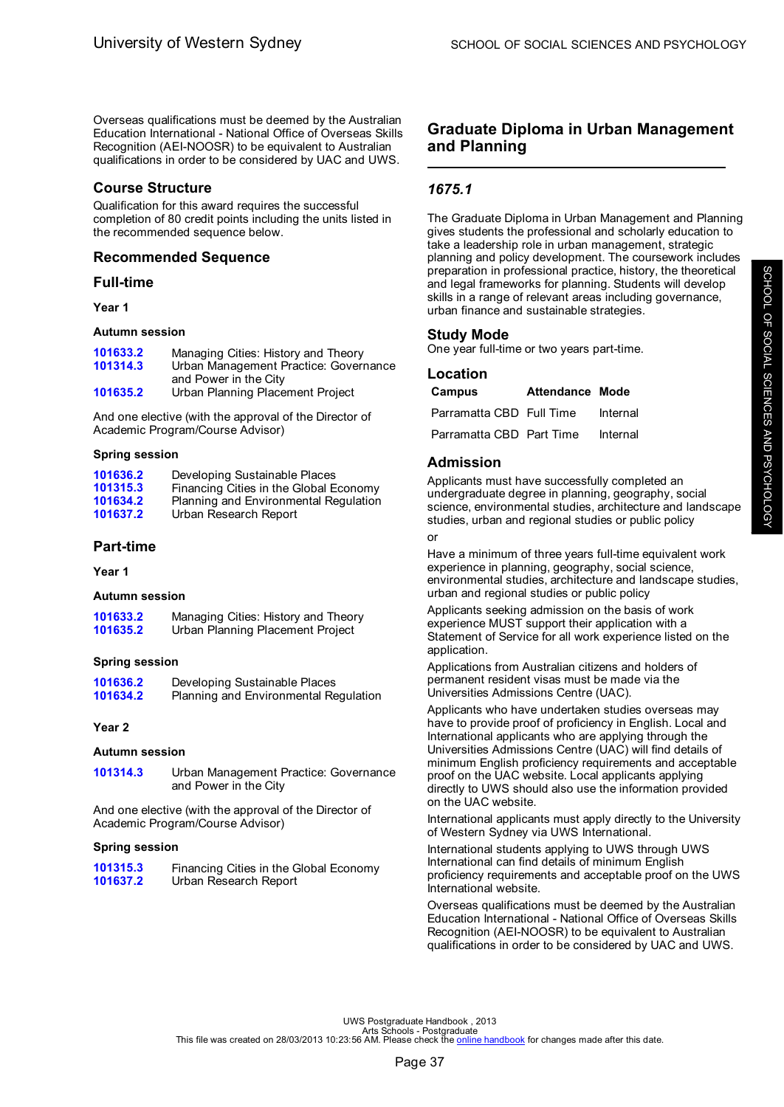Overseas qualifications must be deemed by the Australian Education International - National Office of Overseas Skills Recognition (AEI-NOOSR) to be equivalent to Australian qualifications in order to be considered by UAC and UWS.

### **Course Structure**

Qualification for this award requires the successful completion of 80 credit points including the units listed in the recommended sequence below.

### **Recommended Sequence**

### **Full-time**

### **Year 1**

### **Autumn session**

| 101633.2 | Managing Cities: History and Theory   |
|----------|---------------------------------------|
| 101314.3 | Urban Management Practice: Governance |
|          | and Power in the City                 |
| 101635.2 | Urban Planning Placement Project      |

And one elective (with the approval of the Director of Academic Program/Course Advisor)

### **Spring session**

| 101636.2 | Developing Sustainable Places          |
|----------|----------------------------------------|
| 101315.3 | Financing Cities in the Global Economy |
| 101634.2 | Planning and Environmental Regulation  |
| 101637.2 | Urban Research Report                  |

# **Part-time**

**Year 1**

### **Autumn session**

**[101633.2](#page-60-0)** Managing Cities: History and Theory **[101635.2](#page-74-0)** Urban Planning Placement Project

### **Spring session**

**[101636.2](#page-50-0)** Developing Sustainable Places<br>**101634.2** Planning and Environmental Re **[101634.2](#page-62-0)** Planning and Environmental Regulation

### **Year 2**

### **Autumn session**

**[101314.3](#page-74-0)** Urban Management Practice: Governance and Power in the City

And one elective (with the approval of the Director of Academic Program/Course Advisor)

### **Spring session**

| 101315.3 | Financing Cities in the Global Economy |
|----------|----------------------------------------|
| 101637.2 | Urban Research Report                  |

# **Graduate Diploma in Urban Management and Planning**

# *1675.1*

The Graduate Diploma in Urban Management and Planning gives students the professional and scholarly education to take a leadership role in urban management, strategic planning and policy development. The coursework includes preparation in professional practice, history, the theoretical and legal frameworks for planning. Students will develop skills in a range of relevant areas including governance, urban finance and sustainable strategies.

### **Study Mode**

One year full-time or two years part-time.

### **Location**

| Campus                   | Attendance Mode |          |
|--------------------------|-----------------|----------|
| Parramatta CBD Full Time |                 | Internal |
| Parramatta CBD Part Time |                 | Internal |

# **Admission**

Applicants must have successfully completed an undergraduate degree in planning, geography, social science, environmental studies, architecture and landscape studies, urban and regional studies or public policy

#### or

Have a minimum of three years full-time equivalent work experience in planning, geography, social science, environmental studies, architecture and landscape studies, urban and regional studies or public policy

Applicants seeking admission on the basis of work experience MUST support their application with a Statement of Service for all work experience listed on the application.

Applications from Australian citizens and holders of permanent resident visas must be made via the Universities Admissions Centre (UAC).

Applicants who have undertaken studies overseas may have to provide proof of proficiency in English. Local and International applicants who are applying through the Universities Admissions Centre (UAC) will find details of minimum English proficiency requirements and acceptable proof on the UAC website. Local applicants applying directly to UWS should also use the information provided on the UAC website.

International applicants must apply directly to the University of Western Sydney via UWS International.

International students applying to UWS through UWS International can find details of minimum English proficiency requirements and acceptable proof on the UWS International website.

Overseas qualifications must be deemed by the Australian Education International - National Office of Overseas Skills Recognition (AEI-NOOSR) to be equivalent to Australian qualifications in order to be considered by UAC and UWS.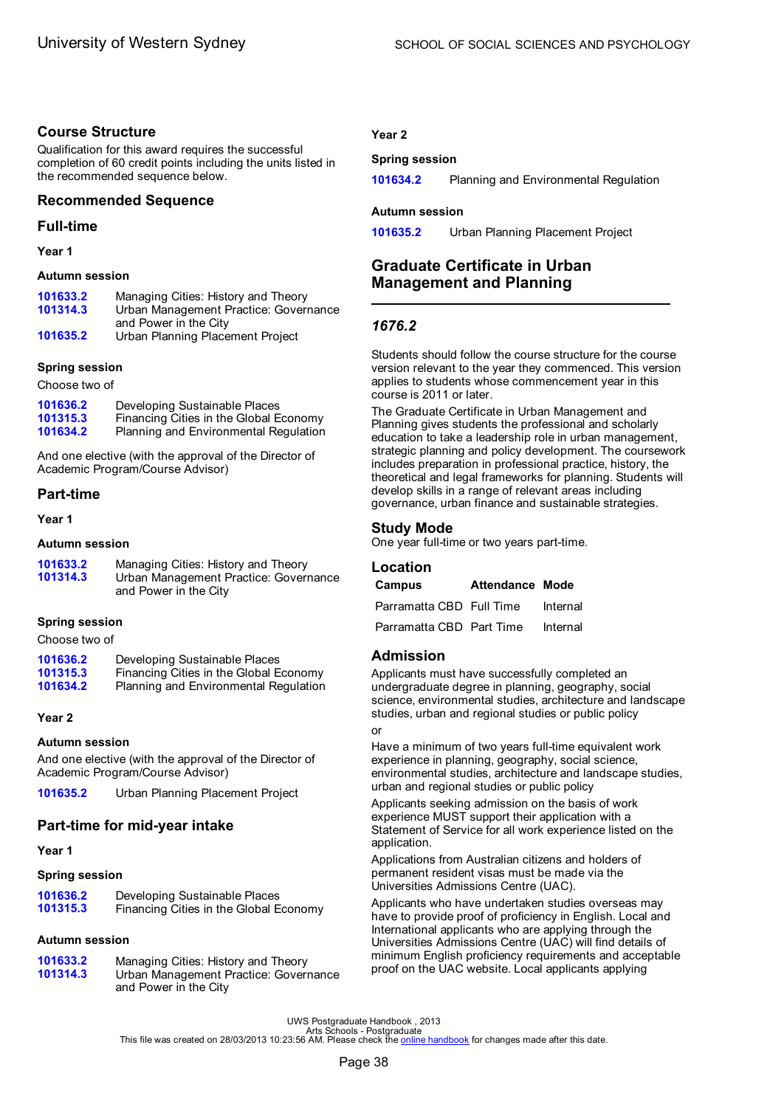# **Course Structure**

Qualification for this award requires the successful completion of 60 credit points including the units listed in the recommended sequence below.

# **Recommended Sequence**

# **Full-time**

**Year 1**

### **Autumn session**

| 101633.2 | Managing Cities: History and Theory   |
|----------|---------------------------------------|
| 101314.3 | Urban Management Practice: Governance |
|          | and Power in the City                 |
| 101635.2 | Urban Planning Placement Project      |

### **Spring session**

Choose two of

| 101636.2 | Developing Sustainable Places          |
|----------|----------------------------------------|
| 101315.3 | Financing Cities in the Global Economy |
| 101634.2 | Planning and Environmental Regulation  |

And one elective (with the approval of the Director of Academic Program/Course Advisor)

# **Part-time**

**Year 1**

### **Autumn session**

| 101633.2<br>101314.3 | Managing Cities: History and Theory<br>Urban Management Practice: Governance<br>and Power in the City |
|----------------------|-------------------------------------------------------------------------------------------------------|
|                      |                                                                                                       |

### **Spring session**

Choose two of

| 101636.2 | Developing Sustainable Places          |
|----------|----------------------------------------|
| 101315.3 | Financing Cities in the Global Economy |
| 101634.2 | Planning and Environmental Regulation  |

### **Year 2**

### **Autumn session**

And one elective (with the approval of the Director of Academic Program/Course Advisor)

**[101635.2](#page-74-0)** Urban Planning Placement Project

# **Part-time for mid-year intake**

**Year 1**

### **Spring session**

| 101636.2 | Developing Sustainable Places          |
|----------|----------------------------------------|
| 101315.3 | Financing Cities in the Global Economy |

### **Autumn session**

| 101633.2<br>101314.3 | Managing Cities: History and Theory<br>Urban Management Practice: Governance<br>and Power in the City |
|----------------------|-------------------------------------------------------------------------------------------------------|
|                      |                                                                                                       |

### **Year 2**

### **Spring session**

**[101634.2](#page-62-0)** Planning and Environmental Regulation

### **Autumn session**

**[101635.2](#page-74-0)** Urban Planning Placement Project

# **Graduate Certificate in Urban Management and Planning**

# *1676.2*

Students should follow the course structure for the course version relevant to the year they commenced. This version applies to students whose commencement year in this course is 2011 or later.

The Graduate Certificate in Urban Management and Planning gives students the professional and scholarly education to take a leadership role in urban management, strategic planning and policy development. The coursework includes preparation in professional practice, history, the theoretical and legal frameworks for planning. Students will develop skills in a range of relevant areas including governance, urban finance and sustainable strategies.

# **Study Mode**

One year full-time or two years part-time.

### **Location**

| Campus                   | Attendance Mode |          |
|--------------------------|-----------------|----------|
| Parramatta CBD Full Time |                 | Internal |
| Parramatta CBD Part Time |                 | Internal |

# **Admission**

Applicants must have successfully completed an undergraduate degree in planning, geography, social science, environmental studies, architecture and landscape studies, urban and regional studies or public policy or

Have a minimum of two years full-time equivalent work experience in planning, geography, social science, environmental studies, architecture and landscape studies, urban and regional studies or public policy

Applicants seeking admission on the basis of work experience MUST support their application with a Statement of Service for all work experience listed on the application.

Applications from Australian citizens and holders of permanent resident visas must be made via the Universities Admissions Centre (UAC).

Applicants who have undertaken studies overseas may have to provide proof of proficiency in English. Local and International applicants who are applying through the Universities Admissions Centre (UAC) will find details of minimum English proficiency requirements and acceptable proof on the UAC website. Local applicants applying

UWS Postgraduate Handbook , 2013<br>Arts file was created on 28/03/2013 10:23:56 AM. Please check the <u>online [handbook](http://handbook.uws.edu.au/hbook/)</u> for changes made after this date.<br>This file was created on 28/03/2013 10:23:56 AM. Please check the <u>onl</u>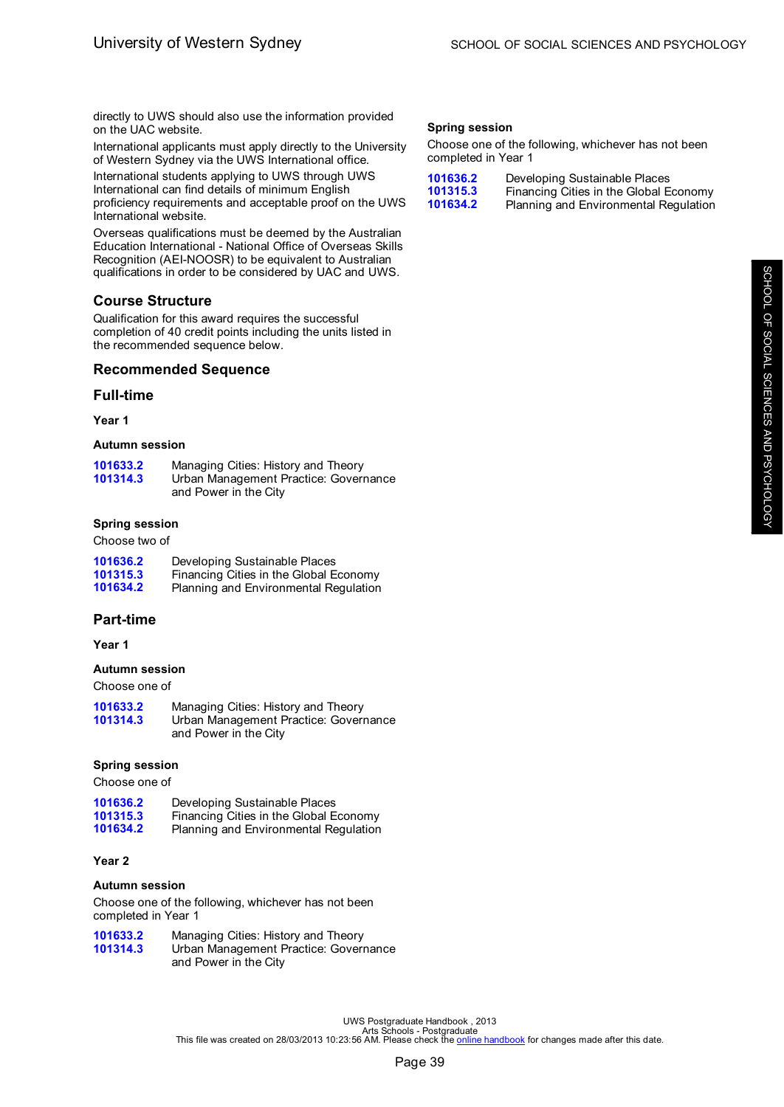directly to UWS should also use the information provided on the UAC website.

International applicants must apply directly to the University of Western Sydney via the UWS International office.

International students applying to UWS through UWS International can find details of minimum English proficiency requirements and acceptable proof on the UWS International website.

Overseas qualifications must be deemed by the Australian Education International - National Office of Overseas Skills Recognition (AEI-NOOSR) to be equivalent to Australian qualifications in order to be considered by UAC and UWS.

# **Course Structure**

Qualification for this award requires the successful completion of 40 credit points including the units listed in the recommended sequence below.

### **Recommended Sequence**

### **Full-time**

**Year 1**

### **Autumn session**

| 101633.2 | Managing Cities: History and Theory   |
|----------|---------------------------------------|
| 101314.3 | Urban Management Practice: Governance |
|          | and Power in the City                 |

### **Spring session**

Choose two of

| 101636.2 | Developing Sustainable Places          |
|----------|----------------------------------------|
| 101315.3 | Financing Cities in the Global Economy |
| 101634.2 | Planning and Environmental Regulation  |

### **Part-time**

**Year 1**

### **Autumn session**

Choose one of

| 101633.2 | Managing Cities: History and Theory   |
|----------|---------------------------------------|
| 101314.3 | Urban Management Practice: Governance |
|          | and Power in the City                 |

### **Spring session**

Choose one of

| 101636.2 | Developing Sustainable Places          |
|----------|----------------------------------------|
| 101315.3 | Financing Cities in the Global Economy |
| 101634.2 | Planning and Environmental Regulation  |

### **Year 2**

### **Autumn session**

Choose one of the following, whichever has not been completed in Year 1

| 101633.2 | Managing Cities: History and Theory   |
|----------|---------------------------------------|
| 101314.3 | Urban Management Practice: Governance |
|          | and Power in the City                 |

# **Spring session**

Choose one of the following, whichever has not been completed in Year 1

| 101636.2 | Developing Sustainable Places          |
|----------|----------------------------------------|
| 101315.3 | Financing Cities in the Global Economy |
| 101634.2 | Planning and Environmental Regulation  |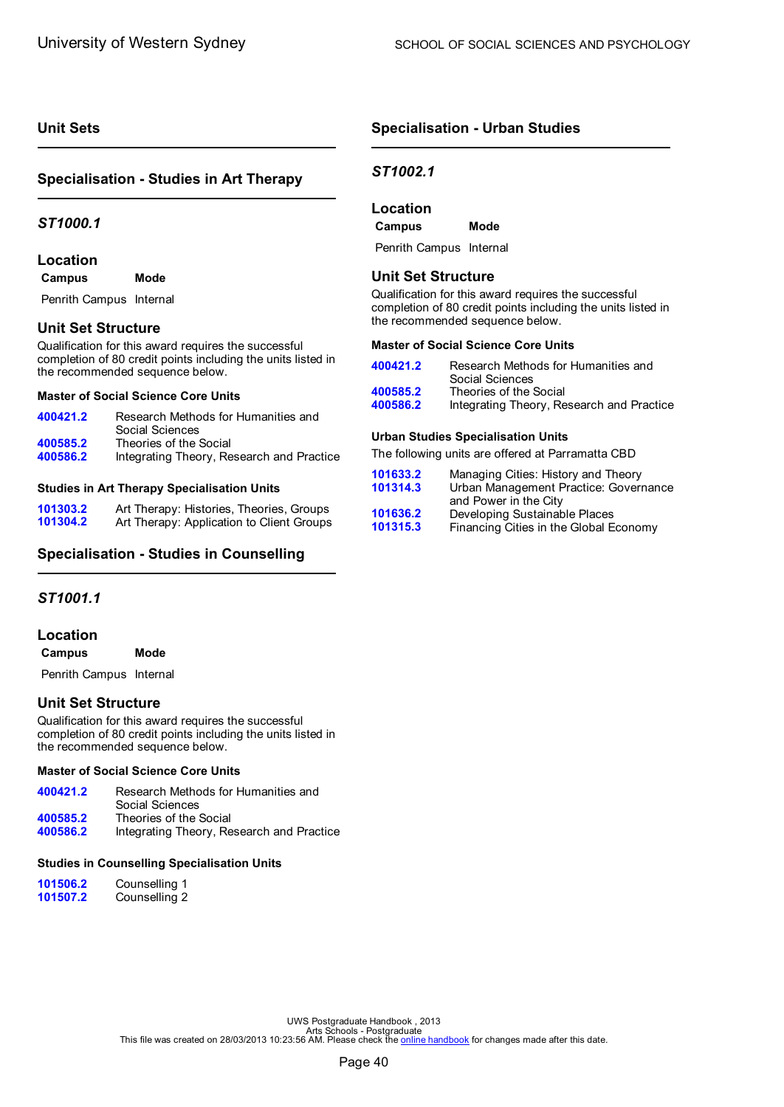# <span id="page-42-0"></span>**Unit Sets**

# **Specialisation - Studies in Art Therapy**

### *ST1000.1*

# **Location**

| Campus | Mode |
|--------|------|
|--------|------|

Penrith Campus Internal

# **Unit Set Structure**

Qualification for this award requires the successful completion of 80 credit points including the units listed in the recommended sequence below.

### **Master of Social Science Core Units**

| 400421.2             | Research Methods for Humanities and<br>Social Sciences              |
|----------------------|---------------------------------------------------------------------|
| 400585.2<br>400586.2 | Theories of the Social<br>Integrating Theory, Research and Practice |
|                      |                                                                     |

### **Studies in Art Therapy Specialisation Units**

| 101303.2 | Art Therapy: Histories, Theories, Groups  |
|----------|-------------------------------------------|
| 101304.2 | Art Therapy: Application to Client Groups |

### **Specialisation - Studies in Counselling**

### *ST1001.1*

### **Location**

**Campus Mode**

Penrith Campus Internal

# **Unit Set Structure**

Qualification for this award requires the successful completion of 80 credit points including the units listed in the recommended sequence below.

### **Master of Social Science Core Units**

| 400421.2 | Research Methods for Humanities and<br>Social Sciences |
|----------|--------------------------------------------------------|
| 400585.2 | Theories of the Social                                 |
| 400586.2 | Integrating Theory, Research and Practice              |

### **Studies in Counselling Specialisation Units**

| 101506.2 | Counselling 1 |
|----------|---------------|
| 101507.2 | Counselling 2 |

# **Specialisation - Urban Studies**

# *ST1002.1*

# **Location**

**Campus Mode**

Penrith Campus Internal

### **Unit Set Structure**

Qualification for this award requires the successful completion of 80 credit points including the units listed in the recommended sequence below.

### **Master of Social Science Core Units**

| 400421.2 | Research Methods for Humanities and<br>Social Sciences |
|----------|--------------------------------------------------------|
| 400585.2 | Theories of the Social                                 |
| 400586.2 | Integrating Theory, Research and Practice              |

### **Urban Studies Specialisation Units**

The following units are offered at Parramatta CBD

| 101633.2 | Managing Cities: History and Theory    |
|----------|----------------------------------------|
| 101314.3 | Urban Management Practice: Governance  |
|          | and Power in the City                  |
| 101636.2 | Developing Sustainable Places          |
| 101315.3 | Financing Cities in the Global Economy |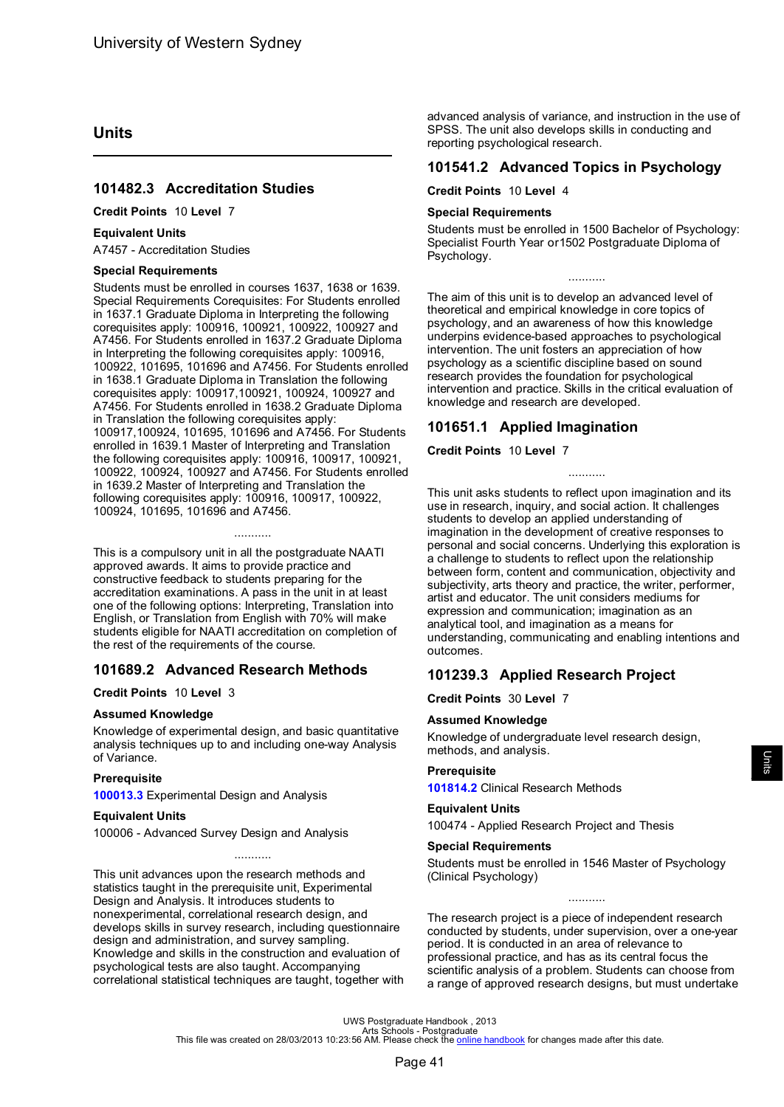# <span id="page-43-0"></span>**Units**

# **101482.3 Accreditation Studies**

### **Credit Points** 10 **Level** 7

### **Equivalent Units**

A7457 - Accreditation Studies

#### **Special Requirements**

Students must be enrolled in courses 1637, 1638 or 1639. Special Requirements Corequisites: For Students enrolled in 1637.1 Graduate Diploma in Interpreting the following corequisites apply: 100916, 100921, 100922, 100927 and A7456. For Students enrolled in 1637.2 Graduate Diploma in Interpreting the following corequisites apply: 100916, 100922, 101695, 101696 and A7456. For Students enrolled in 1638.1 Graduate Diploma in Translation the following corequisites apply: 100917,100921, 100924, 100927 and A7456. For Students enrolled in 1638.2 Graduate Diploma in Translation the following corequisites apply: 100917,100924, 101695, 101696 and A7456. For Students enrolled in 1639.1 Master of Interpreting and Translation the following corequisites apply: 100916, 100917, 100921, 100922, 100924, 100927 and A7456. For Students enrolled in 1639.2 Master of Interpreting and Translation the following corequisites apply: 100916, 100917, 100922, 100924, 101695, 101696 and A7456.

This is a compulsory unit in all the postgraduate NAATI approved awards. It aims to provide practice and constructive feedback to students preparing for the accreditation examinations. A pass in the unit in at least one of the following options: Interpreting, Translation into English, or Translation from English with 70% will make students eligible for NAATI accreditation on completion of the rest of the requirements of the course.

...........

# **101689.2 Advanced Research Methods**

### **Credit Points** 10 **Level** 3

### **Assumed Knowledge**

Knowledge of experimental design, and basic quantitative analysis techniques up to and including one-way Analysis of Variance.

#### **Prerequisite**

**[100013.3](#page-54-0)** Experimental Design and Analysis

### **Equivalent Units**

100006 - Advanced Survey Design and Analysis

This unit advances upon the research methods and statistics taught in the prerequisite unit, Experimental Design and Analysis. It introduces students to nonexperimental, correlational research design, and develops skills in survey research, including questionnaire design and administration, and survey sampling. Knowledge and skills in the construction and evaluation of psychological tests are also taught. Accompanying correlational statistical techniques are taught, together with

...........

advanced analysis of variance, and instruction in the use of SPSS. The unit also develops skills in conducting and reporting psychological research.

### **101541.2 Advanced Topics in Psychology**

#### **Credit Points** 10 **Level** 4

#### **Special Requirements**

Students must be enrolled in 1500 Bachelor of Psychology: Specialist Fourth Year or1502 Postgraduate Diploma of Psychology.

...........

The aim of this unit is to develop an advanced level of theoretical and empirical knowledge in core topics of psychology, and an awareness of how this knowledge underpins evidence-based approaches to psychological intervention. The unit fosters an appreciation of how psychology as a scientific discipline based on sound research provides the foundation for psychological intervention and practice. Skills in the critical evaluation of knowledge and research are developed.

### **101651.1 Applied Imagination**

### **Credit Points** 10 **Level** 7

This unit asks students to reflect upon imagination and its use in research, inquiry, and social action. It challenges students to develop an applied understanding of imagination in the development of creative responses to personal and social concerns. Underlying this exploration is a challenge to students to reflect upon the relationship between form, content and communication, objectivity and subjectivity, arts theory and practice, the writer, performer, artist and educator. The unit considers mediums for expression and communication; imagination as an analytical tool, and imagination as a means for understanding, communicating and enabling intentions and outcomes.

...........

# **101239.3 Applied Research Project**

**Credit Points** 30 **Level** 7

### **Assumed Knowledge**

Knowledge of undergraduate level research design, methods, and analysis.

### **Prerequisite**

**[101814.2](#page-46-0)** Clinical Research Methods

### **Equivalent Units**

100474 - Applied Research Project and Thesis

#### **Special Requirements**

Students must be enrolled in 1546 Master of Psychology (Clinical Psychology)

The research project is a piece of independent research conducted by students, under supervision, over a one-year period. It is conducted in an area of relevance to professional practice, and has as its central focus the scientific analysis of a problem. Students can choose from a range of approved research designs, but must undertake

...........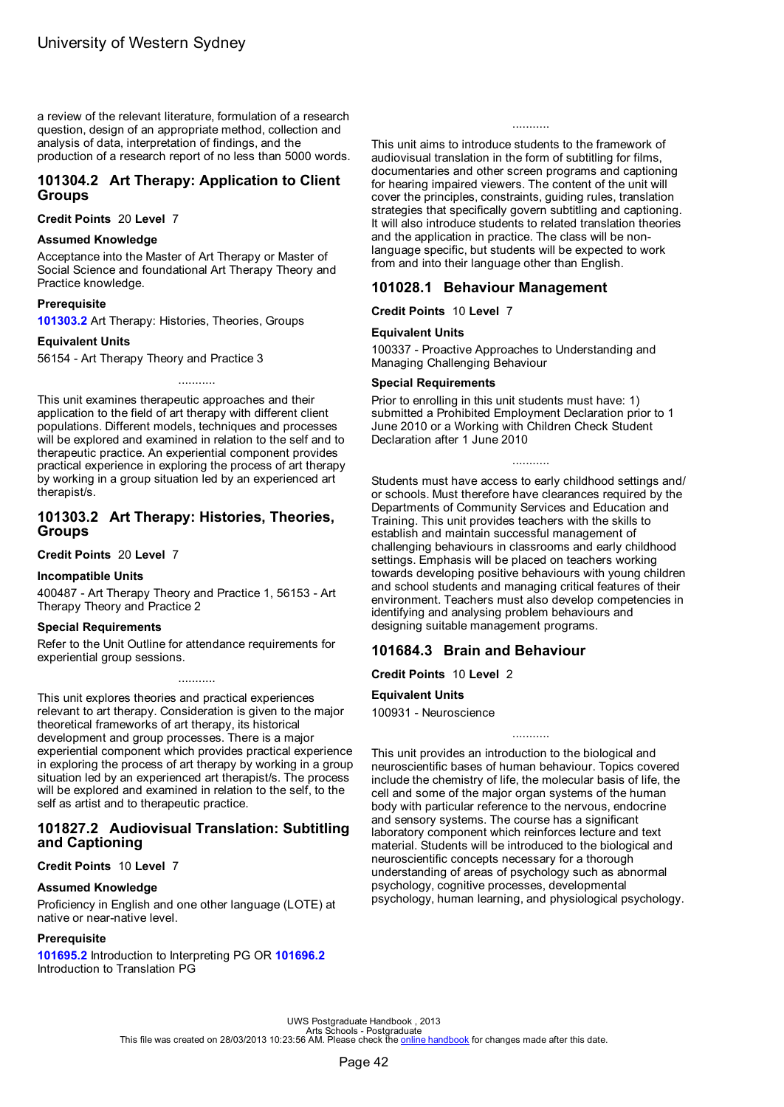<span id="page-44-0"></span>a review of the relevant literature, formulation of a research question, design of an appropriate method, collection and analysis of data, interpretation of findings, and the production of a research report of no less than 5000 words.

# **101304.2 Art Therapy: Application to Client Groups**

**Credit Points** 20 **Level** 7

### **Assumed Knowledge**

Acceptance into the Master of Art Therapy or Master of Social Science and foundational Art Therapy Theory and Practice knowledge.

#### **Prerequisite**

**101303.2** Art Therapy: Histories, Theories, Groups

### **Equivalent Units**

56154 - Art Therapy Theory and Practice 3

This unit examines therapeutic approaches and their application to the field of art therapy with different client populations. Different models, techniques and processes will be explored and examined in relation to the self and to therapeutic practice. An experiential component provides practical experience in exploring the process of art therapy by working in a group situation led by an experienced art therapist/s.

...........

### **101303.2 Art Therapy: Histories, Theories, Groups**

**Credit Points** 20 **Level** 7

### **Incompatible Units**

400487 - Art Therapy Theory and Practice 1, 56153 - Art Therapy Theory and Practice 2

### **Special Requirements**

Refer to the Unit Outline for attendance requirements for experiential group sessions.

This unit explores theories and practical experiences relevant to art therapy. Consideration is given to the major theoretical frameworks of art therapy, its historical development and group processes. There is a major experiential component which provides practical experience in exploring the process of art therapy by working in a group situation led by an experienced art therapist/s. The process will be explored and examined in relation to the self, to the self as artist and to therapeutic practice.

...........

### **101827.2 Audiovisual Translation: Subtitling and Captioning**

### **Credit Points** 10 **Level** 7

### **Assumed Knowledge**

Proficiency in English and one other language (LOTE) at native or near-native level.

### **Prerequisite**

**[101695.2](#page-57-0)** Introduction to Interpreting PG OR **[101696.2](#page-57-0)** Introduction to Translation PG

...........

This unit aims to introduce students to the framework of audiovisual translation in the form of subtitling for films, documentaries and other screen programs and captioning for hearing impaired viewers. The content of the unit will cover the principles, constraints, guiding rules, translation strategies that specifically govern subtitling and captioning. It will also introduce students to related translation theories and the application in practice. The class will be nonlanguage specific, but students will be expected to work from and into their language other than English.

### **101028.1 Behaviour Management**

**Credit Points** 10 **Level** 7

#### **Equivalent Units**

100337 - Proactive Approaches to Understanding and Managing Challenging Behaviour

#### **Special Requirements**

Prior to enrolling in this unit students must have: 1) submitted a Prohibited Employment Declaration prior to 1 June 2010 or a Working with Children Check Student Declaration after 1 June 2010

...........

Students must have access to early childhood settings and/ or schools. Must therefore have clearances required by the Departments of Community Services and Education and Training. This unit provides teachers with the skills to establish and maintain successful management of challenging behaviours in classrooms and early childhood settings. Emphasis will be placed on teachers working towards developing positive behaviours with young children and school students and managing critical features of their environment. Teachers must also develop competencies in identifying and analysing problem behaviours and designing suitable management programs.

### **101684.3 Brain and Behaviour**

**Credit Points** 10 **Level** 2

### **Equivalent Units**

100931 - Neuroscience

This unit provides an introduction to the biological and neuroscientific bases of human behaviour. Topics covered include the chemistry of life, the molecular basis of life, the cell and some of the major organ systems of the human body with particular reference to the nervous, endocrine and sensory systems. The course has a significant laboratory component which reinforces lecture and text material. Students will be introduced to the biological and neuroscientific concepts necessary for a thorough understanding of areas of psychology such as abnormal psychology, cognitive processes, developmental psychology, human learning, and physiological psychology.

...........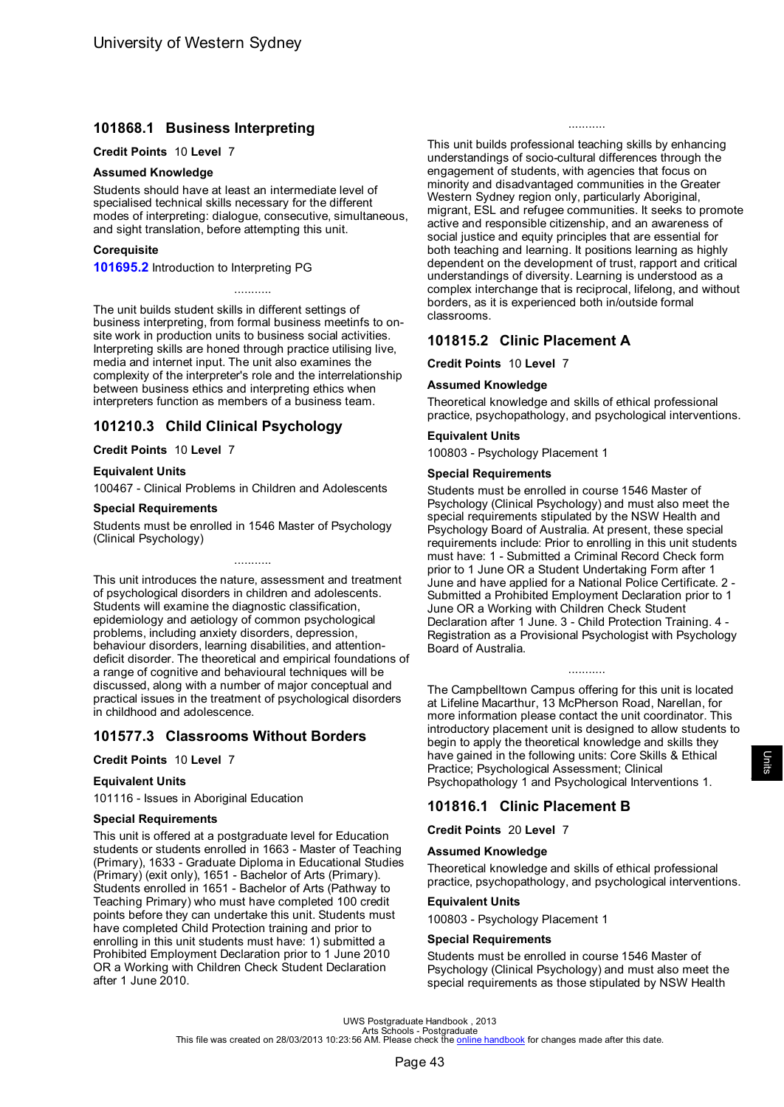# **101868.1 Business Interpreting**

#### **Credit Points** 10 **Level** 7

#### **Assumed Knowledge**

Students should have at least an intermediate level of specialised technical skills necessary for the different modes of interpreting: dialogue, consecutive, simultaneous, and sight translation, before attempting this unit.

...........

#### **Corequisite**

**[101695.2](#page-57-0)** Introduction to Interpreting PG

The unit builds student skills in different settings of business interpreting, from formal business meetinfs to onsite work in production units to business social activities. Interpreting skills are honed through practice utilising live, media and internet input. The unit also examines the complexity of the interpreter's role and the interrelationship between business ethics and interpreting ethics when interpreters function as members of a business team.

# **101210.3 Child Clinical Psychology**

### **Credit Points** 10 **Level** 7

### **Equivalent Units**

100467 - Clinical Problems in Children and Adolescents

#### **Special Requirements**

Students must be enrolled in 1546 Master of Psychology (Clinical Psychology)

...........

This unit introduces the nature, assessment and treatment of psychological disorders in children and adolescents. Students will examine the diagnostic classification, epidemiology and aetiology of common psychological problems, including anxiety disorders, depression, behaviour disorders, learning disabilities, and attentiondeficit disorder. The theoretical and empirical foundations of a range of cognitive and behavioural techniques will be discussed, along with a number of major conceptual and practical issues in the treatment of psychological disorders in childhood and adolescence.

# **101577.3 Classrooms Without Borders**

### **Credit Points** 10 **Level** 7

### **Equivalent Units**

101116 - Issues in Aboriginal Education

### **Special Requirements**

This unit is offered at a postgraduate level for Education students or students enrolled in 1663 - Master of Teaching (Primary), 1633 - Graduate Diploma in Educational Studies (Primary) (exit only), 1651 - Bachelor of Arts (Primary). Students enrolled in 1651 - Bachelor of Arts (Pathway to Teaching Primary) who must have completed 100 credit points before they can undertake this unit. Students must have completed Child Protection training and prior to enrolling in this unit students must have: 1) submitted a Prohibited Employment Declaration prior to 1 June 2010 OR a Working with Children Check Student Declaration after 1 June 2010.

This unit builds professional teaching skills by enhancing understandings of socio-cultural differences through the engagement of students, with agencies that focus on minority and disadvantaged communities in the Greater Western Sydney region only, particularly Aboriginal, migrant, ESL and refugee communities. It seeks to promote active and responsible citizenship, and an awareness of social justice and equity principles that are essential for both teaching and learning. It positions learning as highly dependent on the development of trust, rapport and critical understandings of diversity. Learning is understood as a complex interchange that is reciprocal, lifelong, and without borders, as it is experienced both in/outside formal classrooms.

...........

### **101815.2 Clinic Placement A**

**Credit Points** 10 **Level** 7

### **Assumed Knowledge**

Theoretical knowledge and skills of ethical professional practice, psychopathology, and psychological interventions.

### **Equivalent Units**

100803 - Psychology Placement 1

### **Special Requirements**

Students must be enrolled in course 1546 Master of Psychology (Clinical Psychology) and must also meet the special requirements stipulated by the NSW Health and Psychology Board of Australia. At present, these special requirements include: Prior to enrolling in this unit students must have: 1 - Submitted a Criminal Record Check form prior to 1 June OR a Student Undertaking Form after 1 June and have applied for a National Police Certificate. 2 - Submitted a Prohibited Employment Declaration prior to 1 June OR a Working with Children Check Student Declaration after 1 June. 3 - Child Protection Training. 4 - Registration as a Provisional Psychologist with Psychology Board of Australia.

The Campbelltown Campus offering for this unit is located at Lifeline Macarthur, 13 McPherson Road, Narellan, for more information please contact the unit coordinator. This introductory placement unit is designed to allow students to begin to apply the theoretical knowledge and skills they have gained in the following units: Core Skills & Ethical Practice; Psychological Assessment; Clinical Psychopathology 1 and Psychological Interventions 1.

...........

# **101816.1 Clinic Placement B**

#### **Credit Points** 20 **Level** 7

### **Assumed Knowledge**

Theoretical knowledge and skills of ethical professional practice, psychopathology, and psychological interventions.

### **Equivalent Units**

100803 - Psychology Placement 1

### **Special Requirements**

Students must be enrolled in course 1546 Master of Psychology (Clinical Psychology) and must also meet the special requirements as those stipulated by NSW Health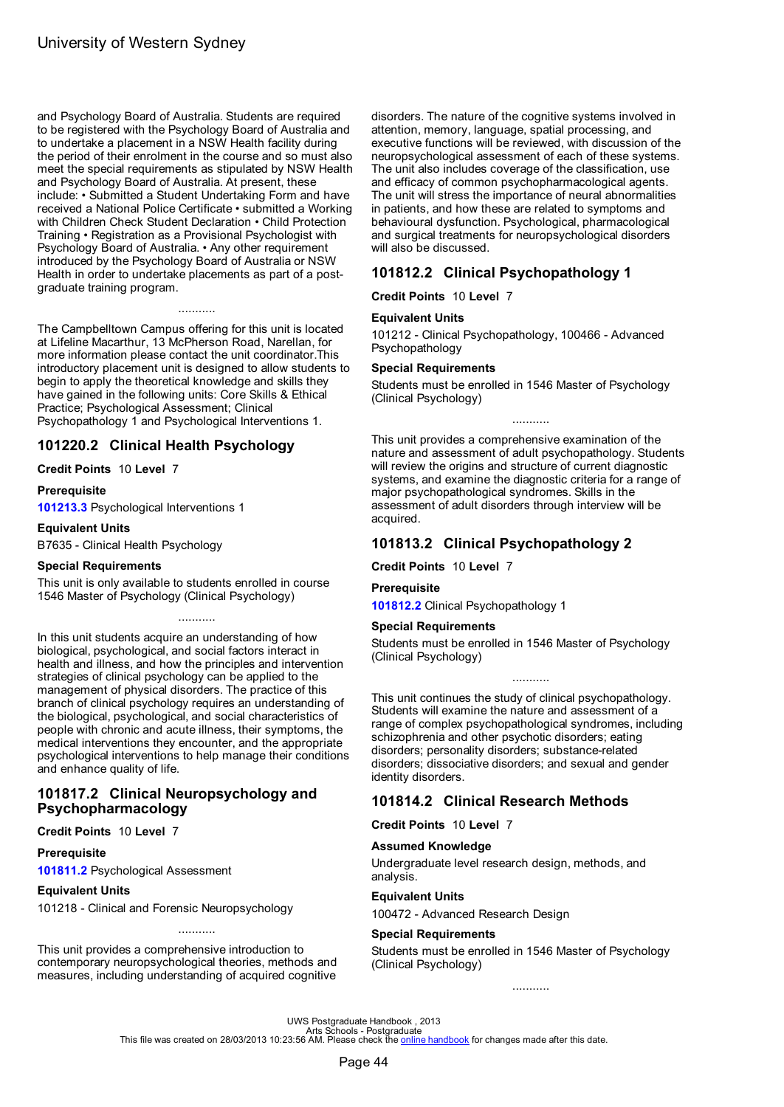<span id="page-46-0"></span>and Psychology Board of Australia. Students are required to be registered with the Psychology Board of Australia and to undertake a placement in a NSW Health facility during the period of their enrolment in the course and so must also meet the special requirements as stipulated by NSW Health and Psychology Board of Australia. At present, these include: • Submitted a Student Undertaking Form and have received a National Police Certificate • submitted a Working with Children Check Student Declaration • Child Protection Training • Registration as a Provisional Psychologist with Psychology Board of Australia. • Any other requirement introduced by the Psychology Board of Australia or NSW Health in order to undertake placements as part of a postgraduate training program.

The Campbelltown Campus offering for this unit is located at Lifeline Macarthur, 13 McPherson Road, Narellan, for more information please contact the unit coordinator.This introductory placement unit is designed to allow students to begin to apply the theoretical knowledge and skills they have gained in the following units: Core Skills & Ethical Practice; Psychological Assessment; Clinical Psychopathology 1 and Psychological Interventions 1.

...........

# **101220.2 Clinical Health Psychology**

**Credit Points** 10 **Level** 7

#### **Prerequisite**

**[101213.3](#page-68-0)** Psychological Interventions 1

**Equivalent Units**

B7635 - Clinical Health Psychology

#### **Special Requirements**

This unit is only available to students enrolled in course 1546 Master of Psychology (Clinical Psychology)

...........

In this unit students acquire an understanding of how biological, psychological, and social factors interact in health and illness, and how the principles and intervention strategies of clinical psychology can be applied to the management of physical disorders. The practice of this branch of clinical psychology requires an understanding of the biological, psychological, and social characteristics of people with chronic and acute illness, their symptoms, the medical interventions they encounter, and the appropriate psychological interventions to help manage their conditions and enhance quality of life.

### **101817.2 Clinical Neuropsychology and Psychopharmacology**

### **Credit Points** 10 **Level** 7

#### **Prerequisite**

**[101811.2](#page-68-0)** Psychological Assessment

#### **Equivalent Units**

101218 - Clinical and Forensic Neuropsychology

This unit provides a comprehensive introduction to contemporary neuropsychological theories, methods and measures, including understanding of acquired cognitive

...........

disorders. The nature of the cognitive systems involved in attention, memory, language, spatial processing, and executive functions will be reviewed, with discussion of the neuropsychological assessment of each of these systems. The unit also includes coverage of the classification, use and efficacy of common psychopharmacological agents. The unit will stress the importance of neural abnormalities in patients, and how these are related to symptoms and behavioural dysfunction. Psychological, pharmacological and surgical treatments for neuropsychological disorders will also be discussed.

# **101812.2 Clinical Psychopathology 1**

**Credit Points** 10 **Level** 7

### **Equivalent Units**

101212 - Clinical Psychopathology, 100466 - Advanced Psychopathology

### **Special Requirements**

Students must be enrolled in 1546 Master of Psychology (Clinical Psychology)

This unit provides a comprehensive examination of the nature and assessment of adult psychopathology. Students will review the origins and structure of current diagnostic systems, and examine the diagnostic criteria for a range of major psychopathological syndromes. Skills in the assessment of adult disorders through interview will be acquired.

...........

# **101813.2 Clinical Psychopathology 2**

**Credit Points** 10 **Level** 7

#### **Prerequisite**

**101812.2** Clinical Psychopathology 1

#### **Special Requirements**

Students must be enrolled in 1546 Master of Psychology (Clinical Psychology)

...........

This unit continues the study of clinical psychopathology. Students will examine the nature and assessment of a range of complex psychopathological syndromes, including schizophrenia and other psychotic disorders; eating disorders; personality disorders; substance-related disorders; dissociative disorders; and sexual and gender identity disorders.

# **101814.2 Clinical Research Methods**

**Credit Points** 10 **Level** 7

### **Assumed Knowledge**

Undergraduate level research design, methods, and analysis.

### **Equivalent Units**

100472 - Advanced Research Design

#### **Special Requirements**

Students must be enrolled in 1546 Master of Psychology (Clinical Psychology)

...........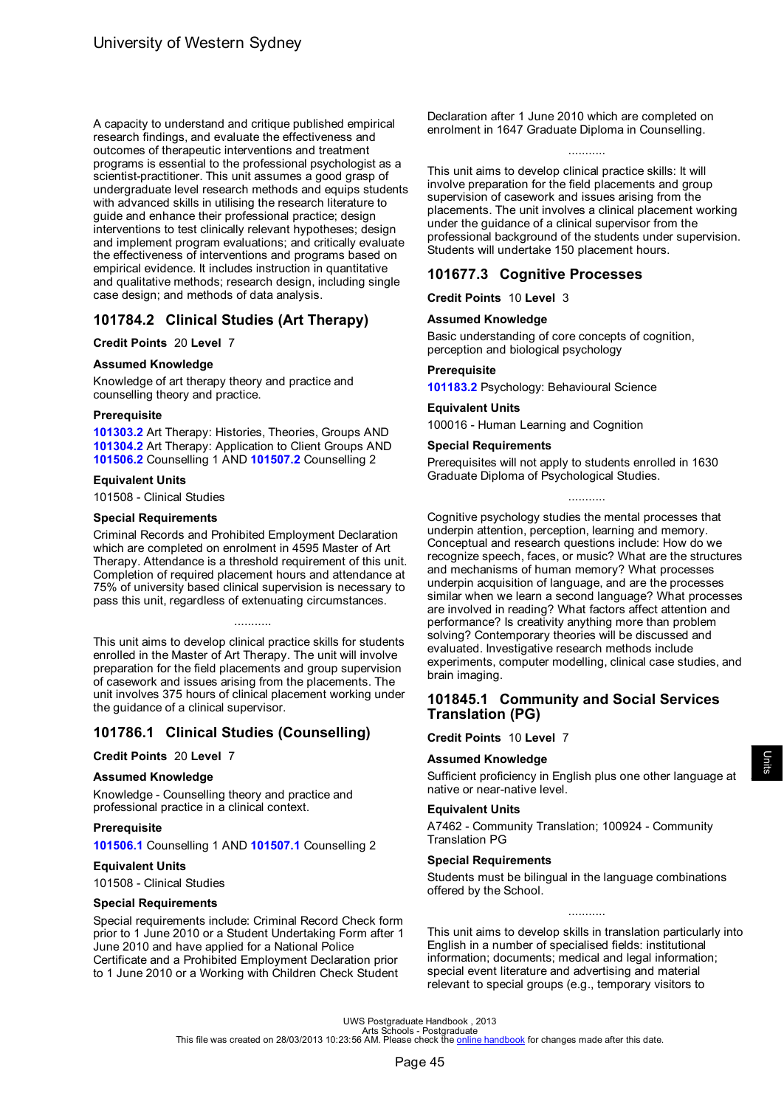<span id="page-47-0"></span>A capacity to understand and critique published empirical research findings, and evaluate the effectiveness and outcomes of therapeutic interventions and treatment programs is essential to the professional psychologist as a scientist-practitioner. This unit assumes a good grasp of undergraduate level research methods and equips students with advanced skills in utilising the research literature to guide and enhance their professional practice; design interventions to test clinically relevant hypotheses; design and implement program evaluations; and critically evaluate the effectiveness of interventions and programs based on empirical evidence. It includes instruction in quantitative and qualitative methods; research design, including single case design; and methods of data analysis.

# **101784.2 Clinical Studies (Art Therapy)**

### **Credit Points** 20 **Level** 7

### **Assumed Knowledge**

Knowledge of art therapy theory and practice and counselling theory and practice.

### **Prerequisite**

**[101303.2](#page-44-0)** Art Therapy: Histories, Theories, Groups AND **[101304.2](#page-44-0)** Art Therapy: Application to Client Groups AND **[101506.2](#page-48-0)** Counselling 1 AND **[101507.2](#page-49-0)** Counselling 2

### **Equivalent Units**

101508 - Clinical Studies

### **Special Requirements**

Criminal Records and Prohibited Employment Declaration which are completed on enrolment in 4595 Master of Art Therapy. Attendance is a threshold requirement of this unit. Completion of required placement hours and attendance at 75% of university based clinical supervision is necessary to pass this unit, regardless of extenuating circumstances.

This unit aims to develop clinical practice skills for students enrolled in the Master of Art Therapy. The unit will involve preparation for the field placements and group supervision of casework and issues arising from the placements. The unit involves 375 hours of clinical placement working under the guidance of a clinical supervisor.

...........

# **101786.1 Clinical Studies (Counselling)**

### **Credit Points** 20 **Level** 7

### **Assumed Knowledge**

Knowledge - Counselling theory and practice and professional practice in a clinical context.

### **Prerequisite**

**101506.1** Counselling 1 AND **101507.1** Counselling 2

### **Equivalent Units**

101508 - Clinical Studies

### **Special Requirements**

Special requirements include: Criminal Record Check form prior to 1 June 2010 or a Student Undertaking Form after 1 June 2010 and have applied for a National Police Certificate and a Prohibited Employment Declaration prior to 1 June 2010 or a Working with Children Check Student

Declaration after 1 June 2010 which are completed on enrolment in 1647 Graduate Diploma in Counselling.

...........

This unit aims to develop clinical practice skills: It will involve preparation for the field placements and group supervision of casework and issues arising from the placements. The unit involves a clinical placement working under the guidance of a clinical supervisor from the professional background of the students under supervision. Students will undertake 150 placement hours.

### **101677.3 Cognitive Processes**

**Credit Points** 10 **Level** 3

### **Assumed Knowledge**

Basic understanding of core concepts of cognition, perception and biological psychology

### **Prerequisite**

**101183.2** Psychology: Behavioural Science

# **Equivalent Units**

100016 - Human Learning and Cognition

### **Special Requirements**

Prerequisites will not apply to students enrolled in 1630 Graduate Diploma of Psychological Studies.

...........

Cognitive psychology studies the mental processes that underpin attention, perception, learning and memory. Conceptual and research questions include: How do we recognize speech, faces, or music? What are the structures and mechanisms of human memory? What processes underpin acquisition of language, and are the processes similar when we learn a second language? What processes are involved in reading? What factors affect attention and performance? Is creativity anything more than problem solving? Contemporary theories will be discussed and evaluated. Investigative research methods include experiments, computer modelling, clinical case studies, and brain imaging.

### **101845.1 Community and Social Services Translation (PG)**

### **Credit Points** 10 **Level** 7

### **Assumed Knowledge**

Sufficient proficiency in English plus one other language at native or near-native level.

### **Equivalent Units**

A7462 - Community Translation; 100924 - Community Translation PG

### **Special Requirements**

Students must be bilingual in the language combinations offered by the School.

This unit aims to develop skills in translation particularly into English in a number of specialised fields: institutional information; documents; medical and legal information; special event literature and advertising and material relevant to special groups (e.g., temporary visitors to

...........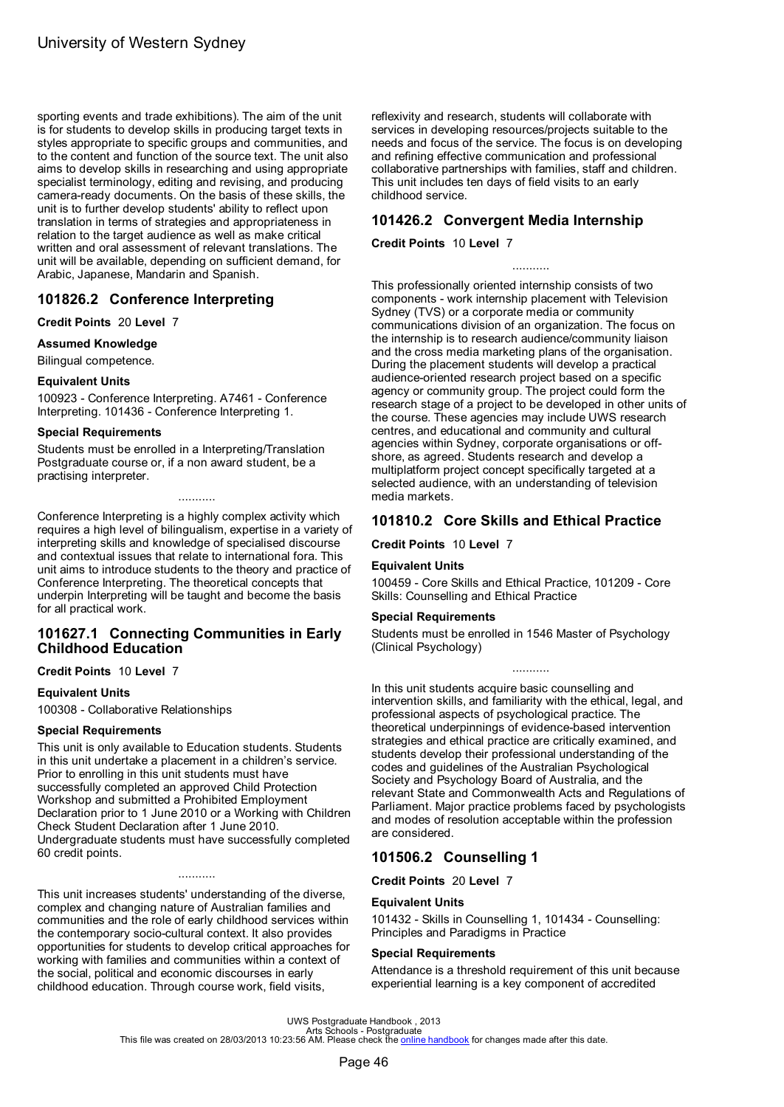<span id="page-48-0"></span>sporting events and trade exhibitions). The aim of the unit is for students to develop skills in producing target texts in styles appropriate to specific groups and communities, and to the content and function of the source text. The unit also aims to develop skills in researching and using appropriate specialist terminology, editing and revising, and producing camera-ready documents. On the basis of these skills, the unit is to further develop students' ability to reflect upon translation in terms of strategies and appropriateness in relation to the target audience as well as make critical written and oral assessment of relevant translations. The unit will be available, depending on sufficient demand, for Arabic, Japanese, Mandarin and Spanish.

# **101826.2 Conference Interpreting**

### **Credit Points** 20 **Level** 7

**Assumed Knowledge**

Bilingual competence.

### **Equivalent Units**

100923 - Conference Interpreting. A7461 - Conference Interpreting. 101436 - Conference Interpreting 1.

### **Special Requirements**

Students must be enrolled in a Interpreting/Translation Postgraduate course or, if a non award student, be a practising interpreter.

Conference Interpreting is a highly complex activity which requires a high level of bilingualism, expertise in a variety of interpreting skills and knowledge of specialised discourse and contextual issues that relate to international fora. This unit aims to introduce students to the theory and practice of Conference Interpreting. The theoretical concepts that underpin Interpreting will be taught and become the basis for all practical work.

...........

# **101627.1 Connecting Communities in Early Childhood Education**

### **Credit Points** 10 **Level** 7

### **Equivalent Units**

100308 - Collaborative Relationships

### **Special Requirements**

This unit is only available to Education students. Students in this unit undertake a placement in a children's service. Prior to enrolling in this unit students must have successfully completed an approved Child Protection Workshop and submitted a Prohibited Employment Declaration prior to 1 June 2010 or a Working with Children Check Student Declaration after 1 June 2010. Undergraduate students must have successfully completed 60 credit points.

This unit increases students' understanding of the diverse, complex and changing nature of Australian families and communities and the role of early childhood services within the contemporary socio-cultural context. It also provides opportunities for students to develop critical approaches for working with families and communities within a context of the social, political and economic discourses in early childhood education. Through course work, field visits,

...........

reflexivity and research, students will collaborate with services in developing resources/projects suitable to the needs and focus of the service. The focus is on developing and refining effective communication and professional collaborative partnerships with families, staff and children. This unit includes ten days of field visits to an early childhood service.

# **101426.2 Convergent Media Internship**

### **Credit Points** 10 **Level** 7

This professionally oriented internship consists of two components - work internship placement with Television Sydney (TVS) or a corporate media or community communications division of an organization. The focus on the internship is to research audience/community liaison and the cross media marketing plans of the organisation. During the placement students will develop a practical audience-oriented research project based on a specific agency or community group. The project could form the research stage of a project to be developed in other units of the course. These agencies may include UWS research centres, and educational and community and cultural agencies within Sydney, corporate organisations or offshore, as agreed. Students research and develop a multiplatform project concept specifically targeted at a selected audience, with an understanding of television media markets.

...........

# **101810.2 Core Skills and Ethical Practice**

**Credit Points** 10 **Level** 7

### **Equivalent Units**

100459 - Core Skills and Ethical Practice, 101209 - Core Skills: Counselling and Ethical Practice

### **Special Requirements**

Students must be enrolled in 1546 Master of Psychology (Clinical Psychology)

...........

In this unit students acquire basic counselling and intervention skills, and familiarity with the ethical, legal, and professional aspects of psychological practice. The theoretical underpinnings of evidence-based intervention strategies and ethical practice are critically examined, and students develop their professional understanding of the codes and guidelines of the Australian Psychological Society and Psychology Board of Australia, and the relevant State and Commonwealth Acts and Regulations of Parliament. Major practice problems faced by psychologists and modes of resolution acceptable within the profession are considered.

# **101506.2 Counselling 1**

**Credit Points** 20 **Level** 7

### **Equivalent Units**

101432 - Skills in Counselling 1, 101434 - Counselling: Principles and Paradigms in Practice

### **Special Requirements**

Attendance is a threshold requirement of this unit because experiential learning is a key component of accredited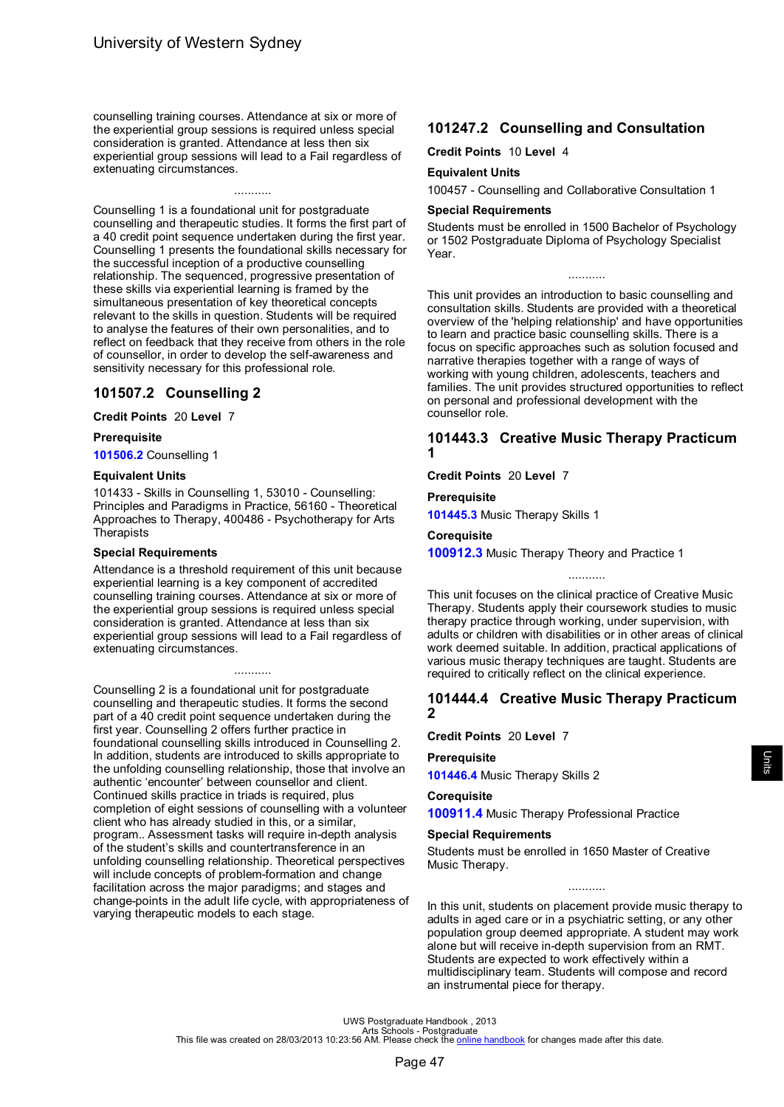<span id="page-49-0"></span>counselling training courses. Attendance at six or more of the experiential group sessions is required unless special consideration is granted. Attendance at less then six experiential group sessions will lead to a Fail regardless of extenuating circumstances.

...........

Counselling 1 is a foundational unit for postgraduate counselling and therapeutic studies. It forms the first part of a 40 credit point sequence undertaken during the first year. Counselling 1 presents the foundational skills necessary for the successful inception of a productive counselling relationship. The sequenced, progressive presentation of these skills via experiential learning is framed by the simultaneous presentation of key theoretical concepts relevant to the skills in question. Students will be required to analyse the features of their own personalities, and to reflect on feedback that they receive from others in the role of counsellor, in order to develop the self-awareness and sensitivity necessary for this professional role.

# **101507.2 Counselling 2**

**Credit Points** 20 **Level** 7

### **Prerequisite**

**[101506.2](#page-48-0)** Counselling 1

### **Equivalent Units**

101433 - Skills in Counselling 1, 53010 - Counselling: Principles and Paradigms in Practice, 56160 - Theoretical Approaches to Therapy, 400486 - Psychotherapy for Arts **Therapists** 

### **Special Requirements**

Attendance is a threshold requirement of this unit because experiential learning is a key component of accredited counselling training courses. Attendance at six or more of the experiential group sessions is required unless special consideration is granted. Attendance at less than six experiential group sessions will lead to a Fail regardless of extenuating circumstances.

...........

Counselling 2 is a foundational unit for postgraduate counselling and therapeutic studies. It forms the second part of a 40 credit point sequence undertaken during the first year. Counselling 2 offers further practice in foundational counselling skills introduced in Counselling 2. In addition, students are introduced to skills appropriate to the unfolding counselling relationship, those that involve an authentic 'encounter' between counsellor and client. Continued skills practice in triads is required, plus completion of eight sessions of counselling with a volunteer client who has already studied in this, or a similar, program.. Assessment tasks will require in-depth analysis of the student's skills and countertransference in an unfolding counselling relationship. Theoretical perspectives will include concepts of problem-formation and change facilitation across the major paradigms; and stages and change-points in the adult life cycle, with appropriateness of varying therapeutic models to each stage.

# **101247.2 Counselling and Consultation**

**Credit Points** 10 **Level** 4

### **Equivalent Units**

100457 - Counselling and Collaborative Consultation 1

### **Special Requirements**

Students must be enrolled in 1500 Bachelor of Psychology or 1502 Postgraduate Diploma of Psychology Specialist Year.

...........

This unit provides an introduction to basic counselling and consultation skills. Students are provided with a theoretical overview of the 'helping relationship' and have opportunities to learn and practice basic counselling skills. There is a focus on specific approaches such as solution focused and narrative therapies together with a range of ways of working with young children, adolescents, teachers and families. The unit provides structured opportunities to reflect on personal and professional development with the counsellor role.

### **101443.3 Creative Music Therapy Practicum 1**

**Credit Points** 20 **Level** 7

**Prerequisite**

**[101445.3](#page-61-0)** Music Therapy Skills 1

#### **Corequisite**

**[100912.3](#page-62-0)** Music Therapy Theory and Practice 1

This unit focuses on the clinical practice of Creative Music Therapy. Students apply their coursework studies to music therapy practice through working, under supervision, with adults or children with disabilities or in other areas of clinical work deemed suitable. In addition, practical applications of various music therapy techniques are taught. Students are required to critically reflect on the clinical experience.

...........

### **101444.4 Creative Music Therapy Practicum 2**

**Credit Points** 20 **Level** 7

### **Prerequisite**

**[101446.4](#page-61-0)** Music Therapy Skills 2

### **Corequisite**

**[100911.4](#page-61-0)** Music Therapy Professional Practice

#### **Special Requirements**

Students must be enrolled in 1650 Master of Creative Music Therapy.

In this unit, students on placement provide music therapy to adults in aged care or in a psychiatric setting, or any other population group deemed appropriate. A student may work alone but will receive in-depth supervision from an RMT. Students are expected to work effectively within a multidisciplinary team. Students will compose and record an instrumental piece for therapy.

...........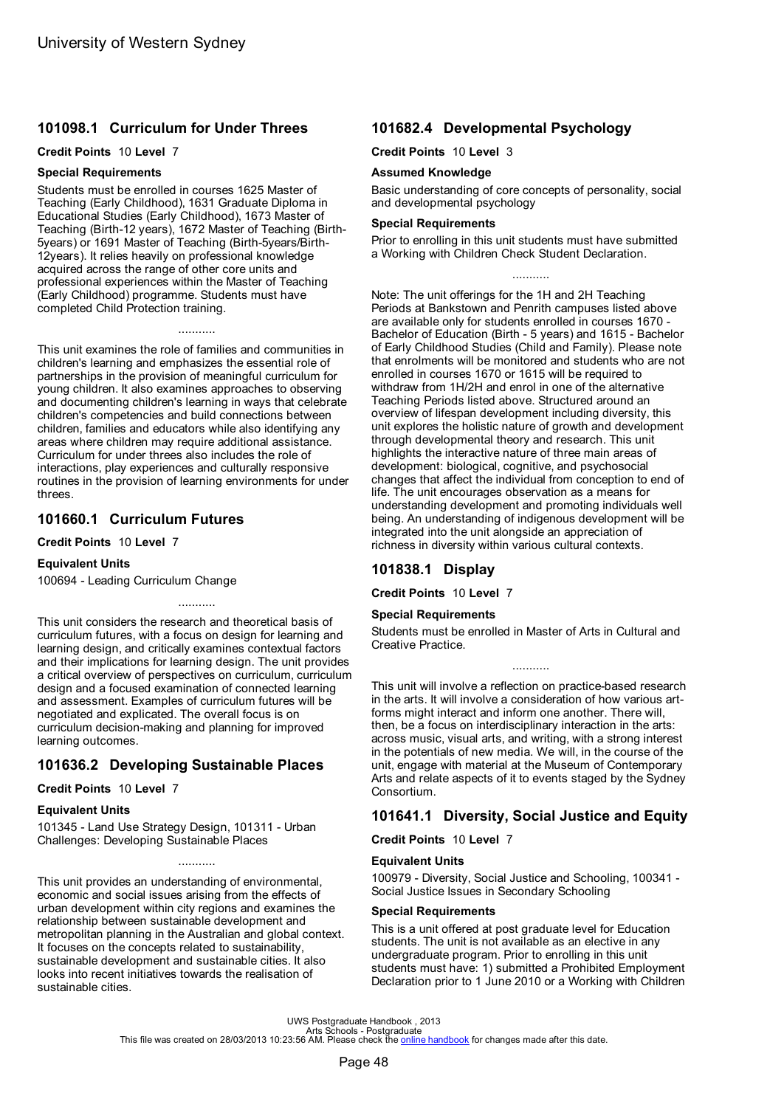# <span id="page-50-0"></span>**101098.1 Curriculum for Under Threes**

#### **Credit Points** 10 **Level** 7

#### **Special Requirements**

Students must be enrolled in courses 1625 Master of Teaching (Early Childhood), 1631 Graduate Diploma in Educational Studies (Early Childhood), 1673 Master of Teaching (Birth-12 years), 1672 Master of Teaching (Birth-5years) or 1691 Master of Teaching (Birth-5years/Birth-12years). It relies heavily on professional knowledge acquired across the range of other core units and professional experiences within the Master of Teaching (Early Childhood) programme. Students must have completed Child Protection training.

...........

This unit examines the role of families and communities in children's learning and emphasizes the essential role of partnerships in the provision of meaningful curriculum for young children. It also examines approaches to observing and documenting children's learning in ways that celebrate children's competencies and build connections between children, families and educators while also identifying any areas where children may require additional assistance. Curriculum for under threes also includes the role of interactions, play experiences and culturally responsive routines in the provision of learning environments for under threes.

### **101660.1 Curriculum Futures**

**Credit Points** 10 **Level** 7

### **Equivalent Units**

100694 - Leading Curriculum Change

This unit considers the research and theoretical basis of curriculum futures, with a focus on design for learning and learning design, and critically examines contextual factors and their implications for learning design. The unit provides a critical overview of perspectives on curriculum, curriculum design and a focused examination of connected learning and assessment. Examples of curriculum futures will be negotiated and explicated. The overall focus is on curriculum decision-making and planning for improved learning outcomes.

...........

# **101636.2 Developing Sustainable Places**

**Credit Points** 10 **Level** 7

### **Equivalent Units**

101345 - Land Use Strategy Design, 101311 - Urban Challenges: Developing Sustainable Places

This unit provides an understanding of environmental, economic and social issues arising from the effects of urban development within city regions and examines the relationship between sustainable development and metropolitan planning in the Australian and global context. It focuses on the concepts related to sustainability, sustainable development and sustainable cities. It also looks into recent initiatives towards the realisation of sustainable cities.

...........

# **101682.4 Developmental Psychology**

**Credit Points** 10 **Level** 3

#### **Assumed Knowledge**

Basic understanding of core concepts of personality, social and developmental psychology

#### **Special Requirements**

Prior to enrolling in this unit students must have submitted a Working with Children Check Student Declaration.

...........

Note: The unit offerings for the 1H and 2H Teaching Periods at Bankstown and Penrith campuses listed above are available only for students enrolled in courses 1670 - Bachelor of Education (Birth - 5 years) and 1615 - Bachelor of Early Childhood Studies (Child and Family). Please note that enrolments will be monitored and students who are not enrolled in courses 1670 or 1615 will be required to withdraw from 1H/2H and enrol in one of the alternative Teaching Periods listed above. Structured around an overview of lifespan development including diversity, this unit explores the holistic nature of growth and development through developmental theory and research. This unit highlights the interactive nature of three main areas of development: biological, cognitive, and psychosocial changes that affect the individual from conception to end of life. The unit encourages observation as a means for understanding development and promoting individuals well being. An understanding of indigenous development will be integrated into the unit alongside an appreciation of richness in diversity within various cultural contexts.

# **101838.1 Display**

**Credit Points** 10 **Level** 7

### **Special Requirements**

Students must be enrolled in Master of Arts in Cultural and Creative Practice.

...........

This unit will involve a reflection on practice-based research in the arts. It will involve a consideration of how various artforms might interact and inform one another. There will, then, be a focus on interdisciplinary interaction in the arts: across music, visual arts, and writing, with a strong interest in the potentials of new media. We will, in the course of the unit, engage with material at the Museum of Contemporary Arts and relate aspects of it to events staged by the Sydney Consortium.

# **101641.1 Diversity, Social Justice and Equity**

**Credit Points** 10 **Level** 7

### **Equivalent Units**

100979 - Diversity, Social Justice and Schooling, 100341 - Social Justice Issues in Secondary Schooling

### **Special Requirements**

This is a unit offered at post graduate level for Education students. The unit is not available as an elective in any undergraduate program. Prior to enrolling in this unit students must have: 1) submitted a Prohibited Employment Declaration prior to 1 June 2010 or a Working with Children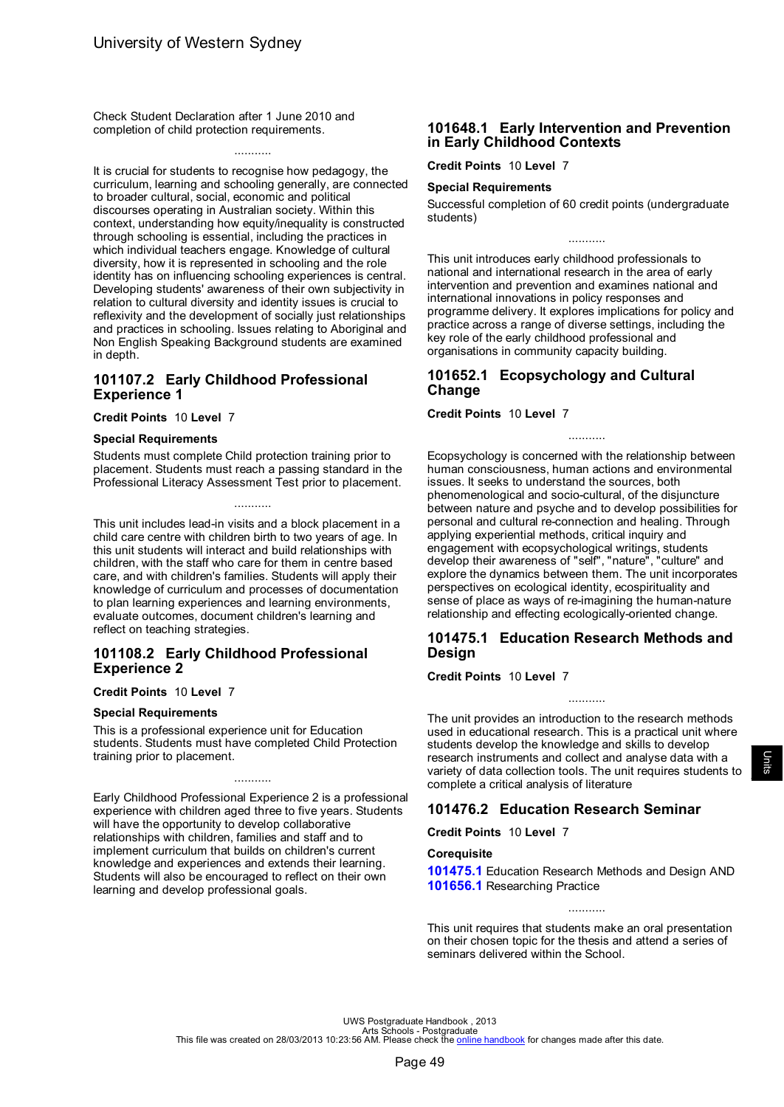Check Student Declaration after 1 June 2010 and completion of child protection requirements.

# ...........

It is crucial for students to recognise how pedagogy, the curriculum, learning and schooling generally, are connected to broader cultural, social, economic and political discourses operating in Australian society. Within this context, understanding how equity/inequality is constructed through schooling is essential, including the practices in which individual teachers engage. Knowledge of cultural diversity, how it is represented in schooling and the role identity has on influencing schooling experiences is central. Developing students' awareness of their own subjectivity in relation to cultural diversity and identity issues is crucial to reflexivity and the development of socially just relationships and practices in schooling. Issues relating to Aboriginal and Non English Speaking Background students are examined in depth.

### **101107.2 Early Childhood Professional Experience 1**

#### **Credit Points** 10 **Level** 7

#### **Special Requirements**

Students must complete Child protection training prior to placement. Students must reach a passing standard in the Professional Literacy Assessment Test prior to placement.

...........

This unit includes lead-in visits and a block placement in a child care centre with children birth to two years of age. In this unit students will interact and build relationships with children, with the staff who care for them in centre based care, and with children's families. Students will apply their knowledge of curriculum and processes of documentation to plan learning experiences and learning environments, evaluate outcomes, document children's learning and reflect on teaching strategies.

### **101108.2 Early Childhood Professional Experience 2**

### **Credit Points** 10 **Level** 7

#### **Special Requirements**

This is a professional experience unit for Education students. Students must have completed Child Protection training prior to placement.

...........

Early Childhood Professional Experience 2 is a professional experience with children aged three to five years. Students will have the opportunity to develop collaborative relationships with children, families and staff and to implement curriculum that builds on children's current knowledge and experiences and extends their learning. Students will also be encouraged to reflect on their own learning and develop professional goals.

### **101648.1 Early Intervention and Prevention in Early Childhood Contexts**

**Credit Points** 10 **Level** 7

#### **Special Requirements**

Successful completion of 60 credit points (undergraduate students)

...........

This unit introduces early childhood professionals to national and international research in the area of early intervention and prevention and examines national and international innovations in policy responses and programme delivery. It explores implications for policy and practice across a range of diverse settings, including the key role of the early childhood professional and organisations in community capacity building.

### **101652.1 Ecopsychology and Cultural Change**

#### **Credit Points** 10 **Level** 7

Ecopsychology is concerned with the relationship between human consciousness, human actions and environmental issues. It seeks to understand the sources, both phenomenological and socio-cultural, of the disjuncture between nature and psyche and to develop possibilities for personal and cultural re-connection and healing. Through applying experiential methods, critical inquiry and engagement with ecopsychological writings, students develop their awareness of "self", "nature", "culture" and explore the dynamics between them. The unit incorporates perspectives on ecological identity, ecospirituality and sense of place as ways of re-imagining the human-nature relationship and effecting ecologically-oriented change.

...........

### **101475.1 Education Research Methods and Design**

### **Credit Points** 10 **Level** 7

The unit provides an introduction to the research methods used in educational research. This is a practical unit where students develop the knowledge and skills to develop research instruments and collect and analyse data with a variety of data collection tools. The unit requires students to complete a critical analysis of literature

...........

# **101476.2 Education Research Seminar**

**Credit Points** 10 **Level** 7

### **Corequisite**

**101475.1** Education Research Methods and Design AND **[101656.1](#page-69-0)** Researching Practice

...........

This unit requires that students make an oral presentation on their chosen topic for the thesis and attend a series of seminars delivered within the School.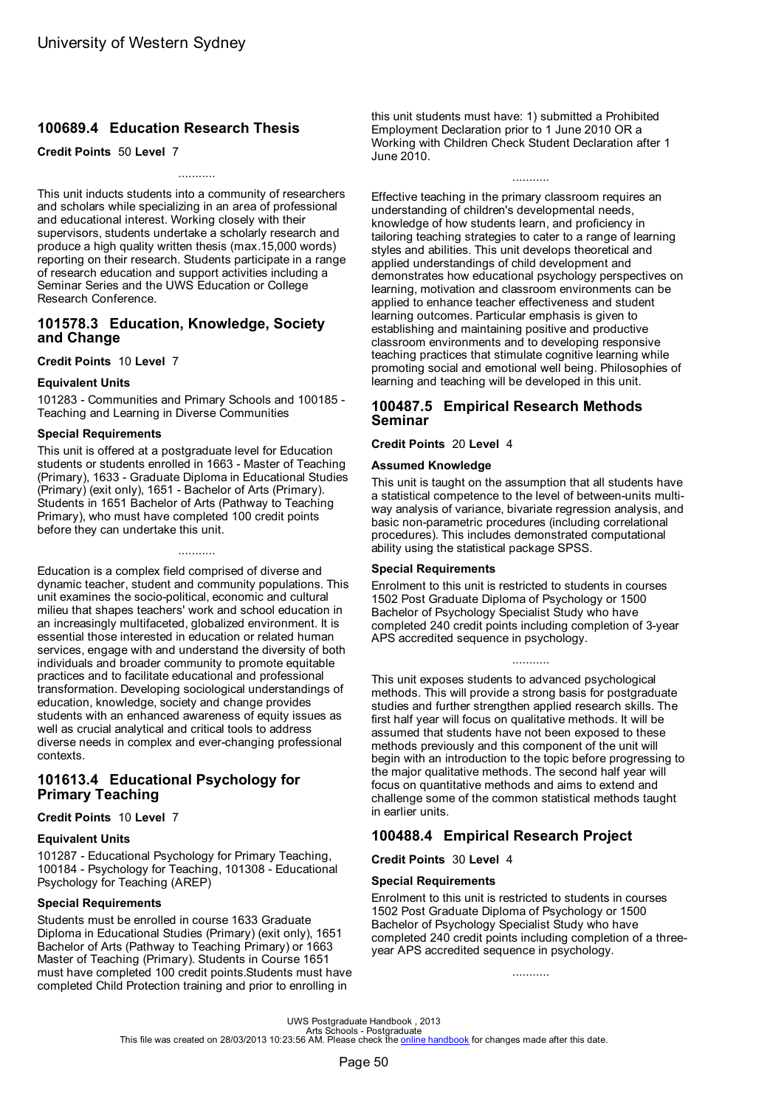# **100689.4 Education Research Thesis**

**Credit Points** 50 **Level** 7

This unit inducts students into a community of researchers and scholars while specializing in an area of professional and educational interest. Working closely with their supervisors, students undertake a scholarly research and produce a high quality written thesis (max.15,000 words) reporting on their research. Students participate in a range of research education and support activities including a Seminar Series and the UWS Education or College Research Conference.

...........

### **101578.3 Education, Knowledge, Society and Change**

**Credit Points** 10 **Level** 7

### **Equivalent Units**

101283 - Communities and Primary Schools and 100185 - Teaching and Learning in Diverse Communities

### **Special Requirements**

This unit is offered at a postgraduate level for Education students or students enrolled in 1663 - Master of Teaching (Primary), 1633 - Graduate Diploma in Educational Studies (Primary) (exit only), 1651 - Bachelor of Arts (Primary). Students in 1651 Bachelor of Arts (Pathway to Teaching Primary), who must have completed 100 credit points before they can undertake this unit.

...........

Education is a complex field comprised of diverse and dynamic teacher, student and community populations. This unit examines the socio-political, economic and cultural milieu that shapes teachers' work and school education in an increasingly multifaceted, globalized environment. It is essential those interested in education or related human services, engage with and understand the diversity of both individuals and broader community to promote equitable practices and to facilitate educational and professional transformation. Developing sociological understandings of education, knowledge, society and change provides students with an enhanced awareness of equity issues as well as crucial analytical and critical tools to address diverse needs in complex and ever-changing professional contexts.

# **101613.4 Educational Psychology for Primary Teaching**

### **Credit Points** 10 **Level** 7

### **Equivalent Units**

101287 - Educational Psychology for Primary Teaching, 100184 - Psychology for Teaching, 101308 - Educational Psychology for Teaching (AREP)

### **Special Requirements**

Students must be enrolled in course 1633 Graduate Diploma in Educational Studies (Primary) (exit only), 1651 Bachelor of Arts (Pathway to Teaching Primary) or 1663 Master of Teaching (Primary). Students in Course 1651 must have completed 100 credit points.Students must have completed Child Protection training and prior to enrolling in

this unit students must have: 1) submitted a Prohibited Employment Declaration prior to 1 June 2010 OR a Working with Children Check Student Declaration after 1 June 2010.

...........

Effective teaching in the primary classroom requires an understanding of children's developmental needs, knowledge of how students learn, and proficiency in tailoring teaching strategies to cater to a range of learning styles and abilities. This unit develops theoretical and applied understandings of child development and demonstrates how educational psychology perspectives on learning, motivation and classroom environments can be applied to enhance teacher effectiveness and student learning outcomes. Particular emphasis is given to establishing and maintaining positive and productive classroom environments and to developing responsive teaching practices that stimulate cognitive learning while promoting social and emotional well being. Philosophies of learning and teaching will be developed in this unit.

# **100487.5 Empirical Research Methods Seminar**

### **Credit Points** 20 **Level** 4

### **Assumed Knowledge**

This unit is taught on the assumption that all students have a statistical competence to the level of between-units multiway analysis of variance, bivariate regression analysis, and basic non-parametric procedures (including correlational procedures). This includes demonstrated computational ability using the statistical package SPSS.

### **Special Requirements**

Enrolment to this unit is restricted to students in courses 1502 Post Graduate Diploma of Psychology or 1500 Bachelor of Psychology Specialist Study who have completed 240 credit points including completion of 3-year APS accredited sequence in psychology.

...........

This unit exposes students to advanced psychological methods. This will provide a strong basis for postgraduate studies and further strengthen applied research skills. The first half year will focus on qualitative methods. It will be assumed that students have not been exposed to these methods previously and this component of the unit will begin with an introduction to the topic before progressing to the major qualitative methods. The second half year will focus on quantitative methods and aims to extend and challenge some of the common statistical methods taught in earlier units.

# **100488.4 Empirical Research Project**

**Credit Points** 30 **Level** 4

### **Special Requirements**

Enrolment to this unit is restricted to students in courses 1502 Post Graduate Diploma of Psychology or 1500 Bachelor of Psychology Specialist Study who have completed 240 credit points including completion of a threeyear APS accredited sequence in psychology.

...........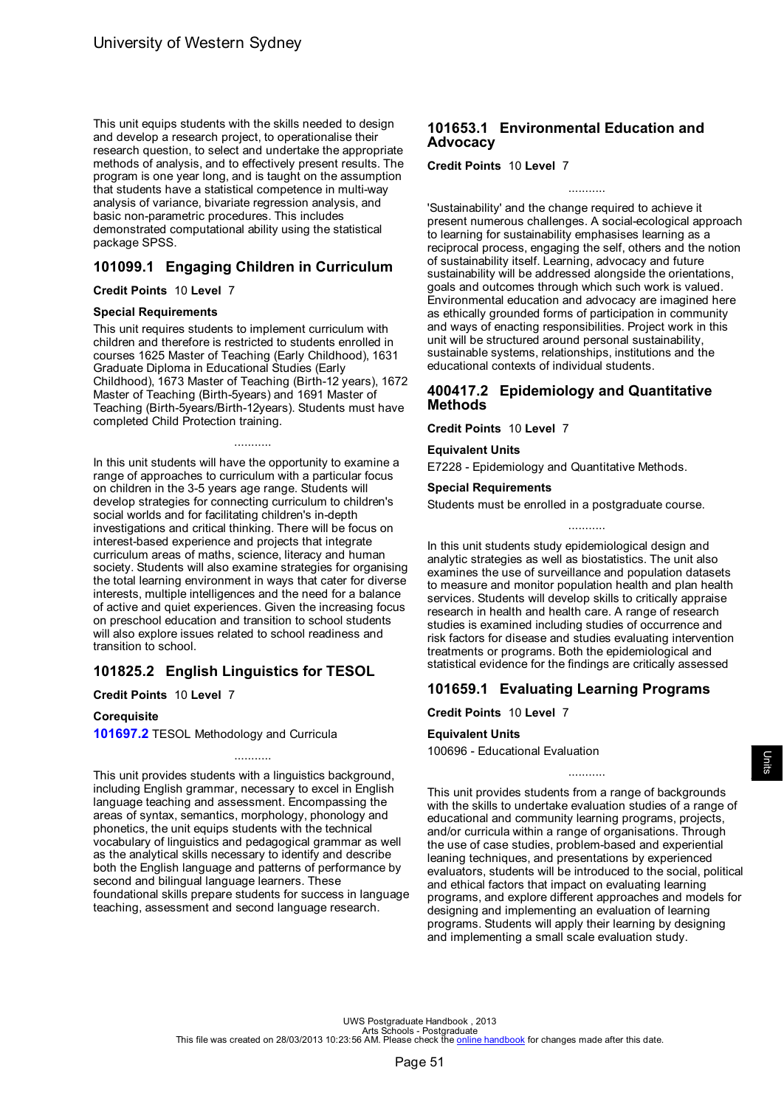<span id="page-53-0"></span>This unit equips students with the skills needed to design and develop a research project, to operationalise their research question, to select and undertake the appropriate methods of analysis, and to effectively present results. The program is one year long, and is taught on the assumption that students have a statistical competence in multi-way analysis of variance, bivariate regression analysis, and basic non-parametric procedures. This includes demonstrated computational ability using the statistical package SPSS.

# **101099.1 Engaging Children in Curriculum**

**Credit Points** 10 **Level** 7

### **Special Requirements**

This unit requires students to implement curriculum with children and therefore is restricted to students enrolled in courses 1625 Master of Teaching (Early Childhood), 1631 Graduate Diploma in Educational Studies (Early Childhood), 1673 Master of Teaching (Birth-12 years), 1672 Master of Teaching (Birth-5years) and 1691 Master of Teaching (Birth-5years/Birth-12years). Students must have completed Child Protection training.

...........

In this unit students will have the opportunity to examine a range of approaches to curriculum with a particular focus on children in the 3-5 years age range. Students will develop strategies for connecting curriculum to children's social worlds and for facilitating children's in-depth investigations and critical thinking. There will be focus on interest-based experience and projects that integrate curriculum areas of maths, science, literacy and human society. Students will also examine strategies for organising the total learning environment in ways that cater for diverse interests, multiple intelligences and the need for a balance of active and quiet experiences. Given the increasing focus on preschool education and transition to school students will also explore issues related to school readiness and transition to school.

# **101825.2 English Linguistics for TESOL**

**Credit Points** 10 **Level** 7

### **Corequisite**

**[101697.2](#page-72-0)** TESOL Methodology and Curricula

This unit provides students with a linguistics background, including English grammar, necessary to excel in English language teaching and assessment. Encompassing the areas of syntax, semantics, morphology, phonology and phonetics, the unit equips students with the technical vocabulary of linguistics and pedagogical grammar as well as the analytical skills necessary to identify and describe both the English language and patterns of performance by second and bilingual language learners. These foundational skills prepare students for success in language teaching, assessment and second language research.

...........

# **101653.1 Environmental Education and Advocacy**

**Credit Points** 10 **Level** 7

'Sustainability' and the change required to achieve it present numerous challenges. A social-ecological approach to learning for sustainability emphasises learning as a reciprocal process, engaging the self, others and the notion of sustainability itself. Learning, advocacy and future sustainability will be addressed alongside the orientations, goals and outcomes through which such work is valued. Environmental education and advocacy are imagined here as ethically grounded forms of participation in community and ways of enacting responsibilities. Project work in this unit will be structured around personal sustainability, sustainable systems, relationships, institutions and the educational contexts of individual students.

...........

# **400417.2 Epidemiology and Quantitative Methods**

**Credit Points** 10 **Level** 7

### **Equivalent Units**

E7228 - Epidemiology and Quantitative Methods.

**Special Requirements**

Students must be enrolled in a postgraduate course.

In this unit students study epidemiological design and analytic strategies as well as biostatistics. The unit also examines the use of surveillance and population datasets to measure and monitor population health and plan health services. Students will develop skills to critically appraise research in health and health care. A range of research studies is examined including studies of occurrence and risk factors for disease and studies evaluating intervention treatments or programs. Both the epidemiological and statistical evidence for the findings are critically assessed

...........

# **101659.1 Evaluating Learning Programs**

**Credit Points** 10 **Level** 7

# **Equivalent Units**

100696 - Educational Evaluation

This unit provides students from a range of backgrounds with the skills to undertake evaluation studies of a range of educational and community learning programs, projects, and/or curricula within a range of organisations. Through the use of case studies, problem-based and experiential leaning techniques, and presentations by experienced evaluators, students will be introduced to the social, political and ethical factors that impact on evaluating learning programs, and explore different approaches and models for designing and implementing an evaluation of learning programs. Students will apply their learning by designing and implementing a small scale evaluation study.

...........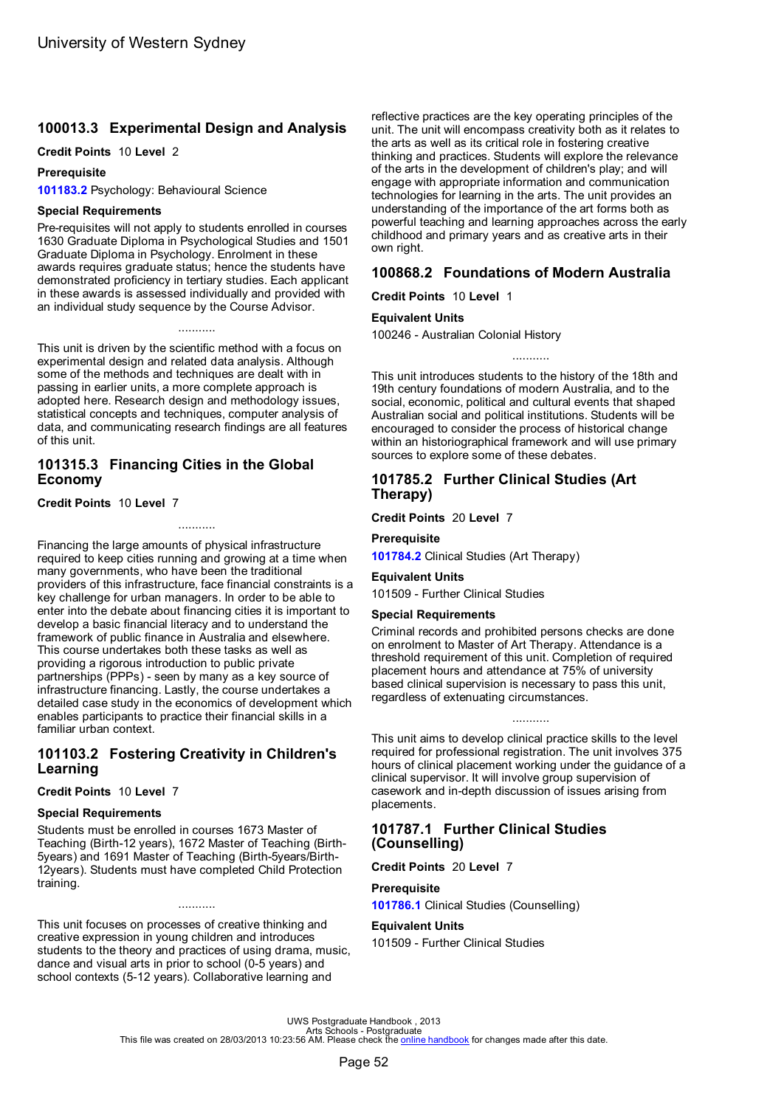# <span id="page-54-0"></span>**100013.3 Experimental Design and Analysis**

### **Credit Points** 10 **Level** 2

### **Prerequisite**

**101183.2** Psychology: Behavioural Science

### **Special Requirements**

Pre-requisites will not apply to students enrolled in courses 1630 Graduate Diploma in Psychological Studies and 1501 Graduate Diploma in Psychology. Enrolment in these awards requires graduate status; hence the students have demonstrated proficiency in tertiary studies. Each applicant in these awards is assessed individually and provided with an individual study sequence by the Course Advisor.

...........

This unit is driven by the scientific method with a focus on experimental design and related data analysis. Although some of the methods and techniques are dealt with in passing in earlier units, a more complete approach is adopted here. Research design and methodology issues, statistical concepts and techniques, computer analysis of data, and communicating research findings are all features of this unit.

### **101315.3 Financing Cities in the Global Economy**

### **Credit Points** 10 **Level** 7

Financing the large amounts of physical infrastructure required to keep cities running and growing at a time when many governments, who have been the traditional providers of this infrastructure, face financial constraints is a key challenge for urban managers. In order to be able to enter into the debate about financing cities it is important to develop a basic financial literacy and to understand the framework of public finance in Australia and elsewhere. This course undertakes both these tasks as well as providing a rigorous introduction to public private partnerships (PPPs) - seen by many as a key source of infrastructure financing. Lastly, the course undertakes a detailed case study in the economics of development which enables participants to practice their financial skills in a familiar urban context.

# **101103.2 Fostering Creativity in Children's Learning**

**Credit Points** 10 **Level** 7

### **Special Requirements**

Students must be enrolled in courses 1673 Master of Teaching (Birth-12 years), 1672 Master of Teaching (Birth-5years) and 1691 Master of Teaching (Birth-5years/Birth-12years). Students must have completed Child Protection training.

This unit focuses on processes of creative thinking and creative expression in young children and introduces students to the theory and practices of using drama, music, dance and visual arts in prior to school (0-5 years) and school contexts (5-12 years). Collaborative learning and

...........

reflective practices are the key operating principles of the unit. The unit will encompass creativity both as it relates to the arts as well as its critical role in fostering creative thinking and practices. Students will explore the relevance of the arts in the development of children's play; and will engage with appropriate information and communication technologies for learning in the arts. The unit provides an understanding of the importance of the art forms both as powerful teaching and learning approaches across the early childhood and primary years and as creative arts in their own right.

# **100868.2 Foundations of Modern Australia**

**Credit Points** 10 **Level** 1

### **Equivalent Units**

100246 - Australian Colonial History

........... This unit introduces students to the history of the 18th and 19th century foundations of modern Australia, and to the social, economic, political and cultural events that shaped Australian social and political institutions. Students will be encouraged to consider the process of historical change within an historiographical framework and will use primary

# **101785.2 Further Clinical Studies (Art Therapy)**

sources to explore some of these debates.

**Credit Points** 20 **Level** 7

### **Prerequisite**

**[101784.2](#page-47-0)** Clinical Studies (Art Therapy)

# **Equivalent Units**

101509 - Further Clinical Studies

### **Special Requirements**

Criminal records and prohibited persons checks are done on enrolment to Master of Art Therapy. Attendance is a threshold requirement of this unit. Completion of required placement hours and attendance at 75% of university based clinical supervision is necessary to pass this unit, regardless of extenuating circumstances.

This unit aims to develop clinical practice skills to the level required for professional registration. The unit involves 375 hours of clinical placement working under the guidance of a clinical supervisor. It will involve group supervision of casework and in-depth discussion of issues arising from placements.

...........

### **101787.1 Further Clinical Studies (Counselling)**

**Credit Points** 20 **Level** 7

### **Prerequisite**

**[101786.1](#page-47-0)** Clinical Studies (Counselling)

### **Equivalent Units**

101509 - Further Clinical Studies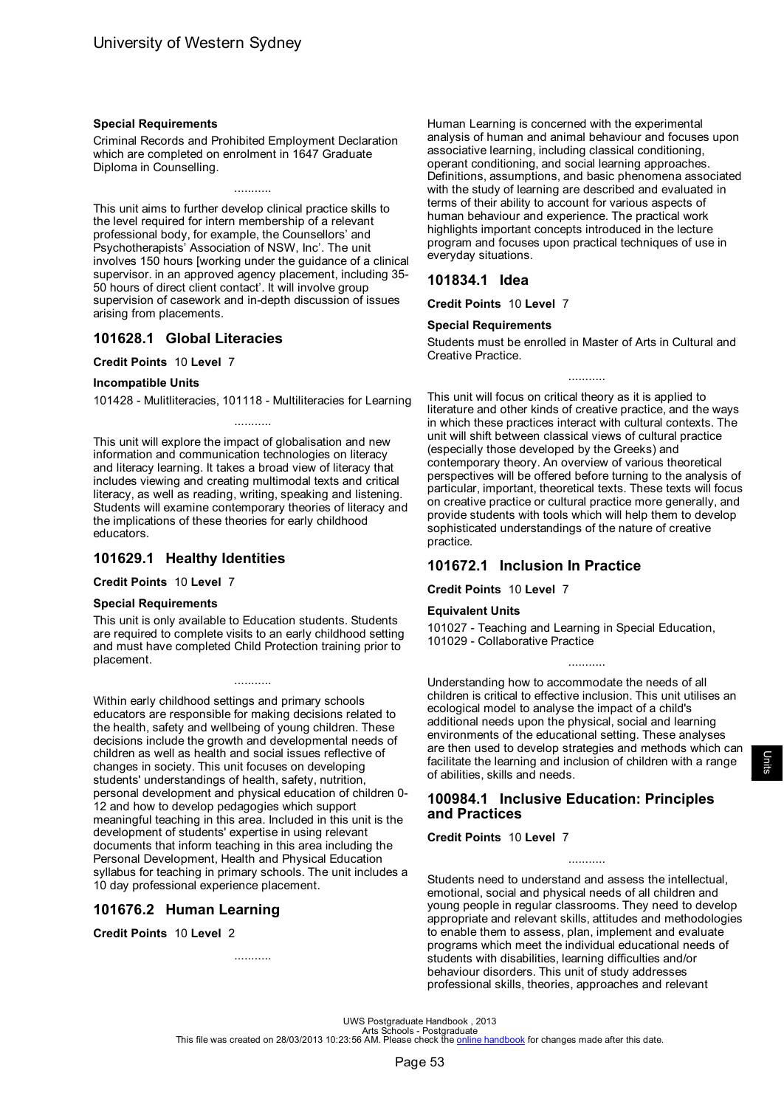### <span id="page-55-0"></span>**Special Requirements**

Criminal Records and Prohibited Employment Declaration which are completed on enrolment in 1647 Graduate Diploma in Counselling.

...........

This unit aims to further develop clinical practice skills to the level required for intern membership of a relevant professional body, for example, the Counsellors' and Psychotherapists' Association of NSW, Inc'. The unit involves 150 hours [working under the guidance of a clinical supervisor. in an approved agency placement, including 35- 50 hours of direct client contact'. It will involve group supervision of casework and in-depth discussion of issues arising from placements.

# **101628.1 Global Literacies**

**Credit Points** 10 **Level** 7

### **Incompatible Units**

101428 - Mulitliteracies, 101118 - Multiliteracies for Learning ...........

This unit will explore the impact of globalisation and new information and communication technologies on literacy and literacy learning. It takes a broad view of literacy that includes viewing and creating multimodal texts and critical literacy, as well as reading, writing, speaking and listening. Students will examine contemporary theories of literacy and the implications of these theories for early childhood educators.

# **101629.1 Healthy Identities**

**Credit Points** 10 **Level** 7

### **Special Requirements**

This unit is only available to Education students. Students are required to complete visits to an early childhood setting and must have completed Child Protection training prior to placement.

...........

Within early childhood settings and primary schools educators are responsible for making decisions related to the health, safety and wellbeing of young children. These decisions include the growth and developmental needs of children as well as health and social issues reflective of changes in society. This unit focuses on developing students' understandings of health, safety, nutrition, personal development and physical education of children 0- 12 and how to develop pedagogies which support meaningful teaching in this area. Included in this unit is the development of students' expertise in using relevant documents that inform teaching in this area including the Personal Development, Health and Physical Education syllabus for teaching in primary schools. The unit includes a 10 day professional experience placement.

# **101676.2 Human Learning**

**Credit Points** 10 **Level** 2

...........

Human Learning is concerned with the experimental analysis of human and animal behaviour and focuses upon associative learning, including classical conditioning, operant conditioning, and social learning approaches. Definitions, assumptions, and basic phenomena associated with the study of learning are described and evaluated in terms of their ability to account for various aspects of human behaviour and experience. The practical work highlights important concepts introduced in the lecture program and focuses upon practical techniques of use in everyday situations.

### **101834.1 Idea**

**Credit Points** 10 **Level** 7

### **Special Requirements**

Students must be enrolled in Master of Arts in Cultural and Creative Practice.

...........

This unit will focus on critical theory as it is applied to literature and other kinds of creative practice, and the ways in which these practices interact with cultural contexts. The unit will shift between classical views of cultural practice (especially those developed by the Greeks) and contemporary theory. An overview of various theoretical perspectives will be offered before turning to the analysis of particular, important, theoretical texts. These texts will focus on creative practice or cultural practice more generally, and provide students with tools which will help them to develop sophisticated understandings of the nature of creative practice.

# **101672.1 Inclusion In Practice**

**Credit Points** 10 **Level** 7

### **Equivalent Units**

101027 - Teaching and Learning in Special Education, 101029 - Collaborative Practice

Understanding how to accommodate the needs of all children is critical to effective inclusion. This unit utilises an ecological model to analyse the impact of a child's additional needs upon the physical, social and learning environments of the educational setting. These analyses are then used to develop strategies and methods which can facilitate the learning and inclusion of children with a range of abilities, skills and needs.

...........

# **100984.1 Inclusive Education: Principles and Practices**

**Credit Points** 10 **Level** 7

Students need to understand and assess the intellectual, emotional, social and physical needs of all children and young people in regular classrooms. They need to develop appropriate and relevant skills, attitudes and methodologies to enable them to assess, plan, implement and evaluate programs which meet the individual educational needs of students with disabilities, learning difficulties and/or behaviour disorders. This unit of study addresses professional skills, theories, approaches and relevant

...........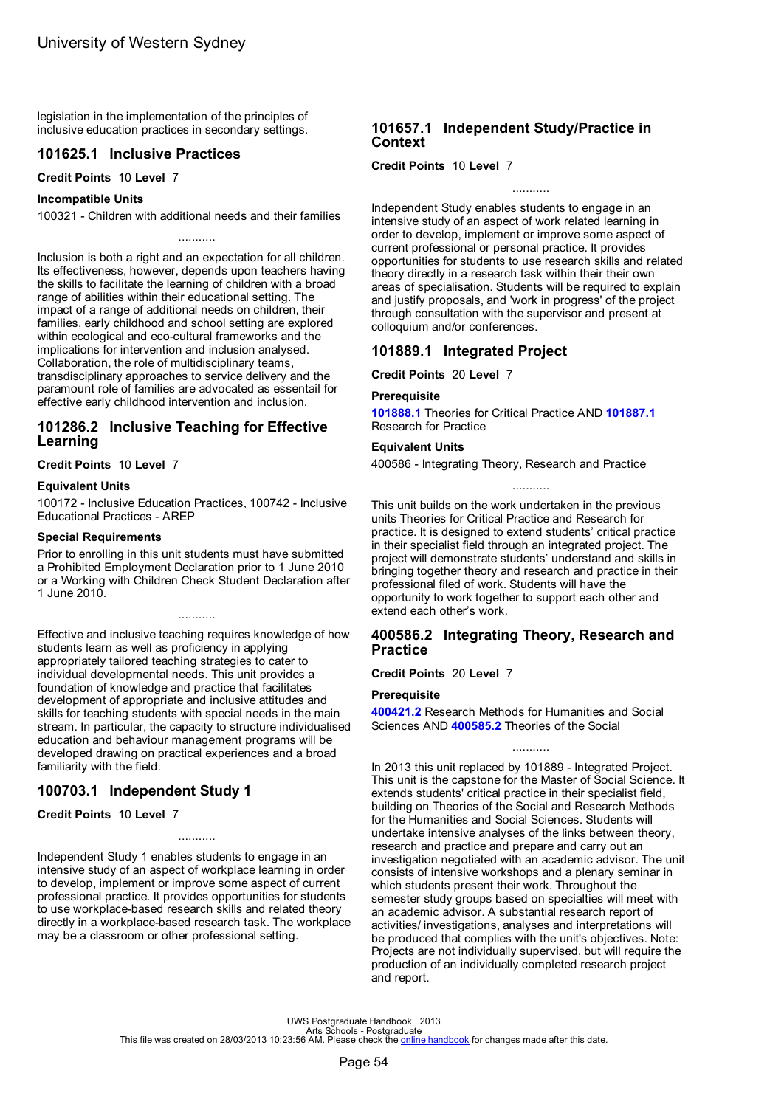<span id="page-56-0"></span>legislation in the implementation of the principles of inclusive education practices in secondary settings.

# **101625.1 Inclusive Practices**

### **Credit Points** 10 **Level** 7

### **Incompatible Units**

100321 - Children with additional needs and their families

...........

Inclusion is both a right and an expectation for all children. Its effectiveness, however, depends upon teachers having the skills to facilitate the learning of children with a broad range of abilities within their educational setting. The impact of a range of additional needs on children, their families, early childhood and school setting are explored within ecological and eco-cultural frameworks and the implications for intervention and inclusion analysed. Collaboration, the role of multidisciplinary teams, transdisciplinary approaches to service delivery and the paramount role of families are advocated as essentail for effective early childhood intervention and inclusion.

# **101286.2 Inclusive Teaching for Effective Learning**

**Credit Points** 10 **Level** 7

### **Equivalent Units**

100172 - Inclusive Education Practices, 100742 - Inclusive Educational Practices - AREP

### **Special Requirements**

Prior to enrolling in this unit students must have submitted a Prohibited Employment Declaration prior to 1 June 2010 or a Working with Children Check Student Declaration after 1 June 2010.

...........

Effective and inclusive teaching requires knowledge of how students learn as well as proficiency in applying appropriately tailored teaching strategies to cater to individual developmental needs. This unit provides a foundation of knowledge and practice that facilitates development of appropriate and inclusive attitudes and skills for teaching students with special needs in the main stream. In particular, the capacity to structure individualised education and behaviour management programs will be developed drawing on practical experiences and a broad familiarity with the field.

# **100703.1 Independent Study 1**

### **Credit Points** 10 **Level** 7

Independent Study 1 enables students to engage in an intensive study of an aspect of workplace learning in order to develop, implement or improve some aspect of current professional practice. It provides opportunities for students to use workplace-based research skills and related theory directly in a workplace-based research task. The workplace may be a classroom or other professional setting.

...........

# **101657.1 Independent Study/Practice in Context**

**Credit Points** 10 **Level** 7

Independent Study enables students to engage in an intensive study of an aspect of work related learning in order to develop, implement or improve some aspect of current professional or personal practice. It provides opportunities for students to use research skills and related theory directly in a research task within their their own areas of specialisation. Students will be required to explain and justify proposals, and 'work in progress' of the project through consultation with the supervisor and present at colloquium and/or conferences.

# **101889.1 Integrated Project**

**Credit Points** 20 **Level** 7

### **Prerequisite**

**[101888.1](#page-73-0)** Theories for Critical Practice AND **[101887.1](#page-69-0)** Research for Practice

### **Equivalent Units**

400586 - Integrating Theory, Research and Practice

...........

This unit builds on the work undertaken in the previous units Theories for Critical Practice and Research for practice. It is designed to extend students' critical practice in their specialist field through an integrated project. The project will demonstrate students' understand and skills in bringing together theory and research and practice in their professional filed of work. Students will have the opportunity to work together to support each other and extend each other's work.

# **400586.2 Integrating Theory, Research and Practice**

**Credit Points** 20 **Level** 7

### **Prerequisite**

**[400421.2](#page-69-0)** Research Methods for Humanities and Social Sciences AND **[400585.2](#page-73-0)** Theories of the Social

...........

In 2013 this unit replaced by 101889 - Integrated Project. This unit is the capstone for the Master of Social Science. It extends students' critical practice in their specialist field, building on Theories of the Social and Research Methods for the Humanities and Social Sciences. Students will undertake intensive analyses of the links between theory, research and practice and prepare and carry out an investigation negotiated with an academic advisor. The unit consists of intensive workshops and a plenary seminar in which students present their work. Throughout the semester study groups based on specialties will meet with an academic advisor. A substantial research report of activities/ investigations, analyses and interpretations will be produced that complies with the unit's objectives. Note: Projects are not individually supervised, but will require the production of an individually completed research project and report.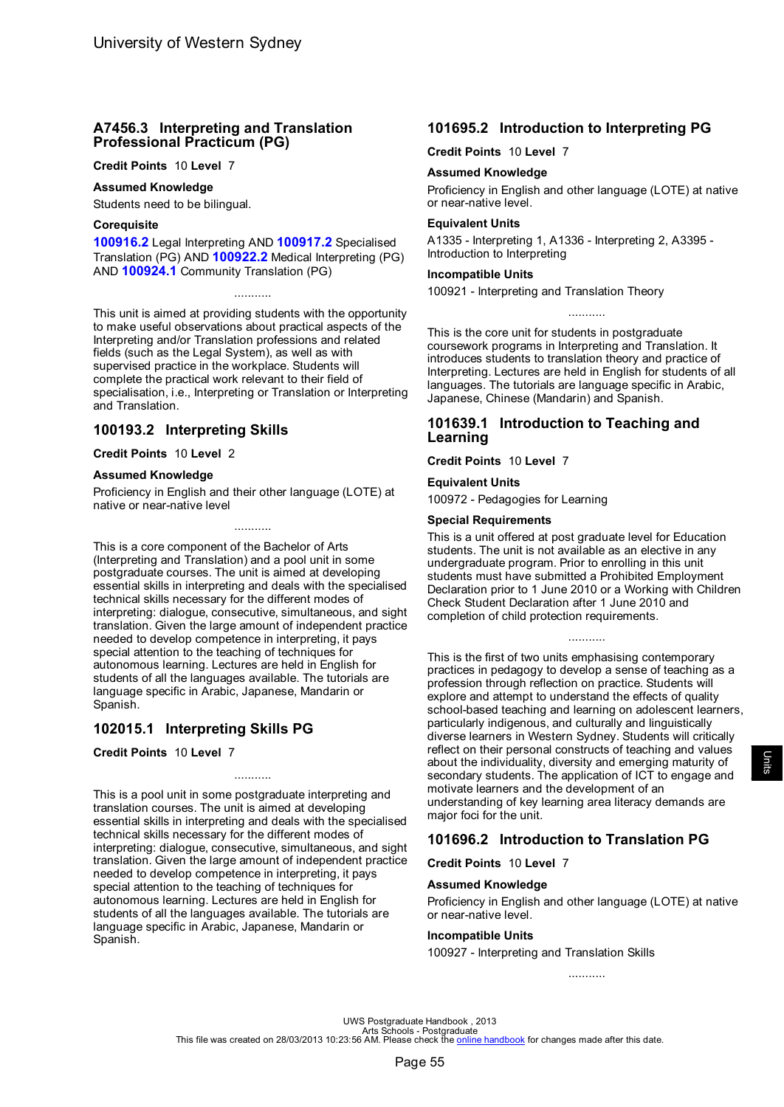# <span id="page-57-0"></span>**A7456.3 Interpreting and Translation Professional Practicum (PG)**

**Credit Points** 10 **Level** 7

### **Assumed Knowledge**

Students need to be bilingual.

### **Corequisite**

**[100916.2](#page-59-0)** Legal Interpreting AND **[100917.2](#page-72-0)** Specialised Translation (PG) AND **[100922.2](#page-60-0)** Medical Interpreting (PG) AND **100924.1** Community Translation (PG)

...........

This unit is aimed at providing students with the opportunity to make useful observations about practical aspects of the Interpreting and/or Translation professions and related fields (such as the Legal System), as well as with supervised practice in the workplace. Students will complete the practical work relevant to their field of specialisation, i.e., Interpreting or Translation or Interpreting and Translation.

# **100193.2 Interpreting Skills**

**Credit Points** 10 **Level** 2

### **Assumed Knowledge**

Proficiency in English and their other language (LOTE) at native or near-native level

...........

This is a core component of the Bachelor of Arts (Interpreting and Translation) and a pool unit in some postgraduate courses. The unit is aimed at developing essential skills in interpreting and deals with the specialised technical skills necessary for the different modes of interpreting: dialogue, consecutive, simultaneous, and sight translation. Given the large amount of independent practice needed to develop competence in interpreting, it pays special attention to the teaching of techniques for autonomous learning. Lectures are held in English for students of all the languages available. The tutorials are language specific in Arabic, Japanese, Mandarin or Spanish.

# **102015.1 Interpreting Skills PG**

**Credit Points** 10 **Level** 7

This is a pool unit in some postgraduate interpreting and translation courses. The unit is aimed at developing essential skills in interpreting and deals with the specialised technical skills necessary for the different modes of interpreting: dialogue, consecutive, simultaneous, and sight translation. Given the large amount of independent practice needed to develop competence in interpreting, it pays special attention to the teaching of techniques for autonomous learning. Lectures are held in English for students of all the languages available. The tutorials are language specific in Arabic, Japanese, Mandarin or Spanish.

...........

# **101695.2 Introduction to Interpreting PG**

**Credit Points** 10 **Level** 7

### **Assumed Knowledge**

Proficiency in English and other language (LOTE) at native or near-native level.

### **Equivalent Units**

A1335 - Interpreting 1, A1336 - Interpreting 2, A3395 - Introduction to Interpreting

### **Incompatible Units**

100921 - Interpreting and Translation Theory

This is the core unit for students in postgraduate coursework programs in Interpreting and Translation. It introduces students to translation theory and practice of Interpreting. Lectures are held in English for students of all languages. The tutorials are language specific in Arabic, Japanese, Chinese (Mandarin) and Spanish.

...........

### **101639.1 Introduction to Teaching and Learning**

**Credit Points** 10 **Level** 7

**Equivalent Units**

100972 - Pedagogies for Learning

### **Special Requirements**

This is a unit offered at post graduate level for Education students. The unit is not available as an elective in any undergraduate program. Prior to enrolling in this unit students must have submitted a Prohibited Employment Declaration prior to 1 June 2010 or a Working with Children Check Student Declaration after 1 June 2010 and completion of child protection requirements.

...........

This is the first of two units emphasising contemporary practices in pedagogy to develop a sense of teaching as a profession through reflection on practice. Students will explore and attempt to understand the effects of quality school-based teaching and learning on adolescent learners, particularly indigenous, and culturally and linguistically diverse learners in Western Sydney. Students will critically reflect on their personal constructs of teaching and values about the individuality, diversity and emerging maturity of secondary students. The application of ICT to engage and motivate learners and the development of an understanding of key learning area literacy demands are major foci for the unit.

# **101696.2 Introduction to Translation PG**

**Credit Points** 10 **Level** 7

### **Assumed Knowledge**

Proficiency in English and other language (LOTE) at native or near-native level.

### **Incompatible Units**

100927 - Interpreting and Translation Skills

...........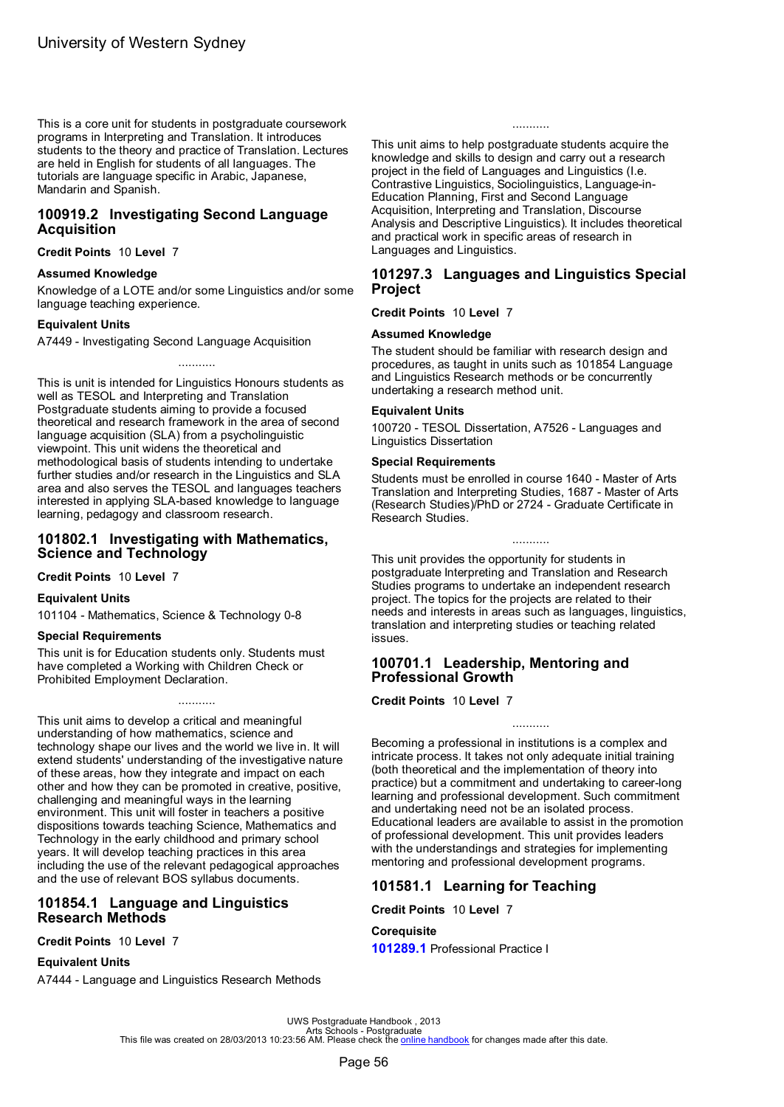<span id="page-58-0"></span>This is a core unit for students in postgraduate coursework programs in Interpreting and Translation. It introduces students to the theory and practice of Translation. Lectures are held in English for students of all languages. The tutorials are language specific in Arabic, Japanese, Mandarin and Spanish.

### **100919.2 Investigating Second Language Acquisition**

**Credit Points** 10 **Level** 7

### **Assumed Knowledge**

Knowledge of a LOTE and/or some Linguistics and/or some language teaching experience.

### **Equivalent Units**

A7449 - Investigating Second Language Acquisition

...........

This is unit is intended for Linguistics Honours students as well as TESOL and Interpreting and Translation Postgraduate students aiming to provide a focused theoretical and research framework in the area of second language acquisition (SLA) from a psycholinguistic viewpoint. This unit widens the theoretical and methodological basis of students intending to undertake further studies and/or research in the Linguistics and SLA area and also serves the TESOL and languages teachers interested in applying SLA-based knowledge to language learning, pedagogy and classroom research.

### **101802.1 Investigating with Mathematics, Science and Technology**

**Credit Points** 10 **Level** 7

### **Equivalent Units**

101104 - Mathematics, Science & Technology 0-8

### **Special Requirements**

This unit is for Education students only. Students must have completed a Working with Children Check or Prohibited Employment Declaration.

...........

This unit aims to develop a critical and meaningful understanding of how mathematics, science and technology shape our lives and the world we live in. It will extend students' understanding of the investigative nature of these areas, how they integrate and impact on each other and how they can be promoted in creative, positive, challenging and meaningful ways in the learning environment. This unit will foster in teachers a positive dispositions towards teaching Science, Mathematics and Technology in the early childhood and primary school years. It will develop teaching practices in this area including the use of the relevant pedagogical approaches and the use of relevant BOS syllabus documents.

### **101854.1 Language and Linguistics Research Methods**

**Credit Points** 10 **Level** 7

### **Equivalent Units**

A7444 - Language and Linguistics Research Methods

...........

This unit aims to help postgraduate students acquire the knowledge and skills to design and carry out a research project in the field of Languages and Linguistics (I.e. Contrastive Linguistics, Sociolinguistics, Language-in-Education Planning, First and Second Language Acquisition, Interpreting and Translation, Discourse Analysis and Descriptive Linguistics). It includes theoretical and practical work in specific areas of research in Languages and Linguistics.

### **101297.3 Languages and Linguistics Special Project**

**Credit Points** 10 **Level** 7

### **Assumed Knowledge**

The student should be familiar with research design and procedures, as taught in units such as 101854 Language and Linguistics Research methods or be concurrently undertaking a research method unit.

### **Equivalent Units**

100720 - TESOL Dissertation, A7526 - Languages and Linguistics Dissertation

#### **Special Requirements**

Students must be enrolled in course 1640 - Master of Arts Translation and Interpreting Studies, 1687 - Master of Arts (Research Studies)/PhD or 2724 - Graduate Certificate in Research Studies.

...........

This unit provides the opportunity for students in postgraduate Interpreting and Translation and Research Studies programs to undertake an independent research project. The topics for the projects are related to their needs and interests in areas such as languages, linguistics, translation and interpreting studies or teaching related issues.

### **100701.1 Leadership, Mentoring and Professional Growth**

**Credit Points** 10 **Level** 7

Becoming a professional in institutions is a complex and intricate process. It takes not only adequate initial training (both theoretical and the implementation of theory into practice) but a commitment and undertaking to career-long learning and professional development. Such commitment and undertaking need not be an isolated process. Educational leaders are available to assist in the promotion of professional development. This unit provides leaders with the understandings and strategies for implementing mentoring and professional development programs.

...........

# **101581.1 Learning for Teaching**

**Credit Points** 10 **Level** 7

### **Corequisite**

**101289.1** Professional Practice I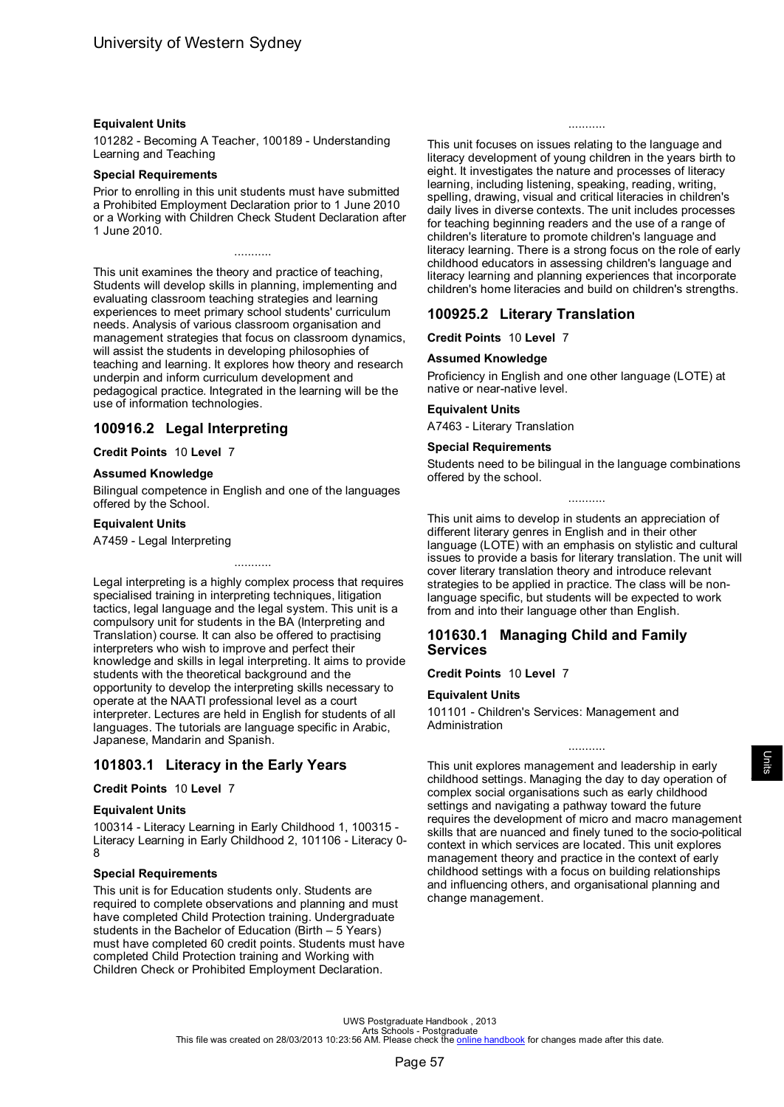### <span id="page-59-0"></span>**Equivalent Units**

101282 - Becoming A Teacher, 100189 - Understanding Learning and Teaching

### **Special Requirements**

Prior to enrolling in this unit students must have submitted a Prohibited Employment Declaration prior to 1 June 2010 or a Working with Children Check Student Declaration after 1 June 2010.

...........

This unit examines the theory and practice of teaching, Students will develop skills in planning, implementing and evaluating classroom teaching strategies and learning experiences to meet primary school students' curriculum needs. Analysis of various classroom organisation and management strategies that focus on classroom dynamics, will assist the students in developing philosophies of teaching and learning. It explores how theory and research underpin and inform curriculum development and pedagogical practice. Integrated in the learning will be the use of information technologies.

# **100916.2 Legal Interpreting**

### **Credit Points** 10 **Level** 7

### **Assumed Knowledge**

Bilingual competence in English and one of the languages offered by the School.

...........

### **Equivalent Units**

A7459 - Legal Interpreting

Legal interpreting is a highly complex process that requires specialised training in interpreting techniques, litigation tactics, legal language and the legal system. This unit is a compulsory unit for students in the BA (Interpreting and Translation) course. It can also be offered to practising interpreters who wish to improve and perfect their knowledge and skills in legal interpreting. It aims to provide students with the theoretical background and the opportunity to develop the interpreting skills necessary to operate at the NAATI professional level as a court interpreter. Lectures are held in English for students of all languages. The tutorials are language specific in Arabic, Japanese, Mandarin and Spanish.

# **101803.1 Literacy in the Early Years**

### **Credit Points** 10 **Level** 7

### **Equivalent Units**

100314 - Literacy Learning in Early Childhood 1, 100315 - Literacy Learning in Early Childhood 2, 101106 - Literacy 0- 8

### **Special Requirements**

This unit is for Education students only. Students are required to complete observations and planning and must have completed Child Protection training. Undergraduate students in the Bachelor of Education (Birth  $-5$  Years) must have completed 60 credit points. Students must have completed Child Protection training and Working with Children Check or Prohibited Employment Declaration.

This unit focuses on issues relating to the language and literacy development of young children in the years birth to eight. It investigates the nature and processes of literacy learning, including listening, speaking, reading, writing, spelling, drawing, visual and critical literacies in children's daily lives in diverse contexts. The unit includes processes for teaching beginning readers and the use of a range of children's literature to promote children's language and literacy learning. There is a strong focus on the role of early childhood educators in assessing children's language and literacy learning and planning experiences that incorporate children's home literacies and build on children's strengths.

...........

# **100925.2 Literary Translation**

**Credit Points** 10 **Level** 7

### **Assumed Knowledge**

Proficiency in English and one other language (LOTE) at native or near-native level.

### **Equivalent Units**

A7463 - Literary Translation

### **Special Requirements**

Students need to be bilingual in the language combinations offered by the school.

...........

This unit aims to develop in students an appreciation of different literary genres in English and in their other language (LOTE) with an emphasis on stylistic and cultural issues to provide a basis for literary translation. The unit will cover literary translation theory and introduce relevant strategies to be applied in practice. The class will be nonlanguage specific, but students will be expected to work from and into their language other than English.

# **101630.1 Managing Child and Family Services**

**Credit Points** 10 **Level** 7

### **Equivalent Units**

101101 - Children's Services: Management and Administration

This unit explores management and leadership in early childhood settings. Managing the day to day operation of complex social organisations such as early childhood settings and navigating a pathway toward the future requires the development of micro and macro management skills that are nuanced and finely tuned to the socio-political context in which services are located. This unit explores management theory and practice in the context of early childhood settings with a focus on building relationships and influencing others, and organisational planning and change management.

...........

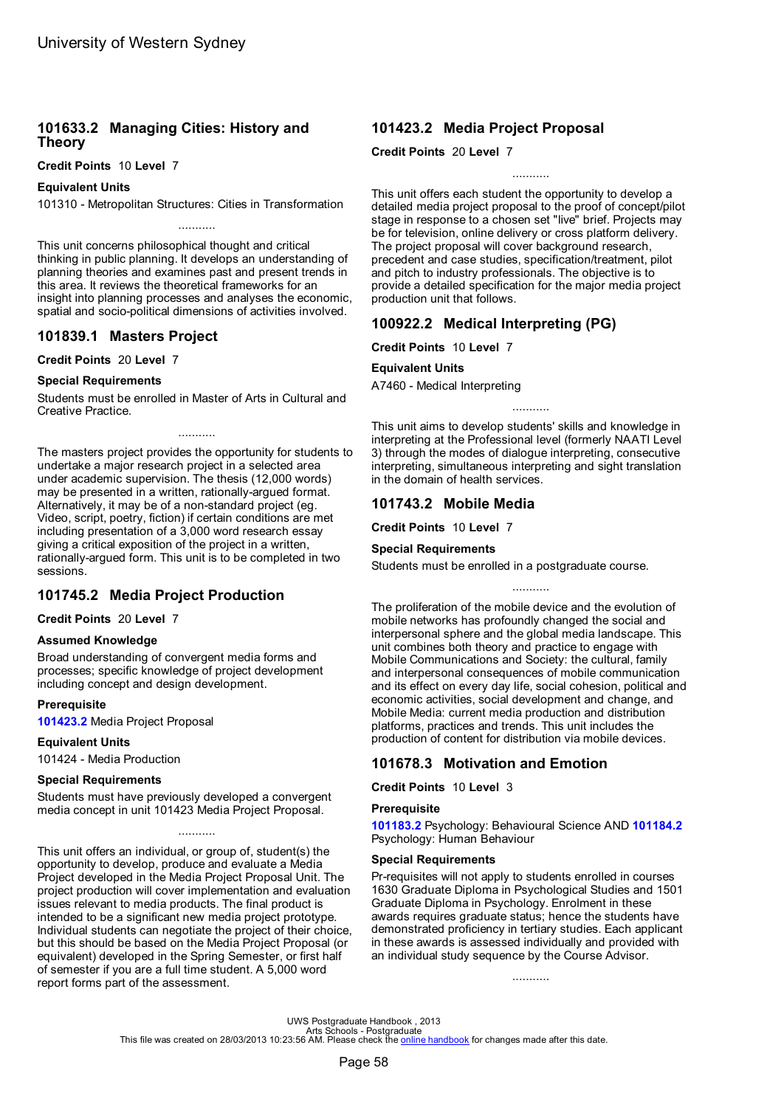# <span id="page-60-0"></span>**101633.2 Managing Cities: History and Theory**

**Credit Points** 10 **Level** 7

**Equivalent Units**

101310 - Metropolitan Structures: Cities in Transformation ...........

This unit concerns philosophical thought and critical thinking in public planning. It develops an understanding of planning theories and examines past and present trends in this area. It reviews the theoretical frameworks for an insight into planning processes and analyses the economic, spatial and socio-political dimensions of activities involved.

# **101839.1 Masters Project**

**Credit Points** 20 **Level** 7

### **Special Requirements**

Students must be enrolled in Master of Arts in Cultural and Creative Practice.

...........

The masters project provides the opportunity for students to undertake a major research project in a selected area under academic supervision. The thesis (12,000 words) may be presented in a written, rationally-argued format. Alternatively, it may be of a non-standard project (eg. Video, script, poetry, fiction) if certain conditions are met including presentation of a 3,000 word research essay giving a critical exposition of the project in a written, rationally-argued form. This unit is to be completed in two sessions.

# **101745.2 Media Project Production**

**Credit Points** 20 **Level** 7

### **Assumed Knowledge**

Broad understanding of convergent media forms and processes; specific knowledge of project development including concept and design development.

### **Prerequisite**

**101423.2** Media Project Proposal

### **Equivalent Units**

101424 - Media Production

### **Special Requirements**

Students must have previously developed a convergent media concept in unit 101423 Media Project Proposal.

...........

This unit offers an individual, or group of, student(s) the opportunity to develop, produce and evaluate a Media Project developed in the Media Project Proposal Unit. The project production will cover implementation and evaluation issues relevant to media products. The final product is intended to be a significant new media project prototype. Individual students can negotiate the project of their choice, but this should be based on the Media Project Proposal (or equivalent) developed in the Spring Semester, or first half of semester if you are a full time student. A 5,000 word report forms part of the assessment.

# **101423.2 Media Project Proposal**

**Credit Points** 20 **Level** 7

...........

This unit offers each student the opportunity to develop a detailed media project proposal to the proof of concept/pilot stage in response to a chosen set "live" brief. Projects may be for television, online delivery or cross platform delivery. The project proposal will cover background research, precedent and case studies, specification/treatment, pilot and pitch to industry professionals. The objective is to provide a detailed specification for the major media project production unit that follows.

# **100922.2 Medical Interpreting (PG)**

**Credit Points** 10 **Level** 7

### **Equivalent Units**

A7460 - Medical Interpreting

This unit aims to develop students' skills and knowledge in interpreting at the Professional level (formerly NAATI Level 3) through the modes of dialogue interpreting, consecutive interpreting, simultaneous interpreting and sight translation in the domain of health services.

...........

# **101743.2 Mobile Media**

**Credit Points** 10 **Level** 7

#### **Special Requirements**

Students must be enrolled in a postgraduate course.

The proliferation of the mobile device and the evolution of mobile networks has profoundly changed the social and interpersonal sphere and the global media landscape. This unit combines both theory and practice to engage with Mobile Communications and Society: the cultural, family and interpersonal consequences of mobile communication and its effect on every day life, social cohesion, political and economic activities, social development and change, and Mobile Media: current media production and distribution platforms, practices and trends. This unit includes the production of content for distribution via mobile devices.

# **101678.3 Motivation and Emotion**

**Credit Points** 10 **Level** 3

### **Prerequisite**

**101183.2** Psychology: Behavioural Science AND **[101184.2](#page-68-0)** Psychology: Human Behaviour

### **Special Requirements**

Pr-requisites will not apply to students enrolled in courses 1630 Graduate Diploma in Psychological Studies and 1501 Graduate Diploma in Psychology. Enrolment in these awards requires graduate status; hence the students have demonstrated proficiency in tertiary studies. Each applicant in these awards is assessed individually and provided with an individual study sequence by the Course Advisor.

...........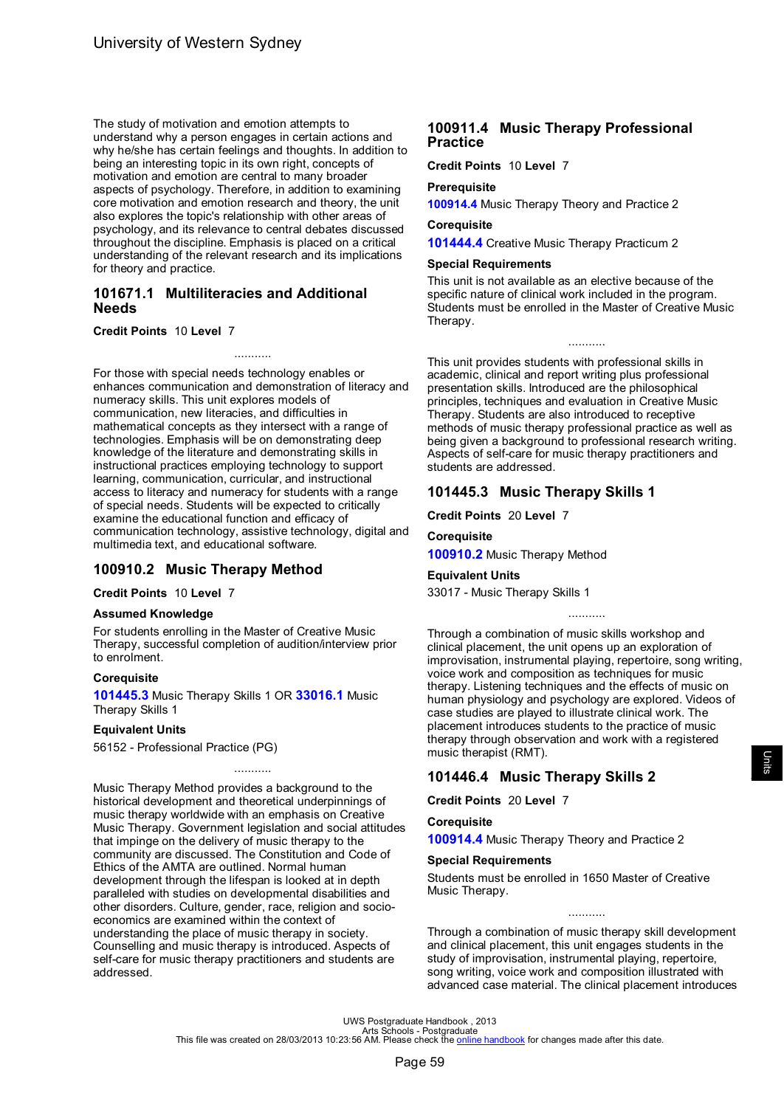<span id="page-61-0"></span>The study of motivation and emotion attempts to understand why a person engages in certain actions and why he/she has certain feelings and thoughts. In addition to being an interesting topic in its own right, concepts of motivation and emotion are central to many broader aspects of psychology. Therefore, in addition to examining core motivation and emotion research and theory, the unit also explores the topic's relationship with other areas of psychology, and its relevance to central debates discussed throughout the discipline. Emphasis is placed on a critical understanding of the relevant research and its implications for theory and practice.

### **101671.1 Multiliteracies and Additional Needs**

### **Credit Points** 10 **Level** 7

For those with special needs technology enables or enhances communication and demonstration of literacy and numeracy skills. This unit explores models of communication, new literacies, and difficulties in mathematical concepts as they intersect with a range of technologies. Emphasis will be on demonstrating deep knowledge of the literature and demonstrating skills in instructional practices employing technology to support learning, communication, curricular, and instructional access to literacy and numeracy for students with a range of special needs. Students will be expected to critically examine the educational function and efficacy of communication technology, assistive technology, digital and multimedia text, and educational software.

...........

# **100910.2 Music Therapy Method**

**Credit Points** 10 **Level** 7

### **Assumed Knowledge**

For students enrolling in the Master of Creative Music Therapy, successful completion of audition/interview prior to enrolment.

### **Corequisite**

**101445.3** Music Therapy Skills 1 OR **33016.1** Music Therapy Skills 1

### **Equivalent Units**

56152 - Professional Practice (PG)

Music Therapy Method provides a background to the historical development and theoretical underpinnings of music therapy worldwide with an emphasis on Creative Music Therapy. Government legislation and social attitudes that impinge on the delivery of music therapy to the community are discussed. The Constitution and Code of Ethics of the AMTA are outlined. Normal human development through the lifespan is looked at in depth paralleled with studies on developmental disabilities and other disorders. Culture, gender, race, religion and socioeconomics are examined within the context of understanding the place of music therapy in society. Counselling and music therapy is introduced. Aspects of self-care for music therapy practitioners and students are addressed.

...........

# **100911.4 Music Therapy Professional Practice**

**Credit Points** 10 **Level** 7

### **Prerequisite**

**[100914.4](#page-62-0)** Music Therapy Theory and Practice 2

# **Corequisite**

**[101444.4](#page-49-0)** Creative Music Therapy Practicum 2

### **Special Requirements**

This unit is not available as an elective because of the specific nature of clinical work included in the program. Students must be enrolled in the Master of Creative Music Therapy.

...........

This unit provides students with professional skills in academic, clinical and report writing plus professional presentation skills. Introduced are the philosophical principles, techniques and evaluation in Creative Music Therapy. Students are also introduced to receptive methods of music therapy professional practice as well as being given a background to professional research writing. Aspects of self-care for music therapy practitioners and students are addressed.

# **101445.3 Music Therapy Skills 1**

**Credit Points** 20 **Level** 7

# **Corequisite**

**100910.2** Music Therapy Method

### **Equivalent Units**

33017 - Music Therapy Skills 1

...........

Through a combination of music skills workshop and clinical placement, the unit opens up an exploration of improvisation, instrumental playing, repertoire, song writing, voice work and composition as techniques for music therapy. Listening techniques and the effects of music on human physiology and psychology are explored. Videos of case studies are played to illustrate clinical work. The placement introduces students to the practice of music therapy through observation and work with a registered music therapist (RMT).

# **101446.4 Music Therapy Skills 2**

**Credit Points** 20 **Level** 7

### **Corequisite**

**[100914.4](#page-62-0)** Music Therapy Theory and Practice 2

### **Special Requirements**

Students must be enrolled in 1650 Master of Creative Music Therapy.

Through a combination of music therapy skill development and clinical placement, this unit engages students in the study of improvisation, instrumental playing, repertoire, song writing, voice work and composition illustrated with advanced case material. The clinical placement introduces

...........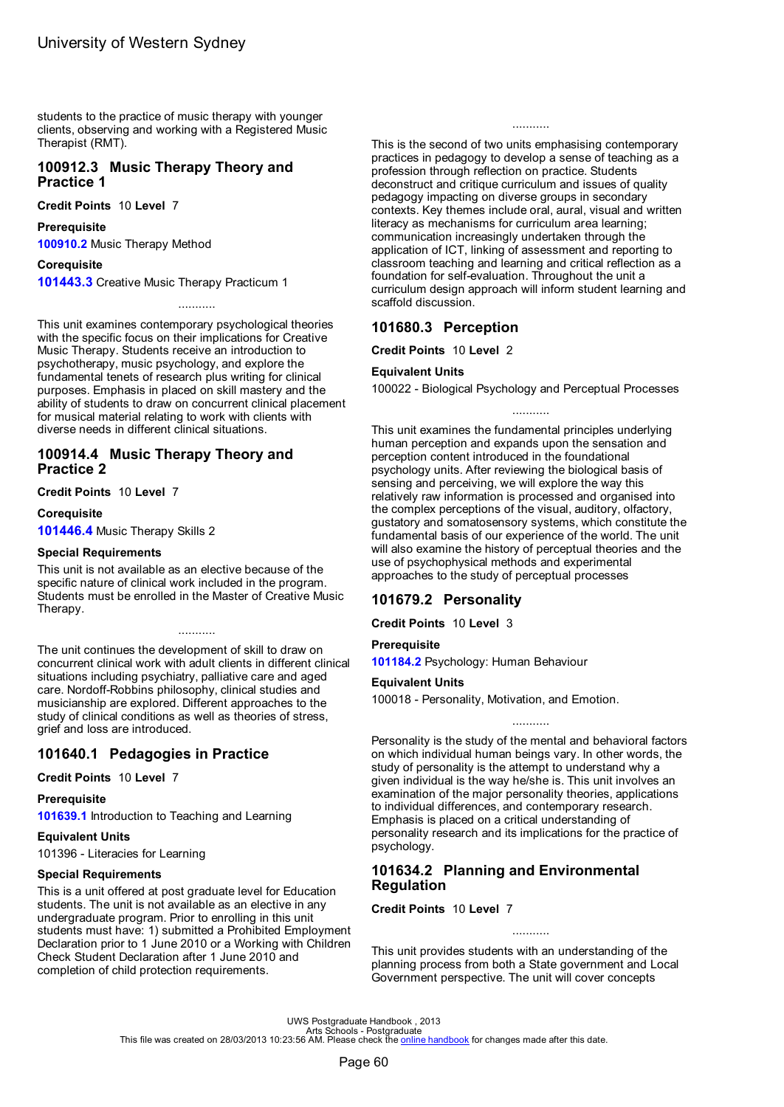<span id="page-62-0"></span>students to the practice of music therapy with younger clients, observing and working with a Registered Music Therapist (RMT).

### **100912.3 Music Therapy Theory and Practice 1**

**Credit Points** 10 **Level** 7

#### **Prerequisite**

**[100910.2](#page-61-0)** Music Therapy Method

#### **Corequisite**

**[101443.3](#page-49-0)** Creative Music Therapy Practicum 1

This unit examines contemporary psychological theories with the specific focus on their implications for Creative Music Therapy. Students receive an introduction to psychotherapy, music psychology, and explore the fundamental tenets of research plus writing for clinical purposes. Emphasis in placed on skill mastery and the ability of students to draw on concurrent clinical placement for musical material relating to work with clients with diverse needs in different clinical situations.

...........

### **100914.4 Music Therapy Theory and Practice 2**

**Credit Points** 10 **Level** 7

**Corequisite**

**[101446.4](#page-61-0)** Music Therapy Skills 2

#### **Special Requirements**

This unit is not available as an elective because of the specific nature of clinical work included in the program. Students must be enrolled in the Master of Creative Music Therapy.

...........

The unit continues the development of skill to draw on concurrent clinical work with adult clients in different clinical situations including psychiatry, palliative care and aged care. Nordoff-Robbins philosophy, clinical studies and musicianship are explored. Different approaches to the study of clinical conditions as well as theories of stress, grief and loss are introduced.

# **101640.1 Pedagogies in Practice**

**Credit Points** 10 **Level** 7

### **Prerequisite**

**[101639.1](#page-57-0)** Introduction to Teaching and Learning

### **Equivalent Units**

101396 - Literacies for Learning

### **Special Requirements**

This is a unit offered at post graduate level for Education students. The unit is not available as an elective in any undergraduate program. Prior to enrolling in this unit students must have: 1) submitted a Prohibited Employment Declaration prior to 1 June 2010 or a Working with Children Check Student Declaration after 1 June 2010 and completion of child protection requirements.

...........

This is the second of two units emphasising contemporary practices in pedagogy to develop a sense of teaching as a profession through reflection on practice. Students deconstruct and critique curriculum and issues of quality pedagogy impacting on diverse groups in secondary contexts. Key themes include oral, aural, visual and written literacy as mechanisms for curriculum area learning; communication increasingly undertaken through the application of ICT, linking of assessment and reporting to classroom teaching and learning and critical reflection as a foundation for self-evaluation. Throughout the unit a curriculum design approach will inform student learning and scaffold discussion.

### **101680.3 Perception**

**Credit Points** 10 **Level** 2

### **Equivalent Units**

100022 - Biological Psychology and Perceptual Processes ...........

This unit examines the fundamental principles underlying human perception and expands upon the sensation and perception content introduced in the foundational psychology units. After reviewing the biological basis of sensing and perceiving, we will explore the way this relatively raw information is processed and organised into the complex perceptions of the visual, auditory, olfactory, gustatory and somatosensory systems, which constitute the fundamental basis of our experience of the world. The unit will also examine the history of perceptual theories and the use of psychophysical methods and experimental approaches to the study of perceptual processes

### **101679.2 Personality**

**Credit Points** 10 **Level** 3

### **Prerequisite**

**[101184.2](#page-68-0)** Psychology: Human Behaviour

### **Equivalent Units**

100018 - Personality, Motivation, and Emotion.

Personality is the study of the mental and behavioral factors on which individual human beings vary. In other words, the study of personality is the attempt to understand why a given individual is the way he/she is. This unit involves an examination of the major personality theories, applications to individual differences, and contemporary research. Emphasis is placed on a critical understanding of personality research and its implications for the practice of psychology.

...........

# **101634.2 Planning and Environmental Regulation**

**Credit Points** 10 **Level** 7

This unit provides students with an understanding of the planning process from both a State government and Local Government perspective. The unit will cover concepts

...........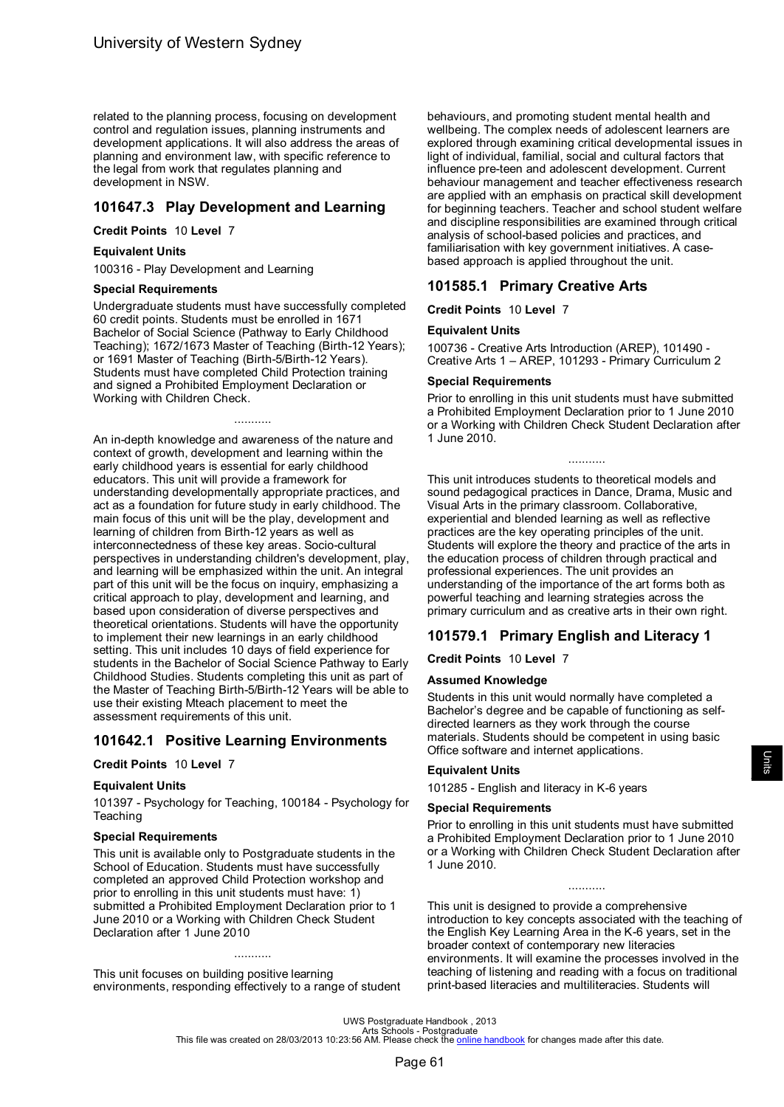related to the planning process, focusing on development control and regulation issues, planning instruments and development applications. It will also address the areas of planning and environment law, with specific reference to the legal from work that regulates planning and development in NSW.

# **101647.3 Play Development and Learning**

**Credit Points** 10 **Level** 7

### **Equivalent Units**

100316 - Play Development and Learning

### **Special Requirements**

Undergraduate students must have successfully completed 60 credit points. Students must be enrolled in 1671 Bachelor of Social Science (Pathway to Early Childhood Teaching); 1672/1673 Master of Teaching (Birth-12 Years); or 1691 Master of Teaching (Birth-5/Birth-12 Years). Students must have completed Child Protection training and signed a Prohibited Employment Declaration or Working with Children Check.

...........

An in-depth knowledge and awareness of the nature and context of growth, development and learning within the early childhood years is essential for early childhood educators. This unit will provide a framework for understanding developmentally appropriate practices, and act as a foundation for future study in early childhood. The main focus of this unit will be the play, development and learning of children from Birth-12 years as well as interconnectedness of these key areas. Socio-cultural perspectives in understanding children's development, play, and learning will be emphasized within the unit. An integral part of this unit will be the focus on inquiry, emphasizing a critical approach to play, development and learning, and based upon consideration of diverse perspectives and theoretical orientations. Students will have the opportunity to implement their new learnings in an early childhood setting. This unit includes 10 days of field experience for students in the Bachelor of Social Science Pathway to Early Childhood Studies. Students completing this unit as part of the Master of Teaching Birth-5/Birth-12 Years will be able to use their existing Mteach placement to meet the assessment requirements of this unit.

# **101642.1 Positive Learning Environments**

### **Credit Points** 10 **Level** 7

### **Equivalent Units**

101397 - Psychology for Teaching, 100184 - Psychology for **Teaching** 

### **Special Requirements**

This unit is available only to Postgraduate students in the School of Education. Students must have successfully completed an approved Child Protection workshop and prior to enrolling in this unit students must have: 1) submitted a Prohibited Employment Declaration prior to 1 June 2010 or a Working with Children Check Student Declaration after 1 June 2010

This unit focuses on building positive learning environments, responding effectively to a range of student

...........

behaviours, and promoting student mental health and wellbeing. The complex needs of adolescent learners are explored through examining critical developmental issues in light of individual, familial, social and cultural factors that influence pre-teen and adolescent development. Current behaviour management and teacher effectiveness research are applied with an emphasis on practical skill development for beginning teachers. Teacher and school student welfare and discipline responsibilities are examined through critical analysis of school-based policies and practices, and familiarisation with key government initiatives. A casebased approach is applied throughout the unit.

### **101585.1 Primary Creative Arts**

**Credit Points** 10 **Level** 7

### **Equivalent Units**

100736 - Creative Arts Introduction (AREP), 101490 - Creative Arts 1 – AREP, 101293 - Primary Curriculum 2

### **Special Requirements**

Prior to enrolling in this unit students must have submitted a Prohibited Employment Declaration prior to 1 June 2010 or a Working with Children Check Student Declaration after 1 June 2010.

...........

This unit introduces students to theoretical models and sound pedagogical practices in Dance, Drama, Music and Visual Arts in the primary classroom. Collaborative, experiential and blended learning as well as reflective practices are the key operating principles of the unit. Students will explore the theory and practice of the arts in the education process of children through practical and professional experiences. The unit provides an understanding of the importance of the art forms both as powerful teaching and learning strategies across the primary curriculum and as creative arts in their own right.

# **101579.1 Primary English and Literacy 1**

### **Credit Points** 10 **Level** 7

### **Assumed Knowledge**

Students in this unit would normally have completed a Bachelor's degree and be capable of functioning as selfdirected learners as they work through the course materials. Students should be competent in using basic Office software and internet applications.

### **Equivalent Units**

101285 - English and literacy in K-6 years

### **Special Requirements**

Prior to enrolling in this unit students must have submitted a Prohibited Employment Declaration prior to 1 June 2010 or a Working with Children Check Student Declaration after 1 June 2010.

...........

This unit is designed to provide a comprehensive introduction to key concepts associated with the teaching of the English Key Learning Area in the K-6 years, set in the broader context of contemporary new literacies environments. It will examine the processes involved in the teaching of listening and reading with a focus on traditional print-based literacies and multiliteracies. Students will

Units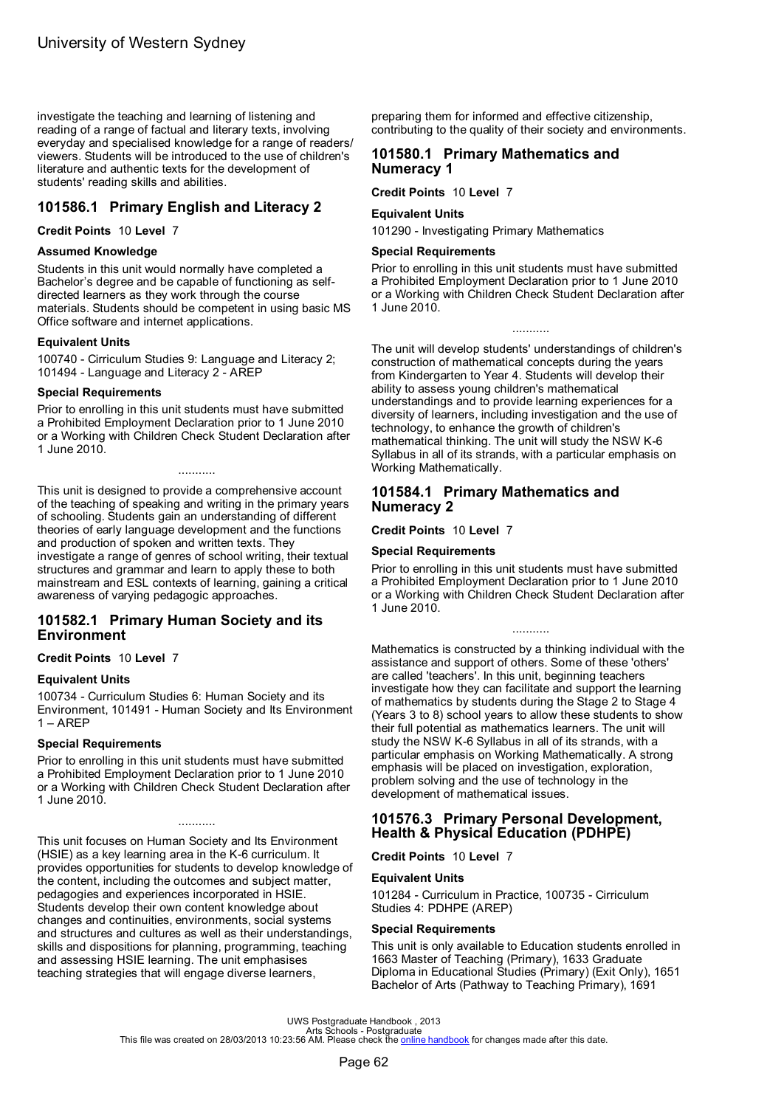investigate the teaching and learning of listening and reading of a range of factual and literary texts, involving everyday and specialised knowledge for a range of readers/ viewers. Students will be introduced to the use of children's literature and authentic texts for the development of students' reading skills and abilities.

# **101586.1 Primary English and Literacy 2**

### **Credit Points** 10 **Level** 7

### **Assumed Knowledge**

Students in this unit would normally have completed a Bachelor's degree and be capable of functioning as selfdirected learners as they work through the course materials. Students should be competent in using basic MS Office software and internet applications.

### **Equivalent Units**

100740 - Cirriculum Studies 9: Language and Literacy 2; 101494 - Language and Literacy 2 - AREP

### **Special Requirements**

Prior to enrolling in this unit students must have submitted a Prohibited Employment Declaration prior to 1 June 2010 or a Working with Children Check Student Declaration after 1 June 2010.

...........

This unit is designed to provide a comprehensive account of the teaching of speaking and writing in the primary years of schooling. Students gain an understanding of different theories of early language development and the functions and production of spoken and written texts. They investigate a range of genres of school writing, their textual structures and grammar and learn to apply these to both mainstream and ESL contexts of learning, gaining a critical awareness of varying pedagogic approaches.

# **101582.1 Primary Human Society and its Environment**

**Credit Points** 10 **Level** 7

### **Equivalent Units**

100734 - Curriculum Studies 6: Human Society and its Environment, 101491 - Human Society and Its Environment 1 – AREP

### **Special Requirements**

Prior to enrolling in this unit students must have submitted a Prohibited Employment Declaration prior to 1 June 2010 or a Working with Children Check Student Declaration after 1 June 2010.

...........

This unit focuses on Human Society and Its Environment (HSIE) as a key learning area in the K-6 curriculum. It provides opportunities for students to develop knowledge of the content, including the outcomes and subject matter, pedagogies and experiences incorporated in HSIE. Students develop their own content knowledge about changes and continuities, environments, social systems and structures and cultures as well as their understandings, skills and dispositions for planning, programming, teaching and assessing HSIE learning. The unit emphasises teaching strategies that will engage diverse learners,

preparing them for informed and effective citizenship, contributing to the quality of their society and environments.

# **101580.1 Primary Mathematics and Numeracy 1**

**Credit Points** 10 **Level** 7

### **Equivalent Units**

101290 - Investigating Primary Mathematics

### **Special Requirements**

Prior to enrolling in this unit students must have submitted a Prohibited Employment Declaration prior to 1 June 2010 or a Working with Children Check Student Declaration after 1 June 2010.

...........

The unit will develop students' understandings of children's construction of mathematical concepts during the years from Kindergarten to Year 4. Students will develop their ability to assess young children's mathematical understandings and to provide learning experiences for a diversity of learners, including investigation and the use of technology, to enhance the growth of children's mathematical thinking. The unit will study the NSW K-6 Syllabus in all of its strands, with a particular emphasis on Working Mathematically.

### **101584.1 Primary Mathematics and Numeracy 2**

**Credit Points** 10 **Level** 7

### **Special Requirements**

Prior to enrolling in this unit students must have submitted a Prohibited Employment Declaration prior to 1 June 2010 or a Working with Children Check Student Declaration after 1 June 2010.

...........

Mathematics is constructed by a thinking individual with the assistance and support of others. Some of these 'others' are called 'teachers'. In this unit, beginning teachers investigate how they can facilitate and support the learning of mathematics by students during the Stage 2 to Stage 4 (Years 3 to 8) school years to allow these students to show their full potential as mathematics learners. The unit will study the NSW K-6 Syllabus in all of its strands, with a particular emphasis on Working Mathematically. A strong emphasis will be placed on investigation, exploration, problem solving and the use of technology in the development of mathematical issues.

# **101576.3 Primary Personal Development, Health & Physical Education (PDHPE)**

### **Credit Points** 10 **Level** 7

### **Equivalent Units**

101284 - Curriculum in Practice, 100735 - Cirriculum Studies 4: PDHPE (AREP)

### **Special Requirements**

This unit is only available to Education students enrolled in 1663 Master of Teaching (Primary), 1633 Graduate Diploma in Educational Studies (Primary) (Exit Only), 1651 Bachelor of Arts (Pathway to Teaching Primary), 1691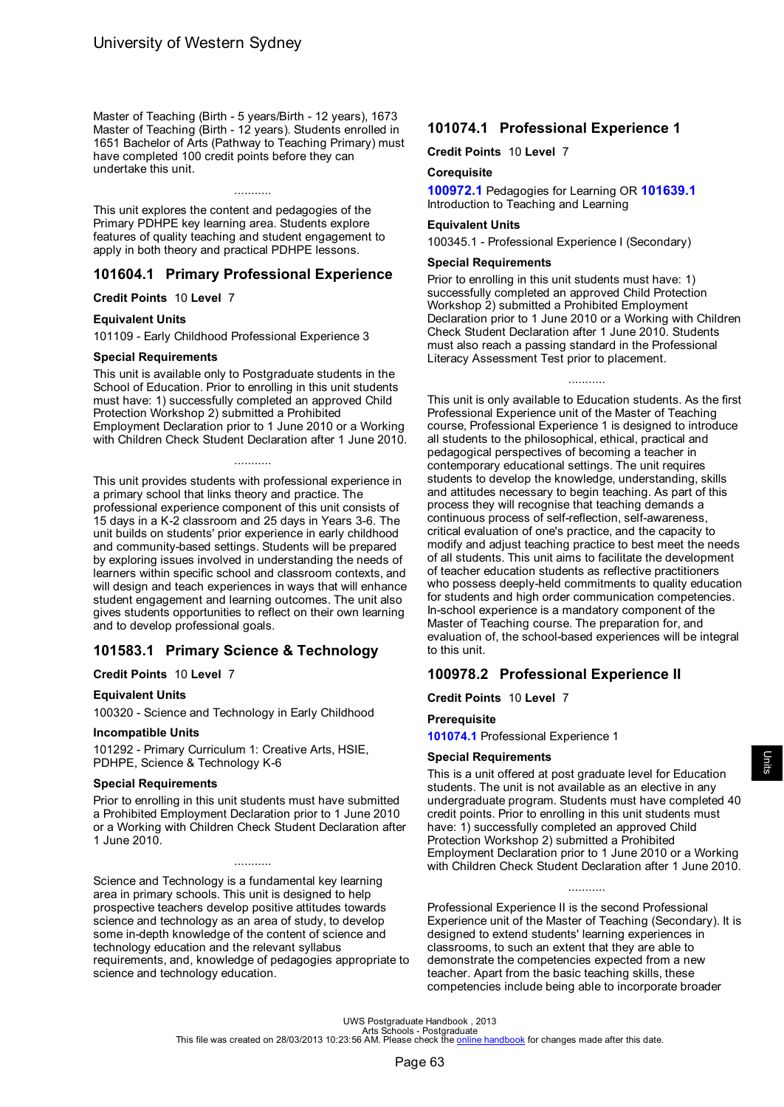Master of Teaching (Birth - 5 years/Birth - 12 years), 1673 Master of Teaching (Birth - 12 years). Students enrolled in 1651 Bachelor of Arts (Pathway to Teaching Primary) must have completed 100 credit points before they can undertake this unit.

...........

This unit explores the content and pedagogies of the Primary PDHPE key learning area. Students explore features of quality teaching and student engagement to apply in both theory and practical PDHPE lessons.

### **101604.1 Primary Professional Experience**

**Credit Points** 10 **Level** 7

### **Equivalent Units**

101109 - Early Childhood Professional Experience 3

### **Special Requirements**

This unit is available only to Postgraduate students in the School of Education. Prior to enrolling in this unit students must have: 1) successfully completed an approved Child Protection Workshop 2) submitted a Prohibited Employment Declaration prior to 1 June 2010 or a Working with Children Check Student Declaration after 1 June 2010.

...........

This unit provides students with professional experience in a primary school that links theory and practice. The professional experience component of this unit consists of 15 days in a K-2 classroom and 25 days in Years 3-6. The unit builds on students' prior experience in early childhood and community-based settings. Students will be prepared by exploring issues involved in understanding the needs of learners within specific school and classroom contexts, and will design and teach experiences in ways that will enhance student engagement and learning outcomes. The unit also gives students opportunities to reflect on their own learning and to develop professional goals.

# **101583.1 Primary Science & Technology**

### **Credit Points** 10 **Level** 7

### **Equivalent Units**

100320 - Science and Technology in Early Childhood

### **Incompatible Units**

101292 - Primary Curriculum 1: Creative Arts, HSIE, PDHPE, Science & Technology K-6

#### **Special Requirements**

Prior to enrolling in this unit students must have submitted a Prohibited Employment Declaration prior to 1 June 2010 or a Working with Children Check Student Declaration after 1 June 2010.

...........

Science and Technology is a fundamental key learning area in primary schools. This unit is designed to help prospective teachers develop positive attitudes towards science and technology as an area of study, to develop some in-depth knowledge of the content of science and technology education and the relevant syllabus requirements, and, knowledge of pedagogies appropriate to science and technology education.

# **101074.1 Professional Experience 1**

**Credit Points** 10 **Level** 7

#### **Corequisite**

**100972.1** Pedagogies for Learning OR **[101639.1](#page-57-0)** Introduction to Teaching and Learning

#### **Equivalent Units**

100345.1 - Professional Experience I (Secondary)

### **Special Requirements**

Prior to enrolling in this unit students must have: 1) successfully completed an approved Child Protection Workshop 2) submitted a Prohibited Employment Declaration prior to 1 June 2010 or a Working with Children Check Student Declaration after 1 June 2010. Students must also reach a passing standard in the Professional Literacy Assessment Test prior to placement.

...........

This unit is only available to Education students. As the first Professional Experience unit of the Master of Teaching course, Professional Experience 1 is designed to introduce all students to the philosophical, ethical, practical and pedagogical perspectives of becoming a teacher in contemporary educational settings. The unit requires students to develop the knowledge, understanding, skills and attitudes necessary to begin teaching. As part of this process they will recognise that teaching demands a continuous process of self-reflection, self-awareness, critical evaluation of one's practice, and the capacity to modify and adjust teaching practice to best meet the needs of all students. This unit aims to facilitate the development of teacher education students as reflective practitioners who possess deeply-held commitments to quality education for students and high order communication competencies. In-school experience is a mandatory component of the Master of Teaching course. The preparation for, and evaluation of, the school-based experiences will be integral to this unit.

### **100978.2 Professional Experience II**

**Credit Points** 10 **Level** 7

### **Prerequisite**

**101074.1** Professional Experience 1

#### **Special Requirements**

This is a unit offered at post graduate level for Education students. The unit is not available as an elective in any undergraduate program. Students must have completed 40 credit points. Prior to enrolling in this unit students must have: 1) successfully completed an approved Child Protection Workshop 2) submitted a Prohibited Employment Declaration prior to 1 June 2010 or a Working with Children Check Student Declaration after 1 June 2010.

...........

Professional Experience II is the second Professional Experience unit of the Master of Teaching (Secondary). It is designed to extend students' learning experiences in classrooms, to such an extent that they are able to demonstrate the competencies expected from a new teacher. Apart from the basic teaching skills, these competencies include being able to incorporate broader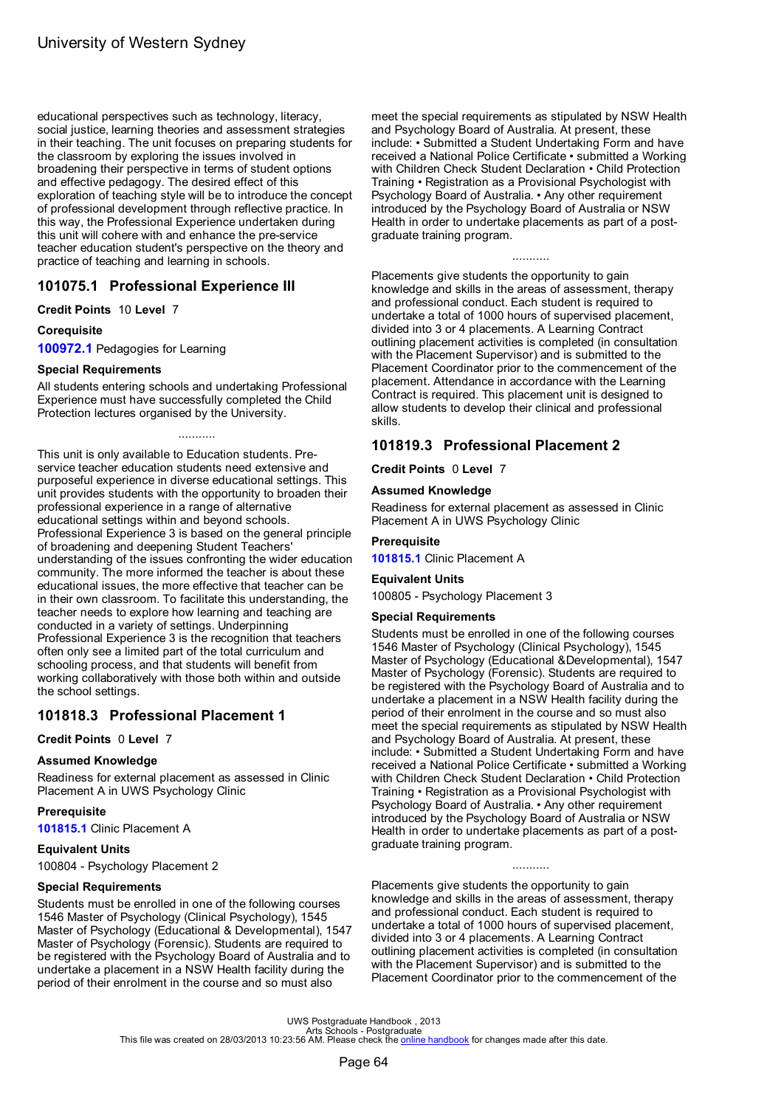educational perspectives such as technology, literacy, social justice, learning theories and assessment strategies in their teaching. The unit focuses on preparing students for the classroom by exploring the issues involved in broadening their perspective in terms of student options and effective pedagogy. The desired effect of this exploration of teaching style will be to introduce the concept of professional development through reflective practice. In this way, the Professional Experience undertaken during this unit will cohere with and enhance the pre-service teacher education student's perspective on the theory and practice of teaching and learning in schools.

# **101075.1 Professional Experience III**

**Credit Points** 10 **Level** 7

### **Corequisite**

**100972.1** Pedagogies for Learning

### **Special Requirements**

All students entering schools and undertaking Professional Experience must have successfully completed the Child Protection lectures organised by the University.

...........

This unit is only available to Education students. Preservice teacher education students need extensive and purposeful experience in diverse educational settings. This unit provides students with the opportunity to broaden their professional experience in a range of alternative educational settings within and beyond schools. Professional Experience 3 is based on the general principle of broadening and deepening Student Teachers' understanding of the issues confronting the wider education community. The more informed the teacher is about these educational issues, the more effective that teacher can be in their own classroom. To facilitate this understanding, the teacher needs to explore how learning and teaching are conducted in a variety of settings. Underpinning Professional Experience 3 is the recognition that teachers often only see a limited part of the total curriculum and schooling process, and that students will benefit from working collaboratively with those both within and outside the school settings.

# **101818.3 Professional Placement 1**

**Credit Points** 0 **Level** 7

### **Assumed Knowledge**

Readiness for external placement as assessed in Clinic Placement A in UWS Psychology Clinic

### **Prerequisite**

**101815.1** Clinic Placement A

### **Equivalent Units**

100804 - Psychology Placement 2

### **Special Requirements**

Students must be enrolled in one of the following courses 1546 Master of Psychology (Clinical Psychology), 1545 Master of Psychology (Educational & Developmental), 1547 Master of Psychology (Forensic). Students are required to be registered with the Psychology Board of Australia and to undertake a placement in a NSW Health facility during the period of their enrolment in the course and so must also

meet the special requirements as stipulated by NSW Health and Psychology Board of Australia. At present, these include: • Submitted a Student Undertaking Form and have received a National Police Certificate • submitted a Working with Children Check Student Declaration • Child Protection Training • Registration as a Provisional Psychologist with Psychology Board of Australia. • Any other requirement introduced by the Psychology Board of Australia or NSW Health in order to undertake placements as part of a postgraduate training program.

...........

Placements give students the opportunity to gain knowledge and skills in the areas of assessment, therapy and professional conduct. Each student is required to undertake a total of 1000 hours of supervised placement, divided into 3 or 4 placements. A Learning Contract outlining placement activities is completed (in consultation with the Placement Supervisor) and is submitted to the Placement Coordinator prior to the commencement of the placement. Attendance in accordance with the Learning Contract is required. This placement unit is designed to allow students to develop their clinical and professional skills.

# **101819.3 Professional Placement 2**

**Credit Points** 0 **Level** 7

### **Assumed Knowledge**

Readiness for external placement as assessed in Clinic Placement A in UWS Psychology Clinic

### **Prerequisite**

**101815.1** Clinic Placement A

### **Equivalent Units**

100805 - Psychology Placement 3

### **Special Requirements**

Students must be enrolled in one of the following courses 1546 Master of Psychology (Clinical Psychology), 1545 Master of Psychology (Educational &Developmental), 1547 Master of Psychology (Forensic). Students are required to be registered with the Psychology Board of Australia and to undertake a placement in a NSW Health facility during the period of their enrolment in the course and so must also meet the special requirements as stipulated by NSW Health and Psychology Board of Australia. At present, these include: • Submitted a Student Undertaking Form and have received a National Police Certificate • submitted a Working with Children Check Student Declaration • Child Protection Training • Registration as a Provisional Psychologist with Psychology Board of Australia. • Any other requirement introduced by the Psychology Board of Australia or NSW Health in order to undertake placements as part of a postgraduate training program.

Placements give students the opportunity to gain knowledge and skills in the areas of assessment, therapy and professional conduct. Each student is required to undertake a total of 1000 hours of supervised placement, divided into 3 or 4 placements. A Learning Contract outlining placement activities is completed (in consultation with the Placement Supervisor) and is submitted to the Placement Coordinator prior to the commencement of the

...........

UWS Postgraduate Handbook , 2013<br>Arts file was created on 28/03/2013 10:23:56 AM. Please check the <u>online [handbook](http://handbook.uws.edu.au/hbook/)</u> for changes made after this date.<br>This file was created on 28/03/2013 10:23:56 AM. Please check the <u>onl</u>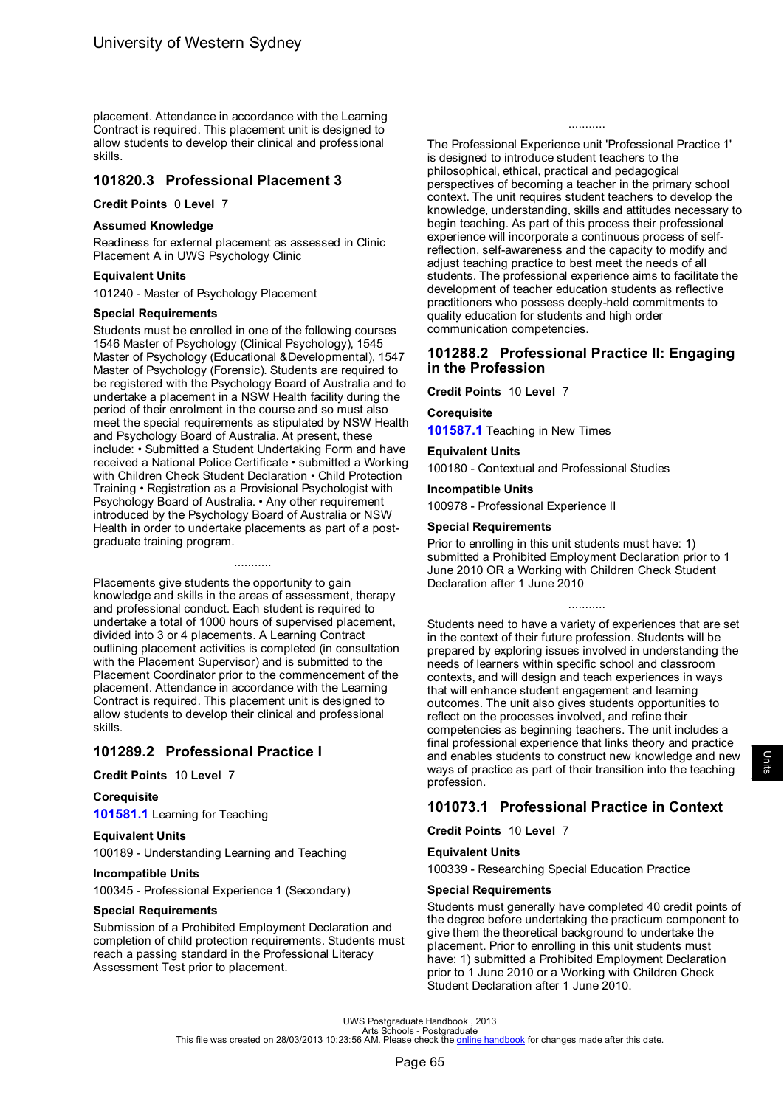placement. Attendance in accordance with the Learning Contract is required. This placement unit is designed to allow students to develop their clinical and professional skills.

# **101820.3 Professional Placement 3**

### **Credit Points** 0 **Level** 7

### **Assumed Knowledge**

Readiness for external placement as assessed in Clinic Placement A in UWS Psychology Clinic

### **Equivalent Units**

101240 - Master of Psychology Placement

### **Special Requirements**

Students must be enrolled in one of the following courses 1546 Master of Psychology (Clinical Psychology), 1545 Master of Psychology (Educational &Developmental), 1547 Master of Psychology (Forensic). Students are required to be registered with the Psychology Board of Australia and to undertake a placement in a NSW Health facility during the period of their enrolment in the course and so must also meet the special requirements as stipulated by NSW Health and Psychology Board of Australia. At present, these include: • Submitted a Student Undertaking Form and have received a National Police Certificate • submitted a Working with Children Check Student Declaration • Child Protection Training • Registration as a Provisional Psychologist with Psychology Board of Australia. • Any other requirement introduced by the Psychology Board of Australia or NSW Health in order to undertake placements as part of a postgraduate training program.

Placements give students the opportunity to gain knowledge and skills in the areas of assessment, therapy and professional conduct. Each student is required to undertake a total of 1000 hours of supervised placement, divided into 3 or 4 placements. A Learning Contract outlining placement activities is completed (in consultation with the Placement Supervisor) and is submitted to the Placement Coordinator prior to the commencement of the placement. Attendance in accordance with the Learning Contract is required. This placement unit is designed to allow students to develop their clinical and professional skills.

...........

# **101289.2 Professional Practice I**

### **Credit Points** 10 **Level** 7

### **Corequisite**

**[101581.1](#page-58-0)** Learning for Teaching

### **Equivalent Units**

100189 - Understanding Learning and Teaching

### **Incompatible Units**

100345 - Professional Experience 1 (Secondary)

### **Special Requirements**

Submission of a Prohibited Employment Declaration and completion of child protection requirements. Students must reach a passing standard in the Professional Literacy Assessment Test prior to placement.

The Professional Experience unit 'Professional Practice 1' is designed to introduce student teachers to the philosophical, ethical, practical and pedagogical perspectives of becoming a teacher in the primary school context. The unit requires student teachers to develop the knowledge, understanding, skills and attitudes necessary to begin teaching. As part of this process their professional experience will incorporate a continuous process of selfreflection, self-awareness and the capacity to modify and adjust teaching practice to best meet the needs of all students. The professional experience aims to facilitate the development of teacher education students as reflective practitioners who possess deeply-held commitments to quality education for students and high order communication competencies.

...........

### **101288.2 Professional Practice II: Engaging in the Profession**

**Credit Points** 10 **Level** 7

# **Corequisite**

**[101587.1](#page-72-0)** Teaching in New Times

### **Equivalent Units**

100180 - Contextual and Professional Studies

**Incompatible Units**

100978 - Professional Experience II

### **Special Requirements**

Prior to enrolling in this unit students must have: 1) submitted a Prohibited Employment Declaration prior to 1 June 2010 OR a Working with Children Check Student Declaration after 1 June 2010

...........

Students need to have a variety of experiences that are set in the context of their future profession. Students will be prepared by exploring issues involved in understanding the needs of learners within specific school and classroom contexts, and will design and teach experiences in ways that will enhance student engagement and learning outcomes. The unit also gives students opportunities to reflect on the processes involved, and refine their competencies as beginning teachers. The unit includes a final professional experience that links theory and practice and enables students to construct new knowledge and new ways of practice as part of their transition into the teaching profession.

# **101073.1 Professional Practice in Context**

### **Credit Points** 10 **Level** 7

### **Equivalent Units**

100339 - Researching Special Education Practice

### **Special Requirements**

Students must generally have completed 40 credit points of the degree before undertaking the practicum component to give them the theoretical background to undertake the placement. Prior to enrolling in this unit students must have: 1) submitted a Prohibited Employment Declaration prior to 1 June 2010 or a Working with Children Check Student Declaration after 1 June 2010.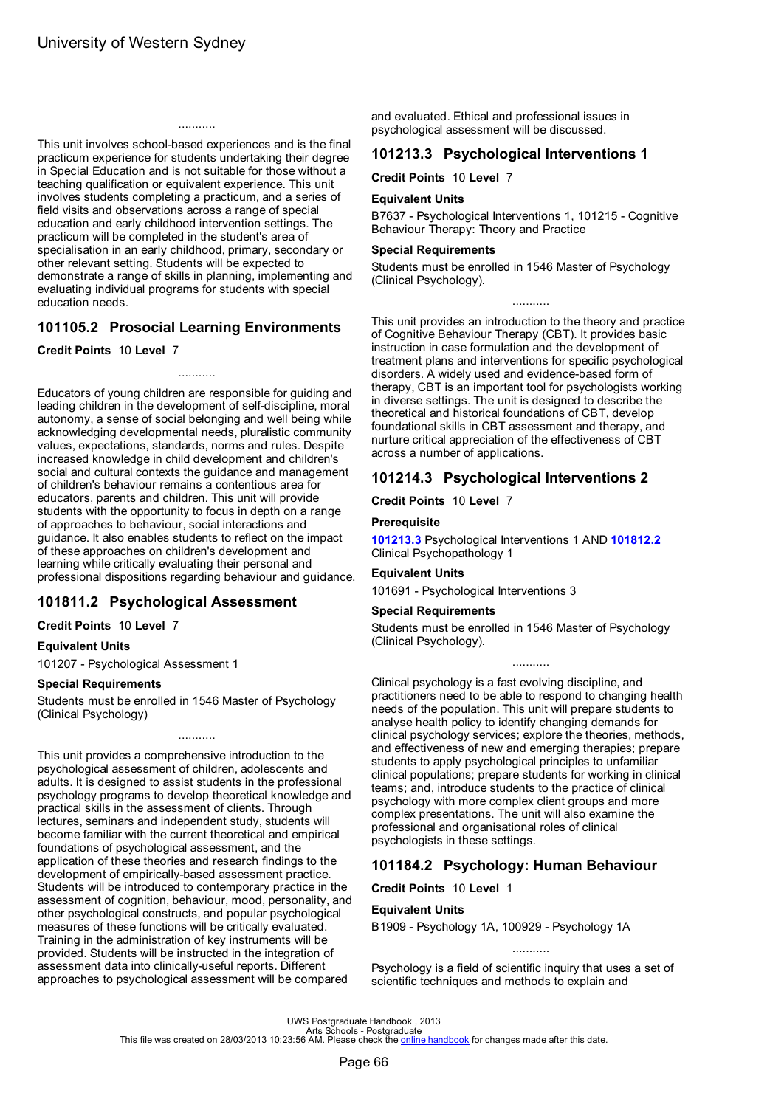<span id="page-68-0"></span>This unit involves school-based experiences and is the final practicum experience for students undertaking their degree in Special Education and is not suitable for those without a teaching qualification or equivalent experience. This unit involves students completing a practicum, and a series of field visits and observations across a range of special education and early childhood intervention settings. The practicum will be completed in the student's area of specialisation in an early childhood, primary, secondary or other relevant setting. Students will be expected to demonstrate a range of skills in planning, implementing and evaluating individual programs for students with special education needs.

...........

# **101105.2 Prosocial Learning Environments**

...........

### **Credit Points** 10 **Level** 7

Educators of young children are responsible for guiding and leading children in the development of self-discipline, moral autonomy, a sense of social belonging and well being while acknowledging developmental needs, pluralistic community values, expectations, standards, norms and rules. Despite increased knowledge in child development and children's social and cultural contexts the guidance and management of children's behaviour remains a contentious area for educators, parents and children. This unit will provide students with the opportunity to focus in depth on a range of approaches to behaviour, social interactions and guidance. It also enables students to reflect on the impact of these approaches on children's development and learning while critically evaluating their personal and professional dispositions regarding behaviour and guidance.

# **101811.2 Psychological Assessment**

### **Credit Points** 10 **Level** 7

### **Equivalent Units**

101207 - Psychological Assessment 1

### **Special Requirements**

Students must be enrolled in 1546 Master of Psychology (Clinical Psychology)

This unit provides a comprehensive introduction to the psychological assessment of children, adolescents and adults. It is designed to assist students in the professional psychology programs to develop theoretical knowledge and practical skills in the assessment of clients. Through lectures, seminars and independent study, students will become familiar with the current theoretical and empirical foundations of psychological assessment, and the application of these theories and research findings to the development of empirically-based assessment practice. Students will be introduced to contemporary practice in the assessment of cognition, behaviour, mood, personality, and other psychological constructs, and popular psychological measures of these functions will be critically evaluated. Training in the administration of key instruments will be provided. Students will be instructed in the integration of assessment data into clinically-useful reports. Different approaches to psychological assessment will be compared

and evaluated. Ethical and professional issues in psychological assessment will be discussed.

# **101213.3 Psychological Interventions 1**

**Credit Points** 10 **Level** 7

### **Equivalent Units**

B7637 - Psychological Interventions 1, 101215 - Cognitive Behaviour Therapy: Theory and Practice

### **Special Requirements**

Students must be enrolled in 1546 Master of Psychology (Clinical Psychology).

...........

This unit provides an introduction to the theory and practice of Cognitive Behaviour Therapy (CBT). It provides basic instruction in case formulation and the development of treatment plans and interventions for specific psychological disorders. A widely used and evidence-based form of therapy, CBT is an important tool for psychologists working in diverse settings. The unit is designed to describe the theoretical and historical foundations of CBT, develop foundational skills in CBT assessment and therapy, and nurture critical appreciation of the effectiveness of CBT across a number of applications.

# **101214.3 Psychological Interventions 2**

**Credit Points** 10 **Level** 7

### **Prerequisite**

**101213.3** Psychological Interventions 1 AND **[101812.2](#page-46-0)** Clinical Psychopathology 1

### **Equivalent Units**

101691 - Psychological Interventions 3

### **Special Requirements**

Students must be enrolled in 1546 Master of Psychology (Clinical Psychology).

...........

Clinical psychology is a fast evolving discipline, and practitioners need to be able to respond to changing health needs of the population. This unit will prepare students to analyse health policy to identify changing demands for clinical psychology services; explore the theories, methods, and effectiveness of new and emerging therapies; prepare students to apply psychological principles to unfamiliar clinical populations; prepare students for working in clinical teams; and, introduce students to the practice of clinical psychology with more complex client groups and more complex presentations. The unit will also examine the professional and organisational roles of clinical psychologists in these settings.

# **101184.2 Psychology: Human Behaviour**

#### **Credit Points** 10 **Level** 1

### **Equivalent Units**

B1909 - Psychology 1A, 100929 - Psychology 1A

scientific techniques and methods to explain and

........... Psychology is a field of scientific inquiry that uses a set of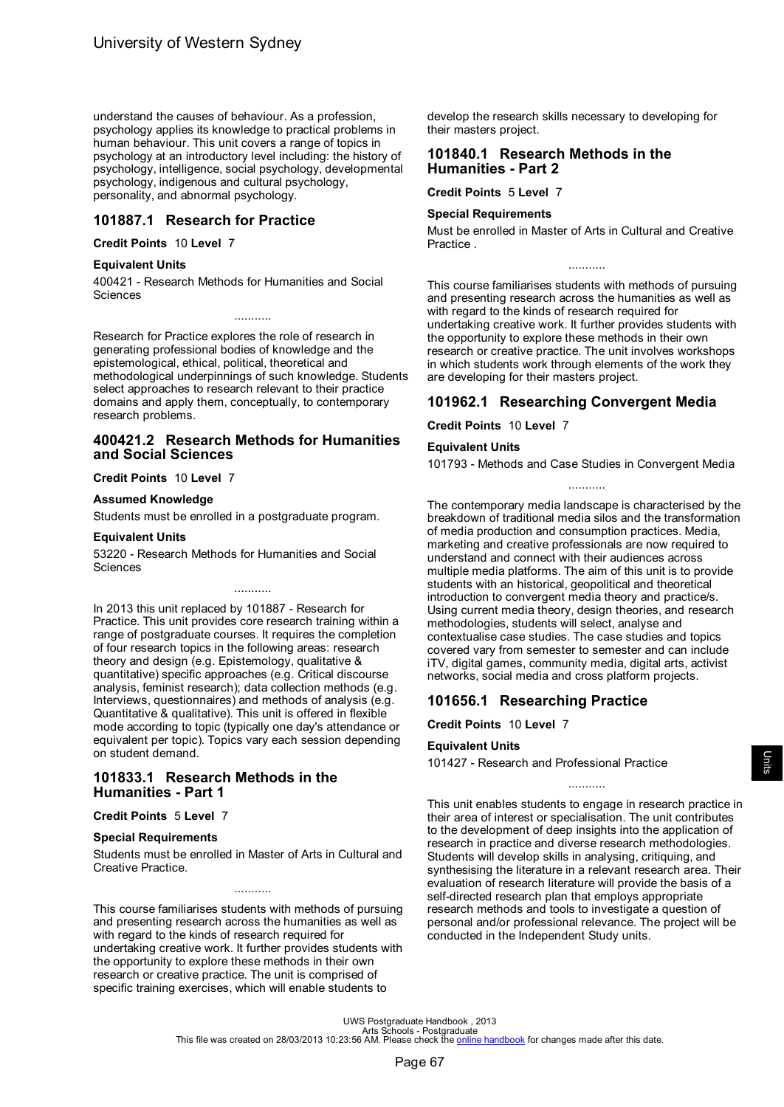<span id="page-69-0"></span>understand the causes of behaviour. As a profession, psychology applies its knowledge to practical problems in human behaviour. This unit covers a range of topics in psychology at an introductory level including: the history of psychology, intelligence, social psychology, developmental psychology, indigenous and cultural psychology, personality, and abnormal psychology.

# **101887.1 Research for Practice**

#### **Credit Points** 10 **Level** 7

#### **Equivalent Units**

400421 - Research Methods for Humanities and Social Sciences

Research for Practice explores the role of research in generating professional bodies of knowledge and the epistemological, ethical, political, theoretical and methodological underpinnings of such knowledge. Students select approaches to research relevant to their practice domains and apply them, conceptually, to contemporary research problems.

...........

### **400421.2 Research Methods for Humanities and Social Sciences**

### **Credit Points** 10 **Level** 7

#### **Assumed Knowledge**

Students must be enrolled in a postgraduate program.

#### **Equivalent Units**

53220 - Research Methods for Humanities and Social **Sciences** 

...........

In 2013 this unit replaced by 101887 - Research for Practice. This unit provides core research training within a range of postgraduate courses. It requires the completion of four research topics in the following areas: research theory and design (e.g. Epistemology, qualitative & quantitative) specific approaches (e.g. Critical discourse analysis, feminist research); data collection methods (e.g. Interviews, questionnaires) and methods of analysis (e.g. Quantitative & qualitative). This unit is offered in flexible mode according to topic (typically one day's attendance or equivalent per topic). Topics vary each session depending on student demand.

### **101833.1 Research Methods in the Humanities - Part 1**

### **Credit Points** 5 **Level** 7

### **Special Requirements**

Students must be enrolled in Master of Arts in Cultural and Creative Practice.

...........

This course familiarises students with methods of pursuing and presenting research across the humanities as well as with regard to the kinds of research required for undertaking creative work. It further provides students with the opportunity to explore these methods in their own research or creative practice. The unit is comprised of specific training exercises, which will enable students to

develop the research skills necessary to developing for their masters project.

### **101840.1 Research Methods in the Humanities - Part 2**

### **Credit Points** 5 **Level** 7

#### **Special Requirements**

Must be enrolled in Master of Arts in Cultural and Creative Practice .

...........

This course familiarises students with methods of pursuing and presenting research across the humanities as well as with regard to the kinds of research required for undertaking creative work. It further provides students with the opportunity to explore these methods in their own research or creative practice. The unit involves workshops in which students work through elements of the work they are developing for their masters project.

# **101962.1 Researching Convergent Media**

**Credit Points** 10 **Level** 7

### **Equivalent Units**

101793 - Methods and Case Studies in Convergent Media ...........

The contemporary media landscape is characterised by the breakdown of traditional media silos and the transformation of media production and consumption practices. Media, marketing and creative professionals are now required to understand and connect with their audiences across multiple media platforms. The aim of this unit is to provide students with an historical, geopolitical and theoretical introduction to convergent media theory and practice/s. Using current media theory, design theories, and research methodologies, students will select, analyse and contextualise case studies. The case studies and topics covered vary from semester to semester and can include iTV, digital games, community media, digital arts, activist networks, social media and cross platform projects.

# **101656.1 Researching Practice**

**Credit Points** 10 **Level** 7

### **Equivalent Units**

101427 - Research and Professional Practice

This unit enables students to engage in research practice in their area of interest or specialisation. The unit contributes to the development of deep insights into the application of research in practice and diverse research methodologies. Students will develop skills in analysing, critiquing, and synthesising the literature in a relevant research area. Their evaluation of research literature will provide the basis of a self-directed research plan that employs appropriate research methods and tools to investigate a question of personal and/or professional relevance. The project will be conducted in the Independent Study units.

...........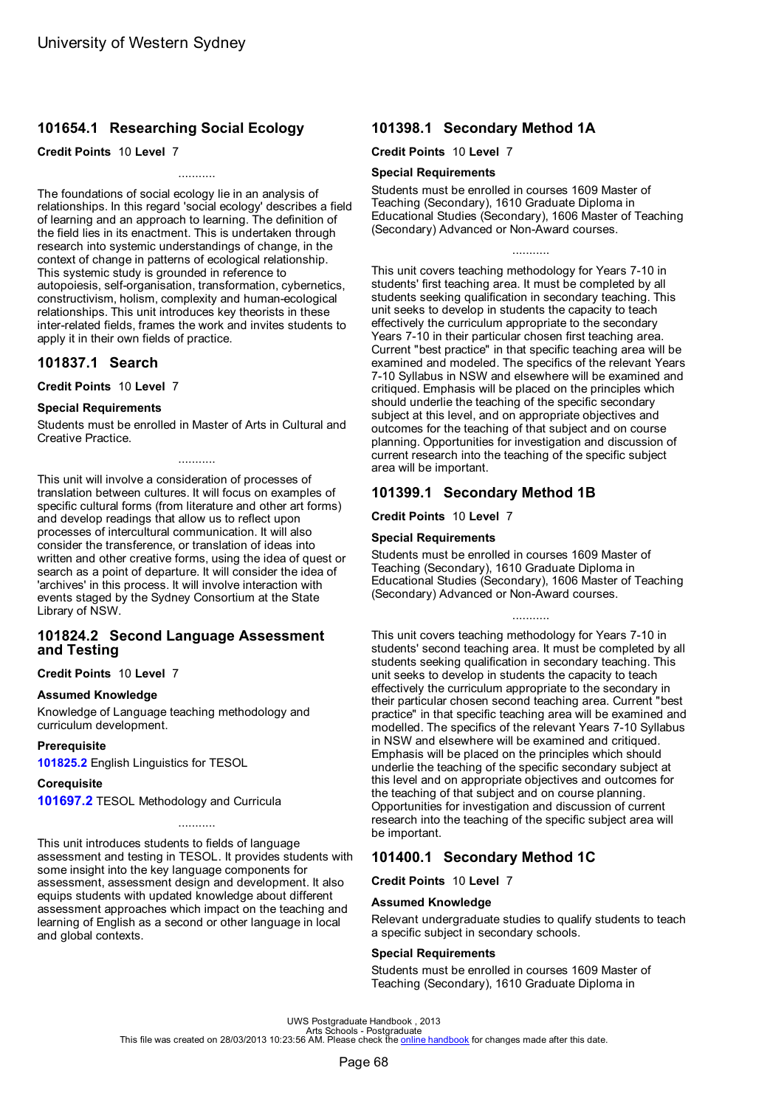# **101654.1 Researching Social Ecology**

### **Credit Points** 10 **Level** 7

The foundations of social ecology lie in an analysis of relationships. In this regard 'social ecology' describes a field of learning and an approach to learning. The definition of the field lies in its enactment. This is undertaken through research into systemic understandings of change, in the context of change in patterns of ecological relationship. This systemic study is grounded in reference to autopoiesis, self-organisation, transformation, cybernetics, constructivism, holism, complexity and human-ecological relationships. This unit introduces key theorists in these inter-related fields, frames the work and invites students to apply it in their own fields of practice.

...........

# **101837.1 Search**

**Credit Points** 10 **Level** 7

### **Special Requirements**

Students must be enrolled in Master of Arts in Cultural and Creative Practice.

...........

This unit will involve a consideration of processes of translation between cultures. It will focus on examples of specific cultural forms (from literature and other art forms) and develop readings that allow us to reflect upon processes of intercultural communication. It will also consider the transference, or translation of ideas into written and other creative forms, using the idea of quest or search as a point of departure. It will consider the idea of 'archives' in this process. It will involve interaction with events staged by the Sydney Consortium at the State Library of NSW.

# **101824.2 Second Language Assessment and Testing**

### **Credit Points** 10 **Level** 7

### **Assumed Knowledge**

Knowledge of Language teaching methodology and curriculum development.

### **Prerequisite**

**[101825.2](#page-53-0)** English Linguistics for TESOL

### **Corequisite**

**[101697.2](#page-72-0)** TESOL Methodology and Curricula

This unit introduces students to fields of language assessment and testing in TESOL. It provides students with some insight into the key language components for assessment, assessment design and development. It also equips students with updated knowledge about different assessment approaches which impact on the teaching and learning of English as a second or other language in local and global contexts.

# **101398.1 Secondary Method 1A**

### **Credit Points** 10 **Level** 7

### **Special Requirements**

Students must be enrolled in courses 1609 Master of Teaching (Secondary), 1610 Graduate Diploma in Educational Studies (Secondary), 1606 Master of Teaching (Secondary) Advanced or Non-Award courses.

...........

This unit covers teaching methodology for Years 7-10 in students' first teaching area. It must be completed by all students seeking qualification in secondary teaching. This unit seeks to develop in students the capacity to teach effectively the curriculum appropriate to the secondary Years 7-10 in their particular chosen first teaching area. Current "best practice" in that specific teaching area will be examined and modeled. The specifics of the relevant Years 7-10 Syllabus in NSW and elsewhere will be examined and critiqued. Emphasis will be placed on the principles which should underlie the teaching of the specific secondary subject at this level, and on appropriate objectives and outcomes for the teaching of that subject and on course planning. Opportunities for investigation and discussion of current research into the teaching of the specific subject area will be important.

# **101399.1 Secondary Method 1B**

**Credit Points** 10 **Level** 7

### **Special Requirements**

Students must be enrolled in courses 1609 Master of Teaching (Secondary), 1610 Graduate Diploma in Educational Studies (Secondary), 1606 Master of Teaching (Secondary) Advanced or Non-Award courses.

...........

This unit covers teaching methodology for Years 7-10 in students' second teaching area. It must be completed by all students seeking qualification in secondary teaching. This unit seeks to develop in students the capacity to teach effectively the curriculum appropriate to the secondary in their particular chosen second teaching area. Current "best practice" in that specific teaching area will be examined and modelled. The specifics of the relevant Years 7-10 Syllabus in NSW and elsewhere will be examined and critiqued. Emphasis will be placed on the principles which should underlie the teaching of the specific secondary subject at this level and on appropriate objectives and outcomes for the teaching of that subject and on course planning. Opportunities for investigation and discussion of current research into the teaching of the specific subject area will be important.

# **101400.1 Secondary Method 1C**

**Credit Points** 10 **Level** 7

### **Assumed Knowledge**

Relevant undergraduate studies to qualify students to teach a specific subject in secondary schools.

### **Special Requirements**

Students must be enrolled in courses 1609 Master of Teaching (Secondary), 1610 Graduate Diploma in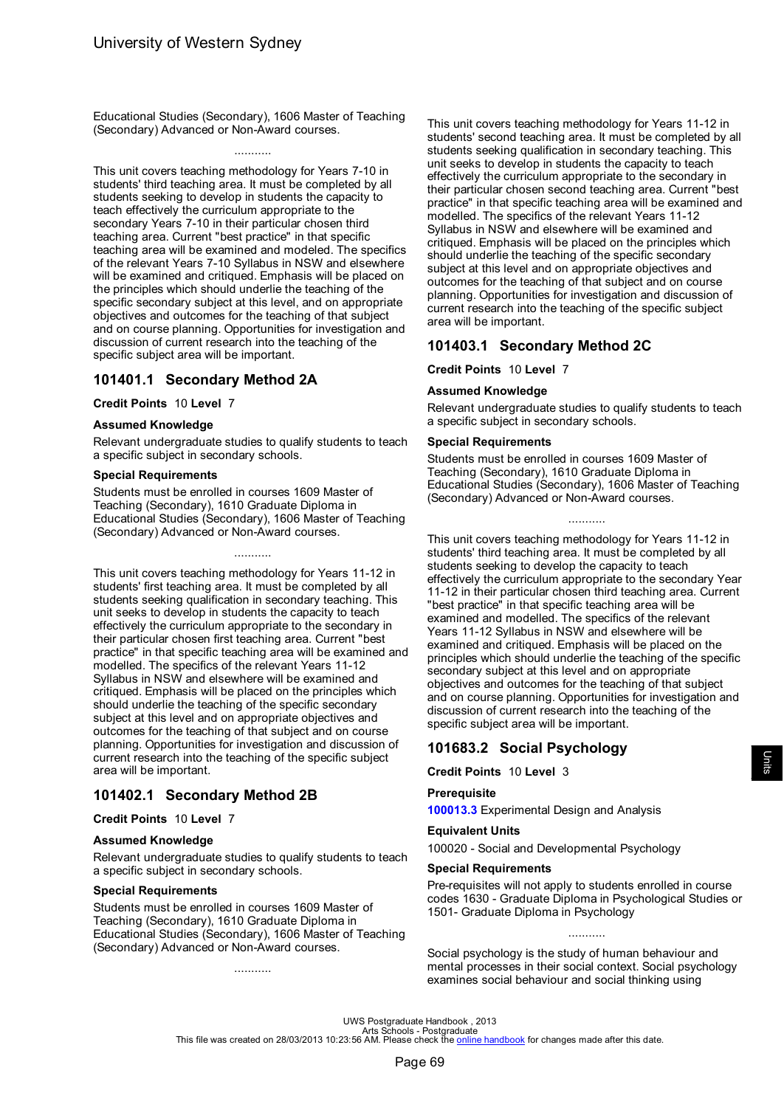<span id="page-71-0"></span>Educational Studies (Secondary), 1606 Master of Teaching (Secondary) Advanced or Non-Award courses.

### ...........

This unit covers teaching methodology for Years 7-10 in students' third teaching area. It must be completed by all students seeking to develop in students the capacity to teach effectively the curriculum appropriate to the secondary Years 7-10 in their particular chosen third teaching area. Current "best practice" in that specific teaching area will be examined and modeled. The specifics of the relevant Years 7-10 Syllabus in NSW and elsewhere will be examined and critiqued. Emphasis will be placed on the principles which should underlie the teaching of the specific secondary subject at this level, and on appropriate objectives and outcomes for the teaching of that subject and on course planning. Opportunities for investigation and discussion of current research into the teaching of the specific subject area will be important.

# **101401.1 Secondary Method 2A**

### **Credit Points** 10 **Level** 7

### **Assumed Knowledge**

Relevant undergraduate studies to qualify students to teach a specific subject in secondary schools.

### **Special Requirements**

Students must be enrolled in courses 1609 Master of Teaching (Secondary), 1610 Graduate Diploma in Educational Studies (Secondary), 1606 Master of Teaching (Secondary) Advanced or Non-Award courses.

...........

This unit covers teaching methodology for Years 11-12 in students' first teaching area. It must be completed by all students seeking qualification in secondary teaching. This unit seeks to develop in students the capacity to teach effectively the curriculum appropriate to the secondary in their particular chosen first teaching area. Current "best practice" in that specific teaching area will be examined and modelled. The specifics of the relevant Years 11-12 Syllabus in NSW and elsewhere will be examined and critiqued. Emphasis will be placed on the principles which should underlie the teaching of the specific secondary subject at this level and on appropriate objectives and outcomes for the teaching of that subject and on course planning. Opportunities for investigation and discussion of current research into the teaching of the specific subject area will be important.

# **101402.1 Secondary Method 2B**

### **Credit Points** 10 **Level** 7

### **Assumed Knowledge**

Relevant undergraduate studies to qualify students to teach a specific subject in secondary schools.

### **Special Requirements**

Students must be enrolled in courses 1609 Master of Teaching (Secondary), 1610 Graduate Diploma in Educational Studies (Secondary), 1606 Master of Teaching (Secondary) Advanced or Non-Award courses.

...........

This unit covers teaching methodology for Years 11-12 in students' second teaching area. It must be completed by all students seeking qualification in secondary teaching. This unit seeks to develop in students the capacity to teach effectively the curriculum appropriate to the secondary in their particular chosen second teaching area. Current "best practice" in that specific teaching area will be examined and modelled. The specifics of the relevant Years 11-12 Syllabus in NSW and elsewhere will be examined and critiqued. Emphasis will be placed on the principles which should underlie the teaching of the specific secondary subject at this level and on appropriate objectives and outcomes for the teaching of that subject and on course planning. Opportunities for investigation and discussion of current research into the teaching of the specific subject area will be important.

### **101403.1 Secondary Method 2C**

**Credit Points** 10 **Level** 7

### **Assumed Knowledge**

Relevant undergraduate studies to qualify students to teach a specific subject in secondary schools.

#### **Special Requirements**

Students must be enrolled in courses 1609 Master of Teaching (Secondary), 1610 Graduate Diploma in Educational Studies (Secondary), 1606 Master of Teaching (Secondary) Advanced or Non-Award courses.

...........

This unit covers teaching methodology for Years 11-12 in students' third teaching area. It must be completed by all students seeking to develop the capacity to teach effectively the curriculum appropriate to the secondary Year 11-12 in their particular chosen third teaching area. Current "best practice" in that specific teaching area will be examined and modelled. The specifics of the relevant Years 11-12 Syllabus in NSW and elsewhere will be examined and critiqued. Emphasis will be placed on the principles which should underlie the teaching of the specific secondary subject at this level and on appropriate objectives and outcomes for the teaching of that subject and on course planning. Opportunities for investigation and discussion of current research into the teaching of the specific subject area will be important.

# **101683.2 Social Psychology**

**Credit Points** 10 **Level** 3

#### **Prerequisite**

**[100013.3](#page-54-0)** Experimental Design and Analysis

#### **Equivalent Units**

100020 - Social and Developmental Psychology

#### **Special Requirements**

Pre-requisites will not apply to students enrolled in course codes 1630 - Graduate Diploma in Psychological Studies or 1501- Graduate Diploma in Psychology

...........

Social psychology is the study of human behaviour and mental processes in their social context. Social psychology examines social behaviour and social thinking using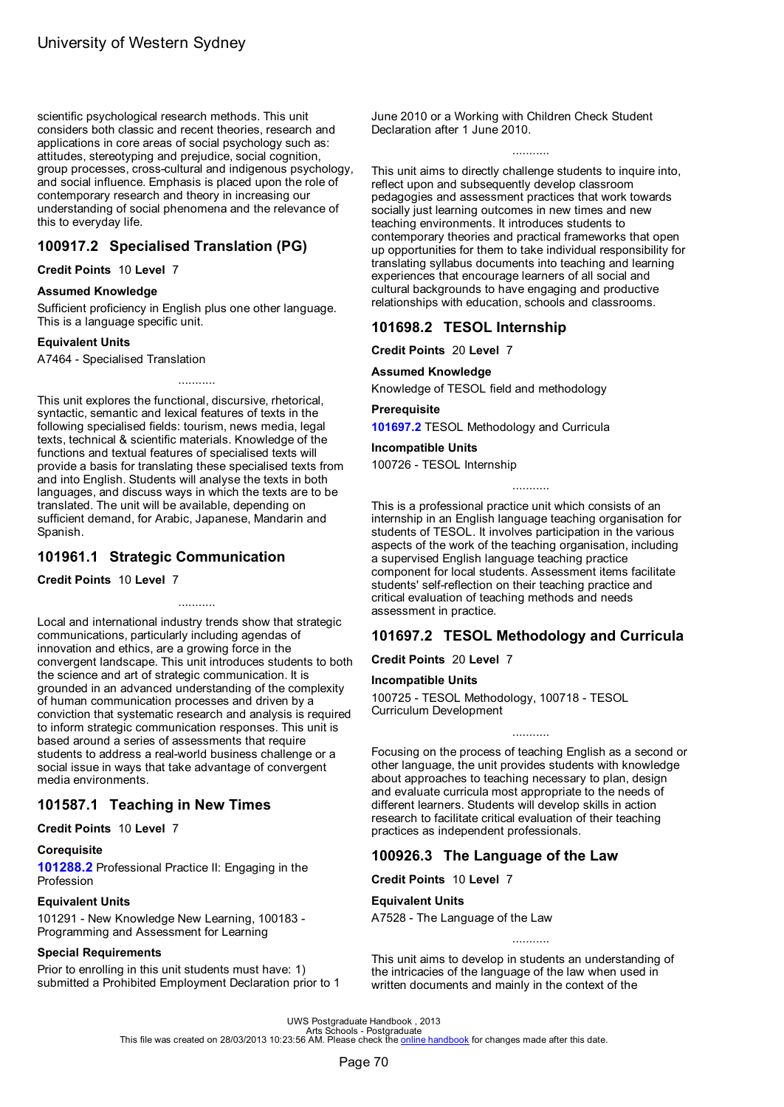<span id="page-72-0"></span>scientific psychological research methods. This unit considers both classic and recent theories, research and applications in core areas of social psychology such as: attitudes, stereotyping and prejudice, social cognition, group processes, cross-cultural and indigenous psychology, and social influence. Emphasis is placed upon the role of contemporary research and theory in increasing our understanding of social phenomena and the relevance of this to everyday life.

# **100917.2 Specialised Translation (PG)**

**Credit Points** 10 **Level** 7

### **Assumed Knowledge**

Sufficient proficiency in English plus one other language. This is a language specific unit.

### **Equivalent Units**

A7464 - Specialised Translation

This unit explores the functional, discursive, rhetorical, syntactic, semantic and lexical features of texts in the following specialised fields: tourism, news media, legal texts, technical & scientific materials. Knowledge of the functions and textual features of specialised texts will provide a basis for translating these specialised texts from and into English. Students will analyse the texts in both languages, and discuss ways in which the texts are to be translated. The unit will be available, depending on sufficient demand, for Arabic, Japanese, Mandarin and Spanish.

...........

# **101961.1 Strategic Communication**

### **Credit Points** 10 **Level** 7

Local and international industry trends show that strategic communications, particularly including agendas of innovation and ethics, are a growing force in the convergent landscape. This unit introduces students to both the science and art of strategic communication. It is grounded in an advanced understanding of the complexity of human communication processes and driven by a conviction that systematic research and analysis is required to inform strategic communication responses. This unit is based around a series of assessments that require students to address a real-world business challenge or a social issue in ways that take advantage of convergent media environments.

...........

# **101587.1 Teaching in New Times**

**Credit Points** 10 **Level** 7

### **Corequisite**

**[101288.2](#page-67-0)** Professional Practice II: Engaging in the Profession

### **Equivalent Units**

101291 - New Knowledge New Learning, 100183 - Programming and Assessment for Learning

### **Special Requirements**

Prior to enrolling in this unit students must have: 1) submitted a Prohibited Employment Declaration prior to 1 June 2010 or a Working with Children Check Student Declaration after 1 June 2010.

...........

This unit aims to directly challenge students to inquire into, reflect upon and subsequently develop classroom pedagogies and assessment practices that work towards socially just learning outcomes in new times and new teaching environments. It introduces students to contemporary theories and practical frameworks that open up opportunities for them to take individual responsibility for translating syllabus documents into teaching and learning experiences that encourage learners of all social and cultural backgrounds to have engaging and productive relationships with education, schools and classrooms.

# **101698.2 TESOL Internship**

**Credit Points** 20 **Level** 7

### **Assumed Knowledge**

Knowledge of TESOL field and methodology

### **Prerequisite**

**101697.2** TESOL Methodology and Curricula

### **Incompatible Units**

100726 - TESOL Internship

...........

This is a professional practice unit which consists of an internship in an English language teaching organisation for students of TESOL. It involves participation in the various aspects of the work of the teaching organisation, including a supervised English language teaching practice component for local students. Assessment items facilitate students' self-reflection on their teaching practice and critical evaluation of teaching methods and needs assessment in practice.

# **101697.2 TESOL Methodology and Curricula**

**Credit Points** 20 **Level** 7

### **Incompatible Units**

100725 - TESOL Methodology, 100718 - TESOL Curriculum Development

Focusing on the process of teaching English as a second or other language, the unit provides students with knowledge about approaches to teaching necessary to plan, design and evaluate curricula most appropriate to the needs of different learners. Students will develop skills in action research to facilitate critical evaluation of their teaching practices as independent professionals.

...........

# **100926.3 The Language of the Law**

**Credit Points** 10 **Level** 7

### **Equivalent Units**

A7528 - The Language of the Law

...........

This unit aims to develop in students an understanding of the intricacies of the language of the law when used in written documents and mainly in the context of the

UWS Postgraduate Handbook , 2013<br>Arts Schools - Postgraduate<br>This file was created on 28/03/2013 10:23:56 AM. Please check the <u>online [handbook](http://handbook.uws.edu.au/hbook/)</u> for changes made after this date.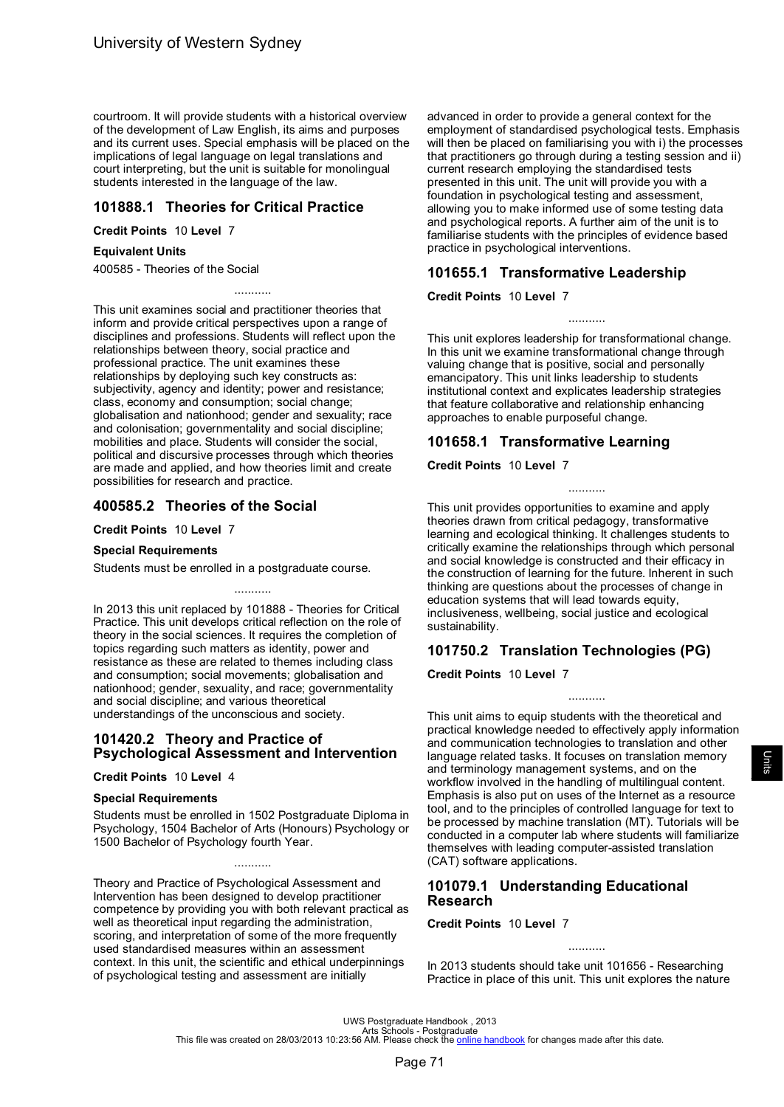<span id="page-73-0"></span>courtroom. It will provide students with a historical overview of the development of Law English, its aims and purposes and its current uses. Special emphasis will be placed on the implications of legal language on legal translations and court interpreting, but the unit is suitable for monolingual students interested in the language of the law.

# **101888.1 Theories for Critical Practice**

**Credit Points** 10 **Level** 7

### **Equivalent Units**

400585 - Theories of the Social

This unit examines social and practitioner theories that inform and provide critical perspectives upon a range of disciplines and professions. Students will reflect upon the relationships between theory, social practice and professional practice. The unit examines these relationships by deploying such key constructs as: subjectivity, agency and identity; power and resistance; class, economy and consumption; social change; globalisation and nationhood; gender and sexuality; race and colonisation; governmentality and social discipline; mobilities and place. Students will consider the social, political and discursive processes through which theories are made and applied, and how theories limit and create possibilities for research and practice.

...........

# **400585.2 Theories of the Social**

**Credit Points** 10 **Level** 7

### **Special Requirements**

Students must be enrolled in a postgraduate course.

In 2013 this unit replaced by 101888 - Theories for Critical Practice. This unit develops critical reflection on the role of theory in the social sciences. It requires the completion of topics regarding such matters as identity, power and resistance as these are related to themes including class and consumption; social movements; globalisation and nationhood; gender, sexuality, and race; governmentality and social discipline; and various theoretical understandings of the unconscious and society.

...........

# **101420.2 Theory and Practice of Psychological Assessment and Intervention**

### **Credit Points** 10 **Level** 4

### **Special Requirements**

Students must be enrolled in 1502 Postgraduate Diploma in Psychology, 1504 Bachelor of Arts (Honours) Psychology or 1500 Bachelor of Psychology fourth Year.

...........

Theory and Practice of Psychological Assessment and Intervention has been designed to develop practitioner competence by providing you with both relevant practical as well as theoretical input regarding the administration, scoring, and interpretation of some of the more frequently used standardised measures within an assessment context. In this unit, the scientific and ethical underpinnings of psychological testing and assessment are initially

advanced in order to provide a general context for the employment of standardised psychological tests. Emphasis will then be placed on familiarising you with i) the processes that practitioners go through during a testing session and ii) current research employing the standardised tests presented in this unit. The unit will provide you with a foundation in psychological testing and assessment, allowing you to make informed use of some testing data and psychological reports. A further aim of the unit is to familiarise students with the principles of evidence based practice in psychological interventions.

# **101655.1 Transformative Leadership**

### **Credit Points** 10 **Level** 7

This unit explores leadership for transformational change. In this unit we examine transformational change through valuing change that is positive, social and personally emancipatory. This unit links leadership to students institutional context and explicates leadership strategies that feature collaborative and relationship enhancing approaches to enable purposeful change.

...........

# **101658.1 Transformative Learning**

### **Credit Points** 10 **Level** 7

This unit provides opportunities to examine and apply theories drawn from critical pedagogy, transformative learning and ecological thinking. It challenges students to critically examine the relationships through which personal and social knowledge is constructed and their efficacy in the construction of learning for the future. Inherent in such thinking are questions about the processes of change in education systems that will lead towards equity, inclusiveness, wellbeing, social justice and ecological sustainability.

...........

# **101750.2 Translation Technologies (PG)**

**Credit Points** 10 **Level** 7

This unit aims to equip students with the theoretical and practical knowledge needed to effectively apply information and communication technologies to translation and other language related tasks. It focuses on translation memory and terminology management systems, and on the workflow involved in the handling of multilingual content. Emphasis is also put on uses of the Internet as a resource tool, and to the principles of controlled language for text to be processed by machine translation (MT). Tutorials will be conducted in a computer lab where students will familiarize themselves with leading computer-assisted translation (CAT) software applications.

...........

# **101079.1 Understanding Educational Research**

### **Credit Points** 10 **Level** 7

In 2013 students should take unit 101656 - Researching Practice in place of this unit. This unit explores the nature

...........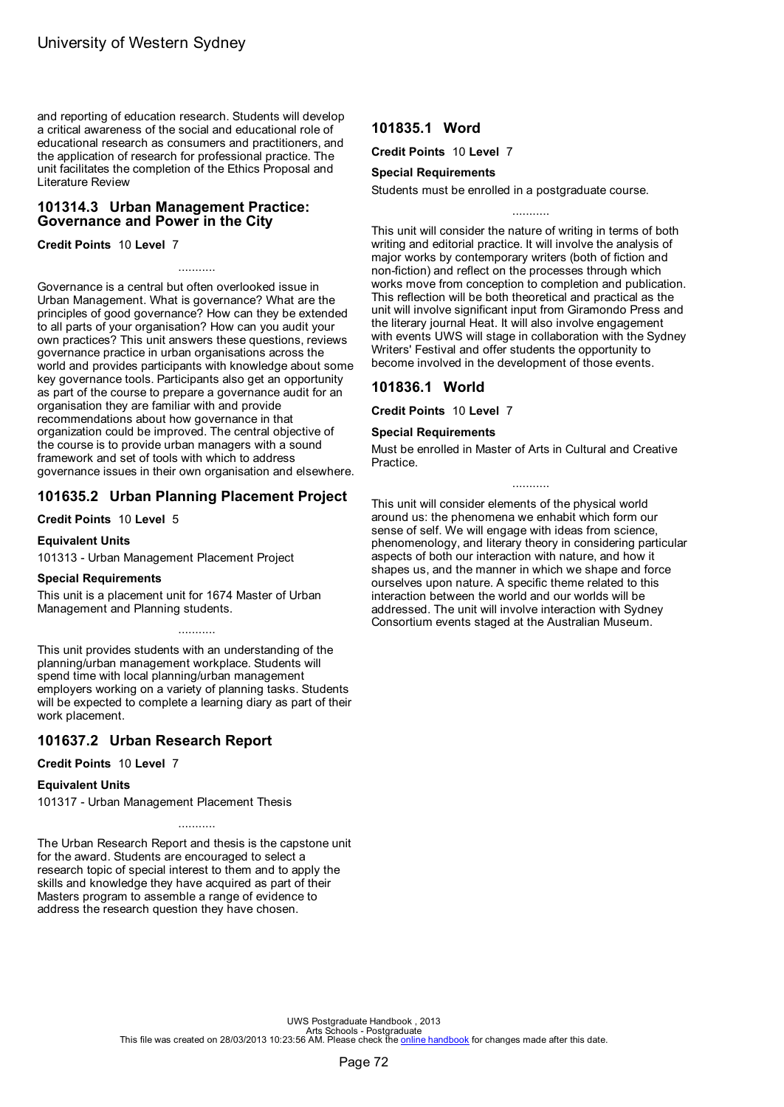<span id="page-74-0"></span>and reporting of education research. Students will develop a critical awareness of the social and educational role of educational research as consumers and practitioners, and the application of research for professional practice. The unit facilitates the completion of the Ethics Proposal and Literature Review

# **101314.3 Urban Management Practice: Governance and Power in the City**

**Credit Points** 10 **Level** 7

Governance is a central but often overlooked issue in Urban Management. What is governance? What are the principles of good governance? How can they be extended to all parts of your organisation? How can you audit your own practices? This unit answers these questions, reviews governance practice in urban organisations across the world and provides participants with knowledge about some key governance tools. Participants also get an opportunity as part of the course to prepare a governance audit for an organisation they are familiar with and provide recommendations about how governance in that organization could be improved. The central objective of the course is to provide urban managers with a sound framework and set of tools with which to address governance issues in their own organisation and elsewhere.

...........

# **101635.2 Urban Planning Placement Project**

**Credit Points** 10 **Level** 5

### **Equivalent Units**

101313 - Urban Management Placement Project

### **Special Requirements**

This unit is a placement unit for 1674 Master of Urban Management and Planning students.

This unit provides students with an understanding of the planning/urban management workplace. Students will spend time with local planning/urban management employers working on a variety of planning tasks. Students will be expected to complete a learning diary as part of their work placement.

...........

# **101637.2 Urban Research Report**

**Credit Points** 10 **Level** 7

### **Equivalent Units**

101317 - Urban Management Placement Thesis

...........

The Urban Research Report and thesis is the capstone unit for the award. Students are encouraged to select a research topic of special interest to them and to apply the skills and knowledge they have acquired as part of their Masters program to assemble a range of evidence to address the research question they have chosen.

# **101835.1 Word**

**Credit Points** 10 **Level** 7

# **Special Requirements**

Students must be enrolled in a postgraduate course.

This unit will consider the nature of writing in terms of both writing and editorial practice. It will involve the analysis of major works by contemporary writers (both of fiction and non-fiction) and reflect on the processes through which works move from conception to completion and publication. This reflection will be both theoretical and practical as the unit will involve significant input from Giramondo Press and the literary journal Heat. It will also involve engagement with events UWS will stage in collaboration with the Sydney Writers' Festival and offer students the opportunity to become involved in the development of those events.

# **101836.1 World**

**Credit Points** 10 **Level** 7

### **Special Requirements**

Must be enrolled in Master of Arts in Cultural and Creative Practice.

...........

This unit will consider elements of the physical world around us: the phenomena we enhabit which form our sense of self. We will engage with ideas from science, phenomenology, and literary theory in considering particular aspects of both our interaction with nature, and how it shapes us, and the manner in which we shape and force ourselves upon nature. A specific theme related to this interaction between the world and our worlds will be addressed. The unit will involve interaction with Sydney Consortium events staged at the Australian Museum.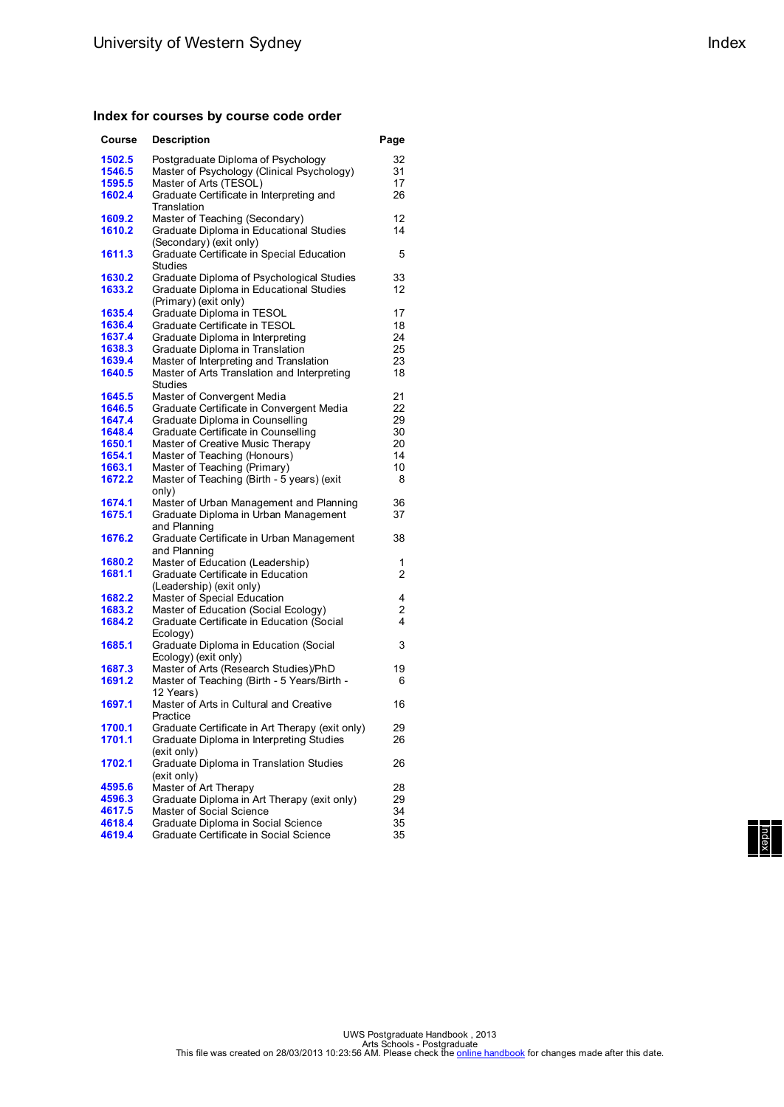### **Index for courses by course code order**

| Course | <b>Description</b>                                       | Page |
|--------|----------------------------------------------------------|------|
| 1502.5 | Postgraduate Diploma of Psychology                       | 32   |
| 1546.5 | Master of Psychology (Clinical Psychology)               | 31   |
| 1595.5 | Master of Arts (TESOL)                                   | 17   |
| 1602.4 | Graduate Certificate in Interpreting and                 | 26   |
|        | Translation                                              |      |
| 1609.2 | Master of Teaching (Secondary)                           | 12   |
| 1610.2 | Graduate Diploma in Educational Studies                  | 14   |
|        | (Secondary) (exit only)                                  |      |
| 1611.3 | Graduate Certificate in Special Education                | 5    |
|        | Studies                                                  |      |
| 1630.2 | Graduate Diploma of Psychological Studies                | 33   |
| 1633.2 | Graduate Diploma in Educational Studies                  | 12   |
|        | (Primary) (exit only)                                    |      |
| 1635.4 | Graduate Diploma in TESOL                                | 17   |
| 1636.4 | Graduate Certificate in TESOL                            | 18   |
| 1637.4 | Graduate Diploma in Interpreting                         | 24   |
| 1638.3 | Graduate Diploma in Translation                          | 25   |
| 1639.4 | Master of Interpreting and Translation                   | 23   |
| 1640.5 | Master of Arts Translation and Interpreting              | 18   |
|        | Studies                                                  |      |
| 1645.5 | Master of Convergent Media                               | 21   |
| 1646.5 | Graduate Certificate in Convergent Media                 | 22   |
| 1647.4 | Graduate Diploma in Counselling                          | 29   |
| 1648.4 | Graduate Certificate in Counselling                      | 30   |
| 1650.1 | Master of Creative Music Therapy                         | 20   |
| 1654.1 | Master of Teaching (Honours)                             | 14   |
| 1663.1 | Master of Teaching (Primary)                             | 10   |
| 1672.2 | Master of Teaching (Birth - 5 years) (exit               | 8    |
|        | only)                                                    |      |
| 1674.1 | Master of Urban Management and Planning                  | 36   |
| 1675.1 | Graduate Diploma in Urban Management                     | 37   |
| 1676.2 | and Planning<br>Graduate Certificate in Urban Management | 38   |
|        | and Planning                                             |      |
| 1680.2 | Master of Education (Leadership)                         | 1    |
| 1681.1 | Graduate Certificate in Education                        | 2    |
|        | (Leadership) (exit only)                                 |      |
| 1682.2 | Master of Special Education                              | 4    |
| 1683.2 | Master of Education (Social Ecology)                     | 2    |
| 1684.2 | Graduate Certificate in Education (Social                | 4    |
|        | Ecology)                                                 |      |
| 1685.1 | Graduate Diploma in Education (Social                    | 3    |
|        | Ecology) (exit only)                                     |      |
| 1687.3 | Master of Arts (Research Studies)/PhD                    | 19   |
| 1691.2 | Master of Teaching (Birth - 5 Years/Birth -              | 6    |
|        | 12 Years)                                                |      |
| 1697.1 | Master of Arts in Cultural and Creative                  | 16   |
|        | Practice                                                 |      |
| 1700.1 | Graduate Certificate in Art Therapy (exit only)          | 29   |
| 1701.1 | Graduate Diploma in Interpreting Studies                 | 26   |
|        | (exit only)                                              |      |
| 1702.1 | Graduate Diploma in Translation Studies                  | 26   |
|        | (exit only)                                              |      |
| 4595.6 | Master of Art Therapy                                    | 28   |
| 4596.3 | Graduate Diploma in Art Therapy (exit only)              | 29   |
| 4617.5 | Master of Social Science                                 | 34   |
| 4618.4 | Graduate Diploma in Social Science                       | 35   |
| 4619.4 | Graduate Certificate in Social Science                   | 35   |

| Index | Index | Index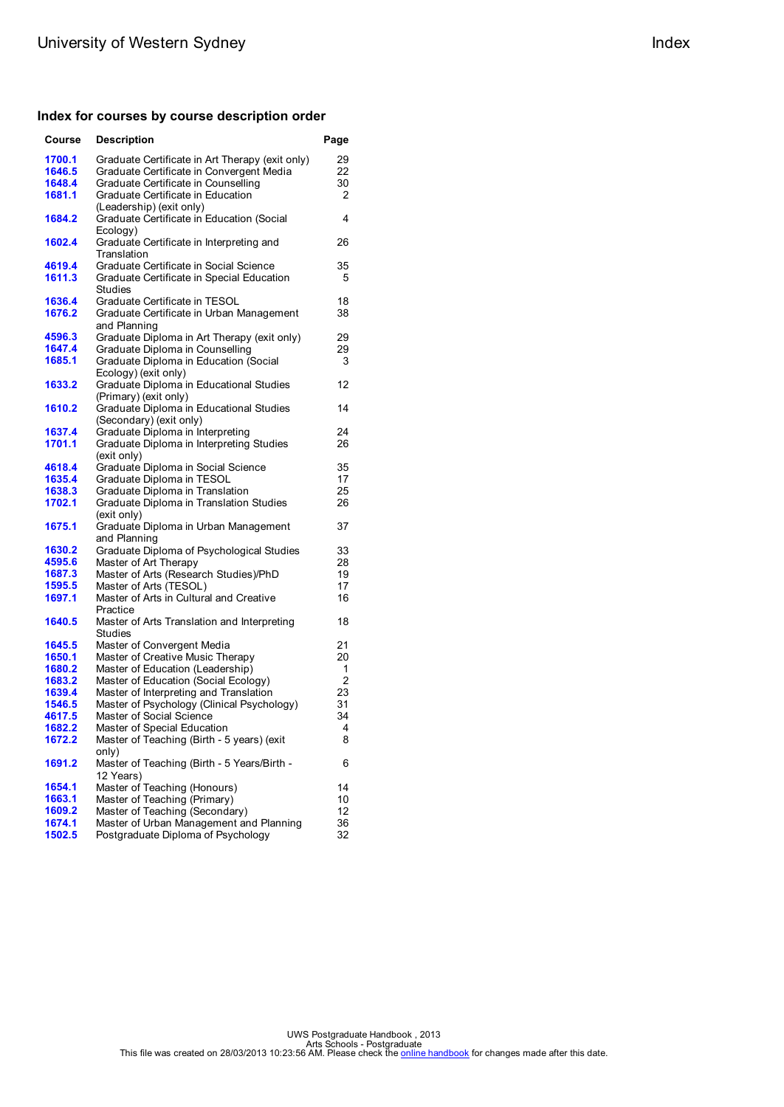### **Index for courses by course description order**

| 1700.1<br>Graduate Certificate in Art Therapy (exit only)<br>29<br>22<br>Graduate Certificate in Convergent Media<br>1646.5<br>1648.4<br>Graduate Certificate in Counselling<br>30<br>Graduate Certificate in Education<br>1681.1<br>2<br>(Leadership) (exit only)<br>Graduate Certificate in Education (Social<br>1684.2<br>4<br>Ecology)<br>1602.4<br>Graduate Certificate in Interpreting and<br>26<br>Translation<br>Graduate Certificate in Social Science<br>4619.4<br>35<br>1611.3<br>Graduate Certificate in Special Education<br>5<br>Studies<br>1636.4<br>Graduate Certificate in TESOL<br>18<br>1676.2<br>Graduate Certificate in Urban Management<br>38<br>and Planning<br>4596.3<br>Graduate Diploma in Art Therapy (exit only)<br>29<br>Graduate Diploma in Counselling<br>1647.4<br>29<br>1685.1<br>Graduate Diploma in Education (Social<br>3<br>Ecology) (exit only)<br>Graduate Diploma in Educational Studies<br>1633.2<br>12<br>(Primary) (exit only)<br>1610.2<br>Graduate Diploma in Educational Studies<br>14<br>(Secondary) (exit only)<br>Graduate Diploma in Interpreting<br>1637.4<br>24<br>Graduate Diploma in Interpreting Studies<br>1701.1<br>26<br>(exit only)<br>Graduate Diploma in Social Science<br>35<br>4618.4<br>17<br>1635.4<br>Graduate Diploma in TESOL<br>1638.3<br>Graduate Diploma in Translation<br>25<br>1702.1<br>Graduate Diploma in Translation Studies<br>26<br>(exit only)<br>1675.1<br>Graduate Diploma in Urban Management<br>37<br>and Planning<br>1630.2<br>Graduate Diploma of Psychological Studies<br>33<br>4595.6<br>Master of Art Therapy<br>28<br>Master of Arts (Research Studies)/PhD<br>1687.3<br>19<br>Master of Arts (TESOL)<br>17<br>1595.5<br>Master of Arts in Cultural and Creative<br>1697.1<br>16<br>Practice<br>1640.5<br>Master of Arts Translation and Interpreting<br>18<br>Studies<br>1645.5<br>Master of Convergent Media<br>21<br>Master of Creative Music Therapy<br>1650.1<br>20<br>Master of Education (Leadership)<br>1680.2<br>1<br>Master of Education (Social Ecology)<br>2<br>1683.2<br>1639.4<br>Master of Interpreting and Translation<br>23<br>1546.5<br>Master of Psychology (Clinical Psychology)<br>31<br>Master of Social Science<br>34<br>4617.5<br>Master of Special Education<br><u>1682.2</u><br>4<br>1672.2<br>Master of Teaching (Birth - 5 years) (exit<br>8<br>only)<br>Master of Teaching (Birth - 5 Years/Birth -<br>1691.2<br>6<br>12 Years)<br>Master of Teaching (Honours)<br>14<br>1654.1<br>Master of Teaching (Primary)<br>10<br>1663.1<br>Master of Teaching (Secondary)<br>1609.2<br>12<br>Master of Urban Management and Planning<br>1674.1<br>36<br>1502.5<br>32 | Course | <b>Description</b>                 | Page |
|-------------------------------------------------------------------------------------------------------------------------------------------------------------------------------------------------------------------------------------------------------------------------------------------------------------------------------------------------------------------------------------------------------------------------------------------------------------------------------------------------------------------------------------------------------------------------------------------------------------------------------------------------------------------------------------------------------------------------------------------------------------------------------------------------------------------------------------------------------------------------------------------------------------------------------------------------------------------------------------------------------------------------------------------------------------------------------------------------------------------------------------------------------------------------------------------------------------------------------------------------------------------------------------------------------------------------------------------------------------------------------------------------------------------------------------------------------------------------------------------------------------------------------------------------------------------------------------------------------------------------------------------------------------------------------------------------------------------------------------------------------------------------------------------------------------------------------------------------------------------------------------------------------------------------------------------------------------------------------------------------------------------------------------------------------------------------------------------------------------------------------------------------------------------------------------------------------------------------------------------------------------------------------------------------------------------------------------------------------------------------------------------------------------------------------------------------------------------------------------------------------------------------------------------------------------------------------------------------------------------------------------------------------------------------------------|--------|------------------------------------|------|
|                                                                                                                                                                                                                                                                                                                                                                                                                                                                                                                                                                                                                                                                                                                                                                                                                                                                                                                                                                                                                                                                                                                                                                                                                                                                                                                                                                                                                                                                                                                                                                                                                                                                                                                                                                                                                                                                                                                                                                                                                                                                                                                                                                                                                                                                                                                                                                                                                                                                                                                                                                                                                                                                                     |        |                                    |      |
|                                                                                                                                                                                                                                                                                                                                                                                                                                                                                                                                                                                                                                                                                                                                                                                                                                                                                                                                                                                                                                                                                                                                                                                                                                                                                                                                                                                                                                                                                                                                                                                                                                                                                                                                                                                                                                                                                                                                                                                                                                                                                                                                                                                                                                                                                                                                                                                                                                                                                                                                                                                                                                                                                     |        |                                    |      |
|                                                                                                                                                                                                                                                                                                                                                                                                                                                                                                                                                                                                                                                                                                                                                                                                                                                                                                                                                                                                                                                                                                                                                                                                                                                                                                                                                                                                                                                                                                                                                                                                                                                                                                                                                                                                                                                                                                                                                                                                                                                                                                                                                                                                                                                                                                                                                                                                                                                                                                                                                                                                                                                                                     |        |                                    |      |
|                                                                                                                                                                                                                                                                                                                                                                                                                                                                                                                                                                                                                                                                                                                                                                                                                                                                                                                                                                                                                                                                                                                                                                                                                                                                                                                                                                                                                                                                                                                                                                                                                                                                                                                                                                                                                                                                                                                                                                                                                                                                                                                                                                                                                                                                                                                                                                                                                                                                                                                                                                                                                                                                                     |        |                                    |      |
|                                                                                                                                                                                                                                                                                                                                                                                                                                                                                                                                                                                                                                                                                                                                                                                                                                                                                                                                                                                                                                                                                                                                                                                                                                                                                                                                                                                                                                                                                                                                                                                                                                                                                                                                                                                                                                                                                                                                                                                                                                                                                                                                                                                                                                                                                                                                                                                                                                                                                                                                                                                                                                                                                     |        |                                    |      |
|                                                                                                                                                                                                                                                                                                                                                                                                                                                                                                                                                                                                                                                                                                                                                                                                                                                                                                                                                                                                                                                                                                                                                                                                                                                                                                                                                                                                                                                                                                                                                                                                                                                                                                                                                                                                                                                                                                                                                                                                                                                                                                                                                                                                                                                                                                                                                                                                                                                                                                                                                                                                                                                                                     |        |                                    |      |
|                                                                                                                                                                                                                                                                                                                                                                                                                                                                                                                                                                                                                                                                                                                                                                                                                                                                                                                                                                                                                                                                                                                                                                                                                                                                                                                                                                                                                                                                                                                                                                                                                                                                                                                                                                                                                                                                                                                                                                                                                                                                                                                                                                                                                                                                                                                                                                                                                                                                                                                                                                                                                                                                                     |        |                                    |      |
|                                                                                                                                                                                                                                                                                                                                                                                                                                                                                                                                                                                                                                                                                                                                                                                                                                                                                                                                                                                                                                                                                                                                                                                                                                                                                                                                                                                                                                                                                                                                                                                                                                                                                                                                                                                                                                                                                                                                                                                                                                                                                                                                                                                                                                                                                                                                                                                                                                                                                                                                                                                                                                                                                     |        |                                    |      |
|                                                                                                                                                                                                                                                                                                                                                                                                                                                                                                                                                                                                                                                                                                                                                                                                                                                                                                                                                                                                                                                                                                                                                                                                                                                                                                                                                                                                                                                                                                                                                                                                                                                                                                                                                                                                                                                                                                                                                                                                                                                                                                                                                                                                                                                                                                                                                                                                                                                                                                                                                                                                                                                                                     |        |                                    |      |
|                                                                                                                                                                                                                                                                                                                                                                                                                                                                                                                                                                                                                                                                                                                                                                                                                                                                                                                                                                                                                                                                                                                                                                                                                                                                                                                                                                                                                                                                                                                                                                                                                                                                                                                                                                                                                                                                                                                                                                                                                                                                                                                                                                                                                                                                                                                                                                                                                                                                                                                                                                                                                                                                                     |        |                                    |      |
|                                                                                                                                                                                                                                                                                                                                                                                                                                                                                                                                                                                                                                                                                                                                                                                                                                                                                                                                                                                                                                                                                                                                                                                                                                                                                                                                                                                                                                                                                                                                                                                                                                                                                                                                                                                                                                                                                                                                                                                                                                                                                                                                                                                                                                                                                                                                                                                                                                                                                                                                                                                                                                                                                     |        |                                    |      |
|                                                                                                                                                                                                                                                                                                                                                                                                                                                                                                                                                                                                                                                                                                                                                                                                                                                                                                                                                                                                                                                                                                                                                                                                                                                                                                                                                                                                                                                                                                                                                                                                                                                                                                                                                                                                                                                                                                                                                                                                                                                                                                                                                                                                                                                                                                                                                                                                                                                                                                                                                                                                                                                                                     |        |                                    |      |
|                                                                                                                                                                                                                                                                                                                                                                                                                                                                                                                                                                                                                                                                                                                                                                                                                                                                                                                                                                                                                                                                                                                                                                                                                                                                                                                                                                                                                                                                                                                                                                                                                                                                                                                                                                                                                                                                                                                                                                                                                                                                                                                                                                                                                                                                                                                                                                                                                                                                                                                                                                                                                                                                                     |        |                                    |      |
|                                                                                                                                                                                                                                                                                                                                                                                                                                                                                                                                                                                                                                                                                                                                                                                                                                                                                                                                                                                                                                                                                                                                                                                                                                                                                                                                                                                                                                                                                                                                                                                                                                                                                                                                                                                                                                                                                                                                                                                                                                                                                                                                                                                                                                                                                                                                                                                                                                                                                                                                                                                                                                                                                     |        |                                    |      |
|                                                                                                                                                                                                                                                                                                                                                                                                                                                                                                                                                                                                                                                                                                                                                                                                                                                                                                                                                                                                                                                                                                                                                                                                                                                                                                                                                                                                                                                                                                                                                                                                                                                                                                                                                                                                                                                                                                                                                                                                                                                                                                                                                                                                                                                                                                                                                                                                                                                                                                                                                                                                                                                                                     |        |                                    |      |
|                                                                                                                                                                                                                                                                                                                                                                                                                                                                                                                                                                                                                                                                                                                                                                                                                                                                                                                                                                                                                                                                                                                                                                                                                                                                                                                                                                                                                                                                                                                                                                                                                                                                                                                                                                                                                                                                                                                                                                                                                                                                                                                                                                                                                                                                                                                                                                                                                                                                                                                                                                                                                                                                                     |        |                                    |      |
|                                                                                                                                                                                                                                                                                                                                                                                                                                                                                                                                                                                                                                                                                                                                                                                                                                                                                                                                                                                                                                                                                                                                                                                                                                                                                                                                                                                                                                                                                                                                                                                                                                                                                                                                                                                                                                                                                                                                                                                                                                                                                                                                                                                                                                                                                                                                                                                                                                                                                                                                                                                                                                                                                     |        |                                    |      |
|                                                                                                                                                                                                                                                                                                                                                                                                                                                                                                                                                                                                                                                                                                                                                                                                                                                                                                                                                                                                                                                                                                                                                                                                                                                                                                                                                                                                                                                                                                                                                                                                                                                                                                                                                                                                                                                                                                                                                                                                                                                                                                                                                                                                                                                                                                                                                                                                                                                                                                                                                                                                                                                                                     |        |                                    |      |
|                                                                                                                                                                                                                                                                                                                                                                                                                                                                                                                                                                                                                                                                                                                                                                                                                                                                                                                                                                                                                                                                                                                                                                                                                                                                                                                                                                                                                                                                                                                                                                                                                                                                                                                                                                                                                                                                                                                                                                                                                                                                                                                                                                                                                                                                                                                                                                                                                                                                                                                                                                                                                                                                                     |        |                                    |      |
|                                                                                                                                                                                                                                                                                                                                                                                                                                                                                                                                                                                                                                                                                                                                                                                                                                                                                                                                                                                                                                                                                                                                                                                                                                                                                                                                                                                                                                                                                                                                                                                                                                                                                                                                                                                                                                                                                                                                                                                                                                                                                                                                                                                                                                                                                                                                                                                                                                                                                                                                                                                                                                                                                     |        |                                    |      |
|                                                                                                                                                                                                                                                                                                                                                                                                                                                                                                                                                                                                                                                                                                                                                                                                                                                                                                                                                                                                                                                                                                                                                                                                                                                                                                                                                                                                                                                                                                                                                                                                                                                                                                                                                                                                                                                                                                                                                                                                                                                                                                                                                                                                                                                                                                                                                                                                                                                                                                                                                                                                                                                                                     |        |                                    |      |
|                                                                                                                                                                                                                                                                                                                                                                                                                                                                                                                                                                                                                                                                                                                                                                                                                                                                                                                                                                                                                                                                                                                                                                                                                                                                                                                                                                                                                                                                                                                                                                                                                                                                                                                                                                                                                                                                                                                                                                                                                                                                                                                                                                                                                                                                                                                                                                                                                                                                                                                                                                                                                                                                                     |        |                                    |      |
|                                                                                                                                                                                                                                                                                                                                                                                                                                                                                                                                                                                                                                                                                                                                                                                                                                                                                                                                                                                                                                                                                                                                                                                                                                                                                                                                                                                                                                                                                                                                                                                                                                                                                                                                                                                                                                                                                                                                                                                                                                                                                                                                                                                                                                                                                                                                                                                                                                                                                                                                                                                                                                                                                     |        |                                    |      |
|                                                                                                                                                                                                                                                                                                                                                                                                                                                                                                                                                                                                                                                                                                                                                                                                                                                                                                                                                                                                                                                                                                                                                                                                                                                                                                                                                                                                                                                                                                                                                                                                                                                                                                                                                                                                                                                                                                                                                                                                                                                                                                                                                                                                                                                                                                                                                                                                                                                                                                                                                                                                                                                                                     |        |                                    |      |
|                                                                                                                                                                                                                                                                                                                                                                                                                                                                                                                                                                                                                                                                                                                                                                                                                                                                                                                                                                                                                                                                                                                                                                                                                                                                                                                                                                                                                                                                                                                                                                                                                                                                                                                                                                                                                                                                                                                                                                                                                                                                                                                                                                                                                                                                                                                                                                                                                                                                                                                                                                                                                                                                                     |        |                                    |      |
|                                                                                                                                                                                                                                                                                                                                                                                                                                                                                                                                                                                                                                                                                                                                                                                                                                                                                                                                                                                                                                                                                                                                                                                                                                                                                                                                                                                                                                                                                                                                                                                                                                                                                                                                                                                                                                                                                                                                                                                                                                                                                                                                                                                                                                                                                                                                                                                                                                                                                                                                                                                                                                                                                     |        |                                    |      |
|                                                                                                                                                                                                                                                                                                                                                                                                                                                                                                                                                                                                                                                                                                                                                                                                                                                                                                                                                                                                                                                                                                                                                                                                                                                                                                                                                                                                                                                                                                                                                                                                                                                                                                                                                                                                                                                                                                                                                                                                                                                                                                                                                                                                                                                                                                                                                                                                                                                                                                                                                                                                                                                                                     |        |                                    |      |
|                                                                                                                                                                                                                                                                                                                                                                                                                                                                                                                                                                                                                                                                                                                                                                                                                                                                                                                                                                                                                                                                                                                                                                                                                                                                                                                                                                                                                                                                                                                                                                                                                                                                                                                                                                                                                                                                                                                                                                                                                                                                                                                                                                                                                                                                                                                                                                                                                                                                                                                                                                                                                                                                                     |        |                                    |      |
|                                                                                                                                                                                                                                                                                                                                                                                                                                                                                                                                                                                                                                                                                                                                                                                                                                                                                                                                                                                                                                                                                                                                                                                                                                                                                                                                                                                                                                                                                                                                                                                                                                                                                                                                                                                                                                                                                                                                                                                                                                                                                                                                                                                                                                                                                                                                                                                                                                                                                                                                                                                                                                                                                     |        |                                    |      |
|                                                                                                                                                                                                                                                                                                                                                                                                                                                                                                                                                                                                                                                                                                                                                                                                                                                                                                                                                                                                                                                                                                                                                                                                                                                                                                                                                                                                                                                                                                                                                                                                                                                                                                                                                                                                                                                                                                                                                                                                                                                                                                                                                                                                                                                                                                                                                                                                                                                                                                                                                                                                                                                                                     |        |                                    |      |
|                                                                                                                                                                                                                                                                                                                                                                                                                                                                                                                                                                                                                                                                                                                                                                                                                                                                                                                                                                                                                                                                                                                                                                                                                                                                                                                                                                                                                                                                                                                                                                                                                                                                                                                                                                                                                                                                                                                                                                                                                                                                                                                                                                                                                                                                                                                                                                                                                                                                                                                                                                                                                                                                                     |        |                                    |      |
|                                                                                                                                                                                                                                                                                                                                                                                                                                                                                                                                                                                                                                                                                                                                                                                                                                                                                                                                                                                                                                                                                                                                                                                                                                                                                                                                                                                                                                                                                                                                                                                                                                                                                                                                                                                                                                                                                                                                                                                                                                                                                                                                                                                                                                                                                                                                                                                                                                                                                                                                                                                                                                                                                     |        |                                    |      |
|                                                                                                                                                                                                                                                                                                                                                                                                                                                                                                                                                                                                                                                                                                                                                                                                                                                                                                                                                                                                                                                                                                                                                                                                                                                                                                                                                                                                                                                                                                                                                                                                                                                                                                                                                                                                                                                                                                                                                                                                                                                                                                                                                                                                                                                                                                                                                                                                                                                                                                                                                                                                                                                                                     |        |                                    |      |
|                                                                                                                                                                                                                                                                                                                                                                                                                                                                                                                                                                                                                                                                                                                                                                                                                                                                                                                                                                                                                                                                                                                                                                                                                                                                                                                                                                                                                                                                                                                                                                                                                                                                                                                                                                                                                                                                                                                                                                                                                                                                                                                                                                                                                                                                                                                                                                                                                                                                                                                                                                                                                                                                                     |        |                                    |      |
|                                                                                                                                                                                                                                                                                                                                                                                                                                                                                                                                                                                                                                                                                                                                                                                                                                                                                                                                                                                                                                                                                                                                                                                                                                                                                                                                                                                                                                                                                                                                                                                                                                                                                                                                                                                                                                                                                                                                                                                                                                                                                                                                                                                                                                                                                                                                                                                                                                                                                                                                                                                                                                                                                     |        |                                    |      |
|                                                                                                                                                                                                                                                                                                                                                                                                                                                                                                                                                                                                                                                                                                                                                                                                                                                                                                                                                                                                                                                                                                                                                                                                                                                                                                                                                                                                                                                                                                                                                                                                                                                                                                                                                                                                                                                                                                                                                                                                                                                                                                                                                                                                                                                                                                                                                                                                                                                                                                                                                                                                                                                                                     |        |                                    |      |
|                                                                                                                                                                                                                                                                                                                                                                                                                                                                                                                                                                                                                                                                                                                                                                                                                                                                                                                                                                                                                                                                                                                                                                                                                                                                                                                                                                                                                                                                                                                                                                                                                                                                                                                                                                                                                                                                                                                                                                                                                                                                                                                                                                                                                                                                                                                                                                                                                                                                                                                                                                                                                                                                                     |        |                                    |      |
|                                                                                                                                                                                                                                                                                                                                                                                                                                                                                                                                                                                                                                                                                                                                                                                                                                                                                                                                                                                                                                                                                                                                                                                                                                                                                                                                                                                                                                                                                                                                                                                                                                                                                                                                                                                                                                                                                                                                                                                                                                                                                                                                                                                                                                                                                                                                                                                                                                                                                                                                                                                                                                                                                     |        |                                    |      |
|                                                                                                                                                                                                                                                                                                                                                                                                                                                                                                                                                                                                                                                                                                                                                                                                                                                                                                                                                                                                                                                                                                                                                                                                                                                                                                                                                                                                                                                                                                                                                                                                                                                                                                                                                                                                                                                                                                                                                                                                                                                                                                                                                                                                                                                                                                                                                                                                                                                                                                                                                                                                                                                                                     |        |                                    |      |
|                                                                                                                                                                                                                                                                                                                                                                                                                                                                                                                                                                                                                                                                                                                                                                                                                                                                                                                                                                                                                                                                                                                                                                                                                                                                                                                                                                                                                                                                                                                                                                                                                                                                                                                                                                                                                                                                                                                                                                                                                                                                                                                                                                                                                                                                                                                                                                                                                                                                                                                                                                                                                                                                                     |        |                                    |      |
|                                                                                                                                                                                                                                                                                                                                                                                                                                                                                                                                                                                                                                                                                                                                                                                                                                                                                                                                                                                                                                                                                                                                                                                                                                                                                                                                                                                                                                                                                                                                                                                                                                                                                                                                                                                                                                                                                                                                                                                                                                                                                                                                                                                                                                                                                                                                                                                                                                                                                                                                                                                                                                                                                     |        |                                    |      |
|                                                                                                                                                                                                                                                                                                                                                                                                                                                                                                                                                                                                                                                                                                                                                                                                                                                                                                                                                                                                                                                                                                                                                                                                                                                                                                                                                                                                                                                                                                                                                                                                                                                                                                                                                                                                                                                                                                                                                                                                                                                                                                                                                                                                                                                                                                                                                                                                                                                                                                                                                                                                                                                                                     |        |                                    |      |
|                                                                                                                                                                                                                                                                                                                                                                                                                                                                                                                                                                                                                                                                                                                                                                                                                                                                                                                                                                                                                                                                                                                                                                                                                                                                                                                                                                                                                                                                                                                                                                                                                                                                                                                                                                                                                                                                                                                                                                                                                                                                                                                                                                                                                                                                                                                                                                                                                                                                                                                                                                                                                                                                                     |        |                                    |      |
|                                                                                                                                                                                                                                                                                                                                                                                                                                                                                                                                                                                                                                                                                                                                                                                                                                                                                                                                                                                                                                                                                                                                                                                                                                                                                                                                                                                                                                                                                                                                                                                                                                                                                                                                                                                                                                                                                                                                                                                                                                                                                                                                                                                                                                                                                                                                                                                                                                                                                                                                                                                                                                                                                     |        |                                    |      |
|                                                                                                                                                                                                                                                                                                                                                                                                                                                                                                                                                                                                                                                                                                                                                                                                                                                                                                                                                                                                                                                                                                                                                                                                                                                                                                                                                                                                                                                                                                                                                                                                                                                                                                                                                                                                                                                                                                                                                                                                                                                                                                                                                                                                                                                                                                                                                                                                                                                                                                                                                                                                                                                                                     |        |                                    |      |
|                                                                                                                                                                                                                                                                                                                                                                                                                                                                                                                                                                                                                                                                                                                                                                                                                                                                                                                                                                                                                                                                                                                                                                                                                                                                                                                                                                                                                                                                                                                                                                                                                                                                                                                                                                                                                                                                                                                                                                                                                                                                                                                                                                                                                                                                                                                                                                                                                                                                                                                                                                                                                                                                                     |        |                                    |      |
|                                                                                                                                                                                                                                                                                                                                                                                                                                                                                                                                                                                                                                                                                                                                                                                                                                                                                                                                                                                                                                                                                                                                                                                                                                                                                                                                                                                                                                                                                                                                                                                                                                                                                                                                                                                                                                                                                                                                                                                                                                                                                                                                                                                                                                                                                                                                                                                                                                                                                                                                                                                                                                                                                     |        |                                    |      |
|                                                                                                                                                                                                                                                                                                                                                                                                                                                                                                                                                                                                                                                                                                                                                                                                                                                                                                                                                                                                                                                                                                                                                                                                                                                                                                                                                                                                                                                                                                                                                                                                                                                                                                                                                                                                                                                                                                                                                                                                                                                                                                                                                                                                                                                                                                                                                                                                                                                                                                                                                                                                                                                                                     |        |                                    |      |
|                                                                                                                                                                                                                                                                                                                                                                                                                                                                                                                                                                                                                                                                                                                                                                                                                                                                                                                                                                                                                                                                                                                                                                                                                                                                                                                                                                                                                                                                                                                                                                                                                                                                                                                                                                                                                                                                                                                                                                                                                                                                                                                                                                                                                                                                                                                                                                                                                                                                                                                                                                                                                                                                                     |        |                                    |      |
|                                                                                                                                                                                                                                                                                                                                                                                                                                                                                                                                                                                                                                                                                                                                                                                                                                                                                                                                                                                                                                                                                                                                                                                                                                                                                                                                                                                                                                                                                                                                                                                                                                                                                                                                                                                                                                                                                                                                                                                                                                                                                                                                                                                                                                                                                                                                                                                                                                                                                                                                                                                                                                                                                     |        |                                    |      |
|                                                                                                                                                                                                                                                                                                                                                                                                                                                                                                                                                                                                                                                                                                                                                                                                                                                                                                                                                                                                                                                                                                                                                                                                                                                                                                                                                                                                                                                                                                                                                                                                                                                                                                                                                                                                                                                                                                                                                                                                                                                                                                                                                                                                                                                                                                                                                                                                                                                                                                                                                                                                                                                                                     |        |                                    |      |
|                                                                                                                                                                                                                                                                                                                                                                                                                                                                                                                                                                                                                                                                                                                                                                                                                                                                                                                                                                                                                                                                                                                                                                                                                                                                                                                                                                                                                                                                                                                                                                                                                                                                                                                                                                                                                                                                                                                                                                                                                                                                                                                                                                                                                                                                                                                                                                                                                                                                                                                                                                                                                                                                                     |        |                                    |      |
|                                                                                                                                                                                                                                                                                                                                                                                                                                                                                                                                                                                                                                                                                                                                                                                                                                                                                                                                                                                                                                                                                                                                                                                                                                                                                                                                                                                                                                                                                                                                                                                                                                                                                                                                                                                                                                                                                                                                                                                                                                                                                                                                                                                                                                                                                                                                                                                                                                                                                                                                                                                                                                                                                     |        |                                    |      |
|                                                                                                                                                                                                                                                                                                                                                                                                                                                                                                                                                                                                                                                                                                                                                                                                                                                                                                                                                                                                                                                                                                                                                                                                                                                                                                                                                                                                                                                                                                                                                                                                                                                                                                                                                                                                                                                                                                                                                                                                                                                                                                                                                                                                                                                                                                                                                                                                                                                                                                                                                                                                                                                                                     |        |                                    |      |
|                                                                                                                                                                                                                                                                                                                                                                                                                                                                                                                                                                                                                                                                                                                                                                                                                                                                                                                                                                                                                                                                                                                                                                                                                                                                                                                                                                                                                                                                                                                                                                                                                                                                                                                                                                                                                                                                                                                                                                                                                                                                                                                                                                                                                                                                                                                                                                                                                                                                                                                                                                                                                                                                                     |        |                                    |      |
|                                                                                                                                                                                                                                                                                                                                                                                                                                                                                                                                                                                                                                                                                                                                                                                                                                                                                                                                                                                                                                                                                                                                                                                                                                                                                                                                                                                                                                                                                                                                                                                                                                                                                                                                                                                                                                                                                                                                                                                                                                                                                                                                                                                                                                                                                                                                                                                                                                                                                                                                                                                                                                                                                     |        | Postgraduate Diploma of Psychology |      |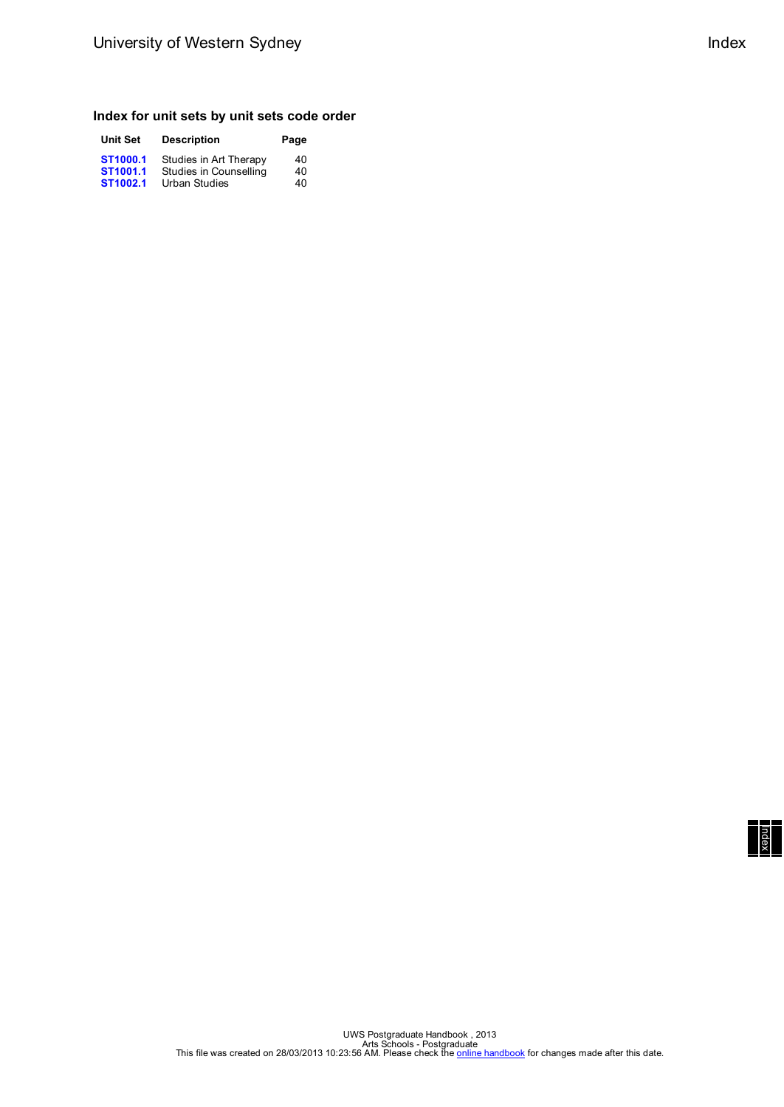### **Index for unit sets by unit sets code order**

| <b>Unit Set</b> | <b>Description</b>     | Page |
|-----------------|------------------------|------|
| ST1000.1        | Studies in Art Therapy | 40   |
| ST1001.1        | Studies in Counselling | 40   |
| ST1002.1        | <b>Urban Studies</b>   | 40   |

| Index |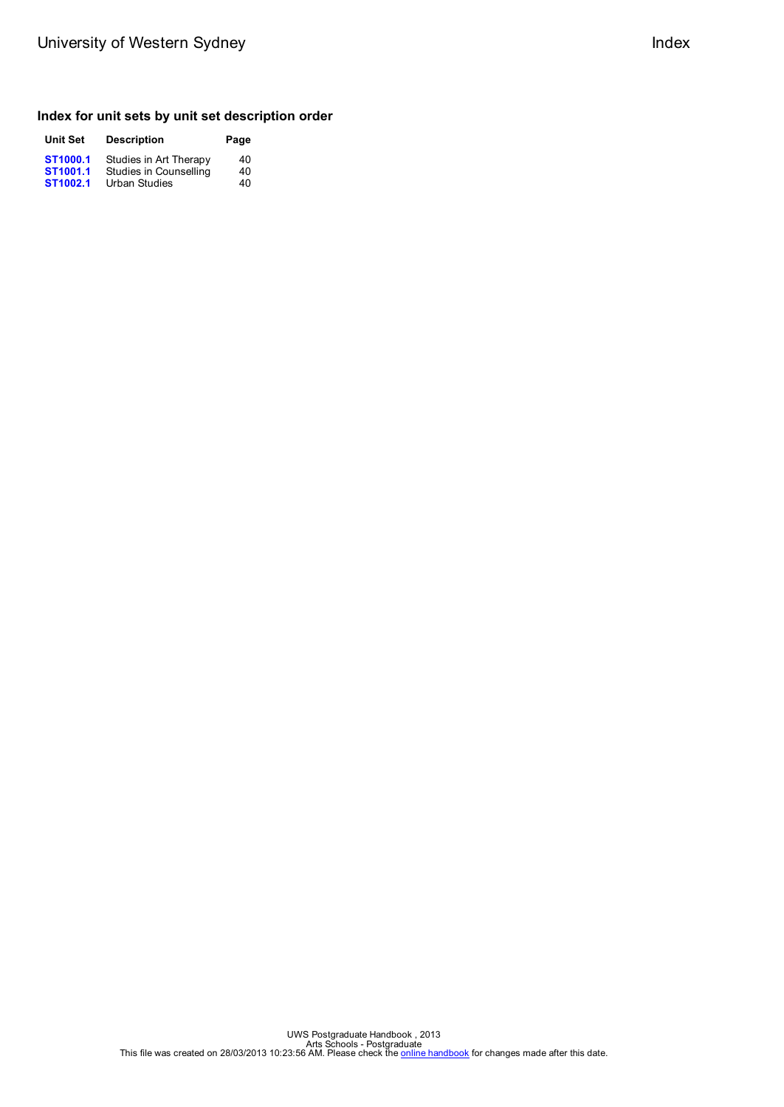# **Index for unit sets by unit set description order**

| <b>Unit Set</b>                  | <b>Description</b>                               | Page     |
|----------------------------------|--------------------------------------------------|----------|
| ST1000.1<br>ST <sub>1001.1</sub> | Studies in Art Therapy<br>Studies in Counselling | 40<br>40 |
| ST1002.1                         | <b>Urban Studies</b>                             | 40       |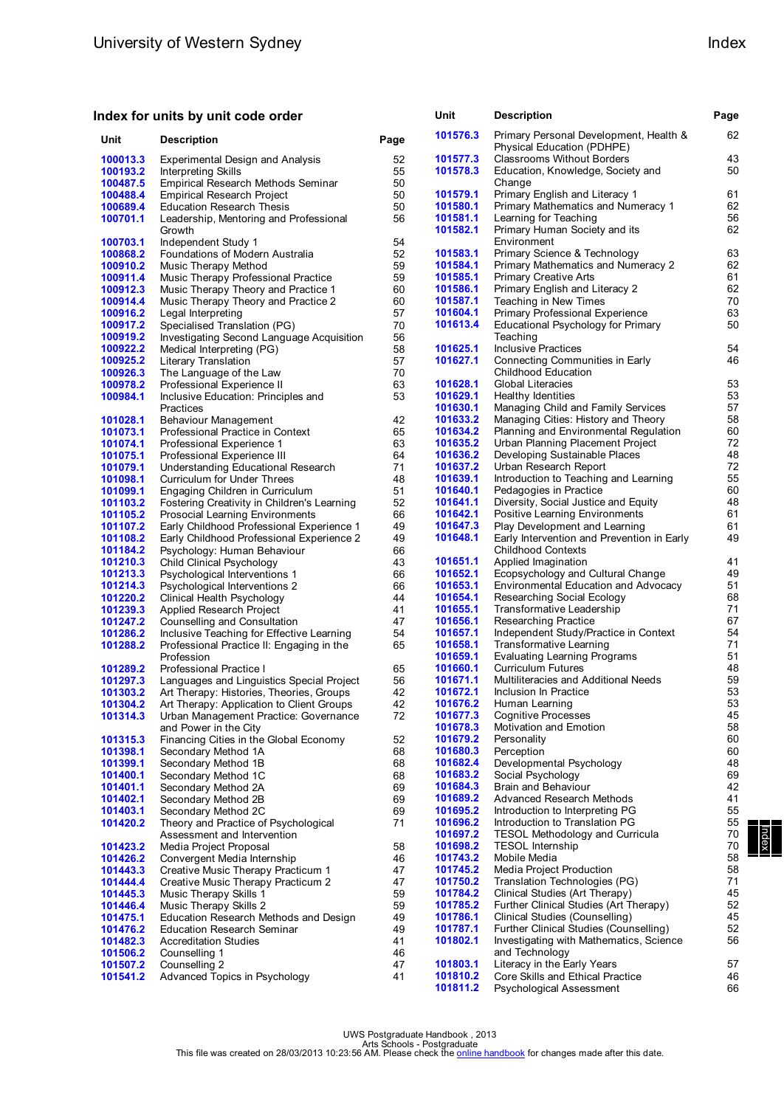### **Index for units by unit code order**

| Unit                 | <b>Description</b>                                                         | Page     | 101576.3             | Primary Personal Development, Health &<br>Physical Education (PDHPE)         | 62       |
|----------------------|----------------------------------------------------------------------------|----------|----------------------|------------------------------------------------------------------------------|----------|
| 100013.3             | Experimental Design and Analysis                                           | 52       | 101577.3             | <b>Classrooms Without Borders</b>                                            | 43       |
| 100193.2             | Interpreting Skills                                                        | 55       | 101578.3             | Education, Knowledge, Society and                                            | 50       |
| 100487.5             | Empirical Research Methods Seminar                                         | 50       |                      | Change                                                                       |          |
| 100488.4             | <b>Empirical Research Project</b>                                          | 50       | 101579.1<br>101580.1 | Primary English and Literacy 1                                               | 61<br>62 |
| 100689.4<br>100701.1 | <b>Education Research Thesis</b>                                           | 50<br>56 | 101581.1             | Primary Mathematics and Numeracy 1<br>Learning for Teaching                  | 56       |
|                      | Leadership, Mentoring and Professional<br>Growth                           |          | 101582.1             | Primary Human Society and its                                                | 62       |
| 100703.1             | Independent Study 1                                                        | 54       |                      | Environment                                                                  |          |
| 100868.2             | Foundations of Modern Australia                                            | 52       | 101583.1             | Primary Science & Technology                                                 | 63       |
| 100910.2             | Music Therapy Method                                                       | 59       | 101584.1             | Primary Mathematics and Numeracy 2                                           | 62       |
| 100911.4             | Music Therapy Professional Practice                                        | 59       | 101585.1<br>101586.1 | <b>Primary Creative Arts</b><br>Primary English and Literacy 2               | 61<br>62 |
| 100912.3<br>100914.4 | Music Therapy Theory and Practice 1<br>Music Therapy Theory and Practice 2 | 60<br>60 | 101587.1             | Teaching in New Times                                                        | 70       |
| 100916.2             | Legal Interpreting                                                         | 57       | 101604.1             | Primary Professional Experience                                              | 63       |
| 100917.2             | Specialised Translation (PG)                                               | 70       | 101613.4             | Educational Psychology for Primary                                           | 50       |
| 100919.2             | Investigating Second Language Acquisition                                  | 56       |                      | Teaching                                                                     |          |
| 100922.2             | Medical Interpreting (PG)                                                  | 58       | 101625.1             | <b>Inclusive Practices</b>                                                   | 54       |
| 100925.2             | Literary Translation                                                       | 57       | 101627.1             | Connecting Communities in Early                                              | 46       |
| 100926.3             | The Language of the Law                                                    | 70       |                      | <b>Childhood Education</b>                                                   |          |
| 100978.2             | Professional Experience II                                                 | 63       | 101628.1             | <b>Global Literacies</b>                                                     | 53       |
| 100984.1             | Inclusive Education: Principles and                                        | 53       | 101629.1             | Healthy Identities                                                           | 53       |
|                      | Practices                                                                  |          | 101630.1<br>101633.2 | Managing Child and Family Services                                           | 57<br>58 |
| 101028.1<br>101073.1 | Behaviour Management<br>Professional Practice in Context                   | 42<br>65 | 101634.2             | Managing Cities: History and Theory<br>Planning and Environmental Regulation | 60       |
| 101074.1             | Professional Experience 1                                                  | 63       | 101635.2             | Urban Planning Placement Project                                             | 72       |
| 101075.1             | Professional Experience III                                                | 64       | 101636.2             | Developing Sustainable Places                                                | 48       |
| 101079.1             | Understanding Educational Research                                         | 71       | 101637.2             | Urban Research Report                                                        | 72       |
| 101098.1             | Curriculum for Under Threes                                                | 48       | 101639.1             | Introduction to Teaching and Learning                                        | 55       |
| 101099.1             | Engaging Children in Curriculum                                            | 51       | 101640.1             | Pedagogies in Practice                                                       | 60       |
| 101103.2             | Fostering Creativity in Children's Learning                                | 52       | 101641.1             | Diversity, Social Justice and Equity                                         | 48       |
| 101105.2             | <b>Prosocial Learning Environments</b>                                     | 66       | 101642.1             | Positive Learning Environments                                               | 61       |
| 101107.2             | Early Childhood Professional Experience 1                                  | 49       | 101647.3             | Play Development and Learning                                                | 61       |
| 101108.2<br>101184.2 | Early Childhood Professional Experience 2                                  | 49       | 101648.1             | Early Intervention and Prevention in Early<br><b>Childhood Contexts</b>      | 49       |
| 101210.3             | Psychology: Human Behaviour<br>Child Clinical Psychology                   | 66<br>43 | 101651.1             | Applied Imagination                                                          | 41       |
| 101213.3             | Psychological Interventions 1                                              | 66       | 101652.1             | Ecopsychology and Cultural Change                                            | 49       |
| 101214.3             | Psychological Interventions 2                                              | 66       | 101653.1             | Environmental Education and Advocacy                                         | 51       |
| 101220.2             | Clinical Health Psychology                                                 | 44       | 101654.1             | Researching Social Ecology                                                   | 68       |
| 101239.3             | Applied Research Project                                                   | 41       | 101655.1             | Transformative Leadership                                                    | 71       |
| 101247.2             | Counselling and Consultation                                               | 47       | 101656.1             | Researching Practice                                                         | 67       |
| 101286.2             | Inclusive Teaching for Effective Learning                                  | 54       | 101657.1             | Independent Study/Practice in Context                                        | 54       |
| 101288.2             | Professional Practice II: Engaging in the                                  | 65       | 101658.1             | Transformative Learning                                                      | 71       |
|                      | Profession                                                                 |          | 101659.1<br>101660.1 | <b>Evaluating Learning Programs</b><br>Curriculum Futures                    | 51<br>48 |
| 101289.2<br>101297.3 | Professional Practice I<br>Languages and Linguistics Special Project       | 65<br>56 | 101671.1             | Multiliteracies and Additional Needs                                         | 59       |
| 101303.2             | Art Therapy: Histories, Theories, Groups                                   | 42       | 101672.1             | Inclusion In Practice                                                        | 53       |
| 101304.2             | Art Therapy: Application to Client Groups                                  | 42       | 101676.2             | Human Learning                                                               | 53       |
| 101314.3             | Urban Management Practice: Governance                                      | 72       | 101677.3             | <b>Cognitive Processes</b>                                                   | 45       |
|                      | and Power in the City                                                      |          | 101678.3             | Motivation and Emotion                                                       | 58       |
| 101315.3             | Financing Cities in the Global Economy                                     | 52       | 101679.2             | Personality                                                                  | 60       |
| 101398.1             | Secondary Method 1A                                                        | 68       | 101680.3             | Perception                                                                   | 60       |
| 101399.1             | Secondary Method 1B                                                        | 68       | 101682.4             | Developmental Psychology                                                     | 48       |
| 101400.1             | Secondary Method 1C                                                        | 68       | 101683.2             | Social Psychology                                                            | 69       |
| 101401.1<br>101402.1 | Secondary Method 2A<br>Secondary Method 2B                                 | 69<br>69 | 101684.3<br>101689.2 | Brain and Behaviour<br>Advanced Research Methods                             | 42<br>41 |
| 101403.1             | Secondary Method 2C                                                        | 69       | 101695.2             | Introduction to Interpreting PG                                              | 55       |
| 101420.2             | Theory and Practice of Psychological                                       | 71       | 101696.2             | Introduction to Translation PG                                               | 55       |
|                      | Assessment and Intervention                                                |          | 101697.2             | <b>TESOL Methodology and Curricula</b>                                       | 70       |
| 101423.2             | Media Project Proposal                                                     | 58       | 101698.2             | <b>TESOL Internship</b>                                                      | 70       |
| 101426.2             | Convergent Media Internship                                                | 46       | 101743.2             | Mobile Media                                                                 | 58       |
| 101443.3             | Creative Music Therapy Practicum 1                                         | 47       | 101745.2             | Media Project Production                                                     | 58       |
| 101444.4             | Creative Music Therapy Practicum 2                                         | 47       | 101750.2             | Translation Technologies (PG)                                                | 71       |
| 101445.3             | Music Therapy Skills 1                                                     | 59       | 101784.2             | Clinical Studies (Art Therapy)                                               | 45       |
| 101446.4             | Music Therapy Skills 2                                                     | 59<br>49 | 101785.2<br>101786.1 | Further Clinical Studies (Art Therapy)<br>Clinical Studies (Counselling)     | 52<br>45 |
| 101475.1<br>101476.2 | Education Research Methods and Design<br><b>Education Research Seminar</b> | 49       | 101787.1             | Further Clinical Studies (Counselling)                                       | 52       |
| 101482.3             | <b>Accreditation Studies</b>                                               | 41       | 101802.1             | Investigating with Mathematics, Science                                      | 56       |
| 101506.2             | Counselling 1                                                              | 46       |                      | and Technology                                                               |          |
| 101507.2             | Counselling 2                                                              | 47       | 101803.1             | Literacy in the Early Years                                                  | 57       |
| 101541.2             | Advanced Topics in Psychology                                              | 41       | 101810.2             | Core Skills and Ethical Practice                                             | 46       |
|                      |                                                                            |          | 101811.2             | Psychological Assessment                                                     | 66       |

**Unit Description Page**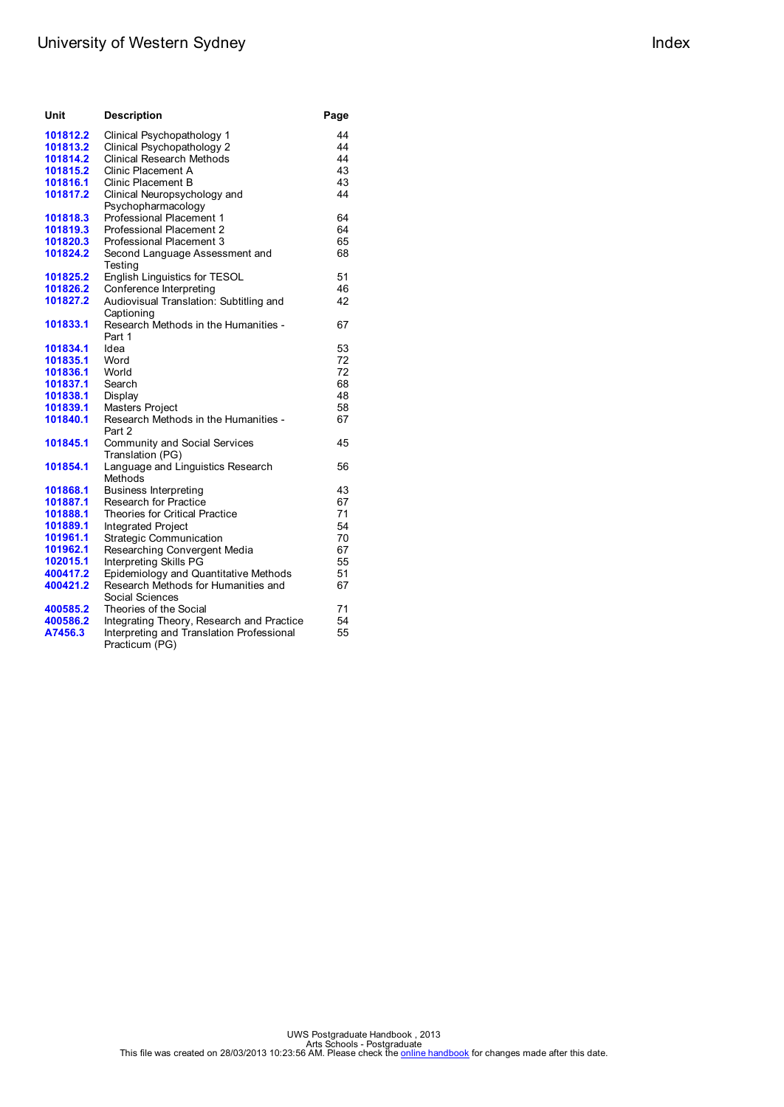# University of Western Sydney **Index** Index

| Unit     | <b>Description</b>                                          | Page |
|----------|-------------------------------------------------------------|------|
| 101812.2 | Clinical Psychopathology 1                                  | 44   |
| 101813.2 | Clinical Psychopathology 2                                  | 44   |
| 101814.2 | <b>Clinical Research Methods</b>                            | 44   |
| 101815.2 | <b>Clinic Placement A</b>                                   | 43   |
| 101816.1 | Clinic Placement B                                          | 43   |
| 101817.2 | Clinical Neuropsychology and                                | 44   |
|          | Psychopharmacology                                          |      |
| 101818.3 | Professional Placement 1                                    | 64   |
| 101819.3 | Professional Placement 2                                    | 64   |
| 101820.3 | Professional Placement 3                                    | 65   |
| 101824.2 | Second Language Assessment and<br>Testing                   | 68   |
| 101825.2 | English Linguistics for TESOL                               | 51   |
| 101826.2 | Conference Interpreting                                     | 46   |
| 101827.2 | Audiovisual Translation: Subtitling and<br>Captioning       | 42   |
| 101833.1 | Research Methods in the Humanities -<br>Part 1              | 67   |
| 101834.1 | Idea                                                        | 53   |
| 101835.1 | Word                                                        | 72   |
| 101836.1 | World                                                       | 72   |
| 101837.1 | Search                                                      | 68   |
| 101838.1 | Display                                                     | 48   |
| 101839.1 | <b>Masters Project</b>                                      | 58   |
| 101840.1 | Research Methods in the Humanities -<br>Part 2              | 67   |
| 101845.1 | <b>Community and Social Services</b><br>Translation (PG)    | 45   |
| 101854.1 | Language and Linguistics Research<br>Methods                | 56   |
| 101868.1 | <b>Business Interpreting</b>                                | 43   |
| 101887.1 | <b>Research for Practice</b>                                | 67   |
| 101888.1 | <b>Theories for Critical Practice</b>                       | 71   |
| 101889.1 | Integrated Project                                          | 54   |
| 101961.1 | <b>Strategic Communication</b>                              | 70   |
| 101962.1 | Researching Convergent Media                                | 67   |
| 102015.1 | Interpreting Skills PG                                      | 55   |
| 400417.2 | Epidemiology and Quantitative Methods                       | 51   |
| 400421.2 | Research Methods for Humanities and<br>Social Sciences      | 67   |
| 400585.2 | Theories of the Social                                      | 71   |
| 400586.2 | Integrating Theory, Research and Practice                   | 54   |
| A7456.3  | Interpreting and Translation Professional<br>Practicum (PG) | 55   |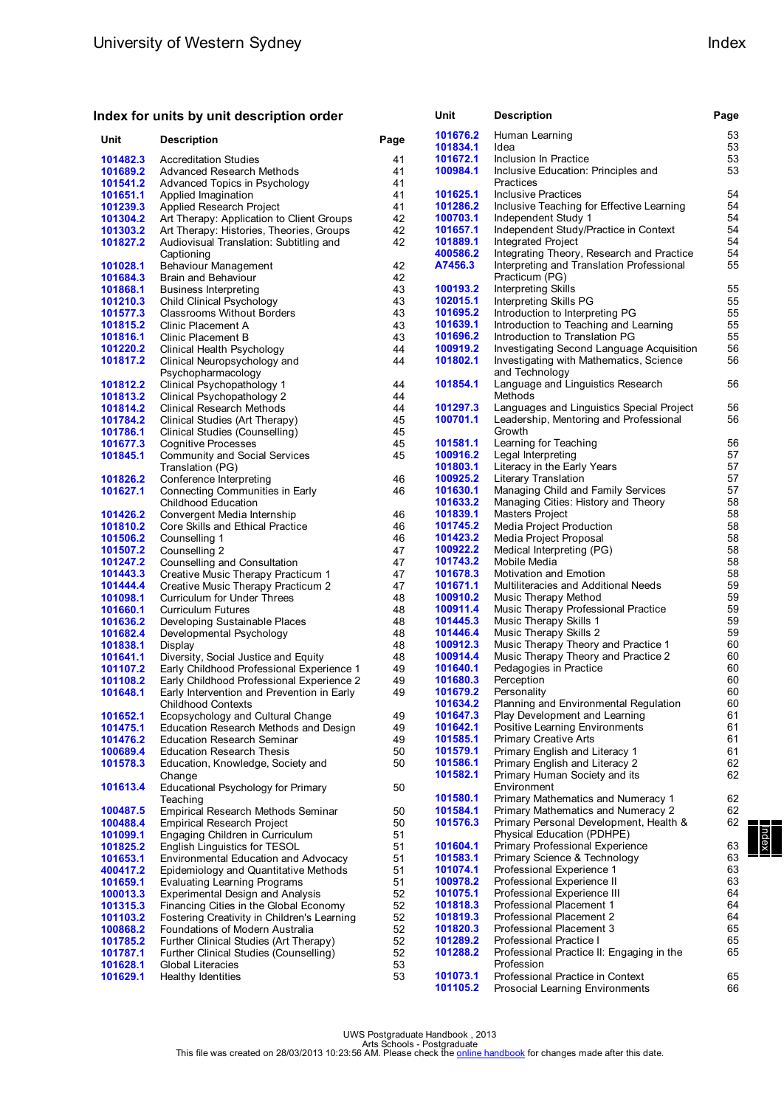### **Index for units by unit description order**

| Unit     | <b>Description</b>                                             | Page | 101676.2<br>101834.1 | Human Learning<br>Idea                    | 53<br>53 |
|----------|----------------------------------------------------------------|------|----------------------|-------------------------------------------|----------|
| 101482.3 | <b>Accreditation Studies</b>                                   | 41   | 101672.1             | Inclusion In Practice                     | 53       |
| 101689.2 | Advanced Research Methods                                      | 41   | 100984.1             | Inclusive Education: Principles and       | 53       |
| 101541.2 | Advanced Topics in Psychology                                  | 41   |                      | Practices                                 |          |
| 101651.1 | Applied Imagination                                            | 41   | 101625.1             | <b>Inclusive Practices</b>                | 54       |
| 101239.3 | Applied Research Project                                       | 41   | 101286.2             | Inclusive Teaching for Effective Learning | 54       |
| 101304.2 | Art Therapy: Application to Client Groups                      | 42   | 100703.1             | Independent Study 1                       | 54       |
| 101303.2 | Art Therapy: Histories, Theories, Groups                       | 42   | 101657.1             | Independent Study/Practice in Context     | 54       |
| 101827.2 | Audiovisual Translation: Subtitling and                        | 42   | 101889.1             | Integrated Project                        | 54       |
|          | Captioning                                                     |      | 400586.2             | Integrating Theory, Research and Practice | 54       |
| 101028.1 | Behaviour Management                                           | 42   | A7456.3              | Interpreting and Translation Professional | 55       |
| 101684.3 | Brain and Behaviour                                            | 42   |                      | Practicum (PG)                            |          |
| 101868.1 | <b>Business Interpreting</b>                                   | 43   | 100193.2             | Interpreting Skills                       | 55       |
| 101210.3 |                                                                | 43   | 102015.1             | Interpreting Skills PG                    | 55       |
| 101577.3 | Child Clinical Psychology<br><b>Classrooms Without Borders</b> | 43   | 101695.2             | Introduction to Interpreting PG           | 55       |
| 101815.2 | Clinic Placement A                                             | 43   | 101639.1             | Introduction to Teaching and Learning     | 55       |
| 101816.1 | Clinic Placement B                                             | 43   | 101696.2             | Introduction to Translation PG            | 55       |
| 101220.2 | Clinical Health Psychology                                     | 44   | 100919.2             | Investigating Second Language Acquisition | 56       |
|          |                                                                | 44   | 101802.1             |                                           | 56       |
| 101817.2 | Clinical Neuropsychology and                                   |      |                      | Investigating with Mathematics, Science   |          |
|          | Psychopharmacology                                             |      | 101854.1             | and Technology                            |          |
| 101812.2 | Clinical Psychopathology 1                                     | 44   |                      | Language and Linguistics Research         | 56       |
| 101813.2 | Clinical Psychopathology 2                                     | 44   | 101297.3             | Methods                                   |          |
| 101814.2 | Clinical Research Methods                                      | 44   |                      | Languages and Linguistics Special Project | 56       |
| 101784.2 | Clinical Studies (Art Therapy)                                 | 45   | 100701.1             | Leadership, Mentoring and Professional    | 56       |
| 101786.1 | Clinical Studies (Counselling)                                 | 45   |                      | Growth                                    |          |
| 101677.3 | Cognitive Processes                                            | 45   | 101581.1             | Learning for Teaching                     | 56       |
| 101845.1 | Community and Social Services                                  | 45   | 100916.2             | Legal Interpreting                        | 57       |
|          | Translation (PG)                                               |      | 101803.1             | Literacy in the Early Years               | 57       |
| 101826.2 | Conference Interpreting                                        | 46   | 100925.2             | Literary Translation                      | 57       |
| 101627.1 | Connecting Communities in Early                                | 46   | 101630.1             | Managing Child and Family Services        | 57       |
|          | <b>Childhood Education</b>                                     |      | 101633.2             | Managing Cities: History and Theory       | 58       |
| 101426.2 | Convergent Media Internship                                    | 46   | 101839.1             | Masters Project                           | 58       |
| 101810.2 | Core Skills and Ethical Practice                               | 46   | 101745.2             | Media Project Production                  | 58       |
| 101506.2 | Counselling 1                                                  | 46   | 101423.2             | Media Project Proposal                    | 58       |
| 101507.2 | Counselling 2                                                  | 47   | 100922.2             | Medical Interpreting (PG)                 | 58       |
| 101247.2 | Counselling and Consultation                                   | 47   | 101743.2             | Mobile Media                              | 58       |
| 101443.3 | Creative Music Therapy Practicum 1                             | 47   | 101678.3             | Motivation and Emotion                    | 58       |
| 101444.4 | Creative Music Therapy Practicum 2                             | 47   | 101671.1             | Multiliteracies and Additional Needs      | 59       |
| 101098.1 | Curriculum for Under Threes                                    | 48   | 100910.2             | Music Therapy Method                      | 59       |
| 101660.1 | Curriculum Futures                                             | 48   | 100911.4             | Music Therapy Professional Practice       | 59       |
| 101636.2 | Developing Sustainable Places                                  | 48   | 101445.3             | Music Therapy Skills 1                    | 59       |
| 101682.4 | Developmental Psychology                                       | 48   | 101446.4             | Music Therapy Skills 2                    | 59       |
| 101838.1 | Display                                                        | 48   | 100912.3             | Music Therapy Theory and Practice 1       | 60       |
| 101641.1 | Diversity, Social Justice and Equity                           | 48   | 100914.4             | Music Therapy Theory and Practice 2       | 60       |
| 101107.2 | Early Childhood Professional Experience 1                      | 49   | 101640.1             | Pedagogies in Practice                    | 60       |
| 101108.2 | Early Childhood Professional Experience 2                      | 49   | 101680.3             | Perception                                | 60       |
| 101648.1 | Early Intervention and Prevention in Early                     | 49   | 101679.2             | Personality                               | 60       |
|          | <b>Childhood Contexts</b>                                      |      | 101634.2             | Planning and Environmental Regulation     | 60       |
| 101652.1 | Ecopsychology and Cultural Change                              | 49   | 101647.3             | Play Development and Learning             | 61       |
| 101475.1 | Education Research Methods and Design                          | 49   | 101642.1             | Positive Learning Environments            | 61       |
| 101476.2 | <b>Education Research Seminar</b>                              | 49   | 101585.1             | <b>Primary Creative Arts</b>              | 61       |
| 100689.4 | <b>Education Research Thesis</b>                               | 50   | 101579.1             | Primary English and Literacy 1            | 61       |
| 101578.3 | Education, Knowledge, Society and                              | 50   | 101586.1             | Primary English and Literacy 2            | 62       |
|          | Change                                                         |      | 101582.1             | Primary Human Society and its             | 62       |
| 101613.4 | Educational Psychology for Primary                             | 50   |                      | Environment                               |          |
|          | Teaching                                                       |      | 101580.1             | Primary Mathematics and Numeracy 1        | 62       |
| 100487.5 | Empirical Research Methods Seminar                             | 50   | 101584.1             | Primary Mathematics and Numeracy 2        | 62       |
| 100488.4 | <b>Empirical Research Project</b>                              | 50   | 101576.3             | Primary Personal Development, Health &    | 62       |
| 101099.1 | Engaging Children in Curriculum                                | 51   |                      | Physical Education (PDHPE)                |          |
| 101825.2 | English Linguistics for TESOL                                  | 51   | 101604.1             | Primary Professional Experience           | 63       |
| 101653.1 | Environmental Education and Advocacy                           | 51   | 101583.1             | Primary Science & Technology              | 63       |
| 400417.2 | Epidemiology and Quantitative Methods                          | 51   | 101074.1             | Professional Experience 1                 | 63       |
| 101659.1 | <b>Evaluating Learning Programs</b>                            | 51   | 100978.2             | Professional Experience II                | 63       |
| 100013.3 | Experimental Design and Analysis                               | 52   | 101075.1             | Professional Experience III               | 64       |
| 101315.3 | Financing Cities in the Global Economy                         | 52   | 101818.3             | Professional Placement 1                  | 64       |
| 101103.2 | Fostering Creativity in Children's Learning                    | 52   | 101819.3             | Professional Placement 2                  | 64       |
| 100868.2 | Foundations of Modern Australia                                | 52   | 101820.3             | Professional Placement 3                  | 65       |
| 101785.2 | Further Clinical Studies (Art Therapy)                         | 52   | 101289.2             | Professional Practice I                   | 65       |
| 101787.1 | Further Clinical Studies (Counselling)                         | 52   | 101288.2             | Professional Practice II: Engaging in the | 65       |
| 101628.1 | Global Literacies                                              | 53   |                      | Profession                                |          |
| 101629.1 | Healthy Identities                                             | 53   | 101073.1             | Professional Practice in Context          | 65       |
|          |                                                                |      | 101105.2             | Prosocial Learning Environments           | 66       |

| Index | Index | Index

**Unit Description Page**